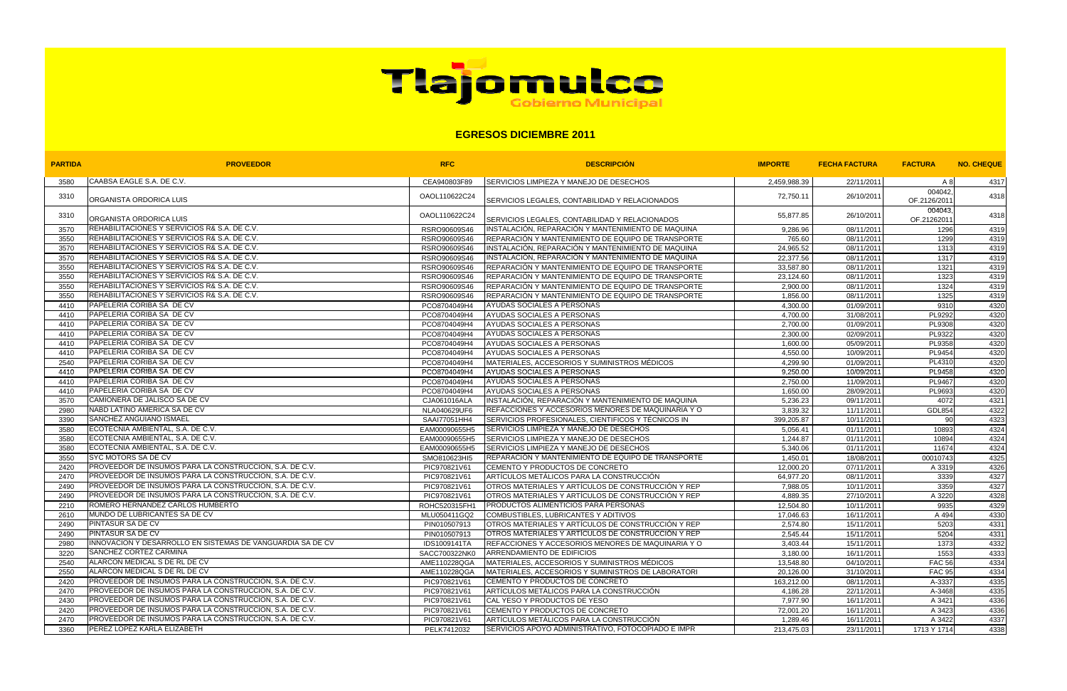

## **EGRESOS DICIEMBRE 2011**

| <b>PARTIDA</b> | <b>PROVEEDOR</b>                                               | <b>RFC</b>    | <b>DESCRIPCION</b>                                         | <b>IMPORTE</b>    | <b>FECHA FACTURA</b> | <b>FACTURA</b>         | <b>NO. CHEQUE</b> |
|----------------|----------------------------------------------------------------|---------------|------------------------------------------------------------|-------------------|----------------------|------------------------|-------------------|
| 3580           | CAABSA EAGLE S.A. DE C.V.                                      | CEA940803F89  | <b>SERVICIOS LIMPIEZA Y MANEJO DE DESECHOS</b>             | 2,459,988.39      | 22/11/2011           | A 8                    | 4317              |
| 3310           | ORGANISTA ORDORICA LUIS                                        | OAOL110622C24 | SERVICIOS LEGALES, CONTABILIDAD Y RELACIONADOS             | 72,750.11         | 26/10/2011           | 004042<br>OF.2126/2011 | 4318              |
| 3310           | ORGANISTA ORDORICA LUIS                                        | OAOL110622C24 | SERVICIOS LEGALES, CONTABILIDAD Y RELACIONADOS             | 55,877.85         | 26/10/2011           | 004043<br>OF.21262011  | 4318              |
| 3570           | REHABILITACIONES Y SERVICIOS R& S.A. DE C.V.                   | RSRO90609S46  | INSTALACIÓN, REPARACIÓN Y MANTENIMIENTO DE MAQUINA         | 9,286.96          | 08/11/2011           | 1296                   | 4319              |
| 3550           | REHABILITACIONES Y SERVICIOS R& S.A. DE C.V.                   | RSRO90609S46  | REPARACIÓN Y MANTENIMIENTO DE EQUIPO DE TRANSPORTE         | 765.60            | 08/11/2011           | 1299                   | 4319              |
| 3570           | REHABILITACIONES Y SERVICIOS R& S.A. DE C.V.                   | RSRO90609S46  | INSTALACIÓN, REPARACIÓN Y MANTENIMIENTO DE MAQUINA         | 24,965.52         | 08/11/2011           | 1313                   | 4319              |
| 3570           | REHABILITACIONES Y SERVICIOS R& S.A. DE C.V.                   | RSRO90609S46  | INSTALACIÓN, REPARACIÓN Y MANTENIMIENTO DE MAQUINA         | 22,377.56         | 08/11/2011           | 1317                   | 4319              |
| 3550           | REHABILITACIONES Y SERVICIOS R& S.A. DE C.V.                   | RSRO90609S46  | REPARACIÓN Y MANTENIMIENTO DE EQUIPO DE TRANSPORTE         | 33,587.80         | 08/11/2011           | 1321                   | 4319              |
| 3550           | REHABILITACIONES Y SERVICIOS R& S.A. DE C.V.                   | RSRO90609S46  | REPARACIÓN Y MANTENIMIENTO DE EQUIPO DE TRANSPORTE         | 23,124.60         | 08/11/2011           | 1323                   | 4319              |
| 3550           | REHABILITACIONES Y SERVICIOS R& S.A. DE C.V.                   | RSRO90609S46  | REPARACIÓN Y MANTENIMIENTO DE EQUIPO DE TRANSPORTE         | 2,900.00          | 08/11/2011           | 1324                   | 4319              |
| 3550           | REHABILITACIONES Y SERVICIOS R& S.A. DE C.V.                   | RSRO90609S46  | REPARACIÓN Y MANTENIMIENTO DE EQUIPO DE TRANSPORTE         | 1,856.00          | 08/11/2011           | 1325                   | 4319              |
| 4410           | PAPELERIA CORIBA SA DE CV                                      | PCO8704049H4  | AYUDAS SOCIALES A PERSONAS                                 | 4,300.00          | 01/09/2011           | 9310                   | 4320              |
| 4410           | PAPELERIA CORIBA SA DE CV                                      | PCO8704049H4  | AYUDAS SOCIALES A PERSONAS                                 | 4,700.00          | 31/08/2011           | PL9292                 | 4320              |
| 4410           | PAPELERIA CORIBA SA DE CV                                      | PCO8704049H4  | AYUDAS SOCIALES A PERSONAS                                 | 2,700.00          | 01/09/2011           | PL9308                 | 4320              |
| 4410           | PAPELERIA CORIBA SA DE CV                                      | PCO8704049H4  | AYUDAS SOCIALES A PERSONAS                                 | 2,300.00          | 02/09/2011           | PL9322                 | 4320              |
| 4410           | <b>PAPELERIA CORIBA SA DE CV</b>                               | PCO8704049H4  | AYUDAS SOCIALES A PERSONAS                                 | 1,600.00          | 05/09/2011           | PL9358                 | 4320              |
| 4410           | PAPELERIA CORIBA SA DE CV                                      | PCO8704049H4  | AYUDAS SOCIALES A PERSONAS                                 | 4,550.00          | 10/09/2011           | PL9454                 | 4320              |
| 2540           | PAPELERIA CORIBA SA DE CV                                      | PCO8704049H4  | MATERIALES, ACCESORIOS Y SUMINISTROS MÉDICOS               | $\sqrt{4,299.90}$ | 01/09/2011           | PL4310                 | 4320              |
| 4410           | PAPELERIA CORIBA SA DE CV                                      | PCO8704049H4  | AYUDAS SOCIALES A PERSONAS                                 | 9,250.00          | 10/09/2011           | PL9458                 | 4320              |
| 4410           | PAPELERIA CORIBA SA DE CV                                      | PCO8704049H4  | AYUDAS SOCIALES A PERSONAS                                 | 2,750.00          | 11/09/2011           | PL9467                 | 4320              |
| 4410           | PAPELERIA CORIBA SA DE CV                                      | PCO8704049H4  | AYUDAS SOCIALES A PERSONAS                                 | 1,650.00          | 28/09/2011           | PL9693                 | 4320              |
| 3570           | CAMIONERA DE JALISCO SA DE CV                                  | CJA061016ALA  | INSTALACIÓN, REPARACIÓN Y MANTENIMIENTO DE MAQUINA         | 5,236.23          | 09/11/2011           | 4072                   | 4321              |
| 2980           | NABD LATINO AMERICA SA DE CV                                   | NLA040629UF6  | REFACCIONES Y ACCESORIOS MENORES DE MAQUINARIA Y O         | 3,839.32          | 11/11/2011           | <b>GDL854</b>          | 4322              |
| 3390           | SANCHEZ ANGUIANO ISMAEL                                        | SAAI77051HH4  | SERVICIOS PROFESIONALES, CIENTIFICOS Y TÉCNICOS IN         | 399,205.87        | 10/11/2011           | 90                     | 4323              |
| 3580           | ECOTECNIA AMBIENTAL, S.A. DE C.V.                              | EAM00090655H5 | <b>SERVICIOS LIMPIEZA Y MANEJO DE DESECHOS</b>             | 5,056.41          | 01/11/2011           | 10893                  | 4324              |
| 3580           | ECOTECNIA AMBIENTAL, S.A. DE C.V.                              | EAM00090655H5 | SERVICIOS LIMPIEZA Y MANEJO DE DESECHOS                    | 1,244.87          | 01/11/2011           | 10894                  | 4324              |
| 3580           | ECOTECNIA AMBIENTAL, S.A. DE C.V.                              | EAM00090655H5 | SERVICIOS LIMPIEZA Y MANEJO DE DESECHOS                    | 5,340.06          | 01/11/2011           | 11674                  | 4324              |
| 3550           | <b>SYC MOTORS SA DE CV</b>                                     | SMO810623HI5  | REPARACIÓN Y MANTENIMIENTO DE EQUIPO DE TRANSPORTE         | 1,450.01          | 18/08/2011           | 00010743               | 4325              |
| 2420           | PROVEEDOR DE INSUMOS PARA LA CONSTRUCCION, S.A. DE C.V.        | PIC970821V61  | CEMENTO Y PRODUCTOS DE CONCRETO                            | 12,000.20         | 07/11/2011           | A 3319                 | 4326              |
| 2470           | PROVEEDOR DE INSUMOS PARA LA CONSTRUCCION, S.A. DE C.V.        | PIC970821V61  | ARTÍCULOS METÁLICOS PARA LA CONSTRUCCIÓN                   | 64,977.20         | 08/11/2011           | 3339                   | 4327              |
| 2490           | <b>PROVEEDOR DE INSUMOS PARA LA CONSTRUCCION, S.A. DE C.V.</b> | PIC970821V61  | OTROS MATERIALES Y ARTÍCULOS DE CONSTRUCCIÓN Y REP         | 7,988.05          | 10/11/2011           | 3359                   | 4327              |
| 2490           | <b>PROVEEDOR DE INSUMOS PARA LA CONSTRUCCION, S.A. DE C.V.</b> | PIC970821V61  | <b>IOTROS MATERIALES Y ARTÍCULOS DE CONSTRUCCIÓN Y REP</b> | 4,889.35          | 27/10/2011           | A 3220                 | 4328              |
| 2210           | ROMERO HERNANDEZ CARLOS HUMBERTO                               | ROHC520315FH1 | PRODUCTOS ALIMENTICIOS PARA PERSONAS                       | 12,504.80         | 10/11/2011           | 9935                   | 4329              |
| 2610           | MUNDO DE LUBRICANTES SA DE CV                                  | MLU050411GQ2  | COMBUSTIBLES, LUBRICANTES Y ADITIVOS                       | 17,046.63         | 16/11/2011           | A 494                  | 4330              |
| 2490           | <b>PINTASUR SA DE CV</b>                                       | PIN010507913  | OTROS MATERIALES Y ARTÍCULOS DE CONSTRUCCIÓN Y REP         | 2,574.80          | 15/11/2011           | 5203                   | 4331              |
| 2490           | <b>PINTASUR SA DE CV</b>                                       | PIN010507913  | OTROS MATERIALES Y ARTÍCULOS DE CONSTRUCCIÓN Y REP         | 2,545.44          | 15/11/2011           | 5204                   | 4331              |
| 2980           | INNOVACION Y DESARROLLO EN SISTEMAS DE VANGUARDIA SA DE CV     | IDS1009141TA  | REFACCIONES Y ACCESORIOS MENORES DE MAQUINARIA Y O         | 3,403.44          | 15/11/2011           | 1373                   | 4332              |
| 3220           | <b>SANCHEZ CORTEZ CARMINA</b>                                  | SACC700322NK0 | ARRENDAMIENTO DE EDIFICIOS                                 | 3,180.00          | 16/11/2011           | 1553                   | 4333              |
| 2540           | ALARCON MEDICAL S DE RL DE CV                                  | AME110228QGA  | MATERIALES, ACCESORIOS Y SUMINISTROS MÉDICOS               | 13,548.80         | 04/10/2011           | <b>FAC 56</b>          | 4334              |
| 2550           | ALARCON MEDICAL S DE RL DE CV                                  | AME110228QGA  | MATERIALES, ACCESORIOS Y SUMINISTROS DE LABORATORI         | 20,126.00         | 31/10/2011           | <b>FAC 95</b>          | 4334              |
| 2420           | <b>PROVEEDOR DE INSUMOS PARA LA CONSTRUCCION, S.A. DE C.V.</b> | PIC970821V61  | CEMENTO Y PRODUCTOS DE CONCRETO                            | 163,212.00        | 08/11/2011           | A-3337                 | 4335              |
| 2470           | <b>PROVEEDOR DE INSUMOS PARA LA CONSTRUCCION, S.A. DE C.V.</b> | PIC970821V61  | ARTÍCULOS METÁLICOS PARA LA CONSTRUCCIÓN                   | 4,186.28          | 22/11/2011           | A-3468                 | 4335              |
| 2430           | PROVEEDOR DE INSUMOS PARA LA CONSTRUCCION, S.A. DE C.V.        | PIC970821V61  | CAL YESO Y PRODUCTOS DE YESO                               | 7,977.90          | 16/11/2011           | A 3421                 | 4336              |
| 2420           | PROVEEDOR DE INSUMOS PARA LA CONSTRUCCION, S.A. DE C.V.        | PIC970821V61  | CEMENTO Y PRODUCTOS DE CONCRETO                            | 72,001.20         | 16/11/2011           | A 3423                 | 4336              |
| 2470           | <b>PROVEEDOR DE INSUMOS PARA LA CONSTRUCCION, S.A. DE C.V.</b> | PIC970821V61  | ARTÍCULOS METÁLICOS PARA LA CONSTRUCCIÓN                   | 1,289.46          | 16/11/2011           | A 3422                 | 4337              |
| 3360           | <b>PEREZ LOPEZ KARLA ELIZABETH</b>                             | PELK7412032   | SERVICIOS APOYO ADMINISTRATIVO, FOTOCOPIADO E IMPR         | 213,475.03        | 23/11/2011           | 1713 Y 1714            | 4338              |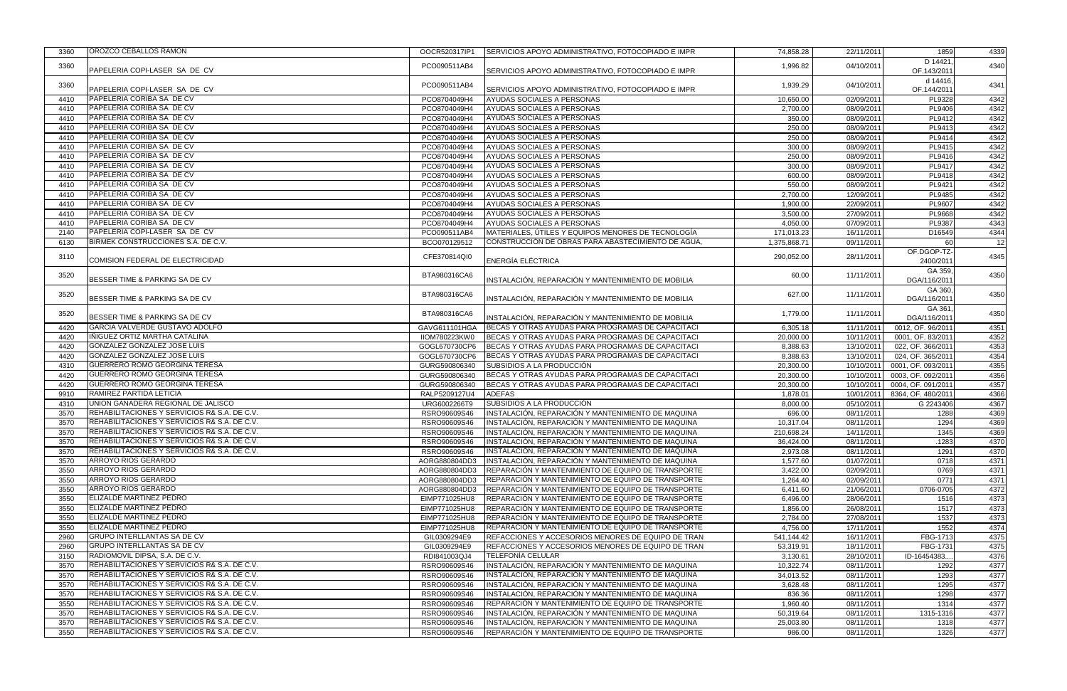| 3360 | OROZCO CEBALLOS RAMON                                   | OOCR520317IP1 | SERVICIOS APOYO ADMINISTRATIVO, FOTOCOPIADO E IMPR | 74,858.28    | 22/11/2011 | 1859               | 4339 |
|------|---------------------------------------------------------|---------------|----------------------------------------------------|--------------|------------|--------------------|------|
|      |                                                         |               |                                                    |              |            | D 14421            |      |
| 3360 | PAPELERIA COPI-LASER SA DE CV                           | PCO090511AB4  | SERVICIOS APOYO ADMINISTRATIVO, FOTOCOPIADO E IMPR | 1,996.82     | 04/10/2011 | OF.143/201         | 4340 |
|      |                                                         |               |                                                    |              |            | d 14416,           |      |
| 3360 | PAPELERIA COPI-LASER SA DE CV                           | PCO090511AB4  | SERVICIOS APOYO ADMINISTRATIVO, FOTOCOPIADO E IMPR | 1,939.29     | 04/10/2011 | OF.144/201         | 4341 |
| 4410 | PAPELERIA CORIBA SA DE CV                               | PCO8704049H4  | AYUDAS SOCIALES A PERSONAS                         | 10,650.00    | 02/09/2011 | PL9328             | 4342 |
| 4410 | PAPELERIA CORIBA SA DE CV                               | PCO8704049H4  | AYUDAS SOCIALES A PERSONAS                         | 2,700.00     | 08/09/2011 | PL9406             | 4342 |
| 4410 | PAPELERIA CORIBA SA DE CV                               | PCO8704049H4  | AYUDAS SOCIALES A PERSONAS                         | 350.00       | 08/09/2011 | PL9412             | 4342 |
| 4410 | PAPELERIA CORIBA SA DE CV                               | PCO8704049H4  | AYUDAS SOCIALES A PERSONAS                         | 250.00       | 08/09/2011 | PL9413             | 4342 |
| 4410 | PAPELERIA CORIBA SA DE CV                               | PCO8704049H4  | AYUDAS SOCIALES A PERSONAS                         | 250.00       | 08/09/2011 | PL9414             | 4342 |
| 4410 | PAPELERIA CORIBA SA DE CV                               |               | AYUDAS SOCIALES A PERSONAS                         |              |            | PL9415             |      |
|      | PAPELERIA CORIBA SA DE CV                               | PCO8704049H4  |                                                    | 300.00       | 08/09/2011 |                    | 4342 |
| 4410 |                                                         | PCO8704049H4  | AYUDAS SOCIALES A PERSONAS                         | 250.00       | 08/09/2011 | PL9416             | 4342 |
| 4410 | PAPELERIA CORIBA SA DE CV                               | PCO8704049H4  | AYUDAS SOCIALES A PERSONAS                         | 300.00       | 08/09/2011 | PL9417             | 4342 |
| 4410 | PAPELERIA CORIBA SA DE CV                               | PCO8704049H4  | AYUDAS SOCIALES A PERSONAS                         | 600.00       | 08/09/2011 | PL9418             | 4342 |
| 4410 | PAPELERIA CORIBA SA DE CV                               | PCO8704049H4  | AYUDAS SOCIALES A PERSONAS                         | 550.00       | 08/09/2011 | PL9421             | 4342 |
| 4410 | PAPELERIA CORIBA SA DE CV                               | PCO8704049H4  | AYUDAS SOCIALES A PERSONAS                         | 2,700.00     | 12/09/2011 | PL9485             | 4342 |
| 4410 | PAPELERIA CORIBA SA DE CV                               | PCO8704049H4  | AYUDAS SOCIALES A PERSONAS                         | 1,900.00     | 22/09/2011 | PL9607             | 4342 |
| 4410 | PAPELERIA CORIBA SA DE CV                               | PCO8704049H4  | AYUDAS SOCIALES A PERSONAS                         | 3,500.00     | 27/09/2011 | PL9668             | 4342 |
| 4410 | PAPELERIA CORIBA SA DE CV                               | PCO8704049H4  | AYUDAS SOCIALES A PERSONAS                         | 4,050.00     | 07/09/2011 | PL9387             | 4343 |
| 2140 | PAPELERIA COPI-LASER SA DE CV                           | PCO090511AB4  | MATERIALES, ÚTILES Y EQUIPOS MENORES DE TECNOLOGÍA | 171,013.23   | 16/11/2011 | D16549             | 4344 |
| 6130 | BIRMEK CONSTRUCCIONES S.A. DE C.V.                      | BCO070129512  | CONSTRUCCIÓN DE OBRAS PARA ABASTECIMIENTO DE AGUA, | 1,375,868.71 | 09/11/2011 | 60                 | 12   |
| 3110 |                                                         | CFE370814QI0  |                                                    | 290,052.00   | 28/11/2011 | OF.DGOP-TZ-        | 4345 |
|      | COMISION FEDERAL DE ELECTRICIDAD                        |               | ENERGÍA ELÉCTRICA                                  |              |            | 2400/201           |      |
| 3520 |                                                         | BTA980316CA6  |                                                    | 60.00        | 11/11/2011 | GA 359             | 4350 |
|      | BESSER TIME & PARKING SA DE CV                          |               | INSTALACIÓN, REPARACIÓN Y MANTENIMIENTO DE MOBILIA |              |            | DGA/116/201        |      |
| 3520 |                                                         | BTA980316CA6  |                                                    | 627.00       | 11/11/2011 | GA 360             | 4350 |
|      | BESSER TIME & PARKING SA DE CV                          |               | INSTALACIÓN, REPARACIÓN Y MANTENIMIENTO DE MOBILIA |              |            | DGA/116/201        |      |
| 3520 |                                                         | BTA980316CA6  |                                                    | 1,779.00     | 11/11/2011 | GA 361             | 4350 |
|      | BESSER TIME & PARKING SA DE CV                          |               | INSTALACIÓN, REPARACIÓN Y MANTENIMIENTO DE MOBILIA |              |            | DGA/116/201        |      |
| 4420 | GARCIA VALVERDE GUSTAVO ADOLFO                          | GAVG611101HGA | BECAS Y OTRAS AYUDAS PARA PROGRAMAS DE CAPACITACI  | 6,305.18     | 11/11/2011 | 0012, OF. 96/201   | 4351 |
| 4420 | IÑIGUEZ ORTIZ MARTHA CATALINA                           | IIOM780223KW0 | BECAS Y OTRAS AYUDAS PARA PROGRAMAS DE CAPACITACI  | 20,000.00    | 10/11/2011 | 0001, OF. 83/201   | 4352 |
| 4420 | GONZALEZ GONZALEZ JOSE LUIS                             | GOGL670730CP6 | BECAS Y OTRAS AYUDAS PARA PROGRAMAS DE CAPACITACI  | 8,388.63     | 13/10/2011 | 022, OF. 366/201   | 4353 |
| 4420 | GONZALEZ GONZALEZ JOSE LUIS                             | GOGL670730CP6 | BECAS Y OTRAS AYUDAS PARA PROGRAMAS DE CAPACITACI  | 8,388.63     | 13/10/2011 | 024, OF. 365/201   | 4354 |
| 4310 | <b>GUERRERO ROMO GEORGINA TERESA</b>                    | GURG590806340 | SUBSIDIOS A LA PRODUCCIÓN                          | 20,300.00    | 10/10/2011 | 0001, OF. 093/2011 | 4355 |
| 4420 | <b>GUERRERO ROMO GEORGINA TERESA</b>                    | GURG590806340 | BECAS Y OTRAS AYUDAS PARA PROGRAMAS DE CAPACITACI  | 20,300.00    | 10/10/2011 | 0003, OF. 092/2011 | 4356 |
| 4420 | <b>GUERRERO ROMO GEORGINA TERESA</b>                    | GURG590806340 | BECAS Y OTRAS AYUDAS PARA PROGRAMAS DE CAPACITACI  | 20,300.00    | 10/10/2011 | 0004, OF. 091/201  | 4357 |
| 9910 | RAMIREZ PARTIDA LETICIA                                 | RALP5209127U4 | <b>ADEFAS</b>                                      | 1,878.01     | 10/01/2011 | 8364, OF. 480/201  | 4366 |
| 4310 | UNION GANADERA REGIONAL DE JALISCO                      | URG6002266T9  | SUBSIDIOS A LA PRODUCCIÓN                          | 8,000.00     | 05/10/2011 | G 2243406          | 4367 |
| 3570 | REHABILITACIONES Y SERVICIOS R& S.A. DE C.V.            | RSRO90609S46  | INSTALACIÓN, REPARACIÓN Y MANTENIMIENTO DE MAQUINA | 696.00       | 08/11/2011 | 1288               | 4369 |
| 3570 | REHABILITACIONES Y SERVICIOS R& S.A. DE C.V.            | RSRO90609S46  | INSTALACIÓN, REPARACIÓN Y MANTENIMIENTO DE MAQUINA | 10,317.04    | 08/11/2011 | 1294               | 4369 |
| 3570 | <b>REHABILITACIONES Y SERVICIOS R&amp; S.A. DE C.V.</b> | RSRO90609S46  | INSTALACIÓN, REPARACIÓN Y MANTENIMIENTO DE MAQUINA | 210,698.24   | 14/11/2011 | 1345               | 4369 |
| 3570 | <b>REHABILITACIONES Y SERVICIOS R&amp; S.A. DE C.V.</b> | RSRO90609S46  | INSTALACIÓN, REPARACIÓN Y MANTENIMIENTO DE MAQUINA | 36,424.00    | 08/11/2011 | .1283              | 4370 |
| 3570 | REHABILITACIONES Y SERVICIOS R& S.A. DE C.V.            | RSRO90609S46  | INSTALACIÓN, REPARACIÓN Y MANTENIMIENTO DE MAQUINA | 2,973.08     | 08/11/2011 | 1291               | 4370 |
| 3570 | <b>ARROYO RIOS GERARDO</b>                              | AORG880804DD3 | INSTALACIÓN, REPARACIÓN Y MANTENIMIENTO DE MAQUINA | 1,577.60     | 01/07/2011 | 0718               | 4371 |
| 3550 | <b>ARROYO RIOS GERARDO</b>                              | AORG880804DD3 | REPARACIÓN Y MANTENIMIENTO DE EQUIPO DE TRANSPORTE | 3,422.00     | 02/09/2011 | 0769               | 4371 |
| 3550 | ARROYO RIOS GERARDO                                     | AORG880804DD3 | REPARACIÓN Y MANTENIMIENTO DE EQUIPO DE TRANSPORTE | 1,264.40     | 02/09/2011 | 0771               | 4371 |
| 3550 | ARROYO RIOS GERARDO                                     | AORG880804DD3 | REPARACIÓN Y MANTENIMIENTO DE EQUIPO DE TRANSPORTE | 6,411.60     | 21/06/2011 | 0706-0705          | 4372 |
| 3550 | <b>ELIZALDE MARTINEZ PEDRO</b>                          | EIMP771025HU8 | REPARACIÓN Y MANTENIMIENTO DE EQUIPO DE TRANSPORTE | 6,496.00     | 28/06/2011 | 1516               | 4373 |
| 3550 | <b>ELIZALDE MARTINEZ PEDRO</b>                          | EIMP771025HU8 | REPARACIÓN Y MANTENIMIENTO DE EQUIPO DE TRANSPORTE | 1,856.00     | 26/08/2011 | 1517               | 4373 |
| 3550 | <b>IELIZALDE MARTINEZ PEDRO</b>                         | EIMP771025HU8 | REPARACIÓN Y MANTENIMIENTO DE EQUIPO DE TRANSPORTE | 2,784.00     | 27/08/2011 | 1537               | 4373 |
| 3550 | <b>ELIZALDE MARTINEZ PEDRO</b>                          | EIMP771025HU8 | REPARACIÓN Y MANTENIMIENTO DE EQUIPO DE TRANSPORTE | 4,756.00     | 17/11/2011 | 1552               | 4374 |
| 2960 | <b>GRUPO INTERLLANTAS SA DE CV</b>                      | GIL0309294E9  | REFACCIONES Y ACCESORIOS MENORES DE EQUIPO DE TRAN | 541,144.42   | 16/11/2011 | FBG-1713           | 4375 |
| 2960 | <b>GRUPO INTERLLANTAS SA DE CV</b>                      | GIL0309294E9  | REFACCIONES Y ACCESORIOS MENORES DE EQUIPO DE TRAN | 53,319.91    | 18/11/2011 | FBG-1731           | 4375 |
| 3150 | RADIOMOVIL DIPSA, S.A. DE C.V.                          | RDI841003QJ4  | <b>TELEFONÍA CELULAR</b>                           | 3,130.61     | 28/10/2011 | ID-16454383.       | 4376 |
| 3570 | REHABILITACIONES Y SERVICIOS R& S.A. DE C.V.            | RSRO90609S46  | INSTALACIÓN, REPARACIÓN Y MANTENIMIENTO DE MAQUINA | 10,322.74    | 08/11/2011 | 1292               | 4377 |
|      | REHABILITACIONES Y SERVICIOS R& S.A. DE C.V.            |               | INSTALACIÓN, REPARACIÓN Y MANTENIMIENTO DE MAQUINA |              | 08/11/2011 |                    | 4377 |
| 3570 | REHABILITACIONES Y SERVICIOS R& S.A. DE C.V.            | RSRO90609S46  |                                                    | 34,013.52    |            | 1293               |      |
| 3570 |                                                         | RSRO90609S46  | INSTALACIÓN, REPARACIÓN Y MANTENIMIENTO DE MAQUINA | 3,628.48     | 08/11/2011 | 1295               | 4377 |
| 3570 | REHABILITACIONES Y SERVICIOS R& S.A. DE C.V.            | RSRO90609S46  | INSTALACIÓN, REPARACIÓN Y MANTENIMIENTO DE MAQUINA | 836.36       | 08/11/2011 | 1298               | 4377 |
| 3550 | REHABILITACIONES Y SERVICIOS R& S.A. DE C.V.            | RSRO90609S46  | REPARACIÓN Y MANTENIMIENTO DE EQUIPO DE TRANSPORTE | 1,960.40     | 08/11/2011 | 1314               | 4377 |
| 3570 | REHABILITACIONES Y SERVICIOS R& S.A. DE C.V.            | RSRO90609S46  | INSTALACIÓN, REPARACIÓN Y MANTENIMIENTO DE MAQUINA | 50,319.64    | 08/11/2011 | 1315-1316          | 4377 |
| 3570 | <b>REHABILITACIONES Y SERVICIOS R&amp; S.A. DE C.V.</b> | RSRO90609S46  | INSTALACIÓN, REPARACIÓN Y MANTENIMIENTO DE MAQUINA | 25,003.80    | 08/11/2011 | 1318               | 4377 |
| 3550 | REHABILITACIONES Y SERVICIOS R& S.A. DE C.V.            | RSRO90609S46  | REPARACIÓN Y MANTENIMIENTO DE EQUIPO DE TRANSPORTE | 986.00       | 08/11/2011 | 1326               | 4377 |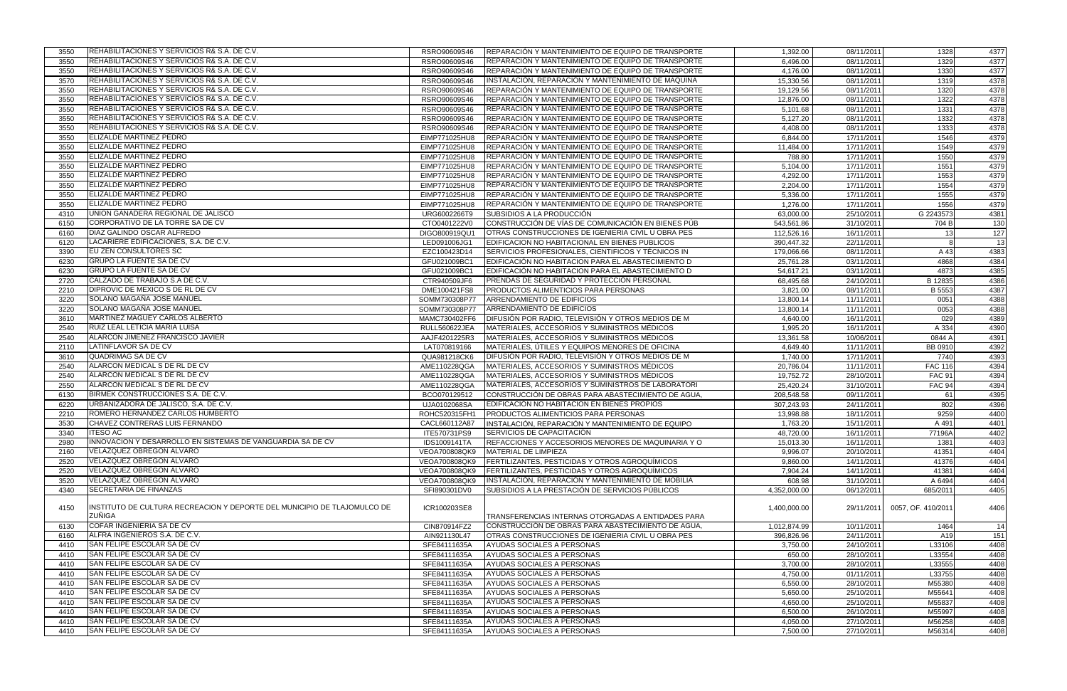| 3550 | REHABILITACIONES Y SERVICIOS R& S.A. DE C.V.                              | RSRO90609S46         | REPARACIÓN Y MANTENIMIENTO DE EQUIPO DE TRANSPORTE        | 1,392.00             | 08/11/2011               | 1328               | 4377 |
|------|---------------------------------------------------------------------------|----------------------|-----------------------------------------------------------|----------------------|--------------------------|--------------------|------|
| 3550 | REHABILITACIONES Y SERVICIOS R& S.A. DE C.V.                              | RSRO90609S46         | REPARACIÓN Y MANTENIMIENTO DE EQUIPO DE TRANSPORTE        | 6,496.00             | 08/11/2011               | 1329               | 4377 |
| 3550 | REHABILITACIONES Y SERVICIOS R& S.A. DE C.V.                              | RSRO90609S46         | REPARACIÓN Y MANTENIMIENTO DE EQUIPO DE TRANSPORTE        | 4,176.00             | 08/11/2011               | 1330               | 4377 |
| 3570 | REHABILITACIONES Y SERVICIOS R& S.A. DE C.V.                              | RSRO90609S46         | INSTALACIÓN, REPARACIÓN Y MANTENIMIENTO DE MAQUINA        | 15,330.56            | 08/11/2011               | 1319               | 4378 |
| 3550 | REHABILITACIONES Y SERVICIOS R& S.A. DE C.V.                              | RSRO90609S46         | REPARACIÓN Y MANTENIMIENTO DE EQUIPO DE TRANSPORTE        | 19,129.56            | 08/11/2011               | 1320               | 4378 |
| 3550 | REHABILITACIONES Y SERVICIOS R& S.A. DE C.V.                              | RSRO90609S46         | REPARACIÓN Y MANTENIMIENTO DE EQUIPO DE TRANSPORTE        | 12,876.00            | 08/11/2011               | 1322               | 4378 |
| 3550 | REHABILITACIONES Y SERVICIOS R& S.A. DE C.V.                              | RSRO90609S46         | REPARACIÓN Y MANTENIMIENTO DE EQUIPO DE TRANSPORTE        | 5,101.68             | 08/11/2011               | 1331               | 4378 |
| 3550 | REHABILITACIONES Y SERVICIOS R& S.A. DE C.V.                              | RSRO90609S46         | REPARACIÓN Y MANTENIMIENTO DE EQUIPO DE TRANSPORTE        | 5,127.20             | 08/11/2011               | 1332               | 4378 |
| 3550 | REHABILITACIONES Y SERVICIOS R& S.A. DE C.V.                              | RSRO90609S46         | REPARACIÓN Y MANTENIMIENTO DE EQUIPO DE TRANSPORTE        | 4,408.00             | 08/11/2011               | 1333               | 4378 |
| 3550 | ELIZALDE MARTINEZ PEDRO                                                   | EIMP771025HU8        | REPARACIÓN Y MANTENIMIENTO DE EQUIPO DE TRANSPORTE        | 6,844.00             | 17/11/2011               | 1546               | 4379 |
| 3550 | <b>ELIZALDE MARTINEZ PEDRO</b>                                            | EIMP771025HU8        | REPARACIÓN Y MANTENIMIENTO DE EQUIPO DE TRANSPORTE        | 11,484.00            | 17/11/2011               | 1549               | 4379 |
| 3550 | ELIZALDE MARTINEZ PEDRO                                                   | EIMP771025HU8        | REPARACIÓN Y MANTENIMIENTO DE EQUIPO DE TRANSPORTE        | 788.80               | 17/11/2011               | 1550               | 4379 |
| 3550 | ELIZALDE MARTINEZ PEDRO                                                   | EIMP771025HU8        | REPARACIÓN Y MANTENIMIENTO DE EQUIPO DE TRANSPORTE        | 5,104.00             | 17/11/2011               | 1551               | 4379 |
| 3550 | <b>ELIZALDE MARTINEZ PEDRO</b>                                            | EIMP771025HU8        | REPARACIÓN Y MANTENIMIENTO DE EQUIPO DE TRANSPORTE        | 4,292.00             | 17/11/2011               | 1553               | 4379 |
| 3550 | ELIZALDE MARTINEZ PEDRO                                                   | EIMP771025HU8        | REPARACIÓN Y MANTENIMIENTO DE EQUIPO DE TRANSPORTE        | 2,204.00             | 17/11/2011               | 1554               | 4379 |
| 3550 | ELIZALDE MARTINEZ PEDRO                                                   | EIMP771025HU8        | REPARACIÓN Y MANTENIMIENTO DE EQUIPO DE TRANSPORTE        | 5,336.00             | 17/11/2011               | 1555               | 4379 |
| 3550 | ELIZALDE MARTINEZ PEDRO                                                   | EIMP771025HU8        | REPARACIÓN Y MANTENIMIENTO DE EQUIPO DE TRANSPORTE        | 1,276.00             | 17/11/2011               | 1556               | 4379 |
| 4310 | UNION GANADERA REGIONAL DE JALISCO                                        | URG6002266T9         | SUBSIDIOS A LA PRODUCCIÓN                                 | 63,000.00            | 25/10/2011               | G 2243573          | 4381 |
| 6150 | CORPORATIVO DE LA TORRE SA DE CV                                          | CTO0401222V0         | CONSTRUCCIÓN DE VÍAS DE COMUNICACIÓN EN BIENES PÚB        | 543,561.86           | 31/10/2011               | 704 B              | 130  |
| 6160 | DIAZ GALINDO OSCAR ALFREDO                                                | DIGO800919QU1        | OTRAS CONSTRUCCIONES DE IGENIERIA CIVIL U OBRA PES        | 112,526.16           | 16/11/2011               | 13                 | 127  |
| 6120 | LACARIERE EDIFICACIONES, S.A. DE C.V.                                     | LED091006JG1         | EDIFICACION NO HABITACIONAL EN BIENES PUBLICOS            | 390,447.32           | 22/11/2011               |                    |      |
|      | EU ZEN CONSULTORES SC                                                     |                      |                                                           |                      |                          |                    | 13   |
| 3390 |                                                                           | EZC100423D14         | SERVICIOS PROFESIONALES, CIENTIFICOS Y TÉCNICOS IN        | 179,066.66           | 08/11/2011               | A 43               | 4383 |
| 6230 | <b>GRUPO LA FUENTE SA DE CV</b>                                           | GFU021009BC1         | EDIFICACIÓN NO HABITACION PARA EL ABASTECIMIENTO D        | 25,761.28            | 03/11/2011               | 4868               | 4384 |
| 6230 | <b>GRUPO LA FUENTE SA DE CV</b>                                           | GFU021009BC1         | EDIFICACIÓN NO HABITACION PARA EL ABASTECIMIENTO D        | 54,617.21            | 03/11/2011               | 4873               | 4385 |
| 2720 | CALZADO DE TRABAJO S.A DE C.V.                                            | CTR940509JF6         | <b>PRENDAS DE SEGURIDAD Y PROTECCIÓN PERSONAL</b>         | 68,495.68            | 24/10/2011               | B 12835            | 4386 |
| 2210 | <b>DIPROVIC DE MEXICO S DE RL DE CV</b>                                   | DME100421FS8         | PRODUCTOS ALIMENTICIOS PARA PERSONAS                      | 3,821.00             | 08/11/2011               | B 5553             | 4387 |
| 3220 | SOLANO MAGAÑA JOSE MANUEL                                                 | SOMM730308P77        | ARRENDAMIENTO DE EDIFICIOS                                | 13,800.14            | 11/11/2011               | 0051               | 4388 |
| 3220 | SOLANO MAGAÑA JOSE MANUEL                                                 | SOMM730308P77        | ARRENDAMIENTO DE EDIFICIOS                                | 13,800.14            | 11/11/2011               | 0053               | 4388 |
| 3610 | MARTINEZ MAGUEY CARLOS ALBERTO                                            | MAMC730402FF6        | DIFUSIÓN POR RADIO, TELEVISIÓN Y OTROS MEDIOS DE M        | 4,640.00             | 16/11/2011               | 029                | 4389 |
| 2540 | RUIZ LEAL LETICIA MARIA LUISA                                             | <b>RULL560622JEA</b> | MATERIALES, ACCESORIOS Y SUMINISTROS MÉDICOS              | 1,995.20             | 16/11/2011               | A 334              | 4390 |
| 2540 | ALARCON JIMENEZ FRANCISCO JAVIER                                          | AAJF4201225R3        | MATERIALES, ACCESORIOS Y SUMINISTROS MÉDICOS              | 13,361.58            | 10/06/2011               | 0844 A             | 4391 |
| 2110 | LATINFLAVOR SA DE CV                                                      | LAT070819166         | MATERIALES, UTILES Y EQUIPOS MENORES DE OFICINA           | 4,649.40             | 11/11/2011               | <b>BB 0910</b>     | 4392 |
| 3610 | QUADRIMAG SA DE CV                                                        | QUA981218CK6         | DIFUSIÓN POR RADIO, TELEVISIÓN Y OTROS MEDIOS DE M        | 1,740.00             | 17/11/2011               | 7740               | 4393 |
| 2540 | ALARCON MEDICAL S DE RL DE CV                                             | AME110228QGA         | MATERIALES, ACCESORIOS Y SUMINISTROS MÉDICOS              | 20,786.04            | 11/11/2011               | <b>FAC 116</b>     | 4394 |
| 2540 | ALARCON MEDICAL S DE RL DE CV                                             | AME110228QGA         | MATERIALES, ACCESORIOS Y SUMINISTROS MÉDICOS              | 19,752.72            | 28/10/2011               | <b>FAC 91</b>      | 4394 |
| 2550 | ALARCON MEDICAL S DE RL DE CV                                             | AME110228QGA         | MATERIALES, ACCESORIOS Y SUMINISTROS DE LABORATORI        | 25,420.24            | 31/10/2011               | <b>FAC 94</b>      | 4394 |
| 6130 | BIRMEK CONSTRUCCIONES S.A. DE C.V.                                        | BCO070129512         | CONSTRUCCIÓN DE OBRAS PARA ABASTECIMIENTO DE AGUA,        | 208,548.58           | 09/11/2011               | 61                 | 4395 |
| 6220 | URBANIZADORA DE JALISCO, S.A. DE C.V.                                     | UJA0102068SA         | EDIFICACIÓN NO HABITACION EN BIENES PROPIOS               | 307,243.93           | 24/11/2011               | 802                | 4396 |
| 2210 | ROMERO HERNANDEZ CARLOS HUMBERTO                                          | ROHC520315FH1        | PRODUCTOS ALIMENTICIOS PARA PERSONAS                      | 13,998.88            | 18/11/2011               | 9259               | 4400 |
| 3530 | CHAVEZ CONTRERAS LUIS FERNANDO                                            | CACL660112A87        | INSTALACIÓN, REPARACIÓN Y MANTENIMIENTO DE EQUIPO         | 1,763.20             | 15/11/2011               | A 491              | 4401 |
| 3340 | <b>ITESO AC</b>                                                           | ITE570731PS9         | <b>SERVICIOS DE CAPACITACIÓN</b>                          | 48,720.00            | 16/11/2011               | 77196A             | 4402 |
| 2980 | IINNOVACION Y DESARROLLO EN SISTEMAS DE VANGUARDIA SA DE CV               | IDS1009141TA         | REFACCIONES Y ACCESORIOS MENORES DE MAQUINARIA Y O        | 15,013.30            | 16/11/2011               | 1381               | 4403 |
| 2160 | VELAZQUEZ OBREGON ALVARO                                                  | VEOA700808QK9        | <b>MATERIAL DE LIMPIEZA</b>                               | 9,996.07             | 20/10/2011               | 41351              | 4404 |
| 2520 | VELAZQUEZ OBREGON ALVARO                                                  | VEOA700808QK9        | FERTILIZANTES, PESTICIDAS Y OTROS AGROQUÍMICOS            | 9,860.00             | 14/11/2011               | 41376              | 4404 |
| 2520 | VELAZQUEZ OBREGON ALVARO                                                  | VEOA700808QK9        | FERTILIZANTES, PESTICIDAS Y OTROS AGROQUÍMICOS            | 7,904.24             | 14/11/2011               | 41381              | 4404 |
| 3520 | VELAZQUEZ OBREGON ALVARO                                                  | VEOA700808QK9        | INSTALACIÓN, REPARACIÓN Y MANTENIMIENTO DE MOBILIA        | 608.98               | 31/10/2011               | A 6494             | 4404 |
| 4340 | <b>SECRETARIA DE FINANZAS</b>                                             | SFI890301DV0         | SUBSIDIOS A LA PRESTACIÓN DE SERVICIOS PÚBLICOS           | 4,352,000.00         | 06/12/2011               | 685/2011           | 4405 |
| 4150 | IINSTITUTO DE CULTURA RECREACION Y DEPORTE DEL MUNICIPIO DE TLAJOMULCO DE |                      |                                                           |                      |                          |                    |      |
|      | ZUÑIGA                                                                    | ICR100203SE8         | <b>TRANSFERENCIAS INTERNAS OTORGADAS A ENTIDADES PARA</b> | 1,400,000.00         | 29/11/2011               | 0057, OF. 410/2011 | 4406 |
| 6130 | COFAR INGENIERIA SA DE CV                                                 | CIN870914FZ2         | CONSTRUCCIÓN DE OBRAS PARA ABASTECIMIENTO DE AGUA,        | 1,012,874.99         | 10/11/2011               | 1464               | 14   |
| 6160 | ALFRA INGENIEROS S.A. DE C.V.                                             | AIN921130L47         | OTRAS CONSTRUCCIONES DE IGENIERIA CIVIL U OBRA PES        | 396,826.96           | 24/11/2011               | A19                |      |
|      | SAN FELIPE ESCOLAR SA DE CV                                               | SFE84111635A         | AYUDAS SOCIALES A PERSONAS                                |                      |                          |                    | 151  |
| 4410 | SAN FELIPE ESCOLAR SA DE CV                                               |                      |                                                           | 3,750.00             | 24/10/2011               | L33106             | 4408 |
| 4410 | SAN FELIPE ESCOLAR SA DE CV                                               | SFE84111635A         | AYUDAS SOCIALES A PERSONAS                                | 650.00               | 28/10/2011               | L33554             | 4408 |
| 4410 | SAN FELIPE ESCOLAR SA DE CV                                               | SFE84111635A         | AYUDAS SOCIALES A PERSONAS                                | 3,700.00             | 28/10/2011               | L33555             | 4408 |
| 4410 |                                                                           | SFE84111635A         | AYUDAS SOCIALES A PERSONAS                                | 4,750.00             | 01/11/2011               | L33755             | 4408 |
| 4410 | SAN FELIPE ESCOLAR SA DE CV                                               | SFE84111635A         | AYUDAS SOCIALES A PERSONAS                                | 6,550.00             | 28/10/2011               | M55380             | 4408 |
| 4410 | SAN FELIPE ESCOLAR SA DE CV                                               | SFE84111635A         | AYUDAS SOCIALES A PERSONAS                                | 5,650.00             | 25/10/2011               | M55641             | 4408 |
| 4410 | SAN FELIPE ESCOLAR SA DE CV                                               | SFE84111635A         | AYUDAS SOCIALES A PERSONAS                                | 4,650.00             | 25/10/2011               | M55837             | 4408 |
| 4410 | SAN FELIPE ESCOLAR SA DE CV                                               | SFE84111635A         | AYUDAS SOCIALES A PERSONAS                                | 6,500.00             | 26/10/2011               | M55997             | 4408 |
| 4410 | SAN FELIPE ESCOLAR SA DE CV<br>SAN FELIPE ESCOLAR SA DE CV                | SFE84111635A         | AYUDAS SOCIALES A PERSONAS<br>AYUDAS SOCIALES A PERSONAS  | 4,050.00<br>7,500.00 | 27/10/2011<br>27/10/2011 | M56258<br>M56314   | 4408 |
| 4410 |                                                                           | SFE84111635A         |                                                           |                      |                          |                    | 4408 |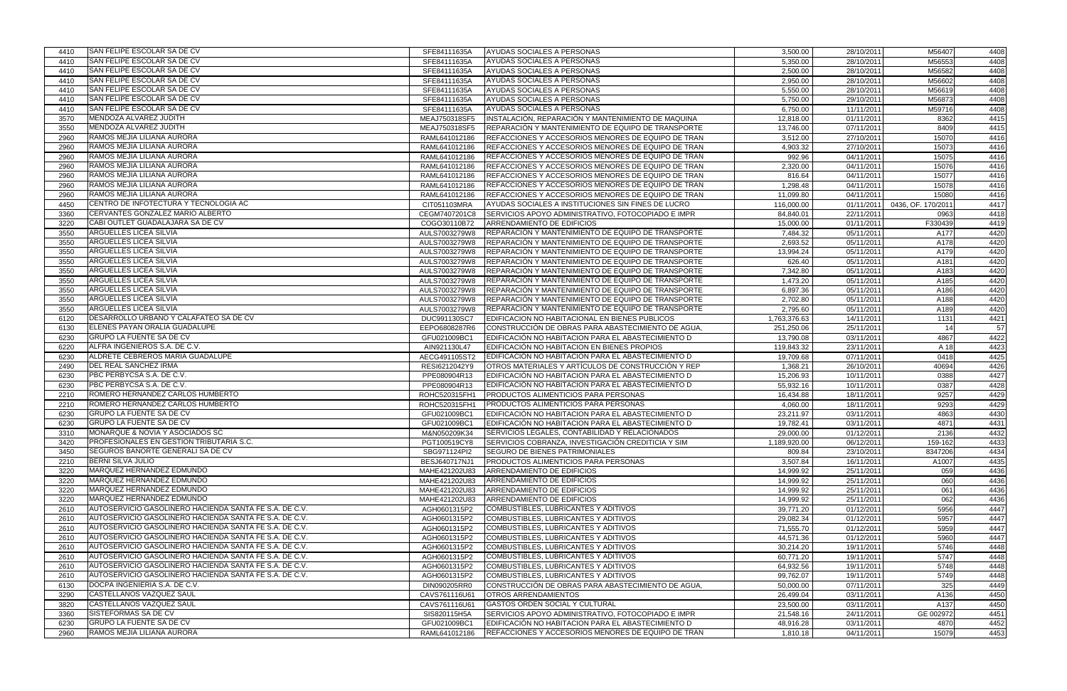| 4410 | SAN FELIPE ESCOLAR SA DE CV                                                                                      | SFE84111635A                  | AYUDAS SOCIALES A PERSONAS                               | 3,500.00                   | 28/10/2011               | M56407             | 4408       |
|------|------------------------------------------------------------------------------------------------------------------|-------------------------------|----------------------------------------------------------|----------------------------|--------------------------|--------------------|------------|
| 4410 | <b>SAN FELIPE ESCOLAR SA DE CV</b>                                                                               | SFE84111635A                  | AYUDAS SOCIALES A PERSONAS                               | 5,350.00                   | 28/10/2011               | M56553             | 4408       |
| 4410 | SAN FELIPE ESCOLAR SA DE CV                                                                                      | SFE84111635A                  | AYUDAS SOCIALES A PERSONAS                               | 2,500.00                   | 28/10/2011               | M56582             | 4408       |
| 4410 | SAN FELIPE ESCOLAR SA DE CV                                                                                      | SFE84111635A                  | AYUDAS SOCIALES A PERSONAS                               | 2,950.00                   | 28/10/2011               | M56602             | 4408       |
| 4410 | SAN FELIPE ESCOLAR SA DE CV                                                                                      | SFE84111635A                  | AYUDAS SOCIALES A PERSONAS                               | 5,550.00                   | 28/10/2011               | M56619             | 4408       |
| 4410 | SAN FELIPE ESCOLAR SA DE CV                                                                                      | SFE84111635A                  | AYUDAS SOCIALES A PERSONAS                               | 5,750.00                   | 29/10/2011               | M56873             | 4408       |
| 4410 | SAN FELIPE ESCOLAR SA DE CV                                                                                      | SFE84111635A                  | AYUDAS SOCIALES A PERSONAS                               | 6,750.00                   | 11/11/2011               | M59716             | 4408       |
| 3570 | MENDOZA ALVAREZ JUDITH                                                                                           | MEAJ750318SF5                 | INSTALACIÓN, REPARACIÓN Y MANTENIMIENTO DE MAQUINA       | 12,818.00                  | 01/11/2011               | 8362               | 4415       |
| 3550 | MENDOZA ALVAREZ JUDITH                                                                                           | MEAJ750318SF5                 | REPARACIÓN Y MANTENIMIENTO DE EQUIPO DE TRANSPORTE       | 13,746.00                  | 07/11/2011               | 8409               | 4415       |
| 2960 | RAMOS MEJIA LILIANA AURORA                                                                                       | RAML641012186                 | REFACCIONES Y ACCESORIOS MENORES DE EQUIPO DE TRAN       | 3,512.00                   | 27/10/2011               | 15070              | 4416       |
| 2960 | RAMOS MEJIA LILIANA AURORA                                                                                       | RAML641012186                 | REFACCIONES Y ACCESORIOS MENORES DE EQUIPO DE TRAN       | 4,903.32                   | 27/10/2011               | 15073              | 4416       |
| 2960 | RAMOS MEJIA LILIANA AURORA                                                                                       | RAML641012186                 | REFACCIONES Y ACCESORIOS MENORES DE EQUIPO DE TRAN       | 992.96                     | 04/11/2011               | 15075              | 4416       |
| 2960 | RAMOS MEJIA LILIANA AURORA                                                                                       | RAML641012186                 | REFACCIONES Y ACCESORIOS MENORES DE EQUIPO DE TRAN       | 2,320.00                   | 04/11/2011               | 15076              | 4416       |
| 2960 | RAMOS MEJIA LILIANA AURORA                                                                                       | RAML641012186                 | REFACCIONES Y ACCESORIOS MENORES DE EQUIPO DE TRAN       | 816.64                     | 04/11/2011               | 15077              | 4416       |
| 2960 | RAMOS MEJIA LILIANA AURORA                                                                                       | RAML641012186                 | REFACCIONES Y ACCESORIOS MENORES DE EQUIPO DE TRAN       | 1,298.48                   | 04/11/2011               | 15078              | 4416       |
| 2960 | RAMOS MEJIA LILIANA AURORA                                                                                       | RAML641012186                 | REFACCIONES Y ACCESORIOS MENORES DE EQUIPO DE TRAN       | 11,099.80                  | 04/11/2011               | 15080              | 4416       |
| 4450 | CENTRO DE INFOTECTURA Y TECNOLOGIA AC                                                                            | CIT051103MRA                  | AYUDAS SOCIALES A INSTITUCIONES SIN FINES DE LUCRO       | 116,000.00                 | 01/11/2011               | 0436, OF. 170/2011 | 4417       |
| 3360 | CERVANTES GONZALEZ MARIO ALBERTO                                                                                 | CEGM7407201C8                 | SERVICIOS APOYO ADMINISTRATIVO, FOTOCOPIADO E IMPR       | 84,840.01                  | 22/11/2011               | 0963               | 4418       |
| 3220 | CABI OUTLET GUADALAJARA SA DE CV                                                                                 | COGO30110B72                  | ARRENDAMIENTO DE EDIFICIOS                               | 15,000.00                  | 01/11/2011               | F330439            | 4419       |
| 3550 | <b>ARGUELLES LICEA SILVIA</b>                                                                                    | AULS7003279W8                 | REPARACIÓN Y MANTENIMIENTO DE EQUIPO DE TRANSPORTE       | 7,484.32                   | 05/11/2011               | A177               | 4420       |
| 3550 | ARGUELLES LICEA SILVIA                                                                                           | AULS7003279W8                 | REPARACIÓN Y MANTENIMIENTO DE EQUIPO DE TRANSPORTE       | 2,693.52                   | 05/11/2011               | A178               | 4420       |
| 3550 | <b>ARGUELLES LICEA SILVIA</b>                                                                                    | AULS7003279W8                 | REPARACIÓN Y MANTENIMIENTO DE EQUIPO DE TRANSPORTE       | 13,994.24                  | 05/11/2011               | A179               | 4420       |
| 3550 | <b>ARGUELLES LICEA SILVIA</b>                                                                                    | AULS7003279W8                 | REPARACIÓN Y MANTENIMIENTO DE EQUIPO DE TRANSPORTE       | 626.40                     | 05/11/2011               | A181               | 4420       |
| 3550 | <b>ARGUELLES LICEA SILVIA</b>                                                                                    | AULS7003279W8                 | REPARACIÓN Y MANTENIMIENTO DE EQUIPO DE TRANSPORTE       | 7,342.80                   | 05/11/2011               | A183               | 4420       |
| 3550 | <b>ARGUELLES LICEA SILVIA</b>                                                                                    | AULS7003279W8                 | REPARACIÓN Y MANTENIMIENTO DE EQUIPO DE TRANSPORTE       | 1,473.20                   | 05/11/2011               | A185               | 4420       |
| 3550 | <b>ARGUELLES LICEA SILVIA</b>                                                                                    | AULS7003279W8                 | REPARACIÓN Y MANTENIMIENTO DE EQUIPO DE TRANSPORTE       | 6,897.36                   | 05/11/2011               | A186               | 4420       |
| 3550 | <b>ARGUELLES LICEA SILVIA</b>                                                                                    | AULS7003279W8                 | REPARACIÓN Y MANTENIMIENTO DE EQUIPO DE TRANSPORTE       | 2,702.80                   | 05/11/2011               | A188               | 4420       |
| 3550 | ARGUELLES LICEA SILVIA                                                                                           | AULS7003279W8                 | REPARACIÓN Y MANTENIMIENTO DE EQUIPO DE TRANSPORTE       | 2,795.60                   | 05/11/2011               | A189               | 4420       |
|      | DESARROLLO URBANO Y CALAFATEO SA DE CV                                                                           |                               | EDIFICACION NO HABITACIONAL EN BIENES PUBLICOS           |                            |                          | 1131               |            |
| 6120 | ELENES PAYAN ORALIA GUADALUPE                                                                                    | DUC991130SC7<br>EEPO6808287R6 | CONSTRUCCIÓN DE OBRAS PARA ABASTECIMIENTO DE AGUA,       | 1,763,376.63<br>251,250.06 | 14/11/2011<br>25/11/2011 | 14                 | 4421<br>57 |
| 6130 | <b>GRUPO LA FUENTE SA DE CV</b>                                                                                  |                               |                                                          |                            |                          |                    |            |
| 6230 | ALFRA INGENIEROS S.A. DE C.V.                                                                                    | GFU021009BC1                  | EDIFICACIÓN NO HABITACION PARA EL ABASTECIMIENTO D       | 13,790.08                  | 03/11/2011               | 4867               | 4422       |
| 6220 | ALDRETE CEBREROS MARIA GUADALUPE                                                                                 | AIN921130L47                  | EDIFICACIÓN NO HABITACIÓN EN BIENES PROPIOS              | 119,843.32                 | 23/11/2011               | A 18               | 4423       |
| 6230 | DEL REAL SANCHEZ IRMA                                                                                            | AECG491105ST2                 | EDIFICACIÓN NO HABITACION PARA EL ABASTECIMIENTO D       | 19,709.68                  | 07/11/2011               | 0418               | 4425       |
| 2490 | PBC PERBYCSA S.A. DE C.V.                                                                                        | RESI6212042Y9                 | OTROS MATERIALES Y ARTÍCULOS DE CONSTRUCCIÓN Y REP       | 1,368.21                   | 26/10/2011               | 40694              | 4426       |
| 6230 | PBC PERBYCSA S.A. DE C.V.                                                                                        | PPE080904R13                  | EDIFICACIÓN NO HABITACION PARA EL ABASTECIMIENTO D       | 15,206.93                  | 10/11/2011               | 0388               | 4427       |
| 6230 | ROMERO HERNANDEZ CARLOS HUMBERTO                                                                                 | PPE080904R13                  | EDIFICACIÓN NO HABITACION PARA EL ABASTECIMIENTO D       | 55,932.16                  | 10/11/2011               | 0387               | 4428       |
| 2210 |                                                                                                                  | ROHC520315FH1                 | PRODUCTOS ALIMENTICIOS PARA PERSONAS                     | 16,434.88                  | 18/11/2011               | 9257               | 4429       |
| 2210 | ROMERO HERNANDEZ CARLOS HUMBERTO                                                                                 | ROHC520315FH1                 | PRODUCTOS ALIMENTICIOS PARA PERSONAS                     | 4,060.00                   | 18/11/2011               | 9293               | 4429       |
| 6230 | <b>GRUPO LA FUENTE SA DE CV</b><br><b>GRUPO LA FUENTE SA DE CV</b>                                               | GFU021009BC1                  | EDIFICACIÓN NO HABITACION PARA EL ABASTECIMIENTO D       | 23,211.97                  | 03/11/2011               | 4863               | 4430       |
| 6230 | MONARQUE & NOVIA Y ASOCIADOS SC                                                                                  | GFU021009BC1                  | EDIFICACIÓN NO HABITACION PARA EL ABASTECIMIENTO D       | 19,782.41                  | 03/11/2011               | 4871               | 4431       |
| 3310 | <b>PROFESIONALES EN GESTION TRIBUTARIA S.C.</b>                                                                  | M&N050209K34                  | SERVICIOS LEGALES, CONTABILIDAD Y RELACIONADOS           | 29,000.00                  | 01/12/2011               | 2136               | 4432       |
| 3420 | SEGUROS BANORTE GENERALI SA DE CV                                                                                | PGT100519CY8                  | SERVICIOS COBRANZA, INVESTIGACIÓN CREDITICIA Y SIM       | 1,189,920.00               | 06/12/2011               | 159-162            | 4433       |
| 3450 | <b>BERNI SILVA JULIO</b>                                                                                         | SBG971124PI2                  | <b>SEGURO DE BIENES PATRIMONIALES</b>                    | 809.84                     | 23/10/2011               | 8347206            | 4434       |
| 2210 | MARQUEZ HERNANDEZ EDMUNDO                                                                                        | BESJ640717NJ1                 | PRODUCTOS ALIMENTICIOS PARA PERSONAS                     | 3,507.84                   | 16/11/2011               | A1007              | 4435       |
| 3220 | MARQUEZ HERNANDEZ EDMUNDO                                                                                        | MAHE421202U83                 | ARRENDAMIENTO DE EDIFICIOS                               | 14,999.92                  | 25/11/2011               | 059                | 4436       |
| 3220 | MARQUEZ HERNANDEZ EDMUNDO                                                                                        | MAHE421202U83                 | ARRENDAMIENTO DE EDIFICIOS                               | 14,999.92                  | 25/11/2011               | 060                | 4436       |
| 3220 | MARQUEZ HERNANDEZ EDMUNDO                                                                                        | MAHE421202U83                 | ARRENDAMIENTO DE EDIFICIOS<br>ARRENDAMIENTO DE EDIFICIOS | 14,999.92                  | 25/11/2011               | 061                | 4436       |
| 3220 | AUTOSERVICIO GASOLINERO HACIENDA SANTA FE S.A. DE C.V.                                                           | MAHE421202U83                 |                                                          | 14,999.92                  | 25/11/2011               | 062                | 4436       |
| 2610 |                                                                                                                  | AGH0601315P2                  | COMBUSTIBLES, LUBRICANTES Y ADITIVOS                     | 39,771.20                  | 01/12/2011               | 5956               | 4447       |
| 2610 | AUTOSERVICIO GASOLINERO HACIENDA SANTA FE S.A. DE C.V.                                                           | AGH0601315P2                  | COMBUSTIBLES, LUBRICANTES Y ADITIVOS                     | 29,082.34                  | 01/12/2011               | 5957               | 4447       |
| 2610 | AUTOSERVICIO GASOLINERO HACIENDA SANTA FE S.A. DE C.V.<br>AUTOSERVICIO GASOLINERO HACIENDA SANTA FE S.A. DE C.V. | AGH0601315P2                  | COMBUSTIBLES, LUBRICANTES Y ADITIVOS                     | 71,555.70                  | 01/12/2011               | 5959               | 4447       |
| 2610 | AUTOSERVICIO GASOLINERO HACIENDA SANTA FE S.A. DE C.V.                                                           | AGH0601315P2                  | COMBUSTIBLES, LUBRICANTES Y ADITIVOS                     | 44,571.36                  | 01/12/2011               | 5960               | 4447       |
| 2610 |                                                                                                                  | AGH0601315P2                  | COMBUSTIBLES, LUBRICANTES Y ADITIVOS                     | 30,214.20                  | 19/11/2011               | 5746               | 4448       |
| 2610 | AUTOSERVICIO GASOLINERO HACIENDA SANTA FE S.A. DE C.V.                                                           | AGH0601315P2                  | COMBUSTIBLES, LUBRICANTES Y ADITIVOS                     | 60,771.20                  | 19/11/2011               | 5747               | 4448       |
| 2610 | AUTOSERVICIO GASOLINERO HACIENDA SANTA FE S.A. DE C.V.                                                           | AGH0601315P2                  | COMBUSTIBLES, LUBRICANTES Y ADITIVOS                     | 64,932.56                  | 19/11/2011               | 5748               | 4448       |
| 2610 | AUTOSERVICIO GASOLINERO HACIENDA SANTA FE S.A. DE C.V.                                                           | AGH0601315P2                  | COMBUSTIBLES, LUBRICANTES Y ADITIVOS                     | 99,762.07                  | 19/11/2011               | 5749               | 4448       |
| 6130 | DOCPA INGENIERIA S.A. DE C.V.                                                                                    | DIN090205RR0                  | CONSTRUCCIÓN DE OBRAS PARA ABASTECIMIENTO DE AGUA,       | 50,000.00                  | 07/11/2011               | 325                | 4449       |
| 3290 | CASTELLANOS VAZQUEZ SAUL                                                                                         | CAVS761116U61                 | OTROS ARRENDAMIENTOS                                     | 26,499.04                  | 03/11/2011               | A136               | 4450       |
| 3820 | CASTELLANOS VAZQUEZ SAUL                                                                                         | CAVS761116U61                 | GASTOS ORDEN SOCIAL Y CULTURAL                           | 23,500.00                  | 03/11/2011               | A137               | 4450       |
| 3360 | <b>SISTEFORMAS SA DE CV</b>                                                                                      | SIS820115H5A                  | SERVICIOS APOYO ADMINISTRATIVO, FOTOCOPIADO E IMPR       | 21,548.16                  | 24/11/2011               | GE 002972          | 4451       |
| 6230 | <b>GRUPO LA FUENTE SA DE CV</b>                                                                                  | GFU021009BC1                  | EDIFICACION NO HABITACION PARA EL ABASTECIMIENTO D       | 48,916.28                  | 03/11/2011               | 4870               | 4452       |
| 2960 | RAMOS MEJIA LILIANA AURORA                                                                                       | RAML641012186                 | REFACCIONES Y ACCESORIOS MENORES DE EQUIPO DE TRAN       | 1,810.18                   | 04/11/2011               | 15079              | 4453       |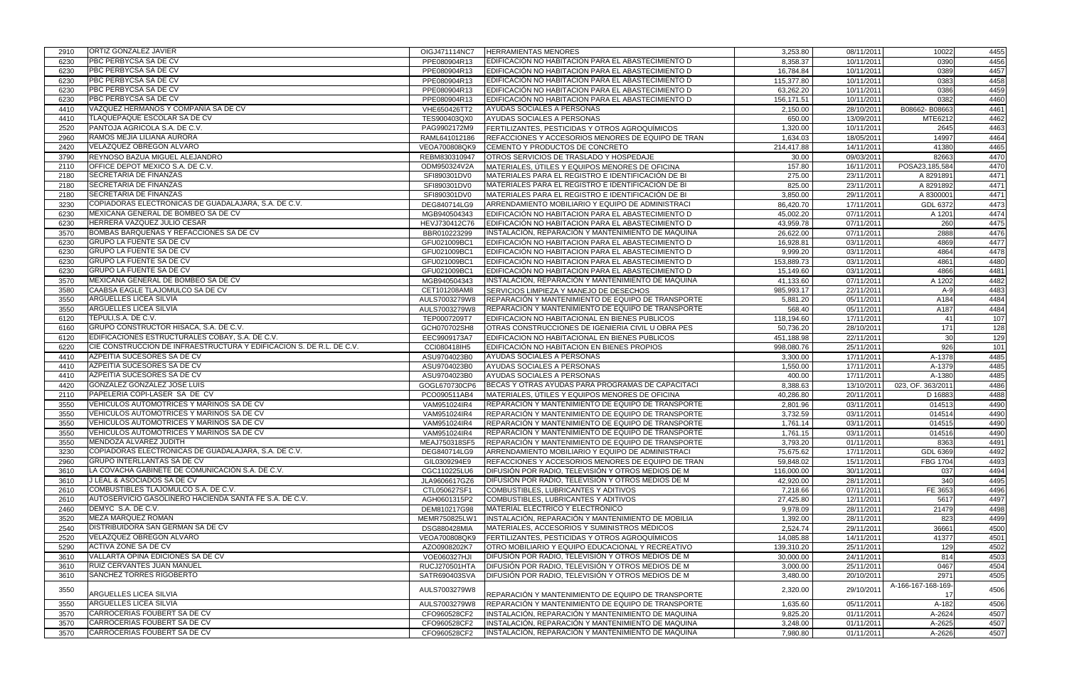| 2910         | <b>ORTIZ GONZALEZ JAVIER</b>                                         | OIGJ471114NC7                | <b>HERRAMIENTAS MENORES</b>                                                                              | 3,253.80             | 08/11/2011               | 10022              | 4455                                 |
|--------------|----------------------------------------------------------------------|------------------------------|----------------------------------------------------------------------------------------------------------|----------------------|--------------------------|--------------------|--------------------------------------|
| 6230         | PBC PERBYCSA SA DE CV                                                | PPE080904R13                 | EDIFICACIÓN NO HABITACION PARA EL ABASTECIMIENTO D                                                       | 8,358.37             | 10/11/2011               | 0390               | 4456                                 |
| 6230         | <b>PBC PERBYCSA SA DE CV</b>                                         | PPE080904R13                 | EDIFICACIÓN NO HABITACION PARA EL ABASTECIMIENTO D                                                       | 16,784.84            | 10/11/2011               | 0389               | 4457                                 |
| 6230         | <b>PBC PERBYCSA SA DE CV</b>                                         | PPE080904R13                 | EDIFICACIÓN NO HABITACION PARA EL ABASTECIMIENTO D                                                       | 115,377.80           | 10/11/2011               | 0383               | 4458                                 |
| 6230         | PBC PERBYCSA SA DE CV                                                | PPE080904R13                 | EDIFICACIÓN NO HABITACION PARA EL ABASTECIMIENTO D                                                       | 63,262.20            | 10/11/2011               | 0386               | 4459                                 |
| 6230         | PBC PERBYCSA SA DE CV                                                | PPE080904R13                 | EDIFICACIÓN NO HABITACION PARA EL ABASTECIMIENTO D                                                       | 156,171.51           | 10/11/2011               | 0382               | 4460                                 |
| 4410         | VAZQUEZ HERMANOS Y COMPAÑÍA SA DE CV                                 | VHE650426TT2                 | AYUDAS SOCIALES A PERSONAS                                                                               | 2,150.00             | 28/10/2011               | B08662-B08663      | 4461                                 |
| 4410         | <b>TLAQUEPAQUE ESCOLAR SA DE CV</b>                                  | TES900403QX0                 | AYUDAS SOCIALES A PERSONAS                                                                               | 650.00               | 13/09/2011               | MTE6212            | 4462                                 |
| 2520         | PANTOJA AGRICOLA S.A. DE C.V.                                        | PAG9902172M9                 | FERTILIZANTES, PESTICIDAS Y OTROS AGROQUÍMICOS                                                           | 1,320.00             | 10/11/2011               | 2645               | 4463                                 |
| 2960         | RAMOS MEJIA LILIANA AURORA                                           | RAML641012186                | REFACCIONES Y ACCESORIOS MENORES DE EQUIPO DE TRAN                                                       | 1,634.03             | 18/05/2011               | 14997              | 4464                                 |
| 2420         | <b>VELAZQUEZ OBREGON ALVARO</b>                                      | VEOA700808QK9                | CEMENTO Y PRODUCTOS DE CONCRETO                                                                          | 214,417.88           | 14/11/2011               | 41380              | 4465                                 |
| 3790         | REYNOSO BAZUA MIGUEL ALEJANDRO                                       | REBM830310947                | <b>OTROS SERVICIOS DE TRASLADO Y HOSPEDAJE</b>                                                           | 30.00                | 09/03/2011               | 82663              | 4470                                 |
| 2110         | OFFICE DEPOT MEXICO S.A. DE C.V.                                     | ODM950324V2A                 | MATERIALES, ÚTILES Y EQUIPOS MENORES DE OFICINA                                                          | 157.80               | 16/11/2011               | POSA23,185,584     | 4470                                 |
| 2180         | <b>SECRETARIA DE FINANZAS</b>                                        | SFI890301DV0                 | MATERIALES PARA EL REGISTRO E IDENTIFICACIÓN DE BI                                                       | 275.00               | 23/11/2011               | A 8291891          | 4471                                 |
| 2180         | SECRETARIA DE FINANZAS                                               | SFI890301DV0                 | MATERIALES PARA EL REGISTRO E IDENTIFICACIÓN DE BI                                                       | 825.00               | 23/11/2011               | A 8291892          | 4471                                 |
| 2180         | <b>SECRETARIA DE FINANZAS</b>                                        | SFI890301DV0                 | MATERIALES PARA EL REGISTRO E IDENTIFICACIÓN DE BI                                                       | 3,850.00             | 29/11/2011               | A 8300001          | 4471                                 |
| 3230         | COPIADORAS ELECTRONICAS DE GUADALAJARA, S.A. DE C.V.                 | DEG840714LG9                 | ARRENDAMIENTO MOBILIARIO Y EQUIPO DE ADMINISTRACI                                                        | 86,420.70            | 17/11/2011               | GDL 6372           | 4473                                 |
| 6230         | MEXICANA GENERAL DE BOMBEO SA DE CV                                  | MGB940504343                 | EDIFICACIÓN NO HABITACION PARA EL ABASTECIMIENTO D                                                       | 45,002.20            | 07/11/2011               | A 1201             | 4474                                 |
| 6230         | HERRERA VAZQUEZ JULIO CESAR                                          | HEVJ730412C76                | EDIFICACIÓN NO HABITACION PARA EL ABASTECIMIENTO D                                                       | 43,959.78            | 07/11/2011               | 260                | 4475                                 |
| 3570         | BOMBAS BARQUEÑAS Y REFACCIONES SA DE CV                              | BBR010223299                 | INSTALACIÓN, REPARACIÓN Y MANTENIMIENTO DE MAQUINA                                                       | 26,622.00            | 07/11/2011               | 2888               | 4476                                 |
| 6230         | GRUPO LA FUENTE SA DE CV                                             | GFU021009BC1                 | EDIFICACIÓN NO HABITACION PARA EL ABASTECIMIENTO D                                                       | 16,928.81            | 03/11/2011               | 4869               | 4477                                 |
| 6230         | <b>GRUPO LA FUENTE SA DE CV</b>                                      | GFU021009BC1                 | EDIFICACIÓN NO HABITACION PARA EL ABASTECIMIENTO D                                                       | 9,999.20             | 03/11/2011               | 4864               | 4478                                 |
| 6230         | <b>GRUPO LA FUENTE SA DE CV</b>                                      |                              | EDIFICACIÓN NO HABITACION PARA EL ABASTECIMIENTO D                                                       |                      |                          | 4861               | 4480                                 |
|              | <b>GRUPO LA FUENTE SA DE CV</b>                                      | GFU021009BC1                 |                                                                                                          | 153,889.73           | 03/11/2011               |                    |                                      |
| 6230         | <b>IMEXICANA GENERAL DE BOMBEO SA DE CV</b>                          | GFU021009BC1                 | EDIFICACIÓN NO HABITACION PARA EL ABASTECIMIENTO D                                                       | 15,149.60            | 03/11/2011               | 4866               | 4481                                 |
| 3570         |                                                                      | MGB940504343                 | INSTALACIÓN, REPARACIÓN Y MANTENIMIENTO DE MAQUINA                                                       | 41,133.60            | 07/11/2011               | A 1202             | 4482                                 |
| 3580         | CAABSA EAGLE TLAJOMULCO SA DE CV                                     | CET101208AM8                 | SERVICIOS LIMPIEZA Y MANEJO DE DESECHOS                                                                  | 985,993.17           | 22/11/2011               | $A-9$              | 4483                                 |
| 3550         | <b>ARGUELLES LICEA SILVIA</b>                                        | AULS7003279W8                | REPARACIÓN Y MANTENIMIENTO DE EQUIPO DE TRANSPORTE                                                       | 5,881.20             | 05/11/2011               | A184               | 4484                                 |
| 3550         | <b>ARGUELLES LICEA SILVIA</b>                                        | AULS7003279W8                | <b>IREPARACION Y MANTENIMIENTO DE EQUIPO DE TRANSPORTE</b>                                               | 568.40               | 05/11/2011               | A187               | 4484                                 |
| 6120         | TEPULI, S.A. DE C.V.                                                 | TEP0007209T7                 | EDIFICACION NO HABITACIONAL EN BIENES PUBLICOS                                                           | 118,194.60           | 17/11/2011               | 41                 | 107                                  |
| 6160         | GRUPO CONSTRUCTOR HISACA, S.A. DE C.V.                               | GCH070702SH8                 | OTRAS CONSTRUCCIONES DE IGENIERIA CIVIL U OBRA PES                                                       | 50,736.20            | 28/10/2011               | $\frac{1}{171}$    | 128                                  |
| 6120         | EDIFICACIONES ESTRUCTURALES COBAY, S.A. DE C.V.                      | EEC9909173A7                 | EDIFICACION NO HABITACIONAL EN BIENES PUBLICOS                                                           | 451,188.98           | 22/11/2011               | 30                 | 129                                  |
| 6220         | CIE CONSTRUCCION DE INFRAESTRUCTURA Y EDIFICACION S. DE R.L. DE C.V. | CCI080418IH5                 | EDIFICACIÓN NO HABITACIÓN EN BIENES PROPIOS                                                              | 998,080.76           | 25/11/2011               | 926                | 101                                  |
| 4410         | AZPEITIA SUCESORES SA DE CV                                          | ASU9704023B0                 | AYUDAS SOCIALES A PERSONAS                                                                               | 3,300.00             | 17/11/2011               | A-1378             | 4485                                 |
| 4410         | AZPEITIA SUCESORES SA DE CV                                          | ASU9704023B0                 | AYUDAS SOCIALES A PERSONAS                                                                               | 1,550.00             | 17/11/2011               | A-1379             | 4485                                 |
| 4410         | AZPEITIA SUCESORES SA DE CV                                          | ASU9704023B0                 | AYUDAS SOCIALES A PERSONAS                                                                               | 400.00               | 17/11/2011               | A-1380             | 4485                                 |
| 4420         | GONZALEZ GONZALEZ JOSE LUIS                                          | GOGL670730CP6                | BECAS Y OTRAS AYUDAS PARA PROGRAMAS DE CAPACITACI                                                        | 8,388.63             | 13/10/2011               | 023, OF. 363/2011  | 4486                                 |
| 2110         | PAPELERIA COPI-LASER SA DE CV                                        | PCO090511AB4                 | MATERIALES, ÚTILES Y EQUIPOS MENORES DE OFICINA                                                          | 40,286.80            | 20/11/2011               | D 16883            | 4488                                 |
| 3550         | VEHICULOS AUTOMOTRICES Y MARINOS SA DE CV                            | VAM951024IR4                 | REPARACIÓN Y MANTENIMIENTO DE EQUIPO DE TRANSPORTE                                                       | 2,801.96             | 03/11/2011               | 014513             | 4490                                 |
| 3550         | VEHICULOS AUTOMOTRICES Y MARINOS SA DE CV                            | VAM951024IR4                 | REPARACIÓN Y MANTENIMIENTO DE EQUIPO DE TRANSPORTE                                                       | 3,732.59             | 03/11/2011               | 014514             | 4490                                 |
| 3550         | VEHICULOS AUTOMOTRICES Y MARINOS SA DE CV                            | VAM951024IR4                 | REPARACIÓN Y MANTENIMIENTO DE EQUIPO DE TRANSPORTE                                                       | 1,761.14             | 03/11/2011               | 014515             | 4490                                 |
| 3550         | VEHICULOS AUTOMOTRICES Y MARINOS SA DE CV                            | VAM951024IR4                 | REPARACIÓN Y MANTENIMIENTO DE EQUIPO DE TRANSPORTE                                                       | 1,761.15             | 03/11/2011               | 014516             | 4490                                 |
| 3550         | MENDOZA ALVAREZ JUDITH                                               | MEAJ750318SF5                | REPARACIÓN Y MANTENIMIENTO DE EQUIPO DE TRANSPORTE                                                       | 3,793.20             | 01/11/2011               | 8363               | 4491                                 |
| 3230         | COPIADORAS ELECTRONICAS DE GUADALAJARA, S.A. DE C.V.                 | DEG840714LG9                 | ARRENDAMIENTO MOBILIARIO Y EQUIPO DE ADMINISTRACI                                                        | 75,675.62            | 17/11/2011               | GDL 6369           | 4492                                 |
| 2960         | <b>GRUPO INTERLLANTAS SA DE CV</b>                                   | GIL0309294E9                 | REFACCIONES Y ACCESORIOS MENORES DE EQUIPO DE TRAN                                                       | 59,848.02            | 15/11/2011               | FBG 1704           | 4493                                 |
| 3610         | LA COVACHA GABINETE DE COMUNICACION S.A. DE C.V.                     | CGC110225LU6                 | DIFUSIÓN POR RADIO, TELEVISIÓN Y OTROS MEDIOS DE M                                                       | 116,000.00           | 30/11/2011               | 037                | 4494                                 |
| 3610         | J LEAL & ASOCIADOS SA DE CV                                          | JLA9606617GZ6                | DIFUSIÓN POR RADIO, TELEVISIÓN Y OTROS MEDIOS DE M                                                       | 42,920.00            | 28/11/2011               | 340                | 4495                                 |
| 2610         | COMBUSTIBLES TLAJOMULCO S.A. DE C.V.                                 | CTL050627SF1                 | COMBUSTIBLES, LUBRICANTES Y ADITIVOS                                                                     | 7,218.66             | 07/11/2011               | FE 3653            | 4496                                 |
| 2610         | AUTOSERVICIO GASOLINERO HACIENDA SANTA FE S.A. DE C.V.               | AGH0601315P2                 | COMBUSTIBLES, LUBRICANTES Y ADITIVOS                                                                     | 27,425.80            | $\overline{12}/11/2011$  | 5617               | 4497                                 |
| 2460         | DEMYC S.A. DE C.V.                                                   | DEM810217G98                 | MATERIAL ELÉCTRICO Y ELECTRÓNICO                                                                         | 9,978.09             | 28/11/2011               | 21479              | 4498                                 |
| 3520         | <b>MEZA MARQUEZ ROMAN</b>                                            | MEMR750825LW1                | INSTALACIÓN, REPARACIÓN Y MANTENIMIENTO DE MOBILIA                                                       | 1,392.00             | 28/11/2011               | 823                | 4499                                 |
| 2540         | DISTRIBUIDORA SAN GERMAN SA DE CV                                    | DSG880428MIA                 | MATERIALES, ACCESORIOS Y SUMINISTROS MÉDICOS                                                             | 2,524.74             | 29/11/2011               | 36661              | 4500                                 |
| 2520         | VELAZQUEZ OBREGON ALVARO                                             | VEOA700808QK9                | FERTILIZANTES, PESTICIDAS Y OTROS AGROQUÍMICOS                                                           | 14,085.88            | 14/11/2011               | 41377              | 4501                                 |
| 5290         | <b>ACTIVA ZONE SA DE CV</b>                                          | AZO0908202K7                 | OTRO MOBILIARIO Y EQUIPO EDUCACIONAL Y RECREATIVO                                                        | 139,310.20           | 25/11/2011               | 129                | 4502                                 |
| 3610         | VALLARTA OPINA EDICIONES SA DE CV                                    | VOE060327HJI                 | DIFUSIÓN POR RADIO, TELEVISIÓN Y OTROS MEDIOS DE M                                                       | 30,000.00            | 24/11/2011               | 814                | 4503                                 |
| 3610         | RUIZ CERVANTES JUAN MANUEL                                           | RUCJ270501HTA                | DIFUSIÓN POR RADIO, TELEVISIÓN Y OTROS MEDIOS DE M                                                       | 3,000.00             | 25/11/2011               | 0467               | 4504                                 |
| 3610         | <b>SANCHEZ TORRES RIGOBERTO</b>                                      | SATR690403SVA                | DIFUSIÓN POR RADIO, TELEVISIÓN Y OTROS MEDIOS DE M                                                       | 3,480.00             | 20/10/2011               | 2971               | 4505                                 |
|              |                                                                      |                              |                                                                                                          |                      |                          |                    |                                      |
|              |                                                                      |                              |                                                                                                          |                      |                          |                    |                                      |
| 3550         |                                                                      | AULS7003279W8                |                                                                                                          | 2,320.00             | 29/10/201                | A-166-167-168-169- |                                      |
|              | ARGUELLES LICEA SILVIA                                               |                              | REPARACIÓN Y MANTENIMIENTO DE EQUIPO DE TRANSPORTE                                                       |                      |                          |                    |                                      |
| 3550         | ARGUELLES LICEA SILVIA                                               | AULS7003279W8                | REPARACIÓN Y MANTENIMIENTO DE EQUIPO DE TRANSPORTE                                                       | 1,635.60             | 05/11/2011               | A-182              |                                      |
| 3570         | CARROCERIAS FOUBERT SA DE CV                                         | CFO960528CF2                 | INSTALACIÓN, REPARACIÓN Y MANTENIMIENTO DE MAQUINA                                                       | 9,825.20             | 01/11/2011               | A-2624             |                                      |
| 3570<br>3570 | <b>CARROCERIAS FOUBERT SA DE CV</b><br>CARROCERIAS FOUBERT SA DE CV  | CFO960528CF2<br>CFO960528CF2 | INSTALACIÓN, REPARACIÓN Y MANTENIMIENTO DE MAQUINA<br>INSTALACIÓN, REPARACIÓN Y MANTENIMIENTO DE MAQUINA | 3,248.00<br>7,980.80 | 01/11/2011<br>01/11/2011 | A-2625<br>A-2626   | 4506<br>4506<br>4507<br>4507<br>4507 |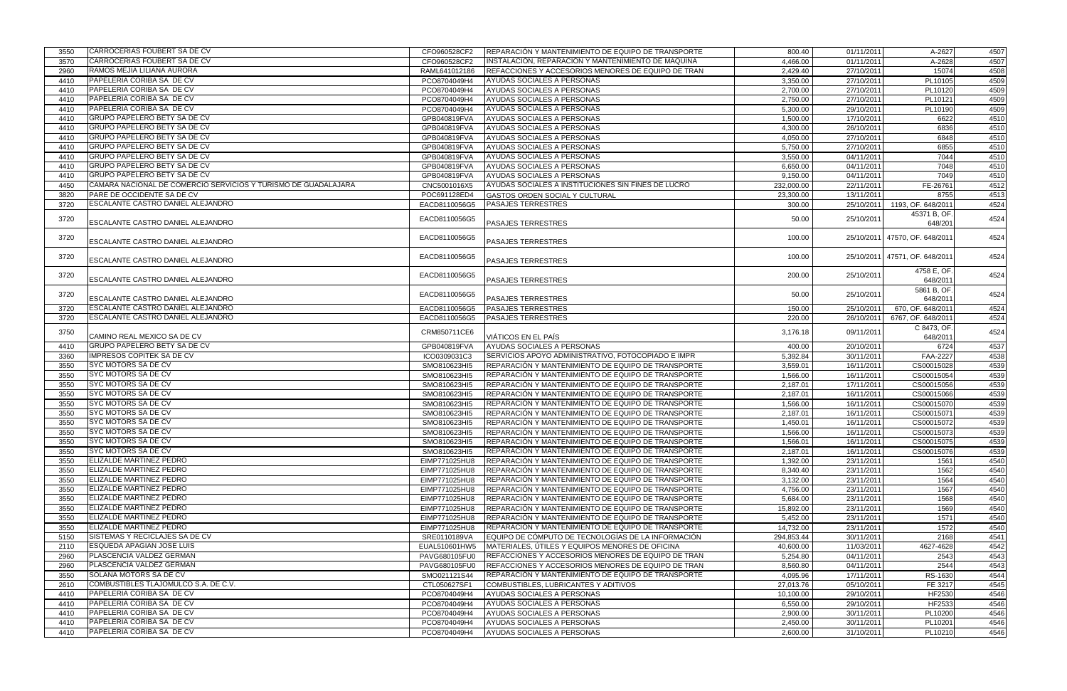| 3550 | CARROCERIAS FOUBERT SA DE CV                                           | CFO960528CF2  | REPARACIÓN Y MANTENIMIENTO DE EQUIPO DE TRANSPORTE         | 800.40               | 01/11/2011 | A-2627                         | 4507 |
|------|------------------------------------------------------------------------|---------------|------------------------------------------------------------|----------------------|------------|--------------------------------|------|
| 3570 | <b>CARROCERIAS FOUBERT SA DE CV</b>                                    | CFO960528CF2  | INSTALACIÓN, REPARACIÓN Y MANTENIMIENTO DE MAQUINA         | 4,466.00             | 01/11/2011 | A-2628                         | 4507 |
| 2960 | RAMOS MEJIA LILIANA AURORA                                             | RAML641012186 | REFACCIONES Y ACCESORIOS MENORES DE EQUIPO DE TRAN         | 2,429.40             | 27/10/2011 | 15074                          | 4508 |
| 4410 | PAPELERIA CORIBA SA DE CV                                              | PCO8704049H4  | AYUDAS SOCIALES A PERSONAS                                 | 3,350.00             | 27/10/2011 | PL10105                        | 4509 |
| 4410 | PAPELERIA CORIBA SA DE CV                                              | PCO8704049H4  | AYUDAS SOCIALES A PERSONAS                                 | 2,700.00             | 27/10/2011 | PL10120                        | 4509 |
| 4410 | PAPELERIA CORIBA SA DE CV                                              | PCO8704049H4  | AYUDAS SOCIALES A PERSONAS                                 | 2,750.00             | 27/10/2011 | PL10121                        | 4509 |
| 4410 | PAPELERIA CORIBA SA DE CV                                              | PCO8704049H4  | AYUDAS SOCIALES A PERSONAS                                 | 5,300.00             | 29/10/2011 | PL10190                        | 4509 |
| 4410 | <b>GRUPO PAPELERO BETY SA DE CV</b>                                    | GPB040819FVA  | AYUDAS SOCIALES A PERSONAS                                 | 1,500.00             | 17/10/2011 | 6622                           | 4510 |
| 4410 | <b>GRUPO PAPELERO BETY SA DE CV</b>                                    | GPB040819FVA  | AYUDAS SOCIALES A PERSONAS                                 | 4,300.00             | 26/10/2011 | 6836                           | 4510 |
| 4410 | <b>GRUPO PAPELERO BETY SA DE CV</b>                                    | GPB040819FVA  | AYUDAS SOCIALES A PERSONAS                                 | 4,050.00             | 27/10/2011 | 6848                           | 4510 |
| 4410 | <b>GRUPO PAPELERO BETY SA DE CV</b>                                    | GPB040819FVA  | AYUDAS SOCIALES A PERSONAS                                 | 5,750.00             | 27/10/2011 | 6855                           | 4510 |
| 4410 | <b>GRUPO PAPELERO BETY SA DE CV</b>                                    | GPB040819FVA  | AYUDAS SOCIALES A PERSONAS                                 | 3,550.00             | 04/11/2011 | 7044                           | 4510 |
| 4410 | GRUPO PAPELERO BETY SA DE CV                                           | GPB040819FVA  | AYUDAS SOCIALES A PERSONAS                                 | 6,650.00             | 04/11/2011 | 7048                           | 4510 |
|      | <b>GRUPO PAPELERO BETY SA DE CV</b>                                    | GPB040819FVA  | AYUDAS SOCIALES A PERSONAS                                 | 9,150.00             | 04/11/2011 | 7049                           | 4510 |
| 4410 | CAMARA NACIONAL DE COMERCIO SERVICIOS Y TURISMO DE GUADALAJARA         |               |                                                            |                      |            |                                |      |
| 4450 |                                                                        | CNC5001016X5  | AYUDAS SOCIALES A INSTITUCIONES SIN FINES DE LUCRO         | 232,000.00           | 22/11/2011 | FE-26761                       | 4512 |
| 3820 | PARE DE OCCIDENTE SA DE CV<br><b>ESCALANTE CASTRO DANIEL ALEJANDRO</b> | POC691128ED4  | GASTOS ORDEN SOCIAL Y CULTURAL                             | 23,300.00            | 13/11/2011 | 8755                           | 4513 |
| 3720 |                                                                        | EACD8110056G5 | <b>PASAJES TERRESTRES</b>                                  | 300.00               | 25/10/2011 | 1193, OF. 648/2011             | 4524 |
| 3720 |                                                                        | EACD8110056G5 |                                                            | 50.00                | 25/10/2011 | 45371 B, OF.                   | 4524 |
|      | <b>ESCALANTE CASTRO DANIEL ALEJANDRO</b>                               |               | <b>PASAJES TERRESTRES</b>                                  |                      |            | 648/201                        |      |
| 3720 |                                                                        | EACD8110056G5 |                                                            | 100.00               |            | 25/10/2011 47570, OF. 648/201  | 4524 |
|      | <b>ESCALANTE CASTRO DANIEL ALEJANDRO</b>                               |               | <b>PASAJES TERRESTRES</b>                                  |                      |            |                                |      |
| 3720 |                                                                        | EACD8110056G5 |                                                            | 100.00               |            | 25/10/2011 47571, OF. 648/2011 | 4524 |
|      | <b>ESCALANTE CASTRO DANIEL ALEJANDRO</b>                               |               | <b>PASAJES TERRESTRES</b>                                  |                      |            |                                |      |
| 3720 |                                                                        | EACD8110056G5 |                                                            | 200.00               | 25/10/2011 | 4758 E, OF.                    | 4524 |
|      | <b>ESCALANTE CASTRO DANIEL ALEJANDRO</b>                               |               | <b>PASAJES TERRESTRES</b>                                  |                      |            | 648/201                        |      |
| 3720 |                                                                        | EACD8110056G5 |                                                            | 50.00                | 25/10/2011 | 5861 B, OF.                    | 4524 |
|      | <b>ESCALANTE CASTRO DANIEL ALEJANDRO</b>                               |               | <b>PASAJES TERRESTRES</b>                                  |                      |            | 648/201                        |      |
| 3720 | <b>ESCALANTE CASTRO DANIEL ALEJANDRO</b>                               | EACD8110056G5 | <b>PASAJES TERRESTRES</b>                                  | 150.00               | 25/10/2011 | 670, OF. 648/201               | 4524 |
| 3720 | ESCALANTE CASTRO DANIEL ALEJANDRO                                      | EACD8110056G5 | <b>PASAJES TERRESTRES</b>                                  | 220.00               | 26/10/2011 | 6767, OF. 648/201              | 4524 |
| 3750 |                                                                        | CRM850711CE6  |                                                            | 3,176.18             | 09/11/2011 | C 8473, OF.                    | 4524 |
|      | CAMINO REAL MEXICO SA DE CV                                            |               | VIÁTICOS EN EL PAÍS                                        |                      |            | 648/201                        |      |
| 4410 | <b>GRUPO PAPELERO BETY SA DE CV</b>                                    | GPB040819FVA  | AYUDAS SOCIALES A PERSONAS                                 | 400.00               | 20/10/2011 | 6724                           | 4537 |
| 3360 | <b>IMPRESOS COPITEK SA DE CV</b>                                       | ICO0309031C3  | SERVICIOS APOYO ADMINISTRATIVO, FOTOCOPIADO E IMPR         | 5,392.84             | 30/11/2011 | <b>FAA-2227</b>                | 4538 |
| 3550 | <b>SYC MOTORS SA DE CV</b>                                             | SMO810623HI5  | REPARACIÓN Y MANTENIMIENTO DE EQUIPO DE TRANSPORTE         | 3,559.01             | 16/11/2011 | CS00015028                     | 4539 |
| 3550 | <b>SYC MOTORS SA DE CV</b>                                             | SMO810623HI5  | REPARACIÓN Y MANTENIMIENTO DE EQUIPO DE TRANSPORTE         | 1,566.00             | 16/11/2011 | CS00015054                     | 4539 |
| 3550 | <b>SYC MOTORS SA DE CV</b>                                             | SMO810623HI5  | REPARACIÓN Y MANTENIMIENTO DE EQUIPO DE TRANSPORTE         | 2,187.01             | 17/11/2011 | CS00015056                     | 4539 |
| 3550 | <b>SYC MOTORS SA DE CV</b>                                             | SMO810623HI5  | REPARACIÓN Y MANTENIMIENTO DE EQUIPO DE TRANSPORTE         | 2,187.01             | 16/11/2011 | CS00015066                     | 4539 |
| 3550 | <b>SYC MOTORS SA DE CV</b>                                             | SMO810623HI5  | REPARACIÓN Y MANTENIMIENTO DE EQUIPO DE TRANSPORTE         | 1,566.00             | 16/11/2011 | CS00015070                     | 4539 |
| 3550 | <b>SYC MOTORS SA DE CV</b>                                             | SMO810623HI5  | REPARACIÓN Y MANTENIMIENTO DE EQUIPO DE TRANSPORTE         | 2,187.01             | 16/11/2011 | CS00015071                     | 4539 |
| 3550 | <b>SYC MOTORS SA DE CV</b>                                             | SMO810623HI5  | REPARACIÓN Y MANTENIMIENTO DE EQUIPO DE TRANSPORTE         | 1,450.01             | 16/11/2011 | CS00015072                     | 4539 |
| 3550 | <b>ISYC MOTORS SA DE CV</b>                                            | SMO810623HI5  | REPARACIÓN Y MANTENIMIENTO DE EQUIPO DE TRANSPORTE         | 1,566.00             | 16/11/2011 | CS00015073                     | 4539 |
| 3550 | <b>SYC MOTORS SA DE CV</b>                                             | SMO810623HI5  | <b>REPARACIÓN Y MANTENIMIENTO DE EQUIPO DE TRANSPORTE</b>  | 1,566.01             | 16/11/2011 | CS00015075                     | 4539 |
| 3550 | <b>ISYC MOTORS SA DE CV</b>                                            | SMO810623HI5  | REPARACIÓN Y MANTENIMIENTO DE EQUIPO DE TRANSPORTE         | 2,187.01             | 16/11/2011 | CS00015076                     | 4539 |
| 3550 | <b>ELIZALDE MARTINEZ PEDRO</b>                                         | EIMP771025HU8 | REPARACIÓN Y MANTENIMIENTO DE EQUIPO DE TRANSPORTE         | 1,392.00             | 23/11/2011 | 1561                           | 4540 |
| 3550 | <b>IELIZALDE MARTINEZ PEDRO</b>                                        | EIMP771025HU8 | REPARACIÓN Y MANTENIMIENTO DE EQUIPO DE TRANSPORTE         | 8,340.40             | 23/11/2011 | 1562                           | 4540 |
| 3550 | <b>ELIZALDE MARTINEZ PEDRO</b>                                         | EIMP771025HU8 | REPARACIÓN Y MANTENIMIENTO DE EQUIPO DE TRANSPORTE         | 3,132.00             | 23/11/2011 | 1564                           | 4540 |
| 3550 | <b>ELIZALDE MARTINEZ PEDRO</b>                                         | EIMP771025HU8 | REPARACIÓN Y MANTENIMIENTO DE EQUIPO DE TRANSPORTE         | 4,756.00             | 23/11/2011 | 1567                           | 4540 |
| 3550 | <b>IELIZALDE MARTINEZ PEDRO</b>                                        | EIMP771025HU8 | REPARACIÓN Y MANTENIMIENTO DE EQUIPO DE TRANSPORTE         | 5,684.00             | 23/11/2011 | 1568                           | 4540 |
| 3550 | ELIZALDE MARTINEZ PEDRO                                                | EIMP771025HU8 | REPARACIÓN Y MANTENIMIENTO DE EQUIPO DE TRANSPORTE         | 15,892.00            | 23/11/2011 | 1569                           | 4540 |
| 3550 | <b>IELIZALDE MARTINEZ PEDRO</b>                                        | EIMP771025HU8 | REPARACIÓN Y MANTENIMIENTO DE EQUIPO DE TRANSPORTE         | 5,452.00             | 23/11/2011 | 1571                           | 4540 |
| 3550 | <b>ELIZALDE MARTINEZ PEDRO</b>                                         | EIMP771025HU8 | <b>IREPARACIÓN Y MANTENIMIENTO DE EQUIPO DE TRANSPORTE</b> | 14,732.00            | 23/11/2011 | 1572                           | 4540 |
| 5150 | SISTEMAS Y RECICLAJES SA DE CV                                         | SRE0110189VA  | EQUIPO DE CÓMPUTO DE TECNOLOGÍAS DE LA INFORMACIÓN         | 294,853.44           | 30/11/2011 | 2168                           | 4541 |
| 2110 | <b>ESQUEDA APAGIAN JOSE LUIS</b>                                       | EUAL510601HW5 | MATERIALES, ÚTILES Y EQUIPOS MENORES DE OFICINA            | 40,600.00            | 11/03/2011 | 4627-4628                      | 4542 |
|      | <b>PLASCENCIA VALDEZ GERMAN</b>                                        | PAVG680105FU0 | REFACCIONES Y ACCESORIOS MENORES DE EQUIPO DE TRAN         |                      | 04/11/2011 | 2543                           | 4543 |
| 2960 | PLASCENCIA VALDEZ GERMAN                                               | PAVG680105FU0 | REFACCIONES Y ACCESORIOS MENORES DE EQUIPO DE TRAN         | 5,254.80<br>8,560.80 | 04/11/2011 | 2544                           | 4543 |
| 2960 |                                                                        |               |                                                            |                      |            |                                |      |
| 3550 | <b>SOLANA MOTORS SA DE CV</b>                                          | SMO021121S44  | <b>REPARACIÓN Y MANTENIMIENTO DE EQUIPO DE TRANSPORTE</b>  | 4,095.96             | 17/11/2011 | RS-1630                        | 4544 |
| 2610 | COMBUSTIBLES TLAJOMULCO S.A. DE C.V.                                   | CTL050627SF1  | COMBUSTIBLES, LUBRICANTES Y ADITIVOS                       | 27,013.76            | 05/10/2011 | FE 3217                        | 4545 |
| 4410 | PAPELERIA CORIBA SA DE CV                                              | PCO8704049H4  | AYUDAS SOCIALES A PERSONAS                                 | 10,100.00            | 29/10/2011 | HF2530                         | 4546 |
| 4410 | <b>PAPELERIA CORIBA SA DE CV</b>                                       | PCO8704049H4  | AYUDAS SOCIALES A PERSONAS                                 | 6,550.00             | 29/10/2011 | HF2533                         | 4546 |
| 4410 | <b>PAPELERIA CORIBA SA DE CV</b>                                       | PCO8704049H4  | AYUDAS SOCIALES A PERSONAS                                 | 2,900.00             | 30/11/2011 | PL10200                        | 4546 |
| 4410 | PAPELERIA CORIBA SA DE CV                                              | PCO8704049H4  | AYUDAS SOCIALES A PERSONAS                                 | 2,450.00             | 30/11/2011 | PL10201                        | 4546 |
| 4410 | PAPELERIA CORIBA SA DE CV                                              | PCO8704049H4  | AYUDAS SOCIALES A PERSONAS                                 | 2,600.00             | 31/10/2011 | PL10210                        | 4546 |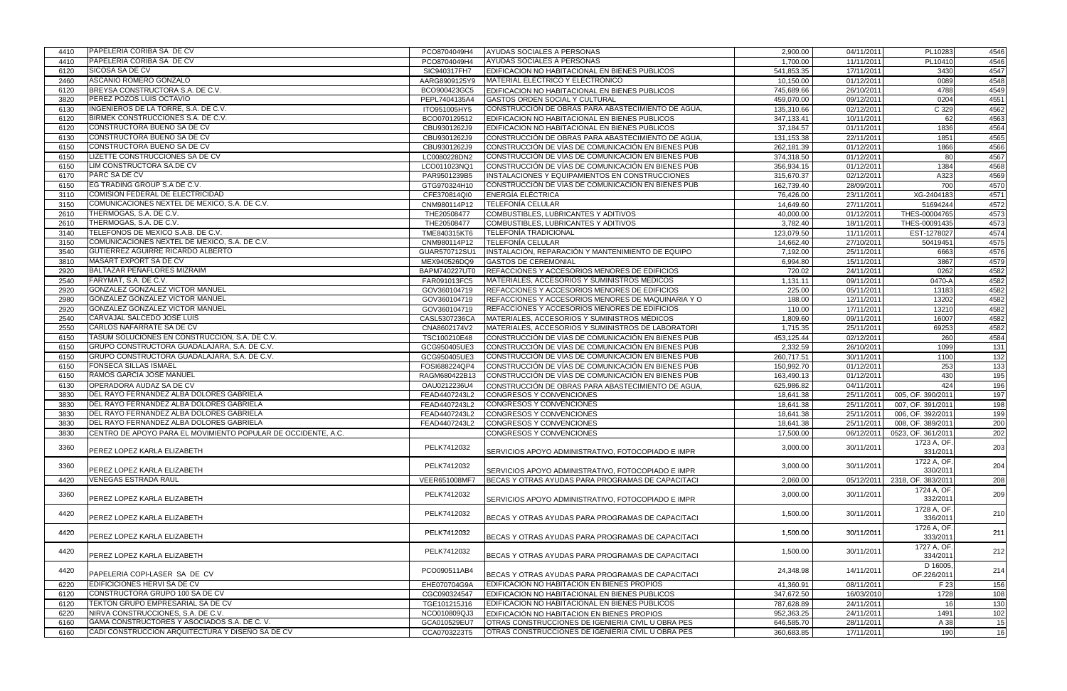| 4410 | PAPELERIA CORIBA SA DE CV                                     | PCO8704049H4  | AYUDAS SOCIALES A PERSONAS                           | 2,900.00   | 04/11/2011 | PL10283                       | 4546             |
|------|---------------------------------------------------------------|---------------|------------------------------------------------------|------------|------------|-------------------------------|------------------|
| 4410 | <b>PAPELERIA CORIBA SA DE CV</b>                              | PCO8704049H4  | AYUDAS SOCIALES A PERSONAS                           | 1,700.00   | 11/11/2011 | PL10410                       | 4546             |
| 6120 | <b>SICOSA SA DE CV</b>                                        | SIC940317FH7  | EDIFICACION NO HABITACIONAL EN BIENES PUBLICOS       | 541,853.35 | 17/11/2011 | 3430                          | 4547             |
| 2460 | ASCANIO ROMERO GONZALO                                        | AARG8909125Y9 | MATERIAL ELÉCTRICO Y ELECTRÓNICO                     | 10,150.00  | 01/12/2011 | 0089                          | 4548             |
| 6120 | BREYSA CONSTRUCTORA S.A. DE C.V.                              | BCO900423GC5  | EDIFICACION NO HABITACIONAL EN BIENES PUBLICOS       | 745,689.66 | 26/10/2011 | 4788                          | 4549             |
| 3820 | PEREZ POZOS LUIS OCTAVIO                                      | PEPL7404135A4 | GASTOS ORDEN SOCIAL Y CULTURAL                       | 459,070.00 | 09/12/2011 | 0204                          | 4551             |
| 6130 | INGENIEROS DE LA TORRE, S.A. DE C.V.                          | ITO951005HY5  | CONSTRUCCIÓN DE OBRAS PARA ABASTECIMIENTO DE AGUA,   | 135,310.66 | 02/12/2011 | C 329                         | 4562             |
| 6120 | BIRMEK CONSTRUCCIONES S.A. DE C.V.                            | BCO070129512  | EDIFICACION NO HABITACIONAL EN BIENES PUBLICOS       | 347,133.41 | 10/11/2011 | 62                            | 4563             |
| 6120 | CONSTRUCTORA BUENO SA DE CV                                   | CBU9301262J9  | EDIFICACION NO HABITACIONAL EN BIENES PUBLICOS       | 37,184.57  | 01/11/2011 | 1836                          | 4564             |
| 6130 | <b>CONSTRUCTORA BUENO SA DE CV</b>                            | CBU9301262J9  | CONSTRUCCIÓN DE OBRAS PARA ABASTECIMIENTO DE AGUA,   |            | 22/11/2011 | 1851                          | 4565             |
| 6150 | CONSTRUCTORA BUENO SA DE CV                                   | CBU9301262J9  | CONSTRUCCIÓN DE VÍAS DE COMUNICACIÓN EN BIENES PÚB   | 131,153.38 | 01/12/2011 | 1866                          | 4566             |
|      | LIZETTE CONSTRUCCIONES SA DE CV                               |               |                                                      | 262,181.39 |            | 80                            |                  |
| 6150 | LIM CONSTRUCTORA SA.DE CV                                     | LC0080228DN2  | CONSTRUCCIÓN DE VÍAS DE COMUNICACIÓN EN BIENES PÚB   | 374,318.50 | 01/12/2011 |                               | 4567             |
| 6150 |                                                               | LCO011023NQ1  | CONSTRUCCIÓN DE VÍAS DE COMUNICACIÓN EN BIENES PÚB   | 356,934.15 | 01/12/2011 | 1384                          | 4568             |
| 6170 | PARC SA DE CV                                                 | PAR9501239B5  | INSTALACIONES Y EQUIPAMIENTOS EN CONSTRUCCIONES      | 315,670.37 | 02/12/2011 | A323                          | 4569             |
| 6150 | EG TRADING GROUP S.A DE C.V.                                  | GTG970324H10  | CONSTRUCCIÓN DE VÍAS DE COMUNICACIÓN EN BIENES PÚB   | 162,739.40 | 28/09/2011 | 700                           | 4570             |
| 3110 | <b>COMISION FEDERAL DE ELECTRICIDAD</b>                       | CFE370814QI0  | <b>ENERGÍA ELÉCTRICA</b>                             | 76,426.00  | 23/11/2011 | XG-2404183                    | 4571             |
| 3150 | COMUNICACIONES NEXTEL DE MEXICO, S.A. DE C.V.                 | CNM980114P12  | <b>TELEFONÍA CELULAR</b>                             | 14,649.60  | 27/11/2011 | 51694244                      | 4572             |
| 2610 | THERMOGAS, S.A. DE C.V.                                       | THE20508477   | COMBUSTIBLES, LUBRICANTES Y ADITIVOS                 | 40,000.00  | 01/12/2011 | THES-00004765                 | 4573             |
| 2610 | THERMOGAS, S.A. DE C.V.                                       | THE20508477   | COMBUSTIBLES, LUBRICANTES Y ADITIVOS                 | 3,782.40   | 18/11/2011 | THES-00091435                 | 4573             |
| 3140 | TELEFONOS DE MEXICO S.A.B. DE C.V.                            | TME840315KT6  | <b>TELEFONÍA TRADICIONAL</b>                         | 123,079.50 | 11/11/2011 | EST-1278027                   | 4574             |
| 3150 | COMUNICACIONES NEXTEL DE MEXICO, S.A. DE C.V.                 | CNM980114P12  | <b>TELEFONÍA CELULAR</b>                             | 14,662.40  | 27/10/2011 | 50419451                      | 4575             |
| 3540 | GUTIERREZ AGUIRRE RICARDO ALBERTO                             | GUAR570712SU1 | INSTALACIÓN, REPARACIÓN Y MANTENIMIENTO DE EQUIPO    | 7,192.00   | 25/11/2011 | 6663                          | 4576             |
| 3810 | MASART EXPORT SA DE CV                                        | MEX940526DQ9  | <b>GASTOS DE CEREMONIAL</b>                          | 6,994.80   | 15/11/2011 | 3867                          | 4579             |
| 2920 | <b>BALTAZAR PENAFLORES MIZRAIM</b>                            | BAPM740227UT0 | REFACCIONES Y ACCESORIOS MENORES DE EDIFICIOS        | 720.02     | 24/11/2011 | 0262                          | 4582             |
| 2540 | FARYMAT, S.A. DE C.V.                                         | FAR091013FC5  | MATERIALES, ACCESORIOS Y SUMINISTROS MÉDICOS         | 1,131.11   | 09/11/2011 | 0470-A                        | 4582             |
| 2920 | GONZALEZ GONZALEZ VICTOR MANUEL                               | GOV360104719  | REFACCIONES Y ACCESORIOS MENORES DE EDIFICIOS        | 225.00     | 05/11/2011 | 13183                         | 4582             |
| 2980 | GONZALEZ GONZALEZ VICTOR MANUEL                               | GOV360104719  | REFACCIONES Y ACCESORIOS MENORES DE MAQUINARIA Y O   | 188.00     | 12/11/2011 | 13202                         | 4582             |
| 2920 | GONZALEZ GONZALEZ VICTOR MANUEL                               | GOV360104719  | <b>REFACCIONES Y ACCESORIOS MENORES DE EDIFICIOS</b> | 110.00     | 17/11/2011 | 13210                         | 4582             |
| 2540 | CARVAJAL SALCEDO JOSE LUIS                                    | CASL5307236CA | MATERIALES, ACCESORIOS Y SUMINISTROS MÉDICOS         | 1,809.60   | 09/11/2011 | 16007                         | 4582             |
| 2550 | CARLOS NAFARRATE SA DE CV                                     | CNA8602174V2  | MATERIALES, ACCESORIOS Y SUMINISTROS DE LABORATORI   | 1,715.35   | 25/11/2011 | 69253                         | 4582             |
| 6150 | TASUM SOLUCIONES EN CONSTRUCCION, S.A. DE C.V.                | TSC100210E48  | CONSTRUCCIÓN DE VÍAS DE COMUNICACIÓN EN BIENES PÚB   | 453,125.44 | 02/12/2011 | 260                           | 4584             |
|      | GRUPO CONSTRUCTORA GUADALAJARA, S.A. DE C.V.                  | GCG950405UE3  | CONSTRUCCIÓN DE VÍAS DE COMUNICACIÓN EN BIENES PÚB   |            | 26/10/2011 |                               |                  |
| 6150 |                                                               |               |                                                      | 2,332.59   |            | 1099                          | 131              |
| 6150 | GRUPO CONSTRUCTORA GUADALAJARA, S.A. DE C.V.                  | GCG950405UE3  | CONSTRUCCIÓN DE VÍAS DE COMUNICACIÓN EN BIENES PÚB   | 260,717.51 | 30/11/2011 | 1100                          | $\overline{132}$ |
| 6150 | <b>FONSECA SILLAS ISMAEL</b>                                  | FOSI688224QP4 | CONSTRUCCIÓN DE VÍAS DE COMUNICACIÓN EN BIENES PÚB   | 150,992.70 | 01/12/2011 | 253                           | 133              |
| 6150 | RAMOS GARCIA JOSE MANUEL                                      | RAGM680422B13 | CONSTRUCCIÓN DE VÍAS DE COMUNICACIÓN EN BIENES PÚB   | 163,490.13 | 01/12/2011 | 430                           | 195              |
| 6130 | OPERADORA AUDAZ SA DE CV                                      | OAU0212236U4  | CONSTRUCCIÓN DE OBRAS PARA ABASTECIMIENTO DE AGUA.   | 625,986.82 | 04/11/2011 | 424                           | 196              |
| 3830 | DEL RAYO FERNANDEZ ALBA DOLORES GABRIELA                      | FEAD4407243L2 | CONGRESOS Y CONVENCIONES                             | 18,641.38  | 25/11/2011 | 005, OF. 390/2011             | 197              |
| 3830 | DEL RAYO FERNANDEZ ALBA DOLORES GABRIELA                      | FEAD4407243L2 | CONGRESOS Y CONVENCIONES                             | 18,641.38  | 25/11/2011 | 007, OF. 391/2011             | 198              |
| 3830 | DEL RAYO FERNANDEZ ALBA DOLORES GABRIELA                      | FEAD4407243L2 | CONGRESOS Y CONVENCIONES                             | 18,641.38  | 25/11/2011 | 006, OF. 392/2011             | 199              |
| 3830 | DEL RAYO FERNANDEZ ALBA DOLORES GABRIELA                      | FEAD4407243L2 | CONGRESOS Y CONVENCIONES                             | 18,641.38  | 25/11/2011 | 008, OF. 389/2011             | 200              |
| 3830 | CENTRO DE APOYO PARA EL MOVIMIENTO POPULAR DE OCCIDENTE, A.C. |               | CONGRESOS Y CONVENCIONES                             | 17,500.00  |            | 06/12/2011 0523, OF. 361/2011 | 202              |
| 3360 |                                                               | PELK7412032   |                                                      | 3,000.00   | 30/11/2011 | 1723 A, OF.                   | 203              |
|      | PEREZ LOPEZ KARLA ELIZABETH                                   |               | SERVICIOS APOYO ADMINISTRATIVO, FOTOCOPIADO E IMPR   |            |            | 331/2011                      |                  |
| 3360 |                                                               | PELK7412032   |                                                      | 3,000.00   | 30/11/2011 | 1722 A, OF                    | 204              |
|      | PEREZ LOPEZ KARLA ELIZABETH                                   |               | SERVICIOS APOYO ADMINISTRATIVO, FOTOCOPIADO E IMPR   |            |            | 330/2011                      |                  |
| 4420 | <b>VENEGAS ESTRADA RAUL</b>                                   | VEER651008MF7 | IBECAS Y OTRAS AYUDAS PARA PROGRAMAS DE CAPACITACI   | 2,060.00   | 05/12/2011 | 2318, OF. 383/2011            | 208              |
|      |                                                               |               |                                                      |            |            | 1724 A, OF.                   |                  |
| 3360 | PEREZ LOPEZ KARLA ELIZABETH                                   | PELK7412032   | SERVICIOS APOYO ADMINISTRATIVO, FOTOCOPIADO E IMPR   | 3,000.00   | 30/11/2011 | 332/2011                      | 209              |
|      |                                                               |               |                                                      |            |            | 1728 A, OF                    |                  |
| 4420 | PEREZ LOPEZ KARLA ELIZABETH                                   | PELK7412032   | BECAS Y OTRAS AYUDAS PARA PROGRAMAS DE CAPACITACI    | 1,500.00   | 30/11/2011 | 336/2011                      | 210              |
|      |                                                               |               |                                                      |            |            | 1726 A, OF.                   |                  |
| 4420 | PEREZ LOPEZ KARLA ELIZABETH                                   | PELK7412032   | BECAS Y OTRAS AYUDAS PARA PROGRAMAS DE CAPACITACI    | 1,500.00   | 30/11/2011 | 333/2011                      | 211              |
|      |                                                               |               |                                                      |            |            | 1727 A, OF.                   |                  |
| 4420 | PEREZ LOPEZ KARLA ELIZABETH                                   | PELK7412032   | IBECAS Y OTRAS AYUDAS PARA PROGRAMAS DE CAPACITACI   | 1,500.00   | 30/11/2011 | 334/2011                      | 212              |
|      |                                                               |               |                                                      |            |            | D 16005                       |                  |
| 4420 | PAPELERIA COPI-LASER SA DE CV                                 | PCO090511AB4  |                                                      | 24,348.98  | 14/11/2011 |                               | 214              |
|      | EDIFICICIONES HERVI SA DE CV                                  |               | IBECAS Y OTRAS AYUDAS PARA PROGRAMAS DE CAPACITACI   |            |            | OF.226/2011                   |                  |
| 6220 | CONSTRUCTORA GRUPO 100 SA DE CV                               | EHE070704G9A  | EDIFICACIÓN NO HABITACION EN BIENES PROPIOS          | 41,360.91  | 08/11/2011 | F 23                          | 156              |
| 6120 |                                                               | CGC090324547  | EDIFICACION NO HABITACIONAL EN BIENES PUBLICOS       | 347,672.50 | 16/03/2010 | 1728                          | 108              |
| 6120 | TEKTON GRUPO EMPRESARIAL SA DE CV                             | TGE101215J16  | EDIFICACION NO HABITACIONAL EN BIENES PUBLICOS       | 787,628.89 | 24/11/2011 | 16                            | 130              |
| 6220 | NIRVA CONSTRUCCIONES, S.A. DE C.V.                            | NCO010809QJ3  | EDIFICACIÓN NO HABITACION EN BIENES PROPIOS          | 952,363.25 | 24/11/2011 | 1491                          | 102              |
| 6160 | GAMA CONSTRUCTORES Y ASOCIADOS S.A. DE C.V.                   | GCA010529EU7  | OTRAS CONSTRUCCIONES DE IGENIERIA CIVIL U OBRA PES   | 646,585.70 | 28/11/2011 | A 38                          | 15               |
| 6160 | CADI CONSTRUCCION ARQUITECTURA Y DISEÑO SA DE CV              | CCA0703223T5  | OTRAS CONSTRUCCIONES DE IGENIERIA CIVIL U OBRA PES   | 360,683.85 | 17/11/2011 | 190                           | 16               |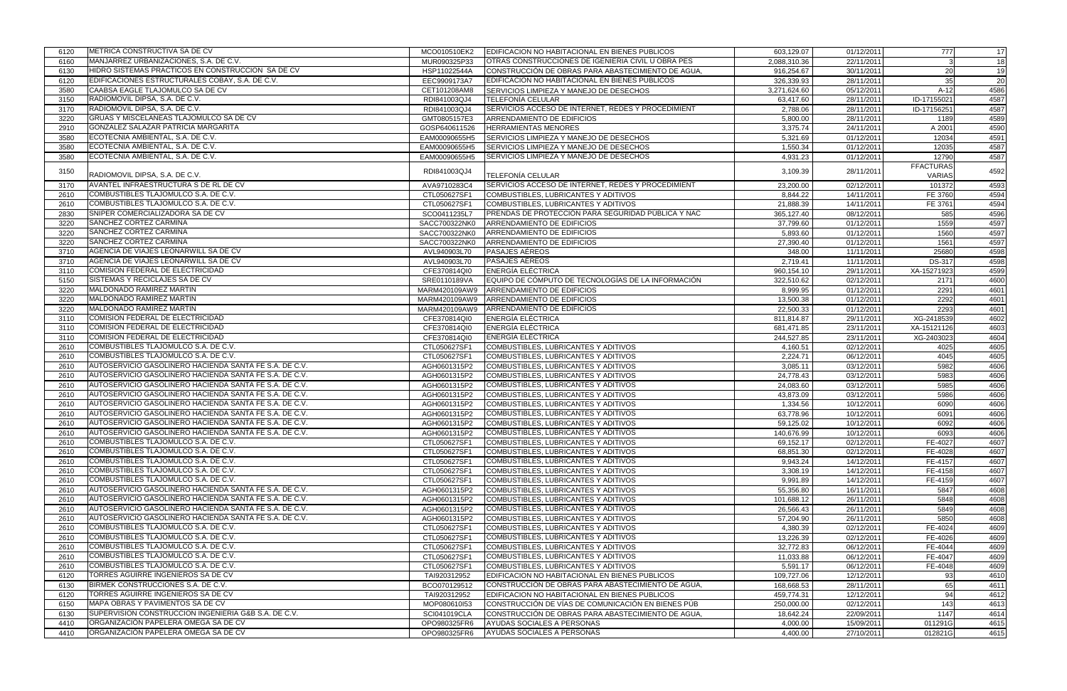| 6120 | METRICA CONSTRUCTIVA SA DE CV                           | MCO010510EK2  | EDIFICACION NO HABITACIONAL EN BIENES PUBLICOS     | 603,129.07   | 01/12/2011 | 777              | 17   |
|------|---------------------------------------------------------|---------------|----------------------------------------------------|--------------|------------|------------------|------|
| 6160 | MANJARREZ URBANIZACIONES, S.A. DE C.V.                  | MUR090325P33  | OTRAS CONSTRUCCIONES DE IGENIERIA CIVIL U OBRA PES | 2,088,310.36 | 22/11/2011 |                  | 18   |
| 6130 | HIDRO SISTEMAS PRACTICOS EN CONSTRUCCION SA DE CV       | HSP11022544A  | CONSTRUCCIÓN DE OBRAS PARA ABASTECIMIENTO DE AGUA. | 916,254.67   | 30/11/2011 | <b>20</b>        | 19   |
| 6120 | EDIFICACIONES ESTRUCTURALES COBAY, S.A. DE C.V.         | EEC9909173A7  | EDIFICACION NO HABITACIONAL EN BIENES PUBLICOS     | 326,339.93   | 28/11/2011 | 35               | 20   |
| 3580 | CAABSA EAGLE TLAJOMULCO SA DE CV                        | CET101208AM8  | <b>SERVICIOS LIMPIEZA Y MANEJO DE DESECHOS</b>     | 3,271,624.60 | 05/12/2011 | $A-12$           | 4586 |
| 3150 | RADIOMOVIL DIPSA, S.A. DE C.V.                          | RDI841003QJ4  | <b>TELEFONÍA CELULAR</b>                           | 63,417.60    | 28/11/2011 | ID-17155021      | 4587 |
| 3170 | RADIOMOVIL DIPSA, S.A. DE C.V.                          | RDI841003QJ4  | SERVICIOS ACCESO DE INTERNET, REDES Y PROCEDIMIENT | 2,788.06     | 28/11/2011 | ID-17156251      | 4587 |
| 3220 | <b>GRUAS Y MISCELANEAS TLAJOMULCO SA DE CV</b>          | GMT0805157E3  | ARRENDAMIENTO DE EDIFICIOS                         | 5,800.00     | 28/11/2011 | 1189             | 4589 |
| 2910 | <b>GONZALEZ SALAZAR PATRICIA MARGARITA</b>              | GOSP640611526 | <b>HERRAMIENTAS MENORES</b>                        | 3,375.74     | 24/11/2011 | A 2001           | 4590 |
| 3580 | ECOTECNIA AMBIENTAL, S.A. DE C.V.                       | EAM00090655H5 | SERVICIOS LIMPIEZA Y MANEJO DE DESECHOS            | 5,321.69     | 01/12/2011 | 12034            | 4591 |
| 3580 | ECOTECNIA AMBIENTAL, S.A. DE C.V.                       | EAM00090655H5 | SERVICIOS LIMPIEZA Y MANEJO DE DESECHOS            | 1,550.34     | 01/12/2011 | 12035            | 4587 |
| 3580 | ECOTECNIA AMBIENTAL, S.A. DE C.V.                       | EAM00090655H5 | SERVICIOS LIMPIEZA Y MANEJO DE DESECHOS            | 4,931.23     | 01/12/2011 | 12790            | 4587 |
|      |                                                         |               |                                                    |              |            | <b>FFACTURAS</b> |      |
| 3150 | RADIOMOVIL DIPSA, S.A. DE C.V.                          | RDI841003QJ4  | TELEFONÍA CELULAR                                  | 3,109.39     | 28/11/2011 | <b>VARIAS</b>    | 4592 |
| 3170 | AVANTEL INFRAESTRUCTURA S DE RL DE CV                   | AVA9710283C4  | SERVICIOS ACCESO DE INTERNET, REDES Y PROCEDIMIENT | 23,200.00    | 02/12/2011 | 101372           | 4593 |
| 2610 | COMBUSTIBLES TLAJOMULCO S.A. DE C.V.                    | CTL050627SF1  | COMBUSTIBLES, LUBRICANTES Y ADITIVOS               | 8,844.22     | 14/11/2011 | FE 3760          | 4594 |
| 2610 | COMBUSTIBLES TLAJOMULCO S.A. DE C.V.                    |               | COMBUSTIBLES, LUBRICANTES Y ADITIVOS               |              | 14/11/2011 | FE 3761          |      |
|      | SNIPER COMERCIALIZADORA SA DE CV                        | CTL050627SF1  |                                                    | 21,888.39    |            |                  | 4594 |
| 2830 |                                                         | SCO0411235L7  | PRENDAS DE PROTECCIÓN PARA SEGURIDAD PÚBLICA Y NAC | 365,127.40   | 08/12/2011 | 585              | 4596 |
| 3220 | SANCHEZ CORTEZ CARMINA<br><b>SANCHEZ CORTEZ CARMINA</b> | SACC700322NK0 | ARRENDAMIENTO DE EDIFICIOS                         | 37,799.60    | 01/12/2011 | 1559             | 4597 |
| 3220 |                                                         | SACC700322NK0 | ARRENDAMIENTO DE EDIFICIOS                         | 5,893.60     | 01/12/2011 | 1560             | 4597 |
| 3220 | <b>SANCHEZ CORTEZ CARMINA</b>                           | SACC700322NK0 | ARRENDAMIENTO DE EDIFICIOS                         | 27,390.40    | 01/12/2011 | 1561             | 4597 |
| 3710 | AGENCIA DE VIAJES LEONARWILL SA DE CV                   | AVL940903L70  | <b>PASAJES AÉREOS</b>                              | 348.00       | 11/11/2011 | 25680            | 4598 |
| 3710 | AGENCIA DE VIAJES LEONARWILL SA DE CV                   | AVL940903L70  | <b>PASAJES AÉREOS</b>                              | 2,719.41     | 11/11/2011 | DS-317           | 4598 |
| 3110 | COMISION FEDERAL DE ELECTRICIDAD                        | CFE370814QI0  | <b>ENERGÍA ELÉCTRICA</b>                           | 960,154.10   | 29/11/2011 | XA-15271923      | 4599 |
| 5150 | SISTEMAS Y RECICLAJES SA DE CV                          | SRE0110189VA  | EQUIPO DE CÓMPUTO DE TECNOLOGÍAS DE LA INFORMACIÓN | 322,510.62   | 02/12/2011 | 2171             | 4600 |
| 3220 | MALDONADO RAMIREZ MARTIN                                | MARM420109AW9 | ARRENDAMIENTO DE EDIFICIOS                         | 8,999.95     | 01/12/2011 | 2291             | 4601 |
| 3220 | MALDONADO RAMIREZ MARTIN                                | MARM420109AW9 | ARRENDAMIENTO DE EDIFICIOS                         | 13,500.38    | 01/12/2011 | 2292             | 4601 |
| 3220 | MALDONADO RAMIREZ MARTIN                                | MARM420109AW9 | ARRENDAMIENTO DE EDIFICIOS                         | 22,500.33    | 01/12/2011 | 2293             | 4601 |
| 3110 | COMISION FEDERAL DE ELECTRICIDAD                        | CFE370814QI0  | <b>ENERGÍA ELÉCTRICA</b>                           | 811,814.87   | 29/11/2011 | XG-2418539       | 4602 |
| 3110 | COMISION FEDERAL DE ELECTRICIDAD                        | CFE370814QI0  | <b>ENERGÍA ELÉCTRICA</b>                           | 681,471.85   | 23/11/2011 | XA-15121126      | 4603 |
| 3110 | COMISION FEDERAL DE ELECTRICIDAD                        | CFE370814QI0  | ENERGÍA ELÉCTRICA                                  | 244,527.85   | 23/11/2011 | XG-2403023       | 4604 |
| 2610 | COMBUSTIBLES TLAJOMULCO S.A. DE C.V.                    | CTL050627SF1  | COMBUSTIBLES, LUBRICANTES Y ADITIVOS               | 4,160.51     | 02/12/2011 | 4025             | 4605 |
| 2610 | COMBUSTIBLES TLAJOMULCO S.A. DE C.V.                    | CTL050627SF1  | COMBUSTIBLES, LUBRICANTES Y ADITIVOS               | 2,224.71     | 06/12/2011 | 4045             | 4605 |
| 2610 | AUTOSERVICIO GASOLINERO HACIENDA SANTA FE S.A. DE C.V.  | AGH0601315P2  | COMBUSTIBLES, LUBRICANTES Y ADITIVOS               | 3,085.11     | 03/12/2011 | 5982             | 4606 |
| 2610 | AUTOSERVICIO GASOLINERO HACIENDA SANTA FE S.A. DE C.V.  | AGH0601315P2  | COMBUSTIBLES, LUBRICANTES Y ADITIVOS               | 24,778.43    | 03/12/2011 | 5983             | 4606 |
| 2610 | AUTOSERVICIO GASOLINERO HACIENDA SANTA FE S.A. DE C.V.  | AGH0601315P2  | COMBUSTIBLES, LUBRICANTES Y ADITIVOS               | 24,083.60    | 03/12/2011 | 5985             | 4606 |
| 2610 | AUTOSERVICIO GASOLINERO HACIENDA SANTA FE S.A. DE C.V.  | AGH0601315P2  | COMBUSTIBLES, LUBRICANTES Y ADITIVOS               | 43,873.09    | 03/12/2011 | 5986             | 4606 |
| 2610 | AUTOSERVICIO GASOLINERO HACIENDA SANTA FE S.A. DE C.V.  | AGH0601315P2  | COMBUSTIBLES, LUBRICANTES Y ADITIVOS               | 1,334.56     | 10/12/2011 | 6090             | 4606 |
| 2610 | AUTOSERVICIO GASOLINERO HACIENDA SANTA FE S.A. DE C.V.  | AGH0601315P2  | COMBUSTIBLES, LUBRICANTES Y ADITIVOS               | 63,778.96    | 10/12/2011 | 6091             | 4606 |
| 2610 | AUTOSERVICIO GASOLINERO HACIENDA SANTA FE S.A. DE C.V.  | AGH0601315P2  | COMBUSTIBLES, LUBRICANTES Y ADITIVOS               | 59,125.02    | 10/12/2011 | 6092             | 4606 |
| 2610 | AUTOSERVICIO GASOLINERO HACIENDA SANTA FE S.A. DE C.V.  | AGH0601315P2  | COMBUSTIBLES, LUBRICANTES Y ADITIVOS               | 140,676.99   | 10/12/2011 | 6093             | 4606 |
| 2610 | COMBUSTIBLES TLAJOMULCO S.A. DE C.V.                    | CTL050627SF1  | COMBUSTIBLES, LUBRICANTES Y ADITIVOS               | 69,152.17    | 02/12/2011 | FE-4027          | 4607 |
| 2610 | COMBUSTIBLES TLAJOMULCO S.A. DE C.V.                    | CTL050627SF1  | COMBUSTIBLES, LUBRICANTES Y ADITIVOS               | 68,851.30    | 02/12/2011 | FE-4028          | 4607 |
| 2610 | COMBUSTIBLES TLAJOMULCO S.A. DE C.V.                    | CTL050627SF1  | COMBUSTIBLES, LUBRICANTES Y ADITIVOS               | 9,943.24     | 14/12/2011 | FE-4157          | 4607 |
| 2610 | COMBUSTIBLES TLAJOMULCO S.A. DE C.V.                    | CTL050627SF1  | COMBUSTIBLES, LUBRICANTES Y ADITIVOS               | 3,308.19     | 14/12/2011 | FE-4158          | 4607 |
| 2610 | COMBUSTIBLES TLAJOMULCO S.A. DE C.V.                    | CTL050627SF1  | COMBUSTIBLES, LUBRICANTES Y ADITIVOS               | 9,991.89     | 14/12/2011 | FE-4159          | 4607 |
| 2610 | AUTOSERVICIO GASOLINERO HACIENDA SANTA FE S.A. DE C.V.  | AGH0601315P2  | COMBUSTIBLES, LUBRICANTES Y ADITIVOS               | 55,356.80    | 16/11/2011 | 5847             | 4608 |
| 2610 | AUTOSERVICIO GASOLINERO HACIENDA SANTA FE S.A. DE C.V.  | AGH0601315P2  | COMBUSTIBLES, LUBRICANTES Y ADITIVOS               | 101,688.12   | 26/11/2011 | 5848             | 4608 |
| 2610 | AUTOSERVICIO GASOLINERO HACIENDA SANTA FE S.A. DE C.V.  | AGH0601315P2  | COMBUSTIBLES, LUBRICANTES Y ADITIVOS               | 26,566.43    | 26/11/2011 | 5849             | 4608 |
| 2610 | AUTOSERVICIO GASOLINERO HACIENDA SANTA FE S.A. DE C.V.  | AGH0601315P2  | COMBUSTIBLES, LUBRICANTES Y ADITIVOS               | 57,204.90    | 26/11/2011 | 5850             | 4608 |
| 2610 | COMBUSTIBLES TLAJOMULCO S.A. DE C.V.                    | CTL050627SF1  | COMBUSTIBLES, LUBRICANTES Y ADITIVOS               | 4,380.39     | 02/12/2011 | FE-4024          | 4609 |
| 2610 | COMBUSTIBLES TLAJOMULCO S.A. DE C.V.                    | CTL050627SF1  | COMBUSTIBLES, LUBRICANTES Y ADITIVOS               | 13,226.39    | 02/12/2011 | FE-4026          | 4609 |
| 2610 | COMBUSTIBLES TLAJOMULCO S.A. DE C.V.                    | CTL050627SF1  | COMBUSTIBLES, LUBRICANTES Y ADITIVOS               | 32,772.83    | 06/12/2011 | FE-4044          | 4609 |
| 2610 | COMBUSTIBLES TLAJOMULCO S.A. DE C.V.                    | CTL050627SF1  | COMBUSTIBLES, LUBRICANTES Y ADITIVOS               | 11,033.88    | 06/12/2011 | FE-4047          | 4609 |
| 2610 | COMBUSTIBLES TLAJOMULCO S.A. DE C.V.                    | CTL050627SF1  | COMBUSTIBLES, LUBRICANTES Y ADITIVOS               | 5,591.17     | 06/12/2011 | FE-4048          | 4609 |
| 6120 | TORRES AGUIRRE INGENIEROS SA DE CV                      | TAI920312952  | EDIFICACION NO HABITACIONAL EN BIENES PUBLICOS     | 109,727.06   | 12/12/2011 | 93               | 4610 |
| 6130 | BIRMEK CONSTRUCCIONES S.A. DE C.V.                      | BCO070129512  | CONSTRUCCIÓN DE OBRAS PARA ABASTECIMIENTO DE AGUA, | 168,668.53   | 28/11/2011 | 65               | 4611 |
| 6120 | TORRES AGUIRRE INGENIEROS SA DE CV                      | TAI920312952  | EDIFICACION NO HABITACIONAL EN BIENES PUBLICOS     | 459,774.31   | 12/12/2011 | 94               | 4612 |
| 6150 | MAPA OBRAS Y PAVIMENTOS SA DE CV                        | MOP080610I53  | CONSTRUCCIÓN DE VÍAS DE COMUNICACIÓN EN BIENES PÚB | 250,000.00   | 02/12/2011 | 143              | 4613 |
| 6130 | SUPERVISION CONSTRUCCION INGENIERIA G&B S.A. DE C.V.    | SCI041019CLA  | CONSTRUCCIÓN DE OBRAS PARA ABASTECIMIENTO DE AGUA, | 18,642.24    | 22/09/2011 | 1147             | 4614 |
| 4410 | ORGANIZACIÓN PAPELERA OMEGA SA DE CV                    | OPO980325FR6  | AYUDAS SOCIALES A PERSONAS                         | 4,000.00     | 15/09/2011 | 011291G          | 4615 |
| 4410 | ORGANIZACIÓN PAPELERA OMEGA SA DE CV                    | OPO980325FR6  | AYUDAS SOCIALES A PERSONAS                         | 4,400.00     | 27/10/2011 | 012821G          | 4615 |
|      |                                                         |               |                                                    |              |            |                  |      |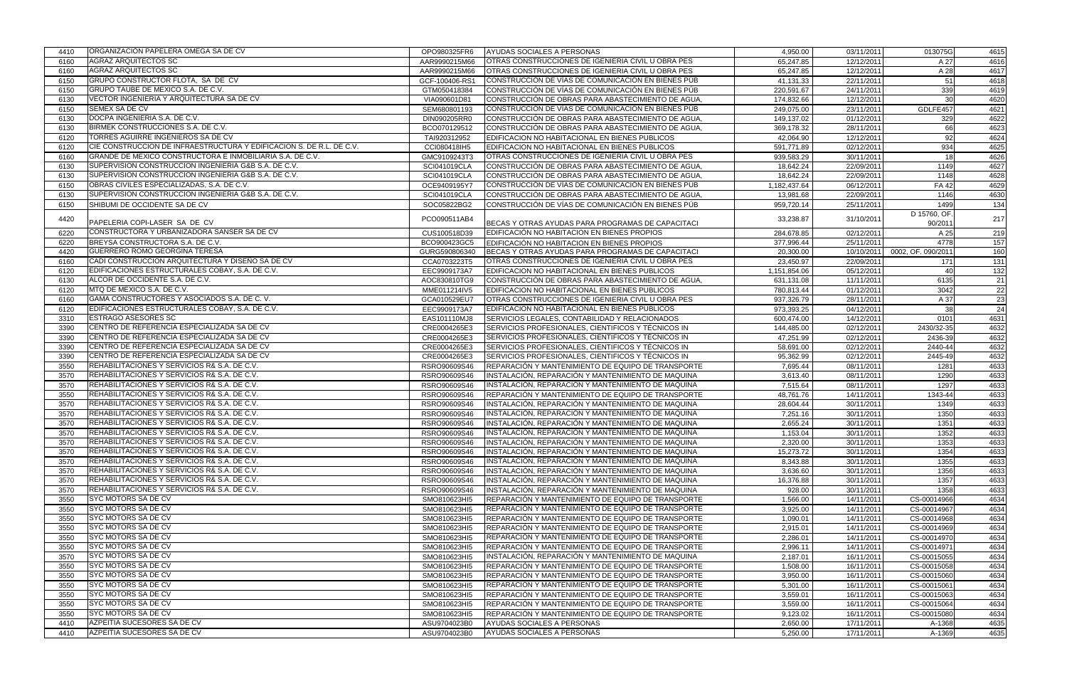| 4410 | ORGANIZACIÓN PAPELERA OMEGA SA DE CV                                                          | OPO980325FR6   | AYUDAS SOCIALES A PERSONAS                                                                               | 4,950.00     | 03/11/2011              | 013075G            | 4615 |
|------|-----------------------------------------------------------------------------------------------|----------------|----------------------------------------------------------------------------------------------------------|--------------|-------------------------|--------------------|------|
| 6160 | <b>AGRAZ ARQUITECTOS SC</b>                                                                   | AAR9990215M66  | OTRAS CONSTRUCCIONES DE IGENIERIA CIVIL U OBRA PES                                                       | 65,247.85    | 12/12/2011              | A 27               | 4616 |
| 6160 | <b>AGRAZ ARQUITECTOS SC</b>                                                                   | AAR9990215M66  | OTRAS CONSTRUCCIONES DE IGENIERIA CIVIL U OBRA PES                                                       | 65,247.85    | 12/12/2011              | A 28               | 4617 |
| 6150 | GRUPO CONSTRUCTOR FLOTA, SA DE CV                                                             | GCF-100406-RS1 | CONSTRUCCIÓN DE VÍAS DE COMUNICACIÓN EN BIENES PÚB                                                       | 41,131.33    | 22/11/2011              | 51                 | 4618 |
| 6150 | GRUPO TAUBE DE MEXICO S.A. DE C.V.                                                            | GTM050418384   | CONSTRUCCIÓN DE VÍAS DE COMUNICACIÓN EN BIENES PÚB                                                       | 220,591.67   | 24/11/2011              | 339                | 4619 |
| 6130 | VECTOR INGENIERIA Y ARQUITECTURA SA DE CV                                                     | VIA090601D81   | CONSTRUCCIÓN DE OBRAS PARA ABASTECIMIENTO DE AGUA.                                                       | 174,832.66   | 12/12/2011              | 30                 | 4620 |
| 6150 | <b>SEMEX SA DE CV</b>                                                                         | SEM680801193   | CONSTRUCCIÓN DE VÍAS DE COMUNICACIÓN EN BIENES PÚB                                                       | 249,075.00   | 23/11/2011              | GDLFE457           | 4621 |
| 6130 | DOCPA INGENIERIA S.A. DE C.V.                                                                 | DIN090205RR0   | CONSTRUCCIÓN DE OBRAS PARA ABASTECIMIENTO DE AGUA.                                                       | 149,137.02   | 01/12/2011              | 329                | 4622 |
| 6130 | BIRMEK CONSTRUCCIONES S.A. DE C.V.                                                            | BCO070129512   | CONSTRUCCIÓN DE OBRAS PARA ABASTECIMIENTO DE AGUA                                                        | 369,178.32   | 28/11/2011              | 66                 | 4623 |
| 6120 | TORRES AGUIRRE INGENIEROS SA DE CV                                                            | TAI920312952   | EDIFICACION NO HABITACIONAL EN BIENES PUBLICOS                                                           | 42,064.90    | 12/12/2011              | 92                 | 4624 |
| 6120 | CIE CONSTRUCCION DE INFRAESTRUCTURA Y EDIFICACION S. DE R.L. DE C.V.                          | CCI080418IH5   | EDIFICACION NO HABITACIONAL EN BIENES PUBLICOS                                                           | 591,771.89   | 02/12/2011              | 934                | 4625 |
| 6160 | GRANDE DE MEXICO CONSTRUCTORA E INMOBILIARIA S.A. DE C.V.                                     | GMC9109243T3   | OTRAS CONSTRUCCIONES DE IGENIERIA CIVIL U OBRA PES                                                       | 939,583.29   | 30/11/2011              | 18                 | 4626 |
| 6130 | SUPERVISION CONSTRUCCION INGENIERIA G&B S.A. DE C.V.                                          | SCI041019CLA   | CONSTRUCCIÓN DE OBRAS PARA ABASTECIMIENTO DE AGUA.                                                       | 18,642.24    | 22/09/2011              | 1149               | 4627 |
| 6130 | SUPERVISION CONSTRUCCION INGENIERIA G&B S.A. DE C.V.                                          | SCI041019CLA   | CONSTRUCCIÓN DE OBRAS PARA ABASTECIMIENTO DE AGUA.                                                       | 18,642.24    | 22/09/2011              | 1148               | 4628 |
| 6150 | OBRAS CIVILES ESPECIALIZADAS, S.A. DE C.V.                                                    | OCE9409195Y7   | CONSTRUCCIÓN DE VÍAS DE COMUNICACIÓN EN BIENES PÚB                                                       | 1,182,437.64 | 06/12/2011              | <b>FA42</b>        | 4629 |
| 6130 | SUPERVISION CONSTRUCCION INGENIERIA G&B S.A. DE C.V.                                          | SCI041019CLA   | CONSTRUCCIÓN DE OBRAS PARA ABASTECIMIENTO DE AGUA                                                        | 13,981.68    | 22/09/2011              | 1146               | 4630 |
| 6150 | SHIBUMI DE OCCIDENTE SA DE CV                                                                 | SOC05822BG2    | CONSTRUCCIÓN DE VÍAS DE COMUNICACIÓN EN BIENES PÚB                                                       | 959,720.14   | 25/11/2011              | 1499               | 134  |
|      |                                                                                               |                |                                                                                                          |              |                         | D 15760, OF.       |      |
| 4420 | PAPELERIA COPI-LASER SA DE CV                                                                 | PCO090511AB4   | BECAS Y OTRAS AYUDAS PARA PROGRAMAS DE CAPACITACI                                                        | 33,238.87    | 31/10/2011              | 90/2011            | 217  |
| 6220 | CONSTRUCTORA Y URBANIZADORA SANSER SA DE CV                                                   | CUS100518D39   | EDIFICACIÓN NO HABITACION EN BIENES PROPIOS                                                              | 284,678.85   | 02/12/2011              | A 25               | 219  |
| 6220 | BREYSA CONSTRUCTORA S.A. DE C.V.                                                              | BCO900423GC5   | EDIFICACIÓN NO HABITACION EN BIENES PROPIOS                                                              | 377,996.44   | 25/11/2011              | 4778               | 157  |
| 4420 | <b>GUERRERO ROMO GEORGINA TERESA</b>                                                          | GURG590806340  | BECAS Y OTRAS AYUDAS PARA PROGRAMAS DE CAPACITACI                                                        | 20,300.00    | 10/10/2011              | 0002, OF. 090/2011 | 160  |
| 6160 | CADI CONSTRUCCION ARQUITECTURA Y DISEÑO SA DE CV                                              | CCA0703223T5   | OTRAS CONSTRUCCIONES DE IGENIERIA CIVIL U OBRA PES                                                       | 23,450.97    | 22/09/2011              | 171                | 131  |
| 6120 | EDIFICACIONES ESTRUCTURALES COBAY, S.A. DE C.V.                                               | EEC9909173A7   | EDIFICACION NO HABITACIONAL EN BIENES PUBLICOS                                                           | 1,151,854.06 | 05/12/2011              | 40                 | 132  |
| 6130 | ALCOR DE OCCIDENTE S.A. DE C.V.                                                               | AOC830810TG9   | CONSTRUCCIÓN DE OBRAS PARA ABASTECIMIENTO DE AGUA                                                        | 631,131.08   | 11/11/2011              | 6135               | 21   |
| 6120 | MTQ DE MEXICO S.A. DE C.V.                                                                    | MME011214IV5   | EDIFICACION NO HABITACIONAL EN BIENES PUBLICOS                                                           | 780,813.44   | 01/12/2011              | 3042               | 22   |
| 6160 | GAMA CONSTRUCTORES Y ASOCIADOS S.A. DE C. V.                                                  | GCA010529EU7   | OTRAS CONSTRUCCIONES DE IGENIERIA CIVIL U OBRA PES                                                       | 937,326.79   | 28/11/2011              | A 37               | 23   |
| 6120 | EDIFICACIONES ESTRUCTURALES COBAY, S.A. DE C.V.                                               | EEC9909173A7   | EDIFICACION NO HABITACIONAL EN BIENES PUBLICOS                                                           | 973,393.25   | 04/12/2011              | 38                 | 24   |
| 3310 | <b>ESTRAGO ASESORES SC</b>                                                                    | EAS101110MJ8   | SERVICIOS LEGALES, CONTABILIDAD Y RELACIONADOS                                                           | 600,474.00   | 14/12/2011              | 0101               | 4631 |
| 3390 | CENTRO DE REFERENCIA ESPECIALIZADA SA DE CV                                                   | CRE0004265E3   | SERVICIOS PROFESIONALES, CIENTIFICOS Y TÉCNICOS IN                                                       | 144,485.00   | 02/12/2011              | 2430/32-35         | 4632 |
| 3390 | CENTRO DE REFERENCIA ESPECIALIZADA SA DE CV                                                   | CRE0004265E3   | SERVICIOS PROFESIONALES, CIENTIFICOS Y TÉCNICOS IN                                                       | 47,251.99    | 02/12/2011              | 2436-39            | 4632 |
| 3390 | CENTRO DE REFERENCIA ESPECIALIZADA SA DE CV                                                   | CRE0004265E3   | SERVICIOS PROFESIONALES, CIENTIFICOS Y TÉCNICOS IN                                                       | 58,691.00    | 02/12/2011              | 2440-44            | 4632 |
| 3390 | CENTRO DE REFERENCIA ESPECIALIZADA SA DE CV                                                   | CRE0004265E3   | SERVICIOS PROFESIONALES, CIENTIFICOS Y TÉCNICOS IN                                                       | 95,362.99    | 02/12/2011              | 2445-49            | 4632 |
| 3550 | REHABILITACIONES Y SERVICIOS R& S.A. DE C.V.                                                  | RSRO90609S46   | REPARACION Y MANTENIMIENTO DE EQUIPO DE TRANSPORTE                                                       | 7,695.44     | 08/11/2011              | 1281               | 4633 |
| 3570 | REHABILITACIONES Y SERVICIOS R& S.A. DE C.V.                                                  | RSRO90609S46   | INSTALACIÓN, REPARACIÓN Y MANTENIMIENTO DE MAQUINA                                                       | 3,613.40     | 08/11/2011              | 1290               | 4633 |
| 3570 | REHABILITACIONES Y SERVICIOS R& S.A. DE C.V.                                                  | RSRO90609S46   | INSTALACIÓN, REPARACIÓN Y MANTENIMIENTO DE MAQUINA                                                       | 7,515.64     | 08/11/2011              | 1297               | 4633 |
| 3550 | REHABILITACIONES Y SERVICIOS R& S.A. DE C.V.                                                  |                | REPARACIÓN Y MANTENIMIENTO DE EQUIPO DE TRANSPORTE                                                       |              |                         | 1343-44            |      |
| 3570 | REHABILITACIONES Y SERVICIOS R& S.A. DE C.V.                                                  | RSRO90609S46   | INSTALACIÓN, REPARACIÓN Y MANTENIMIENTO DE MAQUINA                                                       | 48,761.76    | 14/11/2011              | 1349               | 4633 |
|      | REHABILITACIONES Y SERVICIOS R& S.A. DE C.V.                                                  | RSRO90609S46   |                                                                                                          | 28,604.44    | 30/11/2011              |                    | 4633 |
| 3570 | REHABILITACIONES Y SERVICIOS R& S.A. DE C.V.                                                  | RSRO90609S46   | INSTALACIÓN, REPARACIÓN Y MANTENIMIENTO DE MAQUINA                                                       | 7,251.16     | 30/11/2011              | 1350               | 4633 |
| 3570 | REHABILITACIONES Y SERVICIOS R& S.A. DE C.V.                                                  | RSRO90609S46   | INSTALACIÓN, REPARACIÓN Y MANTENIMIENTO DE MAQUINA<br>INSTALACIÓN, REPARACIÓN Y MANTENIMIENTO DE MAQUINA | 2,655.24     | 30/11/2011              | 1351               | 4633 |
| 3570 |                                                                                               | RSRO90609S46   |                                                                                                          | 1,153.04     | 30/11/2011              | 1352               | 4633 |
| 3570 | REHABILITACIONES Y SERVICIOS R& S.A. DE C.V.<br>IREHABILITACIONES Y SERVICIOS R& S.A. DE C.V. | RSRO90609S46   | IINSTALACION, REPARACION Y MANTENIMIENTO DE MAQUINA                                                      | 2,320.00     | 30/11/2011              | 1353               | 4633 |
| 3570 |                                                                                               | RSRO90609S46   | INSTALACIÓN, REPARACIÓN Y MANTENIMIENTO DE MAQUINA                                                       | 15,273.72    | 30/11/2011              | 1354               | 4633 |
| 3570 | REHABILITACIONES Y SERVICIOS R& S.A. DE C.V.                                                  | RSRO90609S46   | INSTALACIÓN, REPARACIÓN Y MANTENIMIENTO DE MAQUINA                                                       | 8,343.88     | $\overline{30/11/2011}$ | 1355               | 4633 |
| 3570 | REHABILITACIONES Y SERVICIOS R& S.A. DE C.V.                                                  | RSRO90609S46   | IINSTALACIÓN. REPARACIÓN Y MANTENIMIENTO DE MAQUINA                                                      | 3,636.60     | 30/11/2011              | 1356               | 4633 |
| 3570 | REHABILITACIONES Y SERVICIOS R& S.A. DE C.V.<br>REHABILITACIONES Y SERVICIOS R& S.A. DE C.V.  | RSRO90609S46   | INSTALACIÓN, REPARACIÓN Y MANTENIMIENTO DE MAQUINA                                                       | 16,376.88    | 30/11/2011              | 1357               | 4633 |
| 3570 | <b>SYC MOTORS SA DE CV</b>                                                                    | RSRO90609S46   | INSTALACIÓN, REPARACIÓN Y MANTENIMIENTO DE MAQUINA                                                       | 928.00       | 30/11/2011              | 1358               | 4633 |
| 3550 |                                                                                               | SMO810623HI5   | REPARACIÓN Y MANTENIMIENTO DE EQUIPO DE TRANSPORTE                                                       | 1,566.00     | 14/11/2011              | CS-00014966        | 4634 |
| 3550 | <b>SYC MOTORS SA DE CV</b>                                                                    | SMO810623HI5   | REPARACIÓN Y MANTENIMIENTO DE EQUIPO DE TRANSPORTE                                                       | 3,925.00     | 14/11/2011              | CS-00014967        | 4634 |
| 3550 | <b>SYC MOTORS SA DE CV</b>                                                                    | SMO810623HI5   | REPARACIÓN Y MANTENIMIENTO DE EQUIPO DE TRANSPORTE                                                       | 1,090.01     | 14/11/2011              | CS-00014968        | 4634 |
| 3550 | <b>SYC MOTORS SA DE CV</b>                                                                    | SMO810623HI5   | REPARACIÓN Y MANTENIMIENTO DE EQUIPO DE TRANSPORTE                                                       | 2,915.01     | 14/11/2011              | CS-00014969        | 4634 |
| 3550 | <b>SYC MOTORS SA DE CV</b>                                                                    | SMO810623HI5   | REPARACIÓN Y MANTENIMIENTO DE EQUIPO DE TRANSPORTE                                                       | 2,286.01     | 14/11/2011              | CS-00014970        | 4634 |
| 3550 | <b>SYC MOTORS SA DE CV</b>                                                                    | SMO810623HI5   | REPARACIÓN Y MANTENIMIENTO DE EQUIPO DE TRANSPORTE                                                       | 2,996.11     | 14/11/2011              | CS-00014971        | 4634 |
| 3570 | <b>SYC MOTORS SA DE CV</b>                                                                    | SMO810623HI5   | INSTALACIÓN, REPARACIÓN Y MANTENIMIENTO DE MAQUINA                                                       | 2,187.01     | 16/11/2011              | CS-00015055        | 4634 |
| 3550 | <b>SYC MOTORS SA DE CV</b>                                                                    | SMO810623HI5   | REPARACIÓN Y MANTENIMIENTO DE EQUIPO DE TRANSPORTE                                                       | 1,508.00     | 16/11/2011              | CS-00015058        | 4634 |
| 3550 | <b>SYC MOTORS SA DE CV</b>                                                                    | SMO810623HI5   | REPARACIÓN Y MANTENIMIENTO DE EQUIPO DE TRANSPORTE                                                       | 3,950.00     | 16/11/2011              | CS-00015060        | 4634 |
| 3550 | <b>SYC MOTORS SA DE CV</b>                                                                    | SMO810623HI5   | REPARACIÓN Y MANTENIMIENTO DE EQUIPO DE TRANSPORTE                                                       | 5,301.00     | 16/11/2011              | CS-00015061        | 4634 |
| 3550 | <b>SYC MOTORS SA DE CV</b>                                                                    | SMO810623HI5   | REPARACIÓN Y MANTENIMIENTO DE EQUIPO DE TRANSPORTE                                                       | 3,559.01     | 16/11/2011              | CS-00015063        | 4634 |
| 3550 | <b>SYC MOTORS SA DE CV</b>                                                                    | SMO810623HI5   | REPARACIÓN Y MANTENIMIENTO DE EQUIPO DE TRANSPORTE                                                       | 3,559.00     | 16/11/2011              | CS-00015064        | 4634 |
| 3550 | <b>SYC MOTORS SA DE CV</b>                                                                    | SMO810623HI5   | <b>IREPARACION Y MANTENIMIENTO DE EQUIPO DE TRANSPORTE</b>                                               | 9,123.02     | 16/11/2011              | CS-00015080        | 4634 |
| 4410 | AZPEITIA SUCESORES SA DE CV                                                                   | ASU9704023B0   | AYUDAS SOCIALES A PERSONAS                                                                               | 2,650.00     | 17/11/2011              | A-1368             | 4635 |
| 4410 | AZPEITIA SUCESORES SA DE CV                                                                   | ASU9704023B0   | AYUDAS SOCIALES A PERSONAS                                                                               | 5,250.00     | 17/11/2011              | A-1369             | 4635 |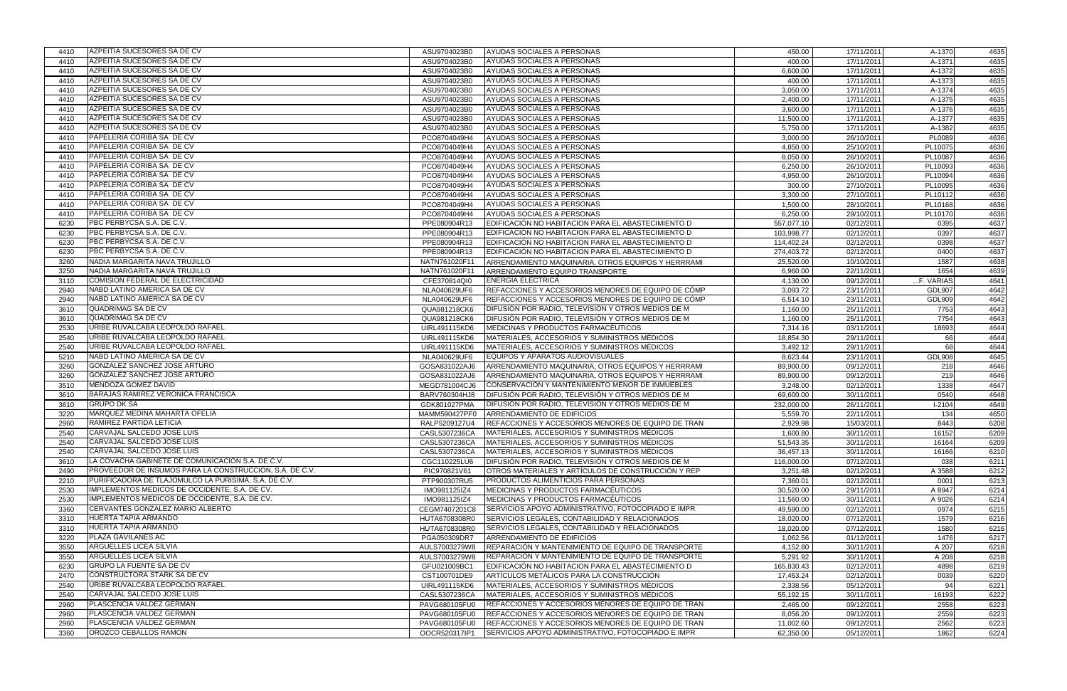| 4410 | AZPEITIA SUCESORES SA DE CV                             | ASU9704023B0                  | AYUDAS SOCIALES A PERSONAS                                  | 450.00     | 17/11/2011               | A-1370        | 4635 |
|------|---------------------------------------------------------|-------------------------------|-------------------------------------------------------------|------------|--------------------------|---------------|------|
| 4410 | <b>AZPEITIA SUCESORES SA DE CV</b>                      | ASU9704023B0                  | AYUDAS SOCIALES A PERSONAS                                  | 400.00     | 17/11/2011               | A-1371        | 4635 |
| 4410 | AZPEITIA SUCESORES SA DE CV                             | ASU9704023B0                  | AYUDAS SOCIALES A PERSONAS                                  | 6,600.00   | 17/11/2011               | A-1372        | 4635 |
| 4410 | AZPEITIA SUCESORES SA DE CV                             | ASU9704023B0                  | AYUDAS SOCIALES A PERSONAS                                  | 400.00     | 17/11/2011               | A-1373        | 4635 |
| 4410 | AZPEITIA SUCESORES SA DE CV                             | ASU9704023B0                  | AYUDAS SOCIALES A PERSONAS                                  | 3,050.00   | 17/11/2011               | A-1374        | 4635 |
| 4410 | AZPEITIA SUCESORES SA DE CV                             | ASU9704023B0                  | AYUDAS SOCIALES A PERSONAS                                  | 2,400.00   | 17/11/2011               | A-1375        | 4635 |
| 4410 | AZPEITIA SUCESORES SA DE CV                             | ASU9704023B0                  | AYUDAS SOCIALES A PERSONAS                                  | 3,600.00   | 17/11/2011               | A-1376        | 4635 |
| 4410 | AZPEITIA SUCESORES SA DE CV                             | ASU9704023B0                  | AYUDAS SOCIALES A PERSONAS                                  | 11,500.00  | 17/11/2011               | A-1377        | 4635 |
| 4410 | AZPEITIA SUCESORES SA DE CV                             | ASU9704023B0                  | AYUDAS SOCIALES A PERSONAS                                  | 5,750.00   | 17/11/2011               | A-1382        | 4635 |
| 4410 | PAPELERIA CORIBA SA DE CV                               | PCO8704049H4                  | <b>AYUDAS SOCIALES A PERSONAS</b>                           | 3,000.00   | 26/10/2011               | PL0089        | 4636 |
| 4410 | PAPELERIA CORIBA SA DE CV                               | PCO8704049H4                  | AYUDAS SOCIALES A PERSONAS                                  | 4,850.00   | 25/10/2011               | PL10075       | 4636 |
| 4410 | PAPELERIA CORIBA SA DE CV                               | PCO8704049H4                  | AYUDAS SOCIALES A PERSONAS                                  | 8,050.00   | 26/10/2011               | PL10087       | 4636 |
| 4410 | PAPELERIA CORIBA SA DE CV                               | PCO8704049H4                  | AYUDAS SOCIALES A PERSONAS                                  | 6,250.00   | 26/10/2011               | PL10093       | 4636 |
| 4410 | PAPELERIA CORIBA SA DE CV                               | PCO8704049H4                  | AYUDAS SOCIALES A PERSONAS                                  | 4,950.00   | 26/10/2011               | PL10094       | 4636 |
| 4410 | PAPELERIA CORIBA SA DE CV                               | PCO8704049H4                  | AYUDAS SOCIALES A PERSONAS                                  | 300.00     | 27/10/2011               | PL10095       | 4636 |
| 4410 | PAPELERIA CORIBA SA DE CV                               | PCO8704049H4                  | AYUDAS SOCIALES A PERSONAS                                  | 3,300.00   | 27/10/2011               | PL10112       | 4636 |
| 4410 | PAPELERIA CORIBA SA DE CV                               | PCO8704049H4                  | AYUDAS SOCIALES A PERSONAS                                  | 1,500.00   | 28/10/2011               | PL10168       | 4636 |
| 4410 | PAPELERIA CORIBA SA DE CV                               | PCO8704049H4                  | AYUDAS SOCIALES A PERSONAS                                  | 6,250.00   | 29/10/2011               | PL10170       | 4636 |
| 6230 | PBC PERBYCSA S.A. DE C.V.                               | PPE080904R13                  | EDIFICACIÓN NO HABITACION PARA EL ABASTECIMIENTO D          | 557,077.10 | 02/12/2011               | 0395          | 4637 |
| 6230 | PBC PERBYCSA S.A. DE C.V.                               | PPE080904R13                  | EDIFICACIÓN NO HABITACION PARA EL ABASTECIMIENTO D          | 103,998.77 | 02/12/2011               | 0397          | 4637 |
| 6230 | PBC PERBYCSA S.A. DE C.V.                               | PPE080904R13                  | EDIFICACIÓN NO HABITACION PARA EL ABASTECIMIENTO D          | 114,402.24 | 02/12/2011               | 0398          | 4637 |
| 6230 | PBC PERBYCSA S.A. DE C.V.                               | PPE080904R13                  | EDIFICACIÓN NO HABITACION PARA EL ABASTECIMIENTO D          | 274,403.72 | 02/12/2011               | 0400          | 4637 |
| 3260 | NADIA MARGARITA NAVA TRUJILLO                           | NATN761020F11                 |                                                             | 25,520.00  | 10/10/2011               | 1587          | 4638 |
| 3250 | NADIA MARGARITA NAVA TRUJILLO                           |                               | ARRENDAMIENTO MAQUINARIA, OTROS EQUIPOS Y HERRRAMI          |            |                          | 1654          | 4639 |
| 3110 | COMISION FEDERAL DE ELECTRICIDAD                        | NATN761020F11<br>CFE370814QI0 | ARRENDAMIENTO EQUIPO TRANSPORTE<br><b>ENERGÍA ELÉCTRICA</b> | 6,960.00   | 22/11/2011<br>09/12/2011 | F. VARIAS     |      |
|      | NABD LATINO AMERICA SA DE CV                            |                               |                                                             | 4,130.00   |                          |               | 4641 |
| 2940 | NABD LATINO AMERICA SA DE CV                            | NLA040629UF6                  | REFACCIONES Y ACCESORIOS MENORES DE EQUIPO DE CÓMP          | 3,093.72   | 23/11/2011               | <b>GDL907</b> | 4642 |
| 2940 |                                                         | NLA040629UF6                  | REFACCIONES Y ACCESORIOS MENORES DE EQUIPO DE CÓMP          | 6,514.10   | 23/11/2011               | <b>GDL909</b> | 4642 |
| 3610 | QUADRIMAG SA DE CV                                      | QUA981218CK6                  | DIFUSIÓN POR RADIO, TELEVISIÓN Y OTROS MEDIOS DE M          | 1,160.00   | 25/11/2011               | 7753          | 4643 |
| 3610 | QUADRIMAG SA DE CV                                      | QUA981218CK6                  | DIFUSIÓN POR RADIO, TELEVISIÓN Y OTROS MEDIOS DE M          | 1,160.00   | 25/11/2011               | 7754          | 4643 |
| 2530 | URIBE RUVALCABA LEOPOLDO RAFAEL                         | UIRL491115KD6                 | MEDICINAS Y PRODUCTOS FARMACÉUTICOS                         | 7,314.16   | 03/11/2011               | 18693         | 4644 |
| 2540 | URIBE RUVALCABA LEOPOLDO RAFAEL                         | UIRL491115KD6                 | MATERIALES, ACCESORIOS Y SUMINISTROS MÉDICOS                | 18,854.30  | 29/11/2011               | 66            | 4644 |
| 2540 | URIBE RUVALCABA LEOPOLDO RAFAEL                         | UIRL491115KD6                 | MATERIALES, ACCESORIOS Y SUMINISTROS MÉDICOS                | 3,492.12   | 29/11/2011               | 68            | 4644 |
| 5210 | NABD LATINO AMERICA SA DE CV                            | NLA040629UF6                  | EQUIPOS Y APARATOS AUDIOVISUALES                            | 8,623.44   | 23/11/2011               | <b>GDL908</b> | 4645 |
| 3260 | GONZALEZ SANCHEZ JOSE ARTURO                            | GOSA831022AJ6                 | ARRENDAMIENTO MAQUINARIA, OTROS EQUIPOS Y HERRRAMI          | 89,900.00  | 09/12/2011               | 218           | 4646 |
| 3260 | GONZALEZ SANCHEZ JOSE ARTURO                            | GOSA831022AJ6                 | ARRENDAMIENTO MAQUINARIA, OTROS EQUIPOS Y HERRRAMI          | 89,900.00  | 09/12/2011               | 219           | 4646 |
| 3510 | MENDOZA GOMEZ DAVID                                     | MEGD781004CJ6                 | CONSERVACIÓN Y MANTENIMIENTO MENOR DE INMUEBLES             | 3,248.00   | 02/12/2011               | 1338          | 4647 |
| 3610 | <b>BARAJAS RAMIREZ VERONICA FRANCISCA</b>               | BARV760304HJ8                 | DIFUSIÓN POR RADIO, TELEVISIÓN Y OTROS MEDIOS DE M          | 69,600.00  | 30/11/2011               | 0540          | 4648 |
| 3610 | <b>GRUPO DK SA</b>                                      | GDK801027PMA                  | DIFUSIÓN POR RADIO, TELEVISIÓN Y OTROS MEDIOS DE M          | 232,000.00 | 26/11/2011               | $I - 2104$    | 4649 |
| 3220 | <b>MARQUEZ MEDINA MAHARTA OFELIA</b>                    | MAMM590427PF0                 | ARRENDAMIENTO DE EDIFICIOS                                  | 5,559.70   | 22/11/2011               | 134           | 4650 |
| 2960 | RAMIREZ PARTIDA LETICIA                                 | RALP5209127U4                 | REFACCIONES Y ACCESORIOS MENORES DE EQUIPO DE TRAN          | 2,929.98   | 15/03/2011               | 8443          | 6208 |
| 2540 | CARVAJAL SALCEDO JOSE LUIS                              | CASL5307236CA                 | MATERIALES, ACCESORIOS Y SUMINISTROS MÉDICOS                | 1,600.80   | 30/11/2011               | 16152         | 6209 |
| 2540 | CARVAJAL SALCEDO JOSE LUIS                              | CASL5307236CA                 | MATERIALES, ACCESORIOS Y SUMINISTROS MÉDICOS                | 51,543.35  | 30/11/2011               | 16164         | 6209 |
| 2540 | ICARVAJAL SALCEDO JOSE LUIS                             | CASL5307236CA                 | MATERIALES, ACCESORIOS Y SUMINISTROS MÉDICOS                | 36,457.13  | 30/11/2011               | 16166         | 6210 |
| 3610 | LA COVACHA GABINETE DE COMUNICACIÓN S.A. DE C.V.        | CGC110225LU6                  | IDIFUSIÓN POR RADIO. TELEVISIÓN Y OTROS MEDIOS DE M         | 116,000.00 | 07/12/2011               | 038           | 6211 |
| 2490 | PROVEEDOR DE INSUMOS PARA LA CONSTRUCCION, S.A. DE C.V. | PIC970821V61                  | OTROS MATERIALES Y ARTÍCULOS DE CONSTRUCCIÓN Y REP          | 3,251.48   | 02/12/2011               | A 3588        | 6212 |
| 2210 | PURIFICADORA DE TLAJOMULCO LA PURISIMA, S.A. DE C.V.    | PTP900307RU5                  | PRODUCTOS ALIMENTICIOS PARA PERSONAS                        | 7,360.01   | 02/12/2011               | 0001          | 6213 |
| 2530 | IMPLEMENTOS MEDICOS DE OCCIDENTE, S.A. DE CV.           | IMO981125IZ4                  | MEDICINAS Y PRODUCTOS FARMACÉUTICOS                         | 30,520.00  | 29/11/2011               | A 8947        | 6214 |
| 2530 | IMPLEMENTOS MEDICOS DE OCCIDENTE, S.A. DE CV.           | IMO981125IZ4                  | MEDICINAS Y PRODUCTOS FARMACEUTICOS                         | 11,560.00  | 30/11/2011               | A 9026        | 6214 |
| 3360 | CERVANTES GONZALEZ MARIO ALBERTO                        | CEGM7407201C8                 | SERVICIOS APOYO ADMINISTRATIVO, FOTOCOPIADO E IMPR          | 49,590.00  | 02/12/2011               | 0974          | 6215 |
| 3310 | <b>HUERTA TAPIA ARMANDO</b>                             | HUTA6708308R0                 | SERVICIOS LEGALES, CONTABILIDAD Y RELACIONADOS              | 18,020.00  | 07/12/2011               | 1579          | 6216 |
| 3310 | HUERTA TAPIA ARMANDO                                    | HUTA6708308R0                 | SERVICIOS LEGALES, CONTABILIDAD Y RELACIONADOS              | 18,020.00  | 07/12/2011               | 1580          | 6216 |
| 3220 | <b>PLAZA GAVILANES AC</b>                               | PGA050309DR7                  | ARRENDAMIENTO DE EDIFICIOS                                  | 1,062.56   | 01/12/2011               | 1476          | 6217 |
| 3550 | ARGUELLES LICEA SILVIA                                  | AULS7003279W8                 | REPARACIÓN Y MANTENIMIENTO DE EQUIPO DE TRANSPORTE          | 4,152.80   | 30/11/2011               | A 207         | 6218 |
| 3550 | ARGUELLES LICEA SILVIA                                  | AULS7003279W8                 | REPARACIÓN Y MANTENIMIENTO DE EQUIPO DE TRANSPORTE          | 5,291.92   | 30/11/2011               | A 208         | 6218 |
| 6230 | <b>I</b> GRUPO LA FUENTE SA DE CV                       | GFU021009BC1                  | EDIFICACIÓN NO HABITACION PARA EL ABASTECIMIENTO D          | 165,830.43 | 02/12/2011               | 4898          | 6219 |
| 2470 | CONSTRUCTORA STARK SA DE CV                             | CST100701DE9                  | ARTÍCULOS METÁLICOS PARA LA CONSTRUCCIÓN                    | 17,453.24  | 02/12/2011               | 0039          | 6220 |
| 2540 | URIBE RUVALCABA LEOPOLDO RAFAEL                         | UIRL491115KD6                 | MATERIALES, ACCESORIOS Y SUMINISTROS MÉDICOS                | 2,338.56   | 05/12/2011               | 94            | 6221 |
| 2540 | CARVAJAL SALCEDO JOSE LUIS                              | CASL5307236CA                 | MATERIALES, ACCESORIOS Y SUMINISTROS MÉDICOS                | 55,192.15  | 30/11/2011               | 16193         | 6222 |
| 2960 | PLASCENCIA VALDEZ GERMAN                                | PAVG680105FU0                 | REFACCIONES Y ACCESORIOS MENORES DE EQUIPO DE TRAN          | 2,465.00   | 09/12/2011               | 2558          | 6223 |
| 2960 | PLASCENCIA VALDEZ GERMAN                                | PAVG680105FU0                 | REFACCIONES Y ACCESORIOS MENORES DE EQUIPO DE TRAN          | 8,056.20   | 09/12/2011               | 2559          | 6223 |
| 2960 | PLASCENCIA VALDEZ GERMAN                                | PAVG680105FU0                 | REFACCIONES Y ACCESORIOS MENORES DE EQUIPO DE TRAN          | 11,002.60  | 09/12/2011               | 2562          | 6223 |
|      | OROZCO CEBALLOS RAMON                                   |                               |                                                             |            |                          |               |      |
| 3360 |                                                         | OOCR520317IP1                 | ISERVICIOS APOYO ADMINISTRATIVO, FOTOCOPIADO E IMPR         | 62,350.00  | 05/12/2011               | 1862          | 6224 |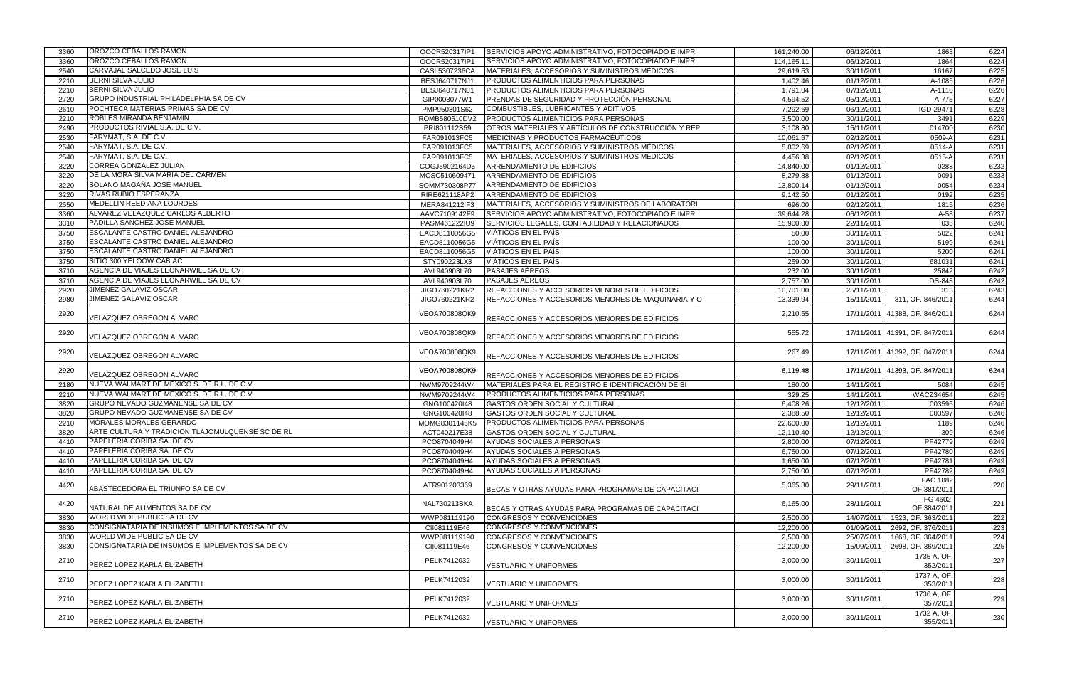| 3360 | OROZCO CEBALLOS RAMON                            | OOCR520317IP1 | SERVICIOS APOYO ADMINISTRATIVO, FOTOCOPIADO E IMPR | 161,240.00 | 06/12/2011              | 1863                           | 6224 |
|------|--------------------------------------------------|---------------|----------------------------------------------------|------------|-------------------------|--------------------------------|------|
| 3360 | OROZCO CEBALLOS RAMON                            | OOCR520317IP1 | SERVICIOS APOYO ADMINISTRATIVO, FOTOCOPIADO E IMPR | 114,165.11 | 06/12/2011              | 1864                           | 6224 |
| 2540 | CARVAJAL SALCEDO JOSE LUIS                       | CASL5307236CA | MATERIALES, ACCESORIOS Y SUMINISTROS MÉDICOS       | 29,619.53  | 30/11/2011              | 16167                          | 6225 |
| 2210 | <b>BERNI SILVA JULIO</b>                         | BESJ640717NJ1 | PRODUCTOS ALIMENTICIOS PARA PERSONAS               | 1,402.46   | 01/12/2011              | A-1085                         | 6226 |
| 2210 | <b>BERNI SILVA JULIO</b>                         | BESJ640717NJ1 | PRODUCTOS ALIMENTICIOS PARA PERSONAS               | 1,791.04   | 07/12/2011              | A-1110                         | 6226 |
| 2720 | GRUPO INDUSTRIAL PHILADELPHIA SA DE CV           | GIP0003077W1  | PRENDAS DE SEGURIDAD Y PROTECCIÓN PERSONAL         | 4,594.52   | 05/12/2011              | A-775                          | 6227 |
| 2610 | POCHTECA MATERIAS PRIMAS SA DE CV                | PMP950301S62  | COMBUSTIBLES, LUBRICANTES Y ADITIVOS               | 7,292.69   | 06/12/2011              | IGD-29471                      | 6228 |
| 2210 | ROBLES MIRANDA BENJAMIN                          | ROMB580510DV2 | PRODUCTOS ALIMENTICIOS PARA PERSONAS               | 3,500.00   | 30/11/2011              | 3491                           | 6229 |
| 2490 | PRODUCTOS RIVIAL S.A. DE C.V.                    |               | OTROS MATERIALES Y ARTÍCULOS DE CONSTRUCCIÓN Y REP |            | 15/11/2011              | 014700                         | 6230 |
|      | FARYMAT, S.A. DE C.V.                            | PRI801112S59  |                                                    | 3,108.80   |                         |                                |      |
| 2530 |                                                  | FAR091013FC5  | MEDICINAS Y PRODUCTOS FARMACÉUTICOS                | 10,061.67  | 02/12/2011              | 0509-A                         | 6231 |
| 2540 | FARYMAT, S.A. DE C.V.                            | FAR091013FC5  | MATERIALES, ACCESORIOS Y SUMINISTROS MÉDICOS       | 5,802.69   | 02/12/2011              | 0514-A                         | 6231 |
| 2540 | FARYMAT, S.A. DE C.V.                            | FAR091013FC5  | MATERIALES, ACCESORIOS Y SUMINISTROS MÉDICOS       | 4,456.38   | 02/12/2011              | $0515 - A$                     | 6231 |
| 3220 | <b>CORREA GONZALEZ JULIAN</b>                    | COGJ5902164D5 | ARRENDAMIENTO DE EDIFICIOS                         | 14,840.00  | 01/12/2011              | 0288                           | 6232 |
| 3220 | DE LA MORA SILVA MARIA DEL CARMEN                | MOSC510609471 | ARRENDAMIENTO DE EDIFICIOS                         | 8,279.88   | 01/12/2011              | 0091                           | 6233 |
| 3220 | SOLANO MAGAÑA JOSE MANUEL                        | SOMM730308P77 | ARRENDAMIENTO DE EDIFICIOS                         | 13,800.14  | 01/12/2011              | 0054                           | 6234 |
| 3220 | RIVAS RUBIO ESPERANZA                            | RIRE621118AP2 | ARRENDAMIENTO DE EDIFICIOS                         | 9,142.50   | 01/12/2011              | 0192                           | 6235 |
| 2550 | MEDELLIN REED ANA LOURDES                        | MERA841212IF3 | MATERIALES, ACCESORIOS Y SUMINISTROS DE LABORATORI | 696.00     | 02/12/2011              | 1815                           | 6236 |
| 3360 | ALVAREZ VELAZQUEZ CARLOS ALBERTO                 | AAVC7109142F9 | SERVICIOS APOYO ADMINISTRATIVO, FOTOCOPIADO E IMPR | 39,644.28  | 06/12/2011              | $A-58$                         | 6237 |
| 3310 | PADILLA SANCHEZ JOSE MANUEL                      | PASM461222IU9 | SERVICIOS LEGALES, CONTABILIDAD Y RELACIONADOS     | 15,900.00  | 22/11/2011              | $\overline{035}$               | 6240 |
| 3750 | <b>ESCALANTE CASTRO DANIEL ALEJANDRO</b>         | EACD8110056G5 | VIÁTICOS EN EL PAÍS                                | 50.00      | 30/11/2011              | 5022                           | 6241 |
| 3750 | ESCALANTE CASTRO DANIEL ALEJANDRO                | EACD8110056G5 | VIÁTICOS EN EL PAÍS                                | 100.00     | 30/11/2011              | 5199                           | 6241 |
| 3750 | ESCALANTE CASTRO DANIEL ALEJANDRO                | EACD8110056G5 | VIÁTICOS EN EL PAÍS                                | 100.00     | 30/11/2011              | 5200                           | 6241 |
| 3750 | SITIO 300 YELOOW CAB AC                          | STY090223LX3  | VIÁTICOS EN EL PAÍS                                | 259.00     | $\overline{30/11/2011}$ | 681031                         | 6241 |
| 3710 | AGENCIA DE VIAJES LEONARWILL SA DE CV            | AVL940903L70  | <b>PASAJES AÉREOS</b>                              | 232.00     | 30/11/2011              | 25842                          | 6242 |
| 3710 | AGENCIA DE VIAJES LEONARWILL SA DE CV            | AVL940903L70  | <b>PASAJES AÉREOS</b>                              | 2,757.00   | 30/11/2011              | <b>DS-848</b>                  | 6242 |
| 2920 | JIMENEZ GALAVIZ OSCAR                            | JIGO760221KR2 | REFACCIONES Y ACCESORIOS MENORES DE EDIFICIOS      | 10,701.00  | 25/11/2011              | 313                            | 6243 |
| 2980 | <b>JIMENEZ GALAVIZ OSCAR</b>                     | JIGO760221KR2 | REFACCIONES Y ACCESORIOS MENORES DE MAQUINARIA Y O | 13,339.94  | 15/11/2011              | 311, OF. 846/2011              | 6244 |
|      |                                                  |               |                                                    |            |                         |                                |      |
| 2920 | VELAZQUEZ OBREGON ALVARO                         | VEOA700808QK9 | REFACCIONES Y ACCESORIOS MENORES DE EDIFICIOS      | 2,210.55   |                         | 17/11/2011 41388, OF. 846/2011 | 6244 |
|      |                                                  |               |                                                    |            |                         |                                |      |
| 2920 | VELAZQUEZ OBREGON ALVARO                         | VEOA700808QK9 | REFACCIONES Y ACCESORIOS MENORES DE EDIFICIOS      | 555.72     |                         | 17/11/2011 41391, OF. 847/2011 | 6244 |
|      |                                                  |               |                                                    |            |                         |                                |      |
| 2920 | VELAZQUEZ OBREGON ALVARO                         | VEOA700808QK9 | REFACCIONES Y ACCESORIOS MENORES DE EDIFICIOS      | 267.49     |                         | 17/11/2011 41392, OF. 847/2011 | 6244 |
|      |                                                  |               |                                                    |            |                         |                                |      |
| 2920 | VELAZQUEZ OBREGON ALVARO                         | VEOA700808QK9 |                                                    | 6,119.48   |                         | 17/11/2011 41393, OF. 847/2011 | 6244 |
|      | NUEVA WALMART DE MEXICO S. DE R.L. DE C.V.       |               | REFACCIONES Y ACCESORIOS MENORES DE EDIFICIOS      |            |                         |                                |      |
| 2180 |                                                  | NWM9709244W4  | MATERIALES PARA EL REGISTRO E IDENTIFICACIÓN DE BI | 180.00     | 14/11/2011              | 5084                           | 6245 |
| 2210 | NUEVA WALMART DE MEXICO S. DE R.L. DE C.V.       | NWM9709244W4  | PRODUCTOS ALIMENTICIOS PARA PERSONAS               | 329.25     | 14/11/2011              | <b>WACZ34654</b>               | 6245 |
| 3820 | GRUPO NEVADO GUZMANENSE SA DE CV                 | GNG100420I48  | GASTOS ORDEN SOCIAL Y CULTURAL                     | 6,408.26   | 12/12/2011              | 003596                         | 6246 |
| 3820 | GRUPO NEVADO GUZMANENSE SA DE CV                 | GNG100420I48  | GASTOS ORDEN SOCIAL Y CULTURAL                     | 2,388.50   | 12/12/2011              | 003597                         | 6246 |
| 2210 | MORALES MORALES GERARDO                          | MOMG8301145K5 | PRODUCTOS ALIMENTICIOS PARA PERSONAS               | 22,600.00  | 12/12/2011              | 1189                           | 6246 |
| 3820 | ARTE CULTURA Y TRADICION TLAJOMULQUENSE SC DE RL | ACT040217E38  | GASTOS ORDEN SOCIAL Y CULTURAL                     | 12,110.40  | 12/12/2011              | 309                            | 6246 |
| 4410 | PAPELERIA CORIBA SA DE CV                        | PCO8704049H4  | AYUDAS SOCIALES A PERSONAS                         | 2,800.00   | 07/12/2011              | PF42779                        | 6249 |
| 4410 | PAPELERIA CORIBA SA DE CV                        | PCO8704049H4  | AYUDAS SOCIALES A PERSONAS                         | 6,750.00   | 07/12/2011              | PF42780                        | 6249 |
| 4410 | PAPELERIA CORIBA SA DE CV                        | PCO8704049H4  | AYUDAS SOCIALES A PERSONAS                         | 1,650.00   | 07/12/2011              | PF42781                        | 6249 |
| 4410 | PAPELERIA CORIBA SA DE CV                        | PCO8704049H4  | AYUDAS SOCIALES A PERSONAS                         | 2,750.00   | 07/12/2011              | PF42782                        | 6249 |
| 4420 |                                                  | ATR901203369  |                                                    | 5,365.80   | 29/11/2011              | <b>FAC 1882</b>                | 220  |
|      | ABASTECEDORA EL TRIUNFO SA DE CV                 |               | BECAS Y OTRAS AYUDAS PARA PROGRAMAS DE CAPACITACI  |            |                         | OF.381/2011                    |      |
|      |                                                  |               |                                                    |            |                         | FG 4602,                       |      |
| 4420 | NATURAL DE ALIMENTOS SA DE CV                    | NAL730213BKA  | BECAS Y OTRAS AYUDAS PARA PROGRAMAS DE CAPACITACI  | 6,165.00   | 28/11/2011              | OF.384/2011                    | 221  |
| 3830 | <b>WORLD WIDE PUBLIC SA DE CV</b>                | WWP081119190  | CONGRESOS Y CONVENCIONES                           | 2,500.00   | 14/07/2011              | 1523, OF. 363/2011             | 222  |
| 3830 | CONSIGNATARIA DE INSUMOS E IMPLEMENTOS SA DE CV  | CII081119E46  | CONGRESOS Y CONVENCIONES                           | 12,200.00  | 01/09/2011              | 2692, OF. 376/2011             | 223  |
| 3830 | WORLD WIDE PUBLIC SA DE CV                       | WWP081119190  | CONGRESOS Y CONVENCIONES                           | 2,500.00   | 25/07/2011              | 1668, OF. 364/2011             | 224  |
| 3830 | CONSIGNATARIA DE INSUMOS E IMPLEMENTOS SA DE CV  | CII081119E46  | CONGRESOS Y CONVENCIONES                           | 12,200.00  | 15/09/2011              | 2698, OF. 369/2011             | 225  |
|      |                                                  |               |                                                    |            |                         | 1735 A, OF.                    |      |
| 2710 | PEREZ LOPEZ KARLA ELIZABETH                      | PELK7412032   | <b>VESTUARIO Y UNIFORMES</b>                       | 3,000.00   | 30/11/2011              | 352/2011                       | 227  |
|      |                                                  |               |                                                    |            |                         | 1737 A, OF.                    |      |
| 2710 | PEREZ LOPEZ KARLA ELIZABETH                      | PELK7412032   | <b>VESTUARIO Y UNIFORMES</b>                       | 3,000.00   | 30/11/2011              | 353/2011                       | 228  |
|      |                                                  |               |                                                    |            |                         | 1736 A, OF.                    |      |
| 2710 | PEREZ LOPEZ KARLA ELIZABETH                      | PELK7412032   | <b>VESTUARIO Y UNIFORMES</b>                       | 3,000.00   | 30/11/2011              | 357/2011                       | 229  |
|      |                                                  |               |                                                    |            |                         | 1732 A, OF.                    |      |
| 2710 | PEREZ LOPEZ KARLA ELIZABETH                      | PELK7412032   | <b>VESTUARIO Y UNIFORMES</b>                       | 3,000.00   | 30/11/2011              | 355/2011                       | 230  |
|      |                                                  |               |                                                    |            |                         |                                |      |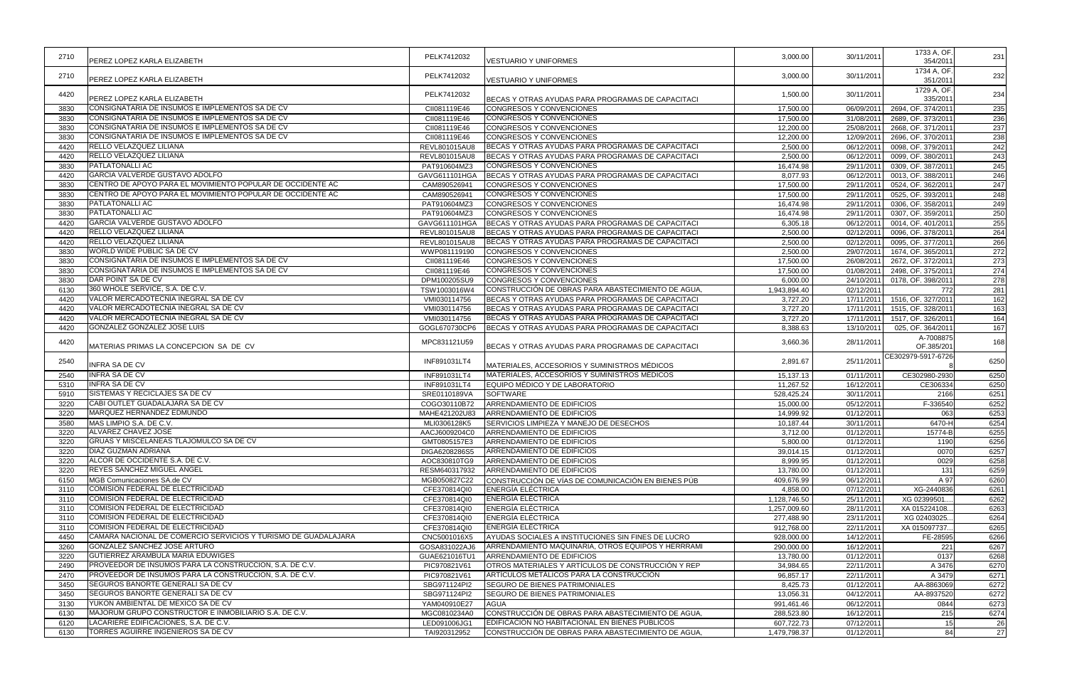|      |                                                                | PELK7412032   |                                                    | 3,000.00     | 30/11/2011 | 1733 A, OF.            | 231  |
|------|----------------------------------------------------------------|---------------|----------------------------------------------------|--------------|------------|------------------------|------|
| 2710 | PEREZ LOPEZ KARLA ELIZABETH                                    |               | <b>VESTUARIO Y UNIFORMES</b>                       |              |            | 354/2011               |      |
| 2710 | PEREZ LOPEZ KARLA ELIZABETH                                    | PELK7412032   |                                                    | 3,000.00     | 30/11/2011 | 1734 A, OF.            | 232  |
|      |                                                                |               | <b>VESTUARIO Y UNIFORMES</b>                       |              |            | 351/2011<br>1729 A, OF |      |
| 4420 | PEREZ LOPEZ KARLA ELIZABETH                                    | PELK7412032   | IBECAS Y OTRAS AYUDAS PARA PROGRAMAS DE CAPACITACI | 1,500.00     | 30/11/2011 | 335/2011               | 234  |
| 3830 | CONSIGNATARIA DE INSUMOS E IMPLEMENTOS SA DE CV                | CII081119E46  | CONGRESOS Y CONVENCIONES                           | 17,500.00    | 06/09/2011 | 2694, OF. 374/2011     | 235  |
| 3830 | CONSIGNATARIA DE INSUMOS E IMPLEMENTOS SA DE CV                | CII081119E46  | CONGRESOS Y CONVENCIONES                           | 17,500.00    | 31/08/2011 | 2689, OF. 373/2011     | 236  |
| 3830 | CONSIGNATARIA DE INSUMOS E IMPLEMENTOS SA DE CV                | CII081119E46  | CONGRESOS Y CONVENCIONES                           | 12,200.00    | 25/08/2011 | 2668, OF. 371/2011     | 237  |
| 3830 | CONSIGNATARIA DE INSUMOS E IMPLEMENTOS SA DE CV                | CII081119E46  | CONGRESOS Y CONVENCIONES                           | 12,200.00    | 12/09/2011 | 2696, OF. 370/2011     | 238  |
| 4420 | RELLO VELAZQUEZ LILIANA                                        | REVL801015AU8 | IBECAS Y OTRAS AYUDAS PARA PROGRAMAS DE CAPACITACI | 2,500.00     | 06/12/2011 | 0098, OF. 379/2011     | 242  |
| 4420 | RELLO VELAZQUEZ LILIANA                                        | REVL801015AU8 | BECAS Y OTRAS AYUDAS PARA PROGRAMAS DE CAPACITACI  | 2,500.00     | 06/12/2011 | 0099, OF. 380/2011     | 243  |
| 3830 | <b>PATLATONALLI AC</b>                                         | PAT910604MZ3  | CONGRESOS Y CONVENCIONES                           | 16,474.98    | 29/11/2011 | 0309, OF. 387/2011     | 245  |
| 4420 | GARCIA VALVERDE GUSTAVO ADOLFO                                 | GAVG611101HGA | BECAS Y OTRAS AYUDAS PARA PROGRAMAS DE CAPACITACI  | 8,077.93     | 06/12/2011 | 0013, OF. 388/2011     | 246  |
| 3830 | CENTRO DE APOYO PARA EL MOVIMIENTO POPULAR DE OCCIDENTE AC     | CAM890526941  | CONGRESOS Y CONVENCIONES                           | 17,500.00    | 29/11/2011 | 0524, OF. 362/2011     | 247  |
| 3830 | CENTRO DE APOYO PARA EL MOVIMIENTO POPULAR DE OCCIDENTE AC     | CAM890526941  | CONGRESOS Y CONVENCIONES                           | 17,500.00    | 29/11/2011 | 0525, OF. 393/2011     | 248  |
| 3830 | <b>PATLATONALLI AC</b>                                         | PAT910604MZ3  | CONGRESOS Y CONVENCIONES                           | 16,474.98    | 29/11/2011 | 0306, OF. 358/2011     | 249  |
| 3830 | <b>PATLATONALLI AC</b>                                         | PAT910604MZ3  | CONGRESOS Y CONVENCIONES                           | 16,474.98    | 29/11/2011 | 0307, OF. 359/2011     | 250  |
| 4420 | GARCIA VALVERDE GUSTAVO ADOLFO                                 | GAVG611101HGA | BECAS Y OTRAS AYUDAS PARA PROGRAMAS DE CAPACITACI  | 6,305.18     | 06/12/2011 | 0014, OF. 401/2011     | 255  |
| 4420 | RELLO VELAZQUEZ LILIANA                                        | REVL801015AU8 | BECAS Y OTRAS AYUDAS PARA PROGRAMAS DE CAPACITACI  | 2,500.00     | 02/12/2011 | 0096, OF. 378/2011     | 264  |
| 4420 | RELLO VELAZQUEZ LILIANA                                        | REVL801015AU8 | BECAS Y OTRAS AYUDAS PARA PROGRAMAS DE CAPACITACI  | 2,500.00     | 02/12/2011 | 0095, OF. 377/2011     | 266  |
| 3830 | WORLD WIDE PUBLIC SA DE CV                                     | WWP081119190  | CONGRESOS Y CONVENCIONES                           | 2,500.00     | 29/07/2011 | 1674, OF. 365/2011     | 272  |
| 3830 | CONSIGNATARIA DE INSUMOS E IMPLEMENTOS SA DE CV                | CII081119E46  | CONGRESOS Y CONVENCIONES                           | 17,500.00    | 26/08/2011 | 2672, OF. 372/2011     | 273  |
| 3830 | CONSIGNATARIA DE INSUMOS E IMPLEMENTOS SA DE CV                | CII081119E46  | CONGRESOS Y CONVENCIONES                           | 17,500.00    | 01/08/2011 | 2498, OF. 375/2011     | 274  |
| 3830 | DAR POINT SA DE CV                                             | DPM100205SU9  | CONGRESOS Y CONVENCIONES                           | 6,000.00     | 24/10/2011 | 0178, OF. 398/2011     | 278  |
| 6130 | 360 WHOLE SERVICE, S.A. DE C.V.                                | TSW1003016W4  | CONSTRUCCIÓN DE OBRAS PARA ABASTECIMIENTO DE AGUA  | 1,943,894.40 | 02/12/2011 | 772                    | 281  |
| 4420 | VALOR MERCADOTECNIA INEGRAL SA DE CV                           | VMI030114756  | BECAS Y OTRAS AYUDAS PARA PROGRAMAS DE CAPACITACI  | 3,727.20     | 17/11/2011 | 1516, OF. 327/2011     | 162  |
| 4420 | VALOR MERCADOTECNIA INEGRAL SA DE CV                           | VMI030114756  | BECAS Y OTRAS AYUDAS PARA PROGRAMAS DE CAPACITACI  | 3,727.20     | 17/11/2011 | 1515, OF. 328/2011     | 163  |
| 4420 | VALOR MERCADOTECNIA INEGRAL SA DE CV                           | VMI030114756  | BECAS Y OTRAS AYUDAS PARA PROGRAMAS DE CAPACITACI  | 3,727.20     | 17/11/2011 | 1517, OF. 326/2011     | 164  |
| 4420 | <b>GONZALEZ GONZALEZ JOSE LUIS</b>                             | GOGL670730CP6 | BECAS Y OTRAS AYUDAS PARA PROGRAMAS DE CAPACITACI  | 8,388.63     | 13/10/2011 | 025, OF. 364/2011      | 167  |
|      |                                                                |               |                                                    |              |            | A-7008875              |      |
| 4420 | MATERIAS PRIMAS LA CONCEPCION SA DE CV                         | MPC831121U59  | BECAS Y OTRAS AYUDAS PARA PROGRAMAS DE CAPACITACI  | 3,660.36     | 28/11/2011 | OF.385/201             | 168  |
|      |                                                                |               |                                                    |              |            | CE302979-5917-6726     |      |
| 2540 | INFRA SA DE CV                                                 | INF891031LT4  | MATERIALES, ACCESORIOS Y SUMINISTROS MÉDICOS       | 2,891.67     | 25/11/2011 |                        | 6250 |
| 2540 | <b>INFRA SA DE CV</b>                                          | INF891031LT4  | MATERIALES, ACCESORIOS Y SUMINISTROS MÉDICOS       | 15,137.13    | 01/11/2011 | CE302980-2930          | 6250 |
| 5310 | <b>INFRA SA DE CV</b>                                          | INF891031LT4  | EQUIPO MÉDICO Y DE LABORATORIO                     | 11,267.52    | 16/12/2011 | CE306334               | 6250 |
| 5910 | SISTEMAS Y RECICLAJES SA DE CV                                 | SRE0110189VA  | <b>SOFTWARE</b>                                    | 528,425.24   | 30/11/2011 | 2166                   | 6251 |
| 3220 | CABI OUTLET GUADALAJARA SA DE CV                               | COGO30110B72  | ARRENDAMIENTO DE EDIFICIOS                         | 15,000.00    | 05/12/2011 | F-336540               | 6252 |
| 3220 | MARQUEZ HERNANDEZ EDMUNDO                                      | MAHE421202U83 | ARRENDAMIENTO DE EDIFICIOS                         | 14,999.92    | 01/12/2011 | 063                    | 6253 |
| 3580 | MAS LIMPIO S.A. DE C.V.                                        | MLI0306128K5  | <b>SERVICIOS LIMPIEZA Y MANEJO DE DESECHOS</b>     | 10,187.44    | 30/11/2011 | 6470-H                 | 6254 |
| 3220 | <b>ALVAREZ CHAVEZ JOSE</b>                                     | AACJ6009204C0 | ARRENDAMIENTO DE EDIFICIOS                         | 3,712.00     | 01/12/2011 | 15774-B                | 6255 |
| 3220 | GRUAS Y MISCELANEAS TLAJOMULCO SA DE CV                        | GMT0805157E3  | ARRENDAMIENTO DE EDIFICIOS                         | 5,800.00     | 01/12/2011 | 1190                   | 6256 |
| 3220 | <b>DIAZ GUZMAN ADRIANA</b>                                     | DIGA6208286S5 | ARRENDAMIENTO DE EDIFICIOS                         | 39,014.15    | 01/12/2011 | 0070                   | 6257 |
| 3220 | ALCOR DE OCCIDENTE S.A. DE C.V.                                | AOC830810TG9  | ARRENDAMIENTO DE EDIFICIOS                         | 8,999.95     | 01/12/2011 | 0029                   | 6258 |
| 3220 | <b>REYES SANCHEZ MIGUEL ANGEL</b>                              | RESM640317932 | ARRENDAMIENTO DE EDIFICIOS                         | 13,780.00    | 01/12/2011 | 131                    | 6259 |
| 6150 | MGB Comunicaciones SA.de CV                                    | MGB050827C22  | CONSTRUCCIÓN DE VÍAS DE COMUNICACIÓN EN BIENES PÚB | 409,676.99   | 06/12/2011 | A 97                   | 6260 |
| 3110 | COMISION FEDERAL DE ELECTRICIDAD                               | CFE370814QI0  | <b>ENERGÍA ELÉCTRICA</b>                           | 4,858.00     | 07/12/2011 | XG-2440836             | 6261 |
| 3110 | COMISION FEDERAL DE ELECTRICIDAD                               | CFE370814QI0  | <b>ENERGÍA ELÉCTRICA</b>                           | 1,128,746.50 | 25/11/2011 | XG 02399501.           | 6262 |
| 3110 | <b>COMISION FEDERAL DE ELECTRICIDAD</b>                        | CFE370814QI0  | <b>ENERGÍA ELÉCTRICA</b>                           | 1,257,009.60 | 28/11/2011 | XA 015224108.          | 6263 |
| 3110 | <b>COMISION FEDERAL DE ELECTRICIDAD</b>                        | CFE370814QI0  | <b>ENERGÍA ELÉCTRICA</b>                           | 277,488.90   | 23/11/2011 | XG 02403025.           | 6264 |
| 3110 | COMISION FEDERAL DE ELECTRICIDAD                               | CFE370814QI0  | <b>ENERGÍA ELÉCTRICA</b>                           | 912,768.00   | 22/11/2011 | XA 015097737.          | 6265 |
| 4450 | CAMARA NACIONAL DE COMERCIO SERVICIOS Y TURISMO DE GUADALAJARA | CNC5001016X5  | AYUDAS SOCIALES A INSTITUCIONES SIN FINES DE LUCRO | 928,000.00   | 14/12/2011 | FE-28595               | 6266 |
| 3260 | GONZALEZ SANCHEZ JOSE ARTURO                                   | GOSA831022AJ6 | ARRENDAMIENTO MAQUINARIA, OTROS EQUIPOS Y HERRRAMI | 290,000.00   | 16/12/2011 | 221                    | 6267 |
| 3220 | GUTIERREZ ARAMBULA MARIA EDUWIGES                              | GUAE621016TU1 | ARRENDAMIENTO DE EDIFICIOS                         | 13,780.00    | 01/12/2011 | 0137                   | 6268 |
| 2490 | <b>PROVEEDOR DE INSUMOS PARA LA CONSTRUCCION, S.A. DE C.V.</b> | PIC970821V61  | OTROS MATERIALES Y ARTÍCULOS DE CONSTRUCCIÓN Y REP | 34,984.65    | 22/11/2011 | A 3476                 | 6270 |
| 2470 | <b>PROVEEDOR DE INSUMOS PARA LA CONSTRUCCION, S.A. DE C.V.</b> | PIC970821V61  | ARTÍCULOS METÁLICOS PARA LA CONSTRUCCIÓN           | 96,857.17    | 22/11/2011 | A 3479                 | 6271 |
| 3450 | SEGUROS BANORTE GENERALI SA DE CV                              | SBG971124PI2  | SEGURO DE BIENES PATRIMONIALES                     | 8,425.73     | 01/12/2011 | AA-8863069             | 6272 |
| 3450 | SEGUROS BANORTE GENERALI SA DE CV                              | SBG971124PI2  | SEGURO DE BIENES PATRIMONIALES                     | 13,056.31    | 04/12/2011 | AA-8937520             | 6272 |
| 3130 | YUKON AMBIENTAL DE MEXICO SA DE CV                             | YAM040910E27  | AGUA                                               | 991,461.46   | 06/12/2011 | 0844                   | 6273 |
| 6130 | MAJORUM GRUPO CONSTRUCTOR E INMOBILIARIO S.A. DE C.V.          | MGC0810234A0  | CONSTRUCCIÓN DE OBRAS PARA ABASTECIMIENTO DE AGUA, | 288,523.80   | 16/12/2011 | 215                    | 6274 |
| 6120 | LACARIERE EDIFICACIONES, S.A. DE C.V.                          | LED091006JG1  | EDIFICACION NO HABITACIONAL EN BIENES PUBLICOS     | 607,722.73   | 07/12/2011 | 15                     | 26   |
| 6130 | TORRES AGUIRRE INGENIEROS SA DE CV                             | TAI920312952  | CONSTRUCCIÓN DE OBRAS PARA ABASTECIMIENTO DE AGUA, | 1,479,798.37 | 01/12/2011 | 84                     | 27   |
|      |                                                                |               |                                                    |              |            |                        |      |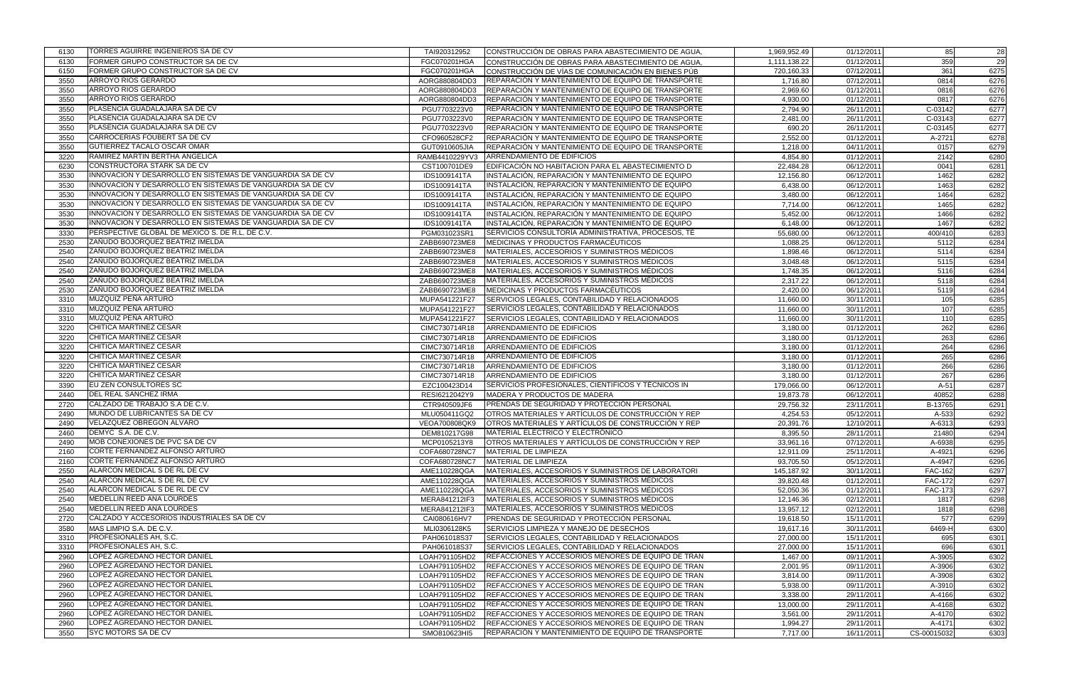| 6130         | TORRES AGUIRRE INGENIEROS SA DE CV                         | TAI920312952                  | CONSTRUCCIÓN DE OBRAS PARA ABASTECIMIENTO DE AGUA,                                           | 1,969,952.49           | 01/12/2011               | 85                               | 28           |
|--------------|------------------------------------------------------------|-------------------------------|----------------------------------------------------------------------------------------------|------------------------|--------------------------|----------------------------------|--------------|
| 6130         | FORMER GRUPO CONSTRUCTOR SA DE CV                          | FGC070201HGA                  | CONSTRUCCIÓN DE OBRAS PARA ABASTECIMIENTO DE AGUA.                                           | 1,111,138.22           | 01/12/2011               | 359                              | 29           |
| 6150         | FORMER GRUPO CONSTRUCTOR SA DE CV                          | FGC070201HGA                  | CONSTRUCCIÓN DE VÍAS DE COMUNICACIÓN EN BIENES PÚB                                           | 720,160.33             | 07/12/2011               | 361                              | 6275         |
| 3550         | <b>ARROYO RIOS GERARDO</b>                                 | AORG880804DD3                 | REPARACIÓN Y MANTENIMIENTO DE EQUIPO DE TRANSPORTE                                           | 1,716.80               | 07/12/2011               | 0814                             | 6276         |
| 3550         | ARROYO RIOS GERARDO                                        | AORG880804DD3                 | REPARACIÓN Y MANTENIMIENTO DE EQUIPO DE TRANSPORTE                                           | 2,969.60               | 01/12/2011               | 0816                             | 6276         |
| 3550         | ARROYO RIOS GERARDO                                        | AORG880804DD3                 | REPARACIÓN Y MANTENIMIENTO DE EQUIPO DE TRANSPORTE                                           | 4,930.00               | 01/12/2011               | 0817                             | 6276         |
| 3550         | PLASENCIA GUADALAJARA SA DE CV                             | PGU7703223V0                  | REPARACIÓN Y MANTENIMIENTO DE EQUIPO DE TRANSPORTE                                           | 2,794.90               | 26/11/2011               | C-03142                          | 6277         |
| 3550         | PLASENCIA GUADALAJARA SA DE CV                             | PGU7703223V0                  | REPARACIÓN Y MANTENIMIENTO DE EQUIPO DE TRANSPORTE                                           | 2,481.00               | 26/11/2011               | C-03143                          | 6277         |
| 3550         | PLASENCIA GUADALAJARA SA DE CV                             | PGU7703223V0                  | REPARACIÓN Y MANTENIMIENTO DE EQUIPO DE TRANSPORTE                                           | 690.20                 | 26/11/2011               | C-03145                          | 6277         |
| 3550         | <b>CARROCERIAS FOUBERT SA DE CV</b>                        | CFO960528CF2                  | REPARACIÓN Y MANTENIMIENTO DE EQUIPO DE TRANSPORTE                                           | 2,552.00               | 01/12/2011               | A-2721                           | 6278         |
| 3550         | GUTIERREZ TACALO OSCAR OMAR                                | GUT0910605JIA                 | REPARACIÓN Y MANTENIMIENTO DE EQUIPO DE TRANSPORTE                                           | 1,218.00               | 04/11/2011               | 0157                             | 6279         |
| 3220         | RAMIREZ MARTIN BERTHA ANGELICA                             | RAMB4410229YV3                | ARRENDAMIENTO DE EDIFICIOS                                                                   | 4,854.80               | 01/12/2011               | 2142                             | 6280         |
| 6230         | <b>CONSTRUCTORA STARK SA DE CV</b>                         | CST100701DE9                  | EDIFICACIÓN NO HABITACION PARA EL ABASTECIMIENTO D                                           | 22,484.28              | 06/12/2011               | 0041                             | 6281         |
| 3530         | INNOVACION Y DESARROLLO EN SISTEMAS DE VANGUARDIA SA DE CV | IDS1009141TA                  | INSTALACIÓN, REPARACIÓN Y MANTENIMIENTO DE EQUIPO                                            | 12,156.80              | 06/12/2011               | 1462                             | 6282         |
| 3530         | INNOVACION Y DESARROLLO EN SISTEMAS DE VANGUARDIA SA DE CV | IDS1009141TA                  | INSTALACIÓN, REPARACIÓN Y MANTENIMIENTO DE EQUIPO                                            | 6,438.00               | 06/12/2011               | 1463                             | 6282         |
| 3530         | INNOVACION Y DESARROLLO EN SISTEMAS DE VANGUARDIA SA DE CV | IDS1009141TA                  | INSTALACIÓN, REPARACIÓN Y MANTENIMIENTO DE EQUIPO                                            | 3,480.00               | 06/12/2011               | 1464                             | 6282         |
| 3530         | INNOVACION Y DESARROLLO EN SISTEMAS DE VANGUARDIA SA DE CV | IDS1009141TA                  | INSTALACIÓN, REPARACIÓN Y MANTENIMIENTO DE EQUIPO                                            | 7,714.00               | 06/12/2011               | 1465                             | 6282         |
| 3530         | INNOVACION Y DESARROLLO EN SISTEMAS DE VANGUARDIA SA DE CV | IDS1009141TA                  | INSTALACIÓN, REPARACIÓN Y MANTENIMIENTO DE EQUIPO                                            | 5,452.00               | 06/12/2011               | 1466                             | 6282         |
| 3530         | INNOVACION Y DESARROLLO EN SISTEMAS DE VANGUARDIA SA DE CV | IDS1009141TA                  | INSTALACIÓN, REPARACIÓN Y MANTENIMIENTO DE EQUIPO                                            | 6,148.00               | 06/12/2011               | 1467                             | 6282         |
| 3330         | PERSPECTIVE GLOBAL DE MEXICO S. DE R.L. DE C.V.            | PGM031023SR1                  | SERVICIOS CONSULTORÍA ADMINISTRATIVA, PROCESOS, TÉ                                           | 55,680.00              | 06/12/2011               | 400/410                          | 6283         |
| 2530         | ZAÑUDO BOJORQUEZ BEATRIZ IMELDA                            | ZABB690723ME8                 | MEDICINAS Y PRODUCTOS FARMACÉUTICOS                                                          | 1,088.25               | 06/12/2011               | 5112                             | 6284         |
| 2540         | ZAÑUDO BOJORQUEZ BEATRIZ IMELDA                            | ZABB690723ME8                 | MATERIALES, ACCESORIOS Y SUMINISTROS MÉDICOS                                                 | 1,898.46               | 06/12/2011               | 5114                             | 6284         |
| 2540         | ZAÑUDO BOJORQUEZ BEATRIZ IMELDA                            | ZABB690723ME8                 | MATERIALES, ACCESORIOS Y SUMINISTROS MÉDICOS                                                 | 3,048.48               | 06/12/2011               | 5115                             | 6284         |
| 2540         | ZAÑUDO BOJORQUEZ BEATRIZ IMELDA                            | ZABB690723ME8                 | MATERIALES, ACCESORIOS Y SUMINISTROS MÉDICOS                                                 | 1,748.35               | 06/12/2011               | 5116                             | 6284         |
| 2540         | ZAÑUDO BOJORQUEZ BEATRIZ IMELDA                            | ZABB690723ME8                 | MATERIALES, ACCESORIOS Y SUMINISTROS MÉDICOS                                                 | 2,317.22               | 06/12/2011               | 5118                             | 6284         |
| 2530         | ZAÑUDO BOJORQUEZ BEATRIZ IMELDA                            | ZABB690723ME8                 | MEDICINAS Y PRODUCTOS FARMACÉUTICOS                                                          | 2,420.00               | 06/12/2011               | 5119                             | 6284         |
| 3310         | <b>MUZQUIZ PEÑA ARTURO</b>                                 | MUPA541221F27                 | SERVICIOS LEGALES, CONTABILIDAD Y RELACIONADOS                                               | 11,660.00              | 30/11/2011               | 105                              | 6285         |
| 3310         | MUZQUIZ PEÑA ARTURO                                        | MUPA541221F27                 | SERVICIOS LEGALES, CONTABILIDAD Y RELACIONADOS                                               | 11,660.00              | 30/11/2011               | 107                              | 6285         |
| 3310         | MUZQUIZ PEÑA ARTURO                                        | MUPA541221F27                 | SERVICIOS LEGALES, CONTABILIDAD Y RELACIONADOS                                               | 11,660.00              | 30/11/2011               | 110                              | 6285         |
| 3220         | CHITICA MARTINEZ CESAR                                     | CIMC730714R18                 | ARRENDAMIENTO DE EDIFICIOS                                                                   | 3,180.00               | 01/12/2011               | 262                              | 6286         |
| 3220         | CHITICA MARTINEZ CESAR                                     | CIMC730714R18                 | ARRENDAMIENTO DE EDIFICIOS                                                                   | 3,180.00               | 01/12/2011               | 263                              | 6286         |
| 3220         | CHITICA MARTINEZ CESAR                                     | CIMC730714R18                 | ARRENDAMIENTO DE EDIFICIOS                                                                   | 3,180.00               | 01/12/2011               | 264                              | 6286         |
| 3220         | CHITICA MARTINEZ CESAR                                     | CIMC730714R18                 | ARRENDAMIENTO DE EDIFICIOS                                                                   | 3,180.00               | 01/12/2011               | 265                              | 6286         |
| 3220         | CHITICA MARTINEZ CESAR                                     | CIMC730714R18                 | ARRENDAMIENTO DE EDIFICIOS                                                                   | 3,180.00               | 01/12/2011               | 266                              | 6286         |
| 3220         | CHITICA MARTINEZ CESAR                                     | CIMC730714R18                 | <b>ARRENDAMIENTO DE EDIFICIOS</b>                                                            | 3,180.00               | 01/12/2011               | 267                              | 6286         |
| 3390         | <b>EU ZEN CONSULTORES SC</b>                               | EZC100423D14                  | SERVICIOS PROFESIONALES, CIENTIFICOS Y TÉCNICOS IN                                           | 179,066.00             | 06/12/2011               | $A-51$                           | 6287         |
| 2440         | DEL REAL SANCHEZ IRMA                                      | RESI6212042Y9                 | MADERA Y PRODUCTOS DE MADERA                                                                 | 19,873.78              | 06/12/2011               | 40852                            | 6288         |
| 2720         | CALZADO DE TRABAJO S.A DE C.V.                             | CTR940509JF6                  | <b>PRENDAS DE SEGURIDAD Y PROTECCIÓN PERSONAL</b>                                            | 29,756.32              | 23/11/2011               | B-13765                          | 6291         |
| 2490         | MUNDO DE LUBRICANTES SA DE CV                              | MLU050411GQ2                  | OTROS MATERIALES Y ARTÍCULOS DE CONSTRUCCIÓN Y REP                                           | 4,254.53               | 05/12/2011               | A-533                            | 6292         |
| 2490         | <b>VELAZQUEZ OBREGON ALVARO</b>                            | VEOA700808QK9                 | OTROS MATERIALES Y ARTÍCULOS DE CONSTRUCCIÓN Y REP                                           | 20,391.76              | 12/10/2011               | A-6313                           | 6293         |
| 2460         | DEMYC S.A. DE C.V.                                         | DEM810217G98                  | MATERIAL ELÉCTRICO Y ELECTRÓNICO                                                             | 8,395.50               | 28/11/2011               | 21480                            | 6294         |
| 2490         | MOB CONEXIONES DE PVC SA DE CV                             | MCP0105213Y8                  | OTROS MATERIALES Y ARTÍCULOS DE CONSTRUCCIÓN Y REP                                           | 33,961.16              | 07/12/2011               | A-6938                           | 6295         |
| 2160         | CORTE FERNANDEZ ALFONSO ARTURO                             | COFA680728NC7                 | MATERIAL DE LIMPIEZA                                                                         | 12,911.09              | 25/11/2011               | A-4921                           | 6296         |
|              | CORTE FERNANDEZ ALFONSO ARTURO                             | COFA680728NC7                 | MATERIAL DE LIMPIEZA                                                                         |                        | 05/12/2011               | A-4947                           | 6296         |
| 2160<br>2550 | ALARCON MEDICAL S DE RL DE CV                              |                               | MATERIALES, ACCESORIOS Y SUMINISTROS DE LABORATORI                                           | 93,705.50              | 30/11/2011               | <b>FAC-162</b>                   | 6297         |
|              | ALARCON MEDICAL S DE RL DE CV                              | AME110228QGA                  |                                                                                              | 145,187.92             |                          |                                  |              |
| 2540<br>2540 | ALARCON MEDICAL S DE RL DE CV                              | AME110228QGA<br>AME110228QGA  | MATERIALES, ACCESORIOS Y SUMINISTROS MÉDICOS<br>MATERIALES, ACCESORIOS Y SUMINISTROS MÉDICOS | 39,820.48<br>52,050.36 | 01/12/2011<br>01/12/2011 | <b>FAC-172</b><br><b>FAC-173</b> | 6297<br>6297 |
|              | MEDELLIN REED ANA LOURDES                                  |                               | MATERIALES, ACCESORIOS Y SUMINISTROS MÉDICOS                                                 |                        |                          |                                  |              |
| 2540         | MEDELLIN REED ANA LOURDES                                  | MERA841212IF3                 | MATERIALES, ACCESORIOS Y SUMINISTROS MÉDICOS                                                 | 12,146.36              | 02/12/2011<br>02/12/2011 | 1817                             | 6298         |
| 2540<br>2720 | CALZADO Y ACCESORIOS INDUSTRIALES SA DE CV                 | MERA841212IF3<br>CAI080616HV7 | PRENDAS DE SEGURIDAD Y PROTECCIÓN PERSONAL                                                   | 13,957.12<br>19,618.50 | 15/11/2011               | 1818<br>577                      | 6298<br>6299 |
|              | MAS LIMPIO S.A. DE C.V.                                    |                               |                                                                                              |                        |                          | 6469-H                           |              |
| 3580         | <b>PROFESIONALES AH, S.C.</b>                              | MLI0306128K5                  | <b>SERVICIOS LIMPIEZA Y MANEJO DE DESECHOS</b>                                               | 19,617.16              | 30/11/2011               |                                  | 6300         |
| 3310         | <b>PROFESIONALES AH, S.C.</b>                              | PAH061018S37                  | SERVICIOS LEGALES, CONTABILIDAD Y RELACIONADOS                                               | 27,000.00              | 15/11/2011               | 695                              | 6301         |
| 3310         | LOPEZ AGREDANO HECTOR DANIEL                               | PAH061018S37                  | SERVICIOS LEGALES, CONTABILIDAD Y RELACIONADOS                                               | 27,000.00              | 15/11/2011               | 696                              | 6301         |
| 2960         | LOPEZ AGREDANO HECTOR DANIEL                               | LOAH791105HD2                 | REFACCIONES Y ACCESORIOS MENORES DE EQUIPO DE TRAN                                           | 1,467.00               | 09/11/2011               | A-3905                           | 6302         |
| 2960         | LOPEZ AGREDANO HECTOR DANIEL                               | LOAH791105HD2                 | REFACCIONES Y ACCESORIOS MENORES DE EQUIPO DE TRAN                                           | 2,001.95               | 09/11/2011               | A-3906                           | 6302         |
| 2960         | LOPEZ AGREDANO HECTOR DANIEL                               | LOAH791105HD2                 | <b>REFACCIONES Y ACCESORIOS MENORES DE EQUIPO DE TRAN</b>                                    | 3,814.00               | 09/11/2011               | A-3908                           | 6302         |
| 2960         |                                                            | LOAH791105HD2                 | <b>REFACCIONES Y ACCESORIOS MENORES DE EQUIPO DE TRAN</b>                                    | 5,938.00               | 09/11/2011               | A-3910                           | 6302         |
| 2960         | LOPEZ AGREDANO HECTOR DANIEL                               | LOAH791105HD2                 | REFACCIONES Y ACCESORIOS MENORES DE EQUIPO DE TRAN                                           | 3,338.00               | 29/11/2011               | A-4166                           | 6302         |
| 2960         | LOPEZ AGREDANO HECTOR DANIEL                               | LOAH791105HD2                 | REFACCIONES Y ACCESORIOS MENORES DE EQUIPO DE TRAN                                           | 13,000.00              | 29/11/2011               | A-4168                           | 6302         |
| 2960         | LOPEZ AGREDANO HECTOR DANIEL                               | LOAH791105HD2                 | REFACCIONES Y ACCESORIOS MENORES DE EQUIPO DE TRAN                                           | 3,561.00               | 29/11/2011               | A-4170                           | 6302         |
| 2960         | LOPEZ AGREDANO HECTOR DANIEL                               | LOAH791105HD2                 | REFACCIONES Y ACCESORIOS MENORES DE EQUIPO DE TRAN                                           | 1,994.27               | 29/11/2011               | A-4171                           | 6302         |
| 3550         | <b>SYC MOTORS SA DE CV</b>                                 | SMO810623HI5                  | REPARACIÓN Y MANTENIMIENTO DE EQUIPO DE TRANSPORTE                                           | 7,717.00               | 16/11/2011               | CS-00015032                      | 6303         |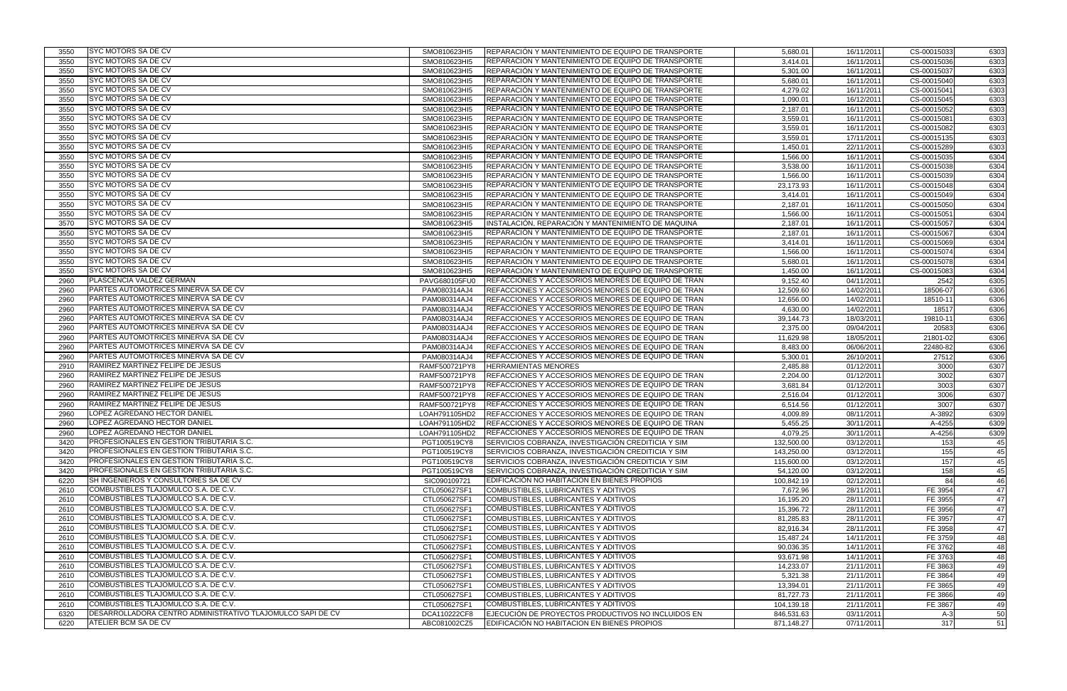| 3550 | <b>SYC MOTORS SA DE CV</b>                                 | SMO810623HI5                   | REPARACIÓN Y MANTENIMIENTO DE EQUIPO DE TRANSPORTE                                                              | 5,680.01   | 16/11/2011              | CS-00015033 | 6303 |
|------|------------------------------------------------------------|--------------------------------|-----------------------------------------------------------------------------------------------------------------|------------|-------------------------|-------------|------|
| 3550 | <b>ISYC MOTORS SA DE CV</b>                                | SMO810623HI5                   | REPARACIÓN Y MANTENIMIENTO DE EQUIPO DE TRANSPORTE                                                              | 3,414.01   | 16/11/2011              | CS-00015036 | 6303 |
| 3550 | <b>SYC MOTORS SA DE CV</b>                                 | SMO810623HI5                   | REPARACIÓN Y MANTENIMIENTO DE EQUIPO DE TRANSPORTE                                                              | 5,301.00   | 16/11/2011              | CS-00015037 | 6303 |
| 3550 | SYC MOTORS SA DE CV                                        | SMO810623HI5                   | REPARACIÓN Y MANTENIMIENTO DE EQUIPO DE TRANSPORTE                                                              | 5,680.01   | 16/11/2011              | CS-00015040 | 6303 |
| 3550 | <b>SYC MOTORS SA DE CV</b>                                 | SMO810623HI5                   | REPARACIÓN Y MANTENIMIENTO DE EQUIPO DE TRANSPORTE                                                              | 4,279.02   | 16/11/2011              | CS-00015041 | 6303 |
| 3550 | SYC MOTORS SA DE CV                                        | SMO810623HI5                   | REPARACIÓN Y MANTENIMIENTO DE EQUIPO DE TRANSPORTE                                                              | 1,090.01   | 16/12/2011              | CS-00015045 | 6303 |
| 3550 | <b>SYC MOTORS SA DE CV</b>                                 | SMO810623HI5                   | REPARACIÓN Y MANTENIMIENTO DE EQUIPO DE TRANSPORTE                                                              | 2,187.01   | 16/11/2011              | CS-00015052 | 6303 |
| 3550 | <b>SYC MOTORS SA DE CV</b>                                 | SMO810623HI5                   | REPARACIÓN Y MANTENIMIENTO DE EQUIPO DE TRANSPORTE                                                              | 3,559.01   | 16/11/2011              | CS-00015081 | 6303 |
| 3550 | <b>SYC MOTORS SA DE CV</b>                                 | SMO810623HI5                   |                                                                                                                 | 3,559.01   | 16/11/2011              | CS-00015082 |      |
|      | <b>SYC MOTORS SA DE CV</b>                                 |                                | REPARACIÓN Y MANTENIMIENTO DE EQUIPO DE TRANSPORTE                                                              |            |                         |             | 6303 |
| 3550 | <b>SYC MOTORS SA DE CV</b>                                 | SMO810623HI5                   | REPARACIÓN Y MANTENIMIENTO DE EQUIPO DE TRANSPORTE                                                              | 3,559.01   | $\frac{1}{17}/11/2011$  | CS-00015135 | 6303 |
| 3550 |                                                            | SMO810623HI5                   | REPARACIÓN Y MANTENIMIENTO DE EQUIPO DE TRANSPORTE                                                              | 1,450.01   | 22/11/2011              | CS-00015289 | 6303 |
| 3550 | <b>SYC MOTORS SA DE CV</b>                                 | SMO810623HI5                   | REPARACIÓN Y MANTENIMIENTO DE EQUIPO DE TRANSPORTE                                                              | 1,566.00   | 16/11/2011              | CS-00015035 | 6304 |
| 3550 | <b>SYC MOTORS SA DE CV</b>                                 | SMO810623HI5                   | REPARACIÓN Y MANTENIMIENTO DE EQUIPO DE TRANSPORTE                                                              | 3,538.00   | 16/11/2011              | CS-00015038 | 6304 |
| 3550 | <b>SYC MOTORS SA DE CV</b>                                 | SMO810623HI5                   | REPARACIÓN Y MANTENIMIENTO DE EQUIPO DE TRANSPORTE                                                              | 1,566.00   | 16/11/2011              | CS-00015039 | 6304 |
| 3550 | <b>SYC MOTORS SA DE CV</b>                                 | SMO810623HI5                   | REPARACIÓN Y MANTENIMIENTO DE EQUIPO DE TRANSPORTE                                                              | 23,173.93  | 16/11/2011              | CS-00015048 | 6304 |
| 3550 | <b>SYC MOTORS SA DE CV</b>                                 | SMO810623HI5                   | REPARACIÓN Y MANTENIMIENTO DE EQUIPO DE TRANSPORTE                                                              | 3,414.01   | 16/11/2011              | CS-00015049 | 6304 |
| 3550 | <b>SYC MOTORS SA DE CV</b>                                 | SMO810623HI5                   | REPARACIÓN Y MANTENIMIENTO DE EQUIPO DE TRANSPORTE                                                              | 2,187.01   | 16/11/2011              | CS-00015050 | 6304 |
| 3550 | <b>SYC MOTORS SA DE CV</b>                                 | SMO810623HI5                   | REPARACIÓN Y MANTENIMIENTO DE EQUIPO DE TRANSPORTE                                                              | 1,566.00   | 16/11/2011              | CS-00015051 | 6304 |
| 3570 | <b>SYC MOTORS SA DE CV</b>                                 | SMO810623HI5                   | INSTALACIÓN, REPARACIÓN Y MANTENIMIENTO DE MAQUINA                                                              | 2,187.01   | 16/11/2011              | CS-00015057 | 6304 |
| 3550 | <b>SYC MOTORS SA DE CV</b>                                 | SMO810623HI5                   | REPARACIÓN Y MANTENIMIENTO DE EQUIPO DE TRANSPORTE                                                              | 2,187.01   | 16/11/2011              | CS-00015067 | 6304 |
| 3550 | <b>SYC MOTORS SA DE CV</b>                                 | SMO810623HI5                   | REPARACIÓN Y MANTENIMIENTO DE EQUIPO DE TRANSPORTE                                                              | 3,414.01   | 16/11/2011              | CS-00015069 | 6304 |
| 3550 | <b>SYC MOTORS SA DE CV</b>                                 | SMO810623HI5                   | REPARACIÓN Y MANTENIMIENTO DE EQUIPO DE TRANSPORTE                                                              | 1,566.00   | 16/11/2011              | CS-00015074 | 6304 |
| 3550 | <b>SYC MOTORS SA DE CV</b>                                 | SMO810623HI5                   | REPARACIÓN Y MANTENIMIENTO DE EQUIPO DE TRANSPORTE                                                              | 5,680.01   | 16/11/2011              | CS-00015078 | 6304 |
| 3550 | <b>SYC MOTORS SA DE CV</b>                                 | SMO810623HI5                   | REPARACIÓN Y MANTENIMIENTO DE EQUIPO DE TRANSPORTE                                                              | 1,450.00   | 16/11/2011              | CS-00015083 | 6304 |
| 2960 | PLASCENCIA VALDEZ GERMAN                                   | PAVG680105FU0                  | REFACCIONES Y ACCESORIOS MENORES DE EQUIPO DE TRAN                                                              | 9,152.40   | 04/11/2011              | 2542        | 6305 |
| 2960 | PARTES AUTOMOTRICES MINERVA SA DE CV                       | PAM080314AJ4                   | REFACCIONES Y ACCESORIOS MENORES DE EQUIPO DE TRAN                                                              | 12,509.60  | 14/02/2011              | 18506-07    | 6306 |
| 2960 | PARTES AUTOMOTRICES MINERVA SA DE CV                       | PAM080314AJ4                   | REFACCIONES Y ACCESORIOS MENORES DE EQUIPO DE TRAN                                                              | 12,656.00  | 14/02/2011              | 18510-11    | 6306 |
| 2960 | PARTES AUTOMOTRICES MINERVA SA DE CV                       | PAM080314AJ4                   | REFACCIONES Y ACCESORIOS MENORES DE EQUIPO DE TRAN                                                              | 4,630.00   | 14/02/2011              | 18517       | 6306 |
| 2960 | PARTES AUTOMOTRICES MINERVA SA DE CV                       | PAM080314AJ4                   | REFACCIONES Y ACCESORIOS MENORES DE EQUIPO DE TRAN                                                              | 39,144.73  | 18/03/2011              | 19810-11    | 6306 |
| 2960 | <b>PARTES AUTOMOTRICES MINERVA SA DE CV</b>                | PAM080314AJ4                   | REFACCIONES Y ACCESORIOS MENORES DE EQUIPO DE TRAN                                                              | 2,375.00   | 09/04/2011              | 20583       | 6306 |
| 2960 | PARTES AUTOMOTRICES MINERVA SA DE CV                       | PAM080314AJ4                   | REFACCIONES Y ACCESORIOS MENORES DE EQUIPO DE TRAN                                                              | 11,629.98  | 18/05/2011              | 21801-02    | 6306 |
| 2960 | PARTES AUTOMOTRICES MINERVA SA DE CV                       | PAM080314AJ4                   | REFACCIONES Y ACCESORIOS MENORES DE EQUIPO DE TRAN                                                              | 8,483.00   | 06/06/2011              | 22480-82    | 6306 |
| 2960 | PARTES AUTOMOTRICES MINERVA SA DE CV                       | PAM080314AJ4                   | REFACCIONES Y ACCESORIOS MENORES DE EQUIPO DE TRAN                                                              | 5,300.01   | 26/10/2011              | 27512       | 6306 |
| 2910 | RAMIREZ MARTINEZ FELIPE DE JESUS                           | RAMF500721PY8                  | <b>HERRAMIENTAS MENORES</b>                                                                                     | 2,485.88   | 01/12/2011              | 3000        | 6307 |
| 2960 | RAMIREZ MARTINEZ FELIPE DE JESUS                           | RAMF500721PY8                  | REFACCIONES Y ACCESORIOS MENORES DE EQUIPO DE TRAN                                                              | 2,204.00   | 01/12/2011              | 3002        | 6307 |
| 2960 | RAMIREZ MARTINEZ FELIPE DE JESUS                           | RAMF500721PY8                  | REFACCIONES Y ACCESORIOS MENORES DE EQUIPO DE TRAN                                                              | 3,681.84   | 01/12/2011              | 3003        | 6307 |
| 2960 | RAMIREZ MARTINEZ FELIPE DE JESUS                           |                                | REFACCIONES Y ACCESORIOS MENORES DE EQUIPO DE TRAN                                                              |            | 01/12/2011              | 3006        |      |
| 2960 | RAMIREZ MARTINEZ FELIPE DE JESUS                           | RAMF500721PY8<br>RAMF500721PY8 | REFACCIONES Y ACCESORIOS MENORES DE EQUIPO DE TRAN                                                              | 2,516.04   |                         | 3007        | 6307 |
|      | LOPEZ AGREDANO HECTOR DANIEL                               |                                |                                                                                                                 | 6,514.56   | 01/12/2011              |             | 6307 |
| 2960 | LOPEZ AGREDANO HECTOR DANIEL                               | LOAH791105HD2                  | REFACCIONES Y ACCESORIOS MENORES DE EQUIPO DE TRAN<br><b>REFACCIONES Y ACCESORIOS MENORES DE EQUIPO DE TRAN</b> | 4,009.89   | 08/11/2011              | A-3892      | 6309 |
| 2960 | LOPEZ AGREDANO HECTOR DANIEL                               | LOAH791105HD2                  |                                                                                                                 | 5,455.25   | 30/11/2011              | A-4255      | 6309 |
| 2960 |                                                            | LOAH791105HD2                  | REFACCIONES Y ACCESORIOS MENORES DE EQUIPO DE TRAN                                                              | 4,079.25   | 30/11/2011              | A-4256      | 6309 |
| 3420 | <b>PROFESIONALES EN GESTION TRIBUTARIA S.C.</b>            | PGT100519CY8                   | SERVICIOS COBRANZA, INVESTIGACIÓN CREDITICIA Y SIM                                                              | 132,500.00 | 03/12/2011              | 153         | 45   |
| 3420 | <b>PROFESIONALES EN GESTION TRIBUTARIA S.C.</b>            | PGT100519CY8                   | <b>ISERVICIOS COBRANZA, INVESTIGACION CREDITICIA Y SIM</b>                                                      | 143,250.00 | 03/12/2011              | 155         | 45   |
| 3420 | <b>PROFESIONALES EN GESTION TRIBUTARIA S.C.</b>            | PGT100519CY8                   | SERVICIOS COBRANZA, INVESTIGACIÓN CREDITICIA Y SIM                                                              | 115,600.00 | 03/12/2011              | 157         | 45   |
| 3420 | <b>PROFESIONALES EN GESTION TRIBUTARIA S.C.</b>            | PGT100519CY8                   | SERVICIOS COBRANZA, INVESTIGACIÓN CREDITICIA Y SIM                                                              | 54,120.00  | 03/12/2011              | 158         | 45   |
| 6220 | SH INGENIEROS Y CONSULTORES SA DE CV                       | SIC090109721                   | EDIFICACIÓN NO HABITACION EN BIENES PROPIOS                                                                     | 100,842.19 | 02/12/2011              | 84          | 46   |
| 2610 | COMBUSTIBLES TLAJOMULCO S.A. DE C.V.                       | CTL050627SF1                   | COMBUSTIBLES, LUBRICANTES Y ADITIVOS                                                                            | 7,672.96   | 28/11/2011              | FE 3954     | 47   |
| 2610 | COMBUSTIBLES TLAJOMULCO S.A. DE C.V.                       | CTL050627SF1                   | COMBUSTIBLES, LUBRICANTES Y ADITIVOS                                                                            | 16,195.20  | 28/11/2011              | FE 3955     | 47   |
| 2610 | COMBUSTIBLES TLAJOMULCO S.A. DE C.V.                       | CTL050627SF1                   | COMBUSTIBLES, LUBRICANTES Y ADITIVOS                                                                            | 15,396.72  | $\overline{28}/11/2011$ | FE 3956     | 47   |
| 2610 | COMBUSTIBLES TLAJOMULCO S.A. DE C.V.                       | CTL050627SF1                   | COMBUSTIBLES, LUBRICANTES Y ADITIVOS                                                                            | 81,285.83  | 28/11/2011              | FE 3957     | 47   |
| 2610 | COMBUSTIBLES TLAJOMULCO S.A. DE C.V.                       | CTL050627SF1                   | COMBUSTIBLES, LUBRICANTES Y ADITIVOS                                                                            | 82,916.34  | 28/11/2011              | FE 3958     | 47   |
| 2610 | COMBUSTIBLES TLAJOMULCO S.A. DE C.V.                       | CTL050627SF1                   | COMBUSTIBLES, LUBRICANTES Y ADITIVOS                                                                            | 15,487.24  | 14/11/2011              | FE 3759     | 48   |
| 2610 | COMBUSTIBLES TLAJOMULCO S.A. DE C.V.                       | CTL050627SF1                   | COMBUSTIBLES, LUBRICANTES Y ADITIVOS                                                                            | 90,036.35  | 14/11/2011              | FE 3762     | 48   |
| 2610 | COMBUSTIBLES TLAJOMULCO S.A. DE C.V.                       | CTL050627SF1                   | COMBUSTIBLES, LUBRICANTES Y ADITIVOS                                                                            | 93,671.98  | 14/11/2011              | FE 3763     | 48   |
| 2610 | COMBUSTIBLES TLAJOMULCO S.A. DE C.V.                       | CTL050627SF1                   | COMBUSTIBLES, LUBRICANTES Y ADITIVOS                                                                            | 14,233.07  | 21/11/2011              | FE 3863     | 49   |
| 2610 | COMBUSTIBLES TLAJOMULCO S.A. DE C.V.                       | CTL050627SF1                   | COMBUSTIBLES, LUBRICANTES Y ADITIVOS                                                                            | 5,321.38   | 21/11/2011              | FE 3864     | 49   |
| 2610 | COMBUSTIBLES TLAJOMULCO S.A. DE C.V.                       | CTL050627SF1                   | COMBUSTIBLES, LUBRICANTES Y ADITIVOS                                                                            | 13,394.01  | 21/11/2011              | FE 3865     | 49   |
| 2610 | COMBUSTIBLES TLAJOMULCO S.A. DE C.V.                       | CTL050627SF1                   | COMBUSTIBLES, LUBRICANTES Y ADITIVOS                                                                            | 81,727.73  | 21/11/2011              | FE 3866     | 49   |
| 2610 | COMBUSTIBLES TLAJOMULCO S.A. DE C.V.                       | CTL050627SF1                   | COMBUSTIBLES, LUBRICANTES Y ADITIVOS                                                                            | 104,139.18 | 21/11/2011              | FE 3867     | 49   |
| 6320 | DESARROLLADORA CENTRO ADMINISTRATIVO TLAJOMULCO SAPI DE CV | DCA110222CF8                   | EJECUCIÓN DE PROYECTOS PRODUCTIVOS NO INCLUIDOS EN                                                              | 846,531.63 | 03/11/2011              | $A-3$       | 50   |
| 6220 | ATELIER BCM SA DE CV                                       | ABC081002CZ5                   | EDIFICACIÓN NO HABITACIÓN EN BIENES PROPIOS                                                                     | 871,148.27 | 07/11/2011              | 317         | 51   |
|      |                                                            |                                |                                                                                                                 |            |                         |             |      |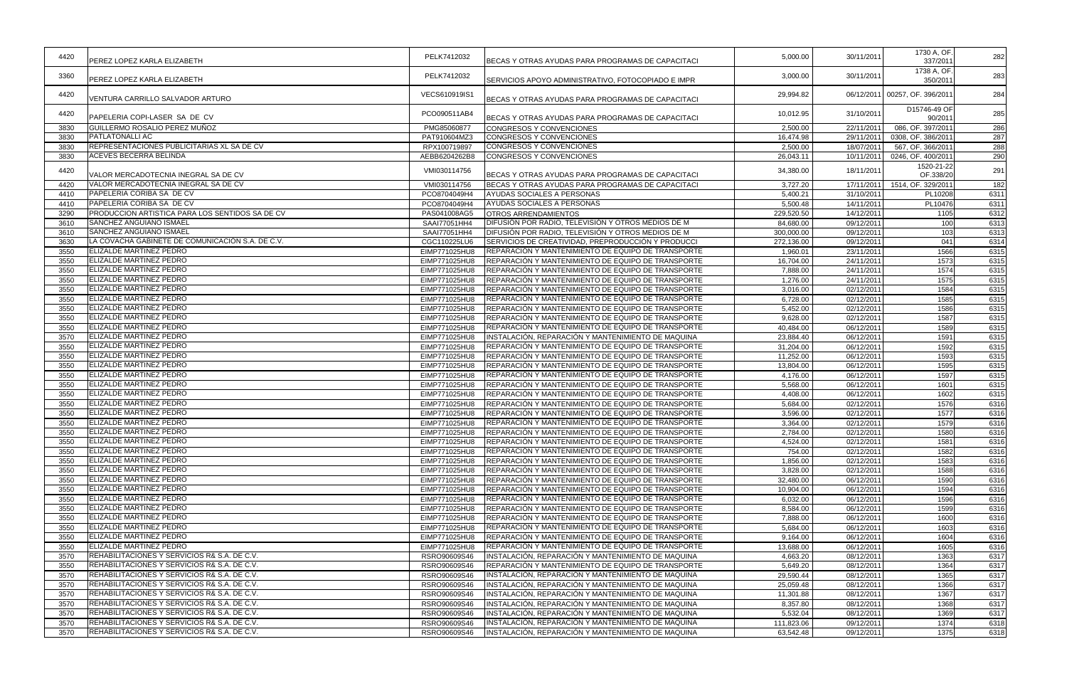| 4420         | <b>IPEREZ LOPEZ KARLA ELIZABETH</b>                     | PELK7412032   | BECAS Y OTRAS AYUDAS PARA PROGRAMAS DE CAPACITACI  | 5,000.00   | 30/11/2011               | 1730 A, OF.<br>337/2011        | 282          |
|--------------|---------------------------------------------------------|---------------|----------------------------------------------------|------------|--------------------------|--------------------------------|--------------|
| 3360         | PEREZ LOPEZ KARLA ELIZABETH                             | PELK7412032   | SERVICIOS APOYO ADMINISTRATIVO, FOTOCOPIADO E IMPR | 3,000.00   | 30/11/2011               | 1738 A, OF.<br>350/2011        | 283          |
| 4420         | VENTURA CARRILLO SALVADOR ARTURO                        | VECS610919IS1 | BECAS Y OTRAS AYUDAS PARA PROGRAMAS DE CAPACITACI  | 29,994.82  |                          | 06/12/2011 00257, OF. 396/2011 | 284          |
| 4420         | PAPELERIA COPI-LASER SA DE CV                           | PCO090511AB4  | BECAS Y OTRAS AYUDAS PARA PROGRAMAS DE CAPACITACI  | 10,012.95  | 31/10/2011               | D15746-49 OF<br>90/2011        | 285          |
| 3830         | GUILLERMO ROSALIO PEREZ MUÑOZ                           | PMG85060877   | <b>CONGRESOS Y CONVENCIONES</b>                    | 2,500.00   | 22/11/2011               | 086, OF. 397/2011              | 286          |
| 3830         | <b>PATLATONALLI AC</b>                                  | PAT910604MZ3  | CONGRESOS Y CONVENCIONES                           | 16,474.98  | 29/11/2011               | 0308, OF. 386/2011             | 287          |
| 3830         | REPRESENTACIONES PUBLICITARIAS XL SA DE CV              | RPX100719897  | CONGRESOS Y CONVENCIONES                           | 2,500.00   | 18/07/2011               | 567, OF. 366/2011              | 288          |
| 3830         | <b>ACEVES BECERRA BELINDA</b>                           | AEBB6204262B8 | CONGRESOS Y CONVENCIONES                           | 26,043.11  | 10/11/2011               | 0246, OF. 400/2011             | 290          |
| 4420         | VALOR MERCADOTECNIA INEGRAL SA DE CV                    | VMI030114756  | BECAS Y OTRAS AYUDAS PARA PROGRAMAS DE CAPACITACI  | 34,380.00  | 18/11/2011               | 1520-21-22<br>OF.338/20        | 291          |
| 4420         | VALOR MERCADOTECNIA INEGRAL SA DE CV                    | VMI030114756  | BECAS Y OTRAS AYUDAS PARA PROGRAMAS DE CAPACITACI  | 3,727.20   | 17/11/2011               | 1514, OF. 329/2011             | 182          |
| 4410         | PAPELERIA CORIBA SA DE CV                               | PCO8704049H4  | AYUDAS SOCIALES A PERSONAS                         | 5,400.21   | 31/10/2011               | PL10208                        | 6311         |
| 4410         | PAPELERIA CORIBA SA DE CV                               | PCO8704049H4  | AYUDAS SOCIALES A PERSONAS                         | 5,500.48   | 14/11/2011               | PL10476                        | 6311         |
| 3290         | <b>PRODUCCION ARTISTICA PARA LOS SENTIDOS SA DE CV</b>  | PAS041008AG5  | <b>OTROS ARRENDAMIENTOS</b>                        | 229,520.50 | 14/12/2011               | 1105                           | 6312         |
| 3610         | <b>SANCHEZ ANGUIANO ISMAEL</b>                          | SAAI77051HH4  | DIFUSIÓN POR RADIO, TELEVISIÓN Y OTROS MEDIOS DE M | 84,680.00  | 09/12/2011               | 100                            | 6313         |
| 3610         | <b>SANCHEZ ANGUIANO ISMAEL</b>                          | SAAI77051HH4  | DIFUSIÓN POR RADIO, TELEVISIÓN Y OTROS MEDIOS DE M | 300,000.00 | 09/12/2011               | 103                            | 6313         |
| 3630         | LA COVACHA GABINETE DE COMUNICACIÓN S.A. DE C.V.        | CGC110225LU6  | SERVICIOS DE CREATIVIDAD. PREPRODUCCIÓN Y PRODUCCI | 272,136.00 | 09/12/2011               | 041                            | 6314         |
| 3550         | <b>ELIZALDE MARTINEZ PEDRO</b>                          | EIMP771025HU8 | REPARACIÓN Y MANTENIMIENTO DE EQUIPO DE TRANSPORTE | 1,960.01   | 23/11/2011               | 1566                           | 6315         |
| 3550         | ELIZALDE MARTINEZ PEDRO                                 | EIMP771025HU8 | REPARACIÓN Y MANTENIMIENTO DE EQUIPO DE TRANSPORTE | 16,704.00  | 24/11/2011               | 1573                           | 6315         |
| 3550         | <b>ELIZALDE MARTINEZ PEDRO</b>                          | EIMP771025HU8 | REPARACIÓN Y MANTENIMIENTO DE EQUIPO DE TRANSPORTE | 7,888.00   | 24/11/2011               | 1574                           | 6315         |
| 3550         | <b>ELIZALDE MARTINEZ PEDRO</b>                          | EIMP771025HU8 | REPARACIÓN Y MANTENIMIENTO DE EQUIPO DE TRANSPORTE | 1,276.00   | 24/11/2011               | 1575                           | 6315         |
| 3550         | <b>ELIZALDE MARTINEZ PEDRO</b>                          | EIMP771025HU8 | REPARACIÓN Y MANTENIMIENTO DE EQUIPO DE TRANSPORTE | 3,016.00   | 02/12/2011               | 1584                           | 6315         |
| 3550         | <b>ELIZALDE MARTINEZ PEDRO</b>                          | EIMP771025HU8 | REPARACIÓN Y MANTENIMIENTO DE EQUIPO DE TRANSPORTE | 6,728.00   | 02/12/2011               | 1585                           | 6315         |
| 3550         | ELIZALDE MARTINEZ PEDRO                                 | EIMP771025HU8 | REPARACIÓN Y MANTENIMIENTO DE EQUIPO DE TRANSPORTE | 5,452.00   | 02/12/2011               | 1586                           | 6315         |
| 3550         | <b>ELIZALDE MARTINEZ PEDRO</b>                          | EIMP771025HU8 | REPARACIÓN Y MANTENIMIENTO DE EQUIPO DE TRANSPORTE | 9,628.00   | 02/12/2011               | 1587                           | 6315         |
| 3550         | <b>ELIZALDE MARTINEZ PEDRO</b>                          | EIMP771025HU8 | REPARACIÓN Y MANTENIMIENTO DE EQUIPO DE TRANSPORTE | 40,484.00  | 06/12/2011               | 1589                           | 6315         |
| 3570         | <b>ELIZALDE MARTINEZ PEDRO</b>                          | EIMP771025HU8 | INSTALACIÓN, REPARACIÓN Y MANTENIMIENTO DE MAQUINA | 23,884.40  | 06/12/2011               | 1591                           | 6315         |
| 3550         | ELIZALDE MARTINEZ PEDRO                                 | EIMP771025HU8 | REPARACIÓN Y MANTENIMIENTO DE EQUIPO DE TRANSPORTE | 31,204.00  | 06/12/2011               | 1592                           | 6315         |
| 3550         | ELIZALDE MARTINEZ PEDRO                                 | EIMP771025HU8 | REPARACIÓN Y MANTENIMIENTO DE EQUIPO DE TRANSPORTE | 11,252.00  | 06/12/2011               | 1593                           | 6315         |
| 3550         | ELIZALDE MARTINEZ PEDRO                                 | EIMP771025HU8 | REPARACIÓN Y MANTENIMIENTO DE EQUIPO DE TRANSPORTE | 13,804.00  | 06/12/2011               | 1595                           | 6315         |
| 3550         | <b>ELIZALDE MARTINEZ PEDRO</b>                          | EIMP771025HU8 | REPARACIÓN Y MANTENIMIENTO DE EQUIPO DE TRANSPORTE | 4,176.00   | 06/12/2011               | 1597                           | 6315         |
| 3550         | <b>ELIZALDE MARTINEZ PEDRO</b>                          | EIMP771025HU8 | REPARACIÓN Y MANTENIMIENTO DE EQUIPO DE TRANSPORTE | 5,568.00   | 06/12/2011               | 1601                           | 6315         |
| 3550         | <b>ELIZALDE MARTINEZ PEDRO</b>                          | EIMP771025HU8 | REPARACIÓN Y MANTENIMIENTO DE EQUIPO DE TRANSPORTE | 4,408.00   | 06/12/2011               | 1602                           | 6315         |
| 3550         | ELIZALDE MARTINEZ PEDRO                                 | EIMP771025HU8 | REPARACIÓN Y MANTENIMIENTO DE EQUIPO DE TRANSPORTE | 5,684.00   | 02/12/2011               | 1576                           | 6316         |
| 3550         | ELIZALDE MARTINEZ PEDRO                                 | EIMP771025HU8 | REPARACIÓN Y MANTENIMIENTO DE EQUIPO DE TRANSPORTE | 3,596.00   | 02/12/2011               | 1577                           | 6316         |
| 3550         | ELIZALDE MARTINEZ PEDRO                                 | EIMP771025HU8 | REPARACIÓN Y MANTENIMIENTO DE EQUIPO DE TRANSPORTE | 3,364.00   | 02/12/2011               | 1579                           | 6316         |
| 3550         | <b>ELIZALDE MARTINEZ PEDRO</b>                          | EIMP771025HU8 | REPARACIÓN Y MANTENIMIENTO DE EQUIPO DE TRANSPORTE | 2,784.00   | 02/12/2011               | 1580                           | 6316         |
| 3550         | <b>ELIZALDE MARTINEZ PEDRO</b>                          | EIMP771025HU8 | REPARACIÓN Y MANTENIMIENTO DE EQUIPO DE TRANSPORTE | 4,524.00   | 02/12/2011               | 1581                           | 6316         |
| 3550         | <b>ELIZALDE MARTINEZ PEDRO</b>                          | EIMP771025HU8 | REPARACIÓN Y MANTENIMIENTO DE EQUIPO DE TRANSPORTE | 754.00     | 02/12/2011               | 1582                           | 6316         |
| 3550         | ELIZALDE MARTINEZ PEDRO                                 | EIMP771025HU8 | REPARACION Y MANTENIMIENTO DE EQUIPO DE TRANSPORTE | 1,856.00   | 02/12/2011               | 1583                           | 6316         |
| 3550         | <b>IELIZALDE MARTINEZ PEDRO</b>                         | EIMP771025HU8 | REPARACION Y MANTENIMIENTO DE EQUIPO DE TRANSPORTE | 3,828.00   | 02/12/2011               | 1588                           | 6316         |
| 3550         | <b>ELIZALDE MARTINEZ PEDRO</b>                          | EIMP771025HU8 | REPARACIÓN Y MANTENIMIENTO DE EQUIPO DE TRANSPORTE | 32,480.00  | 06/12/2011               | 1590                           | 6316         |
| 3550         | <b>ELIZALDE MARTINEZ PEDRO</b>                          | EIMP771025HU8 | REPARACIÓN Y MANTENIMIENTO DE EQUIPO DE TRANSPORTE | 10,904.00  | 06/12/2011               | 1594                           | 6316         |
| 3550         | ELIZALDE MARTINEZ PEDRO                                 | EIMP771025HU8 | REPARACION Y MANTENIMIENTO DE EQUIPO DE TRANSPORTE | 6,032.00   | 06/12/2011               | 1596                           | 6316         |
| 3550         | <b>IELIZALDE MARTINEZ PEDRO</b>                         | EIMP771025HU8 | REPARACIÓN Y MANTENIMIENTO DE EQUIPO DE TRANSPORTE | 8,584.00   | 06/12/2011               | 1599                           | 6316         |
| 3550         | ELIZALDE MARTINEZ PEDRO                                 | EIMP771025HU8 | REPARACIÓN Y MANTENIMIENTO DE EQUIPO DE TRANSPORTE | 7,888.00   | 06/12/2011               | 1600                           | 6316         |
| 3550         | <b>ELIZALDE MARTINEZ PEDRO</b>                          | EIMP771025HU8 | REPARACION Y MANTENIMIENTO DE EQUIPO DE TRANSPORTE | 5,684.00   | 06/12/2011               | 1603                           | 6316         |
|              | <b>ELIZALDE MARTINEZ PEDRO</b>                          | EIMP771025HU8 | REPARACIÓN Y MANTENIMIENTO DE EQUIPO DE TRANSPORTE |            |                          | 1604                           |              |
| 3550<br>3550 | <b>ELIZALDE MARTINEZ PEDRO</b>                          | EIMP771025HU8 | REPARACIÓN Y MANTENIMIENTO DE EQUIPO DE TRANSPORTE | 9,164.00   | 06/12/2011<br>06/12/2011 | 1605                           | 6316         |
| 3570         | <b>REHABILITACIONES Y SERVICIOS R&amp; S.A. DE C.V.</b> |               | INSTALACIÓN, REPARACIÓN Y MANTENIMIENTO DE MAQUINA | 13,688.00  | 08/12/2011               |                                | 6316         |
|              | REHABILITACIONES Y SERVICIOS R& S.A. DE C.V.            | RSRO90609S46  | REPARACIÓN Y MANTENIMIENTO DE EQUIPO DE TRANSPORTE | 4,663.20   |                          | 1363                           | 6317         |
| 3550         | REHABILITACIONES Y SERVICIOS R& S.A. DE C.V.            | RSRO90609S46  |                                                    | 5,649.20   | 08/12/2011               | 1364                           | 6317<br>6317 |
| 3570         | <b>REHABILITACIONES Y SERVICIOS R&amp; S.A. DE C.V.</b> | RSRO90609S46  | INSTALACIÓN, REPARACIÓN Y MANTENIMIENTO DE MAQUINA | 29,590.44  | 08/12/2011               | 1365                           |              |
| 3570         |                                                         | RSRO90609S46  | INSTALACIÓN, REPARACIÓN Y MANTENIMIENTO DE MAQUINA | 25,059.48  | 08/12/2011               | 1366                           | 6317         |
| 3570         | REHABILITACIONES Y SERVICIOS R& S.A. DE C.V.            | RSRO90609S46  | INSTALACIÓN, REPARACIÓN Y MANTENIMIENTO DE MAQUINA | 11,301.88  | 08/12/2011               | 1367                           | 6317         |
| 3570         | REHABILITACIONES Y SERVICIOS R& S.A. DE C.V.            | RSRO90609S46  | INSTALACION, REPARACION Y MANTENIMIENTO DE MAQUINA | 8,357.80   | 08/12/2011               | 1368                           | 6317         |
| 3570         | REHABILITACIONES Y SERVICIOS R& S.A. DE C.V.            | RSRO90609S46  | INSTALACIÓN, REPARACIÓN Y MANTENIMIENTO DE MAQUINA | 5,532.04   | 08/12/2011               | 1369                           | 6317         |
| 3570         | REHABILITACIONES Y SERVICIOS R& S.A. DE C.V.            | RSRO90609S46  | INSTALACIÓN, REPARACIÓN Y MANTENIMIENTO DE MAQUINA | 111,823.06 | 09/12/2011               | 1374                           | 6318         |
| 3570         | REHABILITACIONES Y SERVICIOS R& S.A. DE C.V.            | RSRO90609S46  | NSTALACION, REPARACION Y MANTENIMIENTO DE MAQUINA  | 63,542.48  | 09/12/2011               | 1375                           | 6318         |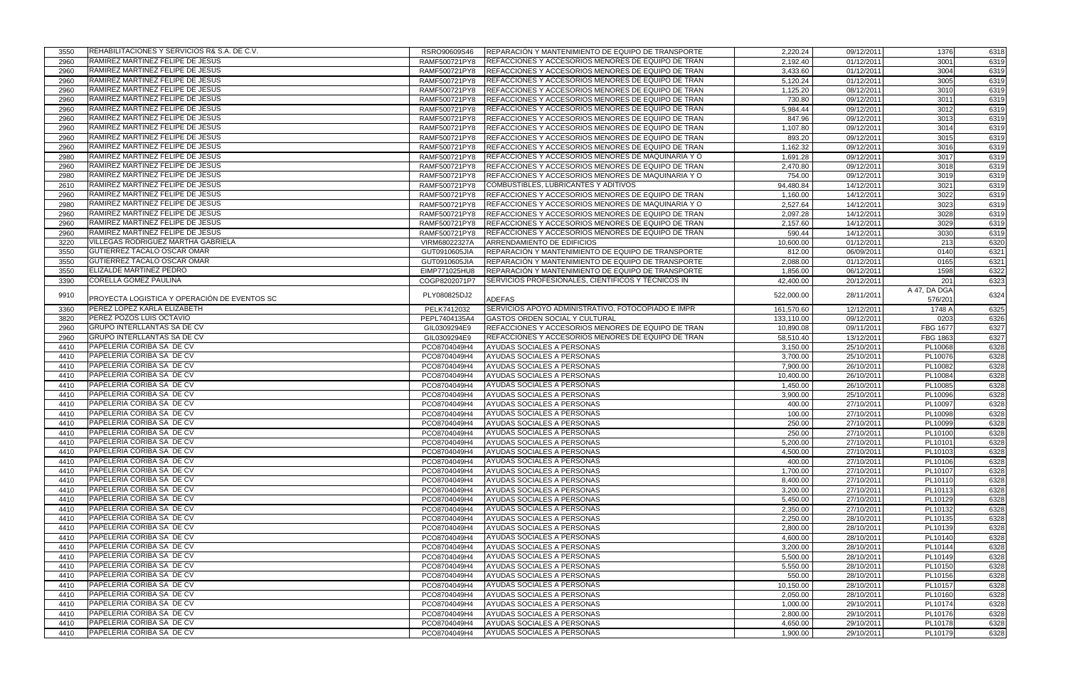| 3550         | REHABILITACIONES Y SERVICIOS R& S.A. DE C.V. | RSRO90609S46  | REPARACIÓN Y MANTENIMIENTO DE EQUIPO DE TRANSPORTE | 2,220.24   | 09/12/2011 | 1376         | 6318 |
|--------------|----------------------------------------------|---------------|----------------------------------------------------|------------|------------|--------------|------|
| 2960         | RAMIREZ MARTINEZ FELIPE DE JESUS             | RAMF500721PY8 | REFACCIONES Y ACCESORIOS MENORES DE EQUIPO DE TRAN | 2,192.40   | 01/12/2011 | 3001         | 6319 |
| 2960         | RAMIREZ MARTINEZ FELIPE DE JESUS             | RAMF500721PY8 | REFACCIONES Y ACCESORIOS MENORES DE EQUIPO DE TRAN | 3,433.60   | 01/12/2011 | 3004         | 6319 |
| 2960         | RAMIREZ MARTINEZ FELIPE DE JESUS             | RAMF500721PY8 | REFACCIONES Y ACCESORIOS MENORES DE EQUIPO DE TRAN | 5,120.24   | 01/12/2011 | 3005         | 6319 |
| 2960         | RAMIREZ MARTINEZ FELIPE DE JESUS             | RAMF500721PY8 | REFACCIONES Y ACCESORIOS MENORES DE EQUIPO DE TRAN | 1,125.20   | 08/12/2011 | 3010         | 6319 |
| 2960         | RAMIREZ MARTINEZ FELIPE DE JESUS             | RAMF500721PY8 | REFACCIONES Y ACCESORIOS MENORES DE EQUIPO DE TRAN | 730.80     | 09/12/2011 | 3011         | 6319 |
| 2960         | RAMIREZ MARTINEZ FELIPE DE JESUS             | RAMF500721PY8 | REFACCIONES Y ACCESORIOS MENORES DE EQUIPO DE TRAN | 5,984.44   | 09/12/2011 | 3012         | 6319 |
| 2960         | RAMIREZ MARTINEZ FELIPE DE JESUS             | RAMF500721PY8 | REFACCIONES Y ACCESORIOS MENORES DE EQUIPO DE TRAN | 847.96     | 09/12/2011 | 3013         | 6319 |
| 2960         | RAMIREZ MARTINEZ FELIPE DE JESUS             | RAMF500721PY8 | REFACCIONES Y ACCESORIOS MENORES DE EQUIPO DE TRAN | 1,107.80   | 09/12/2011 | 3014         | 6319 |
| 2960         | RAMIREZ MARTINEZ FELIPE DE JESUS             | RAMF500721PY8 | REFACCIONES Y ACCESORIOS MENORES DE EQUIPO DE TRAN | 893.20     | 09/12/2011 | 3015         | 6319 |
| 2960         | RAMIREZ MARTINEZ FELIPE DE JESUS             | RAMF500721PY8 | REFACCIONES Y ACCESORIOS MENORES DE EQUIPO DE TRAN | 1,162.32   | 09/12/2011 | 3016         | 6319 |
| 2980         | RAMIREZ MARTINEZ FELIPE DE JESUS             | RAMF500721PY8 | REFACCIONES Y ACCESORIOS MENORES DE MAQUINARIA Y O | 1,691.28   | 09/12/2011 | 3017         | 6319 |
| 2960         | RAMIREZ MARTINEZ FELIPE DE JESUS             | RAMF500721PY8 | REFACCIONES Y ACCESORIOS MENORES DE EQUIPO DE TRAN | 2,470.80   | 09/12/2011 | 3018         | 6319 |
| 2980         | RAMIREZ MARTINEZ FELIPE DE JESUS             | RAMF500721PY8 | REFACCIONES Y ACCESORIOS MENORES DE MAQUINARIA Y O | 754.00     | 09/12/2011 | 3019         | 6319 |
|              | RAMIREZ MARTINEZ FELIPE DE JESUS             |               | COMBUSTIBLES, LUBRICANTES Y ADITIVOS               |            | 14/12/2011 | 3021         |      |
| 2610<br>2960 | RAMIREZ MARTINEZ FELIPE DE JESUS             | RAMF500721PY8 |                                                    | 94,480.84  | 14/12/2011 | 3022         | 6319 |
|              | RAMIREZ MARTINEZ FELIPE DE JESUS             | RAMF500721PY8 | REFACCIONES Y ACCESORIOS MENORES DE EQUIPO DE TRAN | 1,160.00   |            |              | 6319 |
| 2980         |                                              | RAMF500721PY8 | REFACCIONES Y ACCESORIOS MENORES DE MAQUINARIA Y O | 2,527.64   | 14/12/2011 | 3023         | 6319 |
| 2960         | RAMIREZ MARTINEZ FELIPE DE JESUS             | RAMF500721PY8 | REFACCIONES Y ACCESORIOS MENORES DE EQUIPO DE TRAN | 2,097.28   | 14/12/2011 | 3028         | 6319 |
| 2960         | RAMIREZ MARTINEZ FELIPE DE JESUS             | RAMF500721PY8 | REFACCIONES Y ACCESORIOS MENORES DE EQUIPO DE TRAN | 2,157.60   | 14/12/2011 | 3029         | 6319 |
| 2960         | RAMIREZ MARTINEZ FELIPE DE JESUS             | RAMF500721PY8 | REFACCIONES Y ACCESORIOS MENORES DE EQUIPO DE TRAN | 590.44     | 14/12/2011 | 3030         | 6319 |
| 3220         | <b>VILLEGAS RODRIGUEZ MARTHA GABRIELA</b>    | VIRM68022327A | ARRENDAMIENTO DE EDIFICIOS                         | 10,600.00  | 01/12/2011 | 213          | 6320 |
| 3550         | GUTIERREZ TACALO OSCAR OMAR                  | GUT0910605JIA | REPARACIÓN Y MANTENIMIENTO DE EQUIPO DE TRANSPORTE | 812.00     | 06/09/2011 | 0140         | 6321 |
| 3550         | GUTIERREZ TACALO OSCAR OMAR                  | GUT0910605JIA | REPARACIÓN Y MANTENIMIENTO DE EQUIPO DE TRANSPORTE | 2,088.00   | 01/12/2011 | 0165         | 6321 |
| 3550         | <b>ELIZALDE MARTINEZ PEDRO</b>               | EIMP771025HU8 | REPARACIÓN Y MANTENIMIENTO DE EQUIPO DE TRANSPORTE | 1,856.00   | 06/12/2011 | 1598         | 6322 |
| 3390         | <b>CORELLA GOMEZ PAULINA</b>                 | COGP8202071P7 | SERVICIOS PROFESIONALES, CIENTIFICOS Y TÉCNICOS IN | 42,400.00  | 20/12/2011 | 201          | 6323 |
| 9910         |                                              | PLY080825DJ2  |                                                    | 522,000.00 | 28/11/2011 | A 47, DA DGA | 6324 |
|              | PROYECTA LOGISTICA Y OPERACIÓN DE EVENTOS SC |               | <b>ADEFAS</b>                                      |            |            | 576/201      |      |
| 3360         | PEREZ LOPEZ KARLA ELIZABETH                  | PELK7412032   | SERVICIOS APOYO ADMINISTRATIVO, FOTOCOPIADO E IMPR | 161,570.60 | 12/12/2011 | 1748 A       | 6325 |
| 3820         | PEREZ POZOS LUIS OCTAVIO                     | PEPL7404135A4 | <b>GASTOS ORDEN SOCIAL Y CULTURAL</b>              | 133,110.00 | 09/12/2011 | 0203         | 6326 |
| 2960         | <b>GRUPO INTERLLANTAS SA DE CV</b>           | GIL0309294E9  | REFACCIONES Y ACCESORIOS MENORES DE EQUIPO DE TRAN | 10,890.08  | 09/11/2011 | FBG 1677     | 6327 |
| 2960         | <b>GRUPO INTERLLANTAS SA DE CV</b>           | GIL0309294E9  | REFACCIONES Y ACCESORIOS MENORES DE EQUIPO DE TRAN | 58,510.40  | 13/12/2011 | FBG 1863     | 6327 |
| 4410         | PAPELERIA CORIBA SA DE CV                    | PCO8704049H4  | AYUDAS SOCIALES A PERSONAS                         | 3,150.00   | 25/10/2011 | PL10068      | 6328 |
| 4410         | PAPELERIA CORIBA SA DE CV                    | PCO8704049H4  | AYUDAS SOCIALES A PERSONAS                         | 3,700.00   | 25/10/2011 | PL10076      | 6328 |
| 4410         | PAPELERIA CORIBA SA DE CV                    | PCO8704049H4  | AYUDAS SOCIALES A PERSONAS                         | 7,900.00   | 26/10/2011 | PL10082      | 6328 |
| 4410         | PAPELERIA CORIBA SA DE CV                    | PCO8704049H4  | AYUDAS SOCIALES A PERSONAS                         | 10,400.00  | 26/10/2011 | PL10084      | 6328 |
| 4410         | PAPELERIA CORIBA SA DE CV                    | PCO8704049H4  | AYUDAS SOCIALES A PERSONAS                         | 1,450.00   | 26/10/2011 | PL10085      | 6328 |
| 4410         | PAPELERIA CORIBA SA DE CV                    | PCO8704049H4  | AYUDAS SOCIALES A PERSONAS                         | 3,900.00   | 25/10/2011 | PL10096      | 6328 |
| 4410         | PAPELERIA CORIBA SA DE CV                    | PCO8704049H4  | AYUDAS SOCIALES A PERSONAS                         | 400.00     | 27/10/2011 | PL10097      | 6328 |
| 4410         | PAPELERIA CORIBA SA DE CV                    | PCO8704049H4  | AYUDAS SOCIALES A PERSONAS                         | 100.00     | 27/10/2011 | PL10098      | 6328 |
| 4410         | PAPELERIA CORIBA SA DE CV                    | PCO8704049H4  | AYUDAS SOCIALES A PERSONAS                         | 250.00     | 27/10/2011 | PL10099      | 6328 |
| 4410         | PAPELERIA CORIBA SA DE CV                    | PCO8704049H4  | AYUDAS SOCIALES A PERSONAS                         | 250.00     | 27/10/2011 | PL10100      | 6328 |
| 4410         | PAPELERIA CORIBA SA DE CV                    | PCO8704049H4  | AYUDAS SOCIALES A PERSONAS                         | 5,200.00   | 27/10/2011 | PL10101      | 6328 |
| 4410         | PAPELERIA CORIBA SA DE CV                    | PCO8704049H4  | AYUDAS SOCIALES A PERSONAS                         | 4,500.00   | 27/10/2011 | PL10103      | 6328 |
| 4410         | PAPELERIA CORIBA SA DE CV                    | PCO8704049H4  | AYUDAS SOCIALES A PERSONAS                         | 400.00     | 27/10/2011 | PL10106      | 6328 |
| 4410         | PAPELERIA CORIBA SA DE CV                    | PCO8704049H4  | AYUDAS SOCIALES A PERSONAS                         | 1,700.00   | 27/10/2011 | PL10107      | 6328 |
| 4410         | PAPELERIA CORIBA SA DE CV                    | PCO8704049H4  | AYUDAS SOCIALES A PERSONAS                         | 8,400.00   | 27/10/2011 | PL10110      | 6328 |
| 4410         | PAPELERIA CORIBA SA DE CV                    | PCO8704049H4  | AYUDAS SOCIALES A PERSONAS                         | 3,200.00   | 27/10/2011 | PL10113      | 6328 |
| 4410         | PAPELERIA CORIBA SA DE CV                    | PCO8704049H4  | AYUDAS SOCIALES A PERSONAS                         | 5,450.00   | 27/10/2011 | PL10129      | 6328 |
| 4410         | PAPELERIA CORIBA SA DE CV                    | PCO8704049H4  | AYUDAS SOCIALES A PERSONAS                         | 2,350.00   | 27/10/2011 | PL10132      | 6328 |
| 4410         | PAPELERIA CORIBA SA DE CV                    | PCO8704049H4  | AYUDAS SOCIALES A PERSONAS                         | 2,250.00   | 28/10/2011 | PL10135      | 6328 |
| 4410         | PAPELERIA CORIBA SA DE CV                    | PCO8704049H4  | AYUDAS SOCIALES A PERSONAS                         | 2,800.00   | 28/10/2011 | PL10139      | 6328 |
| 4410         | <b>PAPELERIA CORIBA SA DE CV</b>             | PCO8704049H4  | AYUDAS SOCIALES A PERSONAS                         | 4,600.00   | 28/10/2011 | PL10140      | 6328 |
| 4410         | <b>PAPELERIA CORIBA SA DE CV</b>             | PCO8704049H4  | AYUDAS SOCIALES A PERSONAS                         | 3,200.00   | 28/10/2011 | PL10144      | 6328 |
| 4410         | PAPELERIA CORIBA SA DE CV                    | PCO8704049H4  | AYUDAS SOCIALES A PERSONAS                         | 5,500.00   | 28/10/2011 | PL10149      | 6328 |
| 4410         | PAPELERIA CORIBA SA DE CV                    | PCO8704049H4  | AYUDAS SOCIALES A PERSONAS                         | 5,550.00   | 28/10/2011 | PL10150      | 6328 |
| 4410         | PAPELERIA CORIBA SA DE CV                    | PCO8704049H4  | AYUDAS SOCIALES A PERSONAS                         | 550.00     | 28/10/2011 | PL10156      | 6328 |
| 4410         | PAPELERIA CORIBA SA DE CV                    | PCO8704049H4  | AYUDAS SOCIALES A PERSONAS                         | 10,150.00  | 28/10/2011 | PL10157      | 6328 |
| 4410         | PAPELERIA CORIBA SA DE CV                    | PCO8704049H4  | AYUDAS SOCIALES A PERSONAS                         | 2,050.00   | 28/10/2011 | PL10160      | 6328 |
| 4410         | PAPELERIA CORIBA SA DE CV                    | PCO8704049H4  | AYUDAS SOCIALES A PERSONAS                         | 1,000.00   | 29/10/2011 | PL10174      | 6328 |
| 4410         | PAPELERIA CORIBA SA DE CV                    | PCO8704049H4  | AYUDAS SOCIALES A PERSONAS                         | 2,800.00   | 29/10/2011 | PL10176      | 6328 |
| 4410         | PAPELERIA CORIBA SA DE CV                    | PCO8704049H4  | AYUDAS SOCIALES A PERSONAS                         | 4,650.00   | 29/10/2011 | PL10178      | 6328 |
| 4410         | PAPELERIA CORIBA SA DE CV                    | PCO8704049H4  | AYUDAS SOCIALES A PERSONAS                         | 1,900.00   | 29/10/2011 | PL10179      | 6328 |
|              |                                              |               |                                                    |            |            |              |      |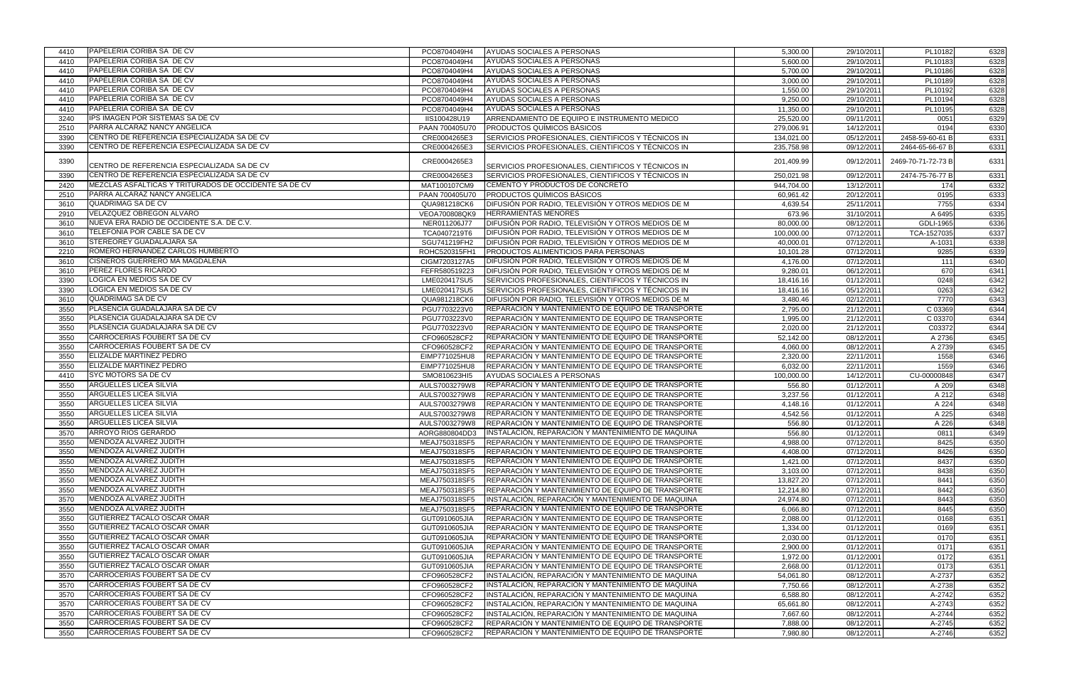| PAPELERIA CORIBA SA DE CV<br>PL10183<br>4410<br>PCO8704049H4<br>AYUDAS SOCIALES A PERSONAS<br>5,600.00<br>29/10/2011<br>6328<br><b>PAPELERIA CORIBA SA DE CV</b><br>PCO8704049H4<br>AYUDAS SOCIALES A PERSONAS<br>5,700.00<br>29/10/2011<br>PL10186<br>6328<br>4410<br>PAPELERIA CORIBA SA DE CV<br>PCO8704049H4<br>AYUDAS SOCIALES A PERSONAS<br>3,000.00<br>29/10/201<br>PL10189<br>4410<br>6328<br>PAPELERIA CORIBA SA DE CV<br>AYUDAS SOCIALES A PERSONAS<br>4410<br>PCO8704049H4<br>1,550.00<br>29/10/201<br>PL10192<br>6328<br>PAPELERIA CORIBA SA DE CV<br>AYUDAS SOCIALES A PERSONAS<br>PCO8704049H4<br>9,250.00<br>29/10/2011<br>PL10194<br>6328<br>4410<br>PAPELERIA CORIBA SA DE CV<br>PL10195<br>6328<br>4410<br>PCO8704049H4<br>AYUDAS SOCIALES A PERSONAS<br>11,350.00<br>29/10/2011<br>IPS IMAGEN POR SISTEMAS SA DE CV<br>3240<br>ARRENDAMIENTO DE EQUIPO E INSTRUMENTO MEDICO<br>25,520.00<br>09/11/201<br>0051<br>6329<br>IIS100428U19<br>PARRA ALCARAZ NANCY ANGELICA<br>279,006.91<br>PAAN 700405U70<br><b>PRODUCTOS QUÍMICOS BÁSICOS</b><br>14/12/2011<br>0194<br>6330<br>2510<br>CENTRO DE REFERENCIA ESPECIALIZADA SA DE CV<br>SERVICIOS PROFESIONALES, CIENTIFICOS Y TÉCNICOS IN<br>2458-59-60-61 B<br>3390<br>CRE0004265E3<br>134,021.00<br>05/12/2011<br>6331<br>CENTRO DE REFERENCIA ESPECIALIZADA SA DE CV<br>SERVICIOS PROFESIONALES, CIENTIFICOS Y TÉCNICOS IN<br>3390<br>CRE0004265E3<br>235,758.98<br>09/12/2011<br>2464-65-66-67 B<br>6331<br>3390<br>CRE0004265E3<br>09/12/201<br>2469-70-71-72-73 B<br>201,409.99<br>6331<br>CENTRO DE REFERENCIA ESPECIALIZADA SA DE CV<br>SERVICIOS PROFESIONALES, CIENTIFICOS Y TÉCNICOS IN<br>CENTRO DE REFERENCIA ESPECIALIZADA SA DE CV<br>SERVICIOS PROFESIONALES, CIENTIFICOS Y TÉCNICOS IN<br>CRE0004265E3<br>250,021.98<br>09/12/2011<br>2474-75-76-77 B<br>3390<br>6331<br>MEZCLAS ASFALTICAS Y TRITURADOS DE OCCIDENTE SA DE CV<br>CEMENTO Y PRODUCTOS DE CONCRETO<br>MAT100107CM9<br>944,704.00<br>174<br>2420<br>13/12/2011<br>6332<br>PARRA ALCARAZ NANCY ANGELICA<br>PRODUCTOS QUÍMICOS BÁSICOS<br>PAAN 700405U70<br>20/12/201<br>0195<br>2510<br>60,961.42<br>6333<br>QUADRIMAG SA DE CV<br>DIFUSIÓN POR RADIO, TELEVISIÓN Y OTROS MEDIOS DE M<br>QUA981218CK6<br>4,639.54<br>25/11/2011<br>7755<br>6334<br>3610<br>VELAZQUEZ OBREGON ALVARO<br>A 6495<br>6335<br>2910<br>VEOA700808QK9<br><b>HERRAMIENTAS MENORES</b><br>673.96<br>31/10/2011<br>NUEVA ERA RADIO DE OCCIDENTE S.A. DE C.V.<br>3610<br>NER011206J77<br>DIFUSIÓN POR RADIO, TELEVISIÓN Y OTROS MEDIOS DE M<br>80,000.00<br>08/12/201<br>GDLI-1965<br>6336<br>TELEFONIA POR CABLE SA DE CV<br>TCA0407219T6<br>DIFUSIÓN POR RADIO, TELEVISIÓN Y OTROS MEDIOS DE M<br>100,000.00<br>07/12/2011<br>TCA-1527035<br>3610<br>6337<br>STEREOREY GUADALAJARA SA<br>07/12/2011<br>3610<br>SGU741219FH2<br>DIFUSIÓN POR RADIO, TELEVISIÓN Y OTROS MEDIOS DE M<br>40,000.01<br>A-1031<br>6338<br>ROMERO HERNANDEZ CARLOS HUMBERTO<br>PRODUCTOS ALIMENTICIOS PARA PERSONAS<br>2210<br>ROHC520315FH1<br>07/12/201<br>9285<br>6339<br>10,101.28<br>CISNEROS GUERRERO MA MAGDALENA<br>DIFUSIÓN POR RADIO, TELEVISIÓN Y OTROS MEDIOS DE M<br>07/12/2011<br>111<br>3610<br>CIGM7203127A5<br>4,176.00<br>6340<br><b>PEREZ FLORES RICARDO</b><br>670<br>3610<br>FEFR580519223<br>DIFUSIÓN POR RADIO, TELEVISIÓN Y OTROS MEDIOS DE M<br>9,280.01<br>06/12/2011<br>6341<br>LOGICA EN MEDIOS SA DE CV<br>0248<br>LME020417SU5<br>SERVICIOS PROFESIONALES, CIENTIFICOS Y TÉCNICOS IN<br>18,416.16<br>01/12/2011<br>6342<br>3390<br>LOGICA EN MEDIOS SA DE CV<br>SERVICIOS PROFESIONALES, CIENTIFICOS Y TÉCNICOS IN<br>LME020417SU5<br>05/12/2011<br>0263<br>3390<br>18,416.16<br>6342<br>QUADRIMAG SA DE CV<br>7770<br>DIFUSIÓN POR RADIO, TELEVISIÓN Y OTROS MEDIOS DE M<br>02/12/201<br>3610<br>QUA981218CK6<br>3,480.46<br>6343<br>PLASENCIA GUADALAJARA SA DE CV<br>C 03369<br>3550<br>PGU7703223V0<br>REPARACIÓN Y MANTENIMIENTO DE EQUIPO DE TRANSPORTE<br>2,795.00<br>21/12/2011<br>6344<br>PLASENCIA GUADALAJARA SA DE CV<br>C 03370<br>6344<br>3550<br>PGU7703223V0<br>REPARACIÓN Y MANTENIMIENTO DE EQUIPO DE TRANSPORTE<br>1,995.00<br>21/12/2011<br>PLASENCIA GUADALAJARA SA DE CV<br>3550<br>REPARACIÓN Y MANTENIMIENTO DE EQUIPO DE TRANSPORTE<br>C03372<br>2,020.00<br>21/12/201<br>6344<br>PGU7703223V0<br>CARROCERIAS FOUBERT SA DE CV<br>CFO960528CF2<br>REPARACIÓN Y MANTENIMIENTO DE EQUIPO DE TRANSPORTE<br>A 2736<br>3550<br>52,142.00<br>08/12/2011<br>6345<br>CARROCERIAS FOUBERT SA DE CV<br>CFO960528CF2<br>REPARACIÓN Y MANTENIMIENTO DE EQUIPO DE TRANSPORTE<br>08/12/2011<br>A 2739<br>3550<br>4,060.00<br>6345<br><b>ELIZALDE MARTINEZ PEDRO</b><br>REPARACIÓN Y MANTENIMIENTO DE EQUIPO DE TRANSPORTE<br>3550<br>EIMP771025HU8<br>2,320.00<br>22/11/2011<br>1558<br>6346<br>ELIZALDE MARTINEZ PEDRO<br>REPARACIÓN Y MANTENIMIENTO DE EQUIPO DE TRANSPORTE<br>1559<br>3550<br>EIMP771025HU8<br>6,032.00<br>22/11/2011<br>6346<br><b>SYC MOTORS SA DE CV</b><br>4410<br>SMO810623HI5<br>AYUDAS SOCIALES A PERSONAS<br>100,000.00<br>14/12/2011<br>CU-00000848<br>6347<br>ARGUELLES LICEA SILVIA<br>3550<br>AULS7003279W8<br>REPARACIÓN Y MANTENIMIENTO DE EQUIPO DE TRANSPORTE<br>556.80<br>01/12/2011<br>A 209<br>6348<br><b>ARGUELLES LICEA SILVIA</b><br>3550<br>3,237.56<br>AULS7003279W8<br>REPARACIÓN Y MANTENIMIENTO DE EQUIPO DE TRANSPORTE<br>01/12/201'<br>A 212<br>6348<br>ARGUELLES LICEA SILVIA<br>3550<br>AULS7003279W8<br>REPARACIÓN Y MANTENIMIENTO DE EQUIPO DE TRANSPORTE<br>A 224<br>4,148.16<br>01/12/201<br>6348<br>ARGUELLES LICEA SILVIA<br>3550<br>REPARACIÓN Y MANTENIMIENTO DE EQUIPO DE TRANSPORTE<br>4,542.56<br>A 225<br>AULS7003279W8<br>01/12/201'<br>6348<br><b>ARGUELLES LICEA SILVIA</b><br>3550<br>556.80<br>A 226<br>AULS7003279W8<br>REPARACIÓN Y MANTENIMIENTO DE EQUIPO DE TRANSPORTE<br>01/12/201'<br>6348<br><b>ARROYO RIOS GERARDO</b><br>INSTALACIÓN. REPARACIÓN Y MANTENIMIENTO DE MAQUINA<br>556.80<br>01/12/2011<br>0811<br>6349<br>3570<br>AORG880804DD3<br>MENDOZA ALVAREZ JUDITH<br>REPARACIÓN Y MANTENIMIENTO DE EQUIPO DE TRANSPORTE<br>07/12/2011<br>8425<br>3550<br>MEAJ750318SF5<br>4,988.00<br>6350<br><b>IMENDOZA ALVAREZ JUDITH</b><br>REPARACIÓN Y MANTENIMIENTO DE EQUIPO DE TRANSPORTE<br>3550<br>MEAJ750318SF5<br>4,408.00<br>07/12/201<br>8426<br>6350<br>MENDOZA ALVAREZ JUDITH<br>3550<br>MEAJ750318SF5<br>REPARACIÓN Y MANTENIMIENTO DE EQUIPO DE TRANSPORTE<br>1,421.00<br>07/12/201<br>8437<br>6350<br>MENDOZA ALVAREZ JUDITH<br>REPARACIÓN Y MANTENIMIENTO DE EQUIPO DE TRANSPORTE<br>8438<br>6350<br>3550<br>MEAJ750318SF5<br>3,103.00<br>07/12/2011<br>MENDOZA ALVAREZ JUDITH<br>6350<br>3550<br>13,827.20<br>07/12/2011<br>8441<br>MEAJ750318SF5<br><b>REPARACIÓN Y MANTENIMIENTO DE EQUIPO DE TRANSPORTE</b><br>MENDOZA ALVAREZ JUDITH<br>REPARACIÓN Y MANTENIMIENTO DE EQUIPO DE TRANSPORTE<br>3550<br>MEAJ750318SF5<br>12,214.80<br>07/12/2011<br>8442<br>6350<br>MENDOZA ALVAREZ JUDITH<br>INSTALACIÓN, REPARACIÓN Y MANTENIMIENTO DE MAQUINA<br>07/12/2011<br>8443<br>MEAJ750318SF5<br>24,974.80<br>6350<br>3570<br>MENDOZA ALVAREZ JUDITH<br>MEAJ750318SF5<br>REPARACIÓN Y MANTENIMIENTO DE EQUIPO DE TRANSPORTE<br>8445<br>3550<br>6,066.80<br>07/12/201<br>6350<br><b>I</b> GUTIERREZ TACALO OSCAR OMAR<br>REPARACIÓN Y MANTENIMIENTO DE EQUIPO DE TRANSPORTE<br>3550<br>GUT0910605JIA<br>2,088.00<br>01/12/2011<br>0168<br>6351<br>GUTIERREZ TACALO OSCAR OMAR<br>3550<br>REPARACIÓN Y MANTENIMIENTO DE EQUIPO DE TRANSPORTE<br>01/12/201<br>0169<br>6351<br>GUT0910605JIA<br>1,334.00<br>GUTIERREZ TACALO OSCAR OMAR<br>0170<br>3550<br><b>IREPARACION Y MANTENIMIENTO DE EQUIPO DE TRANSPORTE</b><br>2,030.00<br>01/12/201'<br>6351<br>GUT0910605JIA<br><b>GUTIERREZ TACALO OSCAR OMAR</b><br>3550<br>GUT0910605JIA<br>REPARACIÓN Y MANTENIMIENTO DE EQUIPO DE TRANSPORTE<br>2,900.00<br>01/12/2011<br>0171<br>6351<br><b>GUTIERREZ TACALO OSCAR OMAR</b><br>3550<br>REPARACIÓN Y MANTENIMIENTO DE EQUIPO DE TRANSPORTE<br>1,972.00<br>01/12/2001<br>0172<br>6351<br>GUT0910605JIA<br><b>IGUTIERREZ TACALO OSCAR OMAR</b><br>REPARACIÓN Y MANTENIMIENTO DE EQUIPO DE TRANSPORTE<br>0173<br>3550<br>GUT0910605JIA<br>2,668.00<br>01/12/201<br>6351<br>CARROCERIAS FOUBERT SA DE CV<br>INSTALACIÓN, REPARACIÓN Y MANTENIMIENTO DE MAQUINA<br>CFO960528CF2<br>54,061.80<br>08/12/2011<br>6352<br>3570<br>A-2737<br>CARROCERIAS FOUBERT SA DE CV<br>INSTALACIÓN, REPARACIÓN Y MANTENIMIENTO DE MAQUINA<br>A-2738<br>3570<br>CFO960528CF2<br>7,750.66<br>08/12/2011<br>6352<br>CARROCERIAS FOUBERT SA DE CV<br>INSTALACIÓN, REPARACIÓN Y MANTENIMIENTO DE MAQUINA<br>3570<br>CFO960528CF2<br>6,588.80<br>08/12/2011<br>A-2742<br>6352<br>CARROCERIAS FOUBERT SA DE CV<br>INSTALACIÓN, REPARACIÓN Y MANTENIMIENTO DE MAQUINA<br>CFO960528CF2<br>08/12/2011<br>A-2743<br>3570<br>65,661.80<br>6352<br><b>CARROCERIAS FOUBERT SA DE CV</b><br>INSTALACIÓN, REPARACIÓN Y MANTENIMIENTO DE MAQUINA<br>CFO960528CF2<br>7,667.60<br>08/12/2011<br>A-2744<br>3570<br>6352<br><b>CARROCERIAS FOUBERT SA DE CV</b><br>3550<br>CFO960528CF2<br>REPARACIÓN Y MANTENIMIENTO DE EQUIPO DE TRANSPORTE<br>08/12/2011<br>6352<br>7,888.00<br>A-2745<br>CARROCERIAS FOUBERT SA DE CV<br>3550<br>CFO960528CF2<br>REPARACIÓN Y MANTENIMIENTO DE EQUIPO DE TRANSPORTE<br>A-2746<br>7,980.80<br>08/12/2011<br>6352 | 4410 | PAPELERIA CORIBA SA DE CV | PCO8704049H4 | AYUDAS SOCIALES A PERSONAS | 5,300.00 | 29/10/2011 | PL10182 | 6328 |
|-----------------------------------------------------------------------------------------------------------------------------------------------------------------------------------------------------------------------------------------------------------------------------------------------------------------------------------------------------------------------------------------------------------------------------------------------------------------------------------------------------------------------------------------------------------------------------------------------------------------------------------------------------------------------------------------------------------------------------------------------------------------------------------------------------------------------------------------------------------------------------------------------------------------------------------------------------------------------------------------------------------------------------------------------------------------------------------------------------------------------------------------------------------------------------------------------------------------------------------------------------------------------------------------------------------------------------------------------------------------------------------------------------------------------------------------------------------------------------------------------------------------------------------------------------------------------------------------------------------------------------------------------------------------------------------------------------------------------------------------------------------------------------------------------------------------------------------------------------------------------------------------------------------------------------------------------------------------------------------------------------------------------------------------------------------------------------------------------------------------------------------------------------------------------------------------------------------------------------------------------------------------------------------------------------------------------------------------------------------------------------------------------------------------------------------------------------------------------------------------------------------------------------------------------------------------------------------------------------------------------------------------------------------------------------------------------------------------------------------------------------------------------------------------------------------------------------------------------------------------------------------------------------------------------------------------------------------------------------------------------------------------------------------------------------------------------------------------------------------------------------------------------------------------------------------------------------------------------------------------------------------------------------------------------------------------------------------------------------------------------------------------------------------------------------------------------------------------------------------------------------------------------------------------------------------------------------------------------------------------------------------------------------------------------------------------------------------------------------------------------------------------------------------------------------------------------------------------------------------------------------------------------------------------------------------------------------------------------------------------------------------------------------------------------------------------------------------------------------------------------------------------------------------------------------------------------------------------------------------------------------------------------------------------------------------------------------------------------------------------------------------------------------------------------------------------------------------------------------------------------------------------------------------------------------------------------------------------------------------------------------------------------------------------------------------------------------------------------------------------------------------------------------------------------------------------------------------------------------------------------------------------------------------------------------------------------------------------------------------------------------------------------------------------------------------------------------------------------------------------------------------------------------------------------------------------------------------------------------------------------------------------------------------------------------------------------------------------------------------------------------------------------------------------------------------------------------------------------------------------------------------------------------------------------------------------------------------------------------------------------------------------------------------------------------------------------------------------------------------------------------------------------------------------------------------------------------------------------------------------------------------------------------------------------------------------------------------------------------------------------------------------------------------------------------------------------------------------------------------------------------------------------------------------------------------------------------------------------------------------------------------------------------------------------------------------------------------------------------------------------------------------------------------------------------------------------------------------------------------------------------------------------------------------------------------------------------------------------------------------------------------------------------------------------------------------------------------------------------------------------------------------------------------------------------------------------------------------------------------------------------------------------------------------------------------------------------------------------------------------------------------------------------------------------------------------------------------------------------------------------------------------------------------------------------------------------------------------------------------------------------------------------------------------------------------------------------------------------------------------------------------------------------------------------------------------------------------------------------------------------------------------------------------------------------------------------------------------------------------------------------------------------------------------------------------------------------------------------------------------------------------------------------------------------------------------------------------------------------------------------------------------------------------------------------------------------------------------------------------------------------------------------------------------------------------------------------------------------------------------------------------------------------------------------------------------------------------------------------------------------------------------------------------------------------------------------------------------------------------------------------------------------------------------------------------------------------------------------------------------------------------------------------------------------------------------------------------------------------------------------------------------------------------------------------------------------------------------------------------------------------------------------------------------------------------------------------------------------------------------------------------------------------------------------------------------------------------------------------------------------------------------------------------------------------------------------------------------------------------------------------------------------------------------------------------------------------------------------------------------------------------------------------------------------------------------------------------------------------------------------------------------------------------------------------------|------|---------------------------|--------------|----------------------------|----------|------------|---------|------|
|                                                                                                                                                                                                                                                                                                                                                                                                                                                                                                                                                                                                                                                                                                                                                                                                                                                                                                                                                                                                                                                                                                                                                                                                                                                                                                                                                                                                                                                                                                                                                                                                                                                                                                                                                                                                                                                                                                                                                                                                                                                                                                                                                                                                                                                                                                                                                                                                                                                                                                                                                                                                                                                                                                                                                                                                                                                                                                                                                                                                                                                                                                                                                                                                                                                                                                                                                                                                                                                                                                                                                                                                                                                                                                                                                                                                                                                                                                                                                                                                                                                                                                                                                                                                                                                                                                                                                                                                                                                                                                                                                                                                                                                                                                                                                                                                                                                                                                                                                                                                                                                                                                                                                                                                                                                                                                                                                                                                                                                                                                                                                                                                                                                                                                                                                                                                                                                                                                                                                                                                                                                                                                                                                                                                                                                                                                                                                                                                                                                                                                                                                                                                                                                                                                                                                                                                                                                                                                                                                                                                                                                                                                                                                                                                                                                                                                                                                                                                                                                                                                                                                                                                                                                                                                                                                                                                                                                                                                                                                                                                                                                                                                                                                                                                                                                                                                                                                                                                                                                                                                                                                                                                                                                                                                                                                                                                                                                                                                                                                                                                                                                                                                                                                                                                                                                                                                                                                                                                                                   |      |                           |              |                            |          |            |         |      |
|                                                                                                                                                                                                                                                                                                                                                                                                                                                                                                                                                                                                                                                                                                                                                                                                                                                                                                                                                                                                                                                                                                                                                                                                                                                                                                                                                                                                                                                                                                                                                                                                                                                                                                                                                                                                                                                                                                                                                                                                                                                                                                                                                                                                                                                                                                                                                                                                                                                                                                                                                                                                                                                                                                                                                                                                                                                                                                                                                                                                                                                                                                                                                                                                                                                                                                                                                                                                                                                                                                                                                                                                                                                                                                                                                                                                                                                                                                                                                                                                                                                                                                                                                                                                                                                                                                                                                                                                                                                                                                                                                                                                                                                                                                                                                                                                                                                                                                                                                                                                                                                                                                                                                                                                                                                                                                                                                                                                                                                                                                                                                                                                                                                                                                                                                                                                                                                                                                                                                                                                                                                                                                                                                                                                                                                                                                                                                                                                                                                                                                                                                                                                                                                                                                                                                                                                                                                                                                                                                                                                                                                                                                                                                                                                                                                                                                                                                                                                                                                                                                                                                                                                                                                                                                                                                                                                                                                                                                                                                                                                                                                                                                                                                                                                                                                                                                                                                                                                                                                                                                                                                                                                                                                                                                                                                                                                                                                                                                                                                                                                                                                                                                                                                                                                                                                                                                                                                                                                                                   |      |                           |              |                            |          |            |         |      |
|                                                                                                                                                                                                                                                                                                                                                                                                                                                                                                                                                                                                                                                                                                                                                                                                                                                                                                                                                                                                                                                                                                                                                                                                                                                                                                                                                                                                                                                                                                                                                                                                                                                                                                                                                                                                                                                                                                                                                                                                                                                                                                                                                                                                                                                                                                                                                                                                                                                                                                                                                                                                                                                                                                                                                                                                                                                                                                                                                                                                                                                                                                                                                                                                                                                                                                                                                                                                                                                                                                                                                                                                                                                                                                                                                                                                                                                                                                                                                                                                                                                                                                                                                                                                                                                                                                                                                                                                                                                                                                                                                                                                                                                                                                                                                                                                                                                                                                                                                                                                                                                                                                                                                                                                                                                                                                                                                                                                                                                                                                                                                                                                                                                                                                                                                                                                                                                                                                                                                                                                                                                                                                                                                                                                                                                                                                                                                                                                                                                                                                                                                                                                                                                                                                                                                                                                                                                                                                                                                                                                                                                                                                                                                                                                                                                                                                                                                                                                                                                                                                                                                                                                                                                                                                                                                                                                                                                                                                                                                                                                                                                                                                                                                                                                                                                                                                                                                                                                                                                                                                                                                                                                                                                                                                                                                                                                                                                                                                                                                                                                                                                                                                                                                                                                                                                                                                                                                                                                                                   |      |                           |              |                            |          |            |         |      |
|                                                                                                                                                                                                                                                                                                                                                                                                                                                                                                                                                                                                                                                                                                                                                                                                                                                                                                                                                                                                                                                                                                                                                                                                                                                                                                                                                                                                                                                                                                                                                                                                                                                                                                                                                                                                                                                                                                                                                                                                                                                                                                                                                                                                                                                                                                                                                                                                                                                                                                                                                                                                                                                                                                                                                                                                                                                                                                                                                                                                                                                                                                                                                                                                                                                                                                                                                                                                                                                                                                                                                                                                                                                                                                                                                                                                                                                                                                                                                                                                                                                                                                                                                                                                                                                                                                                                                                                                                                                                                                                                                                                                                                                                                                                                                                                                                                                                                                                                                                                                                                                                                                                                                                                                                                                                                                                                                                                                                                                                                                                                                                                                                                                                                                                                                                                                                                                                                                                                                                                                                                                                                                                                                                                                                                                                                                                                                                                                                                                                                                                                                                                                                                                                                                                                                                                                                                                                                                                                                                                                                                                                                                                                                                                                                                                                                                                                                                                                                                                                                                                                                                                                                                                                                                                                                                                                                                                                                                                                                                                                                                                                                                                                                                                                                                                                                                                                                                                                                                                                                                                                                                                                                                                                                                                                                                                                                                                                                                                                                                                                                                                                                                                                                                                                                                                                                                                                                                                                                                   |      |                           |              |                            |          |            |         |      |
|                                                                                                                                                                                                                                                                                                                                                                                                                                                                                                                                                                                                                                                                                                                                                                                                                                                                                                                                                                                                                                                                                                                                                                                                                                                                                                                                                                                                                                                                                                                                                                                                                                                                                                                                                                                                                                                                                                                                                                                                                                                                                                                                                                                                                                                                                                                                                                                                                                                                                                                                                                                                                                                                                                                                                                                                                                                                                                                                                                                                                                                                                                                                                                                                                                                                                                                                                                                                                                                                                                                                                                                                                                                                                                                                                                                                                                                                                                                                                                                                                                                                                                                                                                                                                                                                                                                                                                                                                                                                                                                                                                                                                                                                                                                                                                                                                                                                                                                                                                                                                                                                                                                                                                                                                                                                                                                                                                                                                                                                                                                                                                                                                                                                                                                                                                                                                                                                                                                                                                                                                                                                                                                                                                                                                                                                                                                                                                                                                                                                                                                                                                                                                                                                                                                                                                                                                                                                                                                                                                                                                                                                                                                                                                                                                                                                                                                                                                                                                                                                                                                                                                                                                                                                                                                                                                                                                                                                                                                                                                                                                                                                                                                                                                                                                                                                                                                                                                                                                                                                                                                                                                                                                                                                                                                                                                                                                                                                                                                                                                                                                                                                                                                                                                                                                                                                                                                                                                                                                                   |      |                           |              |                            |          |            |         |      |
|                                                                                                                                                                                                                                                                                                                                                                                                                                                                                                                                                                                                                                                                                                                                                                                                                                                                                                                                                                                                                                                                                                                                                                                                                                                                                                                                                                                                                                                                                                                                                                                                                                                                                                                                                                                                                                                                                                                                                                                                                                                                                                                                                                                                                                                                                                                                                                                                                                                                                                                                                                                                                                                                                                                                                                                                                                                                                                                                                                                                                                                                                                                                                                                                                                                                                                                                                                                                                                                                                                                                                                                                                                                                                                                                                                                                                                                                                                                                                                                                                                                                                                                                                                                                                                                                                                                                                                                                                                                                                                                                                                                                                                                                                                                                                                                                                                                                                                                                                                                                                                                                                                                                                                                                                                                                                                                                                                                                                                                                                                                                                                                                                                                                                                                                                                                                                                                                                                                                                                                                                                                                                                                                                                                                                                                                                                                                                                                                                                                                                                                                                                                                                                                                                                                                                                                                                                                                                                                                                                                                                                                                                                                                                                                                                                                                                                                                                                                                                                                                                                                                                                                                                                                                                                                                                                                                                                                                                                                                                                                                                                                                                                                                                                                                                                                                                                                                                                                                                                                                                                                                                                                                                                                                                                                                                                                                                                                                                                                                                                                                                                                                                                                                                                                                                                                                                                                                                                                                                                   |      |                           |              |                            |          |            |         |      |
|                                                                                                                                                                                                                                                                                                                                                                                                                                                                                                                                                                                                                                                                                                                                                                                                                                                                                                                                                                                                                                                                                                                                                                                                                                                                                                                                                                                                                                                                                                                                                                                                                                                                                                                                                                                                                                                                                                                                                                                                                                                                                                                                                                                                                                                                                                                                                                                                                                                                                                                                                                                                                                                                                                                                                                                                                                                                                                                                                                                                                                                                                                                                                                                                                                                                                                                                                                                                                                                                                                                                                                                                                                                                                                                                                                                                                                                                                                                                                                                                                                                                                                                                                                                                                                                                                                                                                                                                                                                                                                                                                                                                                                                                                                                                                                                                                                                                                                                                                                                                                                                                                                                                                                                                                                                                                                                                                                                                                                                                                                                                                                                                                                                                                                                                                                                                                                                                                                                                                                                                                                                                                                                                                                                                                                                                                                                                                                                                                                                                                                                                                                                                                                                                                                                                                                                                                                                                                                                                                                                                                                                                                                                                                                                                                                                                                                                                                                                                                                                                                                                                                                                                                                                                                                                                                                                                                                                                                                                                                                                                                                                                                                                                                                                                                                                                                                                                                                                                                                                                                                                                                                                                                                                                                                                                                                                                                                                                                                                                                                                                                                                                                                                                                                                                                                                                                                                                                                                                                                   |      |                           |              |                            |          |            |         |      |
|                                                                                                                                                                                                                                                                                                                                                                                                                                                                                                                                                                                                                                                                                                                                                                                                                                                                                                                                                                                                                                                                                                                                                                                                                                                                                                                                                                                                                                                                                                                                                                                                                                                                                                                                                                                                                                                                                                                                                                                                                                                                                                                                                                                                                                                                                                                                                                                                                                                                                                                                                                                                                                                                                                                                                                                                                                                                                                                                                                                                                                                                                                                                                                                                                                                                                                                                                                                                                                                                                                                                                                                                                                                                                                                                                                                                                                                                                                                                                                                                                                                                                                                                                                                                                                                                                                                                                                                                                                                                                                                                                                                                                                                                                                                                                                                                                                                                                                                                                                                                                                                                                                                                                                                                                                                                                                                                                                                                                                                                                                                                                                                                                                                                                                                                                                                                                                                                                                                                                                                                                                                                                                                                                                                                                                                                                                                                                                                                                                                                                                                                                                                                                                                                                                                                                                                                                                                                                                                                                                                                                                                                                                                                                                                                                                                                                                                                                                                                                                                                                                                                                                                                                                                                                                                                                                                                                                                                                                                                                                                                                                                                                                                                                                                                                                                                                                                                                                                                                                                                                                                                                                                                                                                                                                                                                                                                                                                                                                                                                                                                                                                                                                                                                                                                                                                                                                                                                                                                                                   |      |                           |              |                            |          |            |         |      |
|                                                                                                                                                                                                                                                                                                                                                                                                                                                                                                                                                                                                                                                                                                                                                                                                                                                                                                                                                                                                                                                                                                                                                                                                                                                                                                                                                                                                                                                                                                                                                                                                                                                                                                                                                                                                                                                                                                                                                                                                                                                                                                                                                                                                                                                                                                                                                                                                                                                                                                                                                                                                                                                                                                                                                                                                                                                                                                                                                                                                                                                                                                                                                                                                                                                                                                                                                                                                                                                                                                                                                                                                                                                                                                                                                                                                                                                                                                                                                                                                                                                                                                                                                                                                                                                                                                                                                                                                                                                                                                                                                                                                                                                                                                                                                                                                                                                                                                                                                                                                                                                                                                                                                                                                                                                                                                                                                                                                                                                                                                                                                                                                                                                                                                                                                                                                                                                                                                                                                                                                                                                                                                                                                                                                                                                                                                                                                                                                                                                                                                                                                                                                                                                                                                                                                                                                                                                                                                                                                                                                                                                                                                                                                                                                                                                                                                                                                                                                                                                                                                                                                                                                                                                                                                                                                                                                                                                                                                                                                                                                                                                                                                                                                                                                                                                                                                                                                                                                                                                                                                                                                                                                                                                                                                                                                                                                                                                                                                                                                                                                                                                                                                                                                                                                                                                                                                                                                                                                                                   |      |                           |              |                            |          |            |         |      |
|                                                                                                                                                                                                                                                                                                                                                                                                                                                                                                                                                                                                                                                                                                                                                                                                                                                                                                                                                                                                                                                                                                                                                                                                                                                                                                                                                                                                                                                                                                                                                                                                                                                                                                                                                                                                                                                                                                                                                                                                                                                                                                                                                                                                                                                                                                                                                                                                                                                                                                                                                                                                                                                                                                                                                                                                                                                                                                                                                                                                                                                                                                                                                                                                                                                                                                                                                                                                                                                                                                                                                                                                                                                                                                                                                                                                                                                                                                                                                                                                                                                                                                                                                                                                                                                                                                                                                                                                                                                                                                                                                                                                                                                                                                                                                                                                                                                                                                                                                                                                                                                                                                                                                                                                                                                                                                                                                                                                                                                                                                                                                                                                                                                                                                                                                                                                                                                                                                                                                                                                                                                                                                                                                                                                                                                                                                                                                                                                                                                                                                                                                                                                                                                                                                                                                                                                                                                                                                                                                                                                                                                                                                                                                                                                                                                                                                                                                                                                                                                                                                                                                                                                                                                                                                                                                                                                                                                                                                                                                                                                                                                                                                                                                                                                                                                                                                                                                                                                                                                                                                                                                                                                                                                                                                                                                                                                                                                                                                                                                                                                                                                                                                                                                                                                                                                                                                                                                                                                                                   |      |                           |              |                            |          |            |         |      |
|                                                                                                                                                                                                                                                                                                                                                                                                                                                                                                                                                                                                                                                                                                                                                                                                                                                                                                                                                                                                                                                                                                                                                                                                                                                                                                                                                                                                                                                                                                                                                                                                                                                                                                                                                                                                                                                                                                                                                                                                                                                                                                                                                                                                                                                                                                                                                                                                                                                                                                                                                                                                                                                                                                                                                                                                                                                                                                                                                                                                                                                                                                                                                                                                                                                                                                                                                                                                                                                                                                                                                                                                                                                                                                                                                                                                                                                                                                                                                                                                                                                                                                                                                                                                                                                                                                                                                                                                                                                                                                                                                                                                                                                                                                                                                                                                                                                                                                                                                                                                                                                                                                                                                                                                                                                                                                                                                                                                                                                                                                                                                                                                                                                                                                                                                                                                                                                                                                                                                                                                                                                                                                                                                                                                                                                                                                                                                                                                                                                                                                                                                                                                                                                                                                                                                                                                                                                                                                                                                                                                                                                                                                                                                                                                                                                                                                                                                                                                                                                                                                                                                                                                                                                                                                                                                                                                                                                                                                                                                                                                                                                                                                                                                                                                                                                                                                                                                                                                                                                                                                                                                                                                                                                                                                                                                                                                                                                                                                                                                                                                                                                                                                                                                                                                                                                                                                                                                                                                                                   |      |                           |              |                            |          |            |         |      |
|                                                                                                                                                                                                                                                                                                                                                                                                                                                                                                                                                                                                                                                                                                                                                                                                                                                                                                                                                                                                                                                                                                                                                                                                                                                                                                                                                                                                                                                                                                                                                                                                                                                                                                                                                                                                                                                                                                                                                                                                                                                                                                                                                                                                                                                                                                                                                                                                                                                                                                                                                                                                                                                                                                                                                                                                                                                                                                                                                                                                                                                                                                                                                                                                                                                                                                                                                                                                                                                                                                                                                                                                                                                                                                                                                                                                                                                                                                                                                                                                                                                                                                                                                                                                                                                                                                                                                                                                                                                                                                                                                                                                                                                                                                                                                                                                                                                                                                                                                                                                                                                                                                                                                                                                                                                                                                                                                                                                                                                                                                                                                                                                                                                                                                                                                                                                                                                                                                                                                                                                                                                                                                                                                                                                                                                                                                                                                                                                                                                                                                                                                                                                                                                                                                                                                                                                                                                                                                                                                                                                                                                                                                                                                                                                                                                                                                                                                                                                                                                                                                                                                                                                                                                                                                                                                                                                                                                                                                                                                                                                                                                                                                                                                                                                                                                                                                                                                                                                                                                                                                                                                                                                                                                                                                                                                                                                                                                                                                                                                                                                                                                                                                                                                                                                                                                                                                                                                                                                                                   |      |                           |              |                            |          |            |         |      |
|                                                                                                                                                                                                                                                                                                                                                                                                                                                                                                                                                                                                                                                                                                                                                                                                                                                                                                                                                                                                                                                                                                                                                                                                                                                                                                                                                                                                                                                                                                                                                                                                                                                                                                                                                                                                                                                                                                                                                                                                                                                                                                                                                                                                                                                                                                                                                                                                                                                                                                                                                                                                                                                                                                                                                                                                                                                                                                                                                                                                                                                                                                                                                                                                                                                                                                                                                                                                                                                                                                                                                                                                                                                                                                                                                                                                                                                                                                                                                                                                                                                                                                                                                                                                                                                                                                                                                                                                                                                                                                                                                                                                                                                                                                                                                                                                                                                                                                                                                                                                                                                                                                                                                                                                                                                                                                                                                                                                                                                                                                                                                                                                                                                                                                                                                                                                                                                                                                                                                                                                                                                                                                                                                                                                                                                                                                                                                                                                                                                                                                                                                                                                                                                                                                                                                                                                                                                                                                                                                                                                                                                                                                                                                                                                                                                                                                                                                                                                                                                                                                                                                                                                                                                                                                                                                                                                                                                                                                                                                                                                                                                                                                                                                                                                                                                                                                                                                                                                                                                                                                                                                                                                                                                                                                                                                                                                                                                                                                                                                                                                                                                                                                                                                                                                                                                                                                                                                                                                                                   |      |                           |              |                            |          |            |         |      |
|                                                                                                                                                                                                                                                                                                                                                                                                                                                                                                                                                                                                                                                                                                                                                                                                                                                                                                                                                                                                                                                                                                                                                                                                                                                                                                                                                                                                                                                                                                                                                                                                                                                                                                                                                                                                                                                                                                                                                                                                                                                                                                                                                                                                                                                                                                                                                                                                                                                                                                                                                                                                                                                                                                                                                                                                                                                                                                                                                                                                                                                                                                                                                                                                                                                                                                                                                                                                                                                                                                                                                                                                                                                                                                                                                                                                                                                                                                                                                                                                                                                                                                                                                                                                                                                                                                                                                                                                                                                                                                                                                                                                                                                                                                                                                                                                                                                                                                                                                                                                                                                                                                                                                                                                                                                                                                                                                                                                                                                                                                                                                                                                                                                                                                                                                                                                                                                                                                                                                                                                                                                                                                                                                                                                                                                                                                                                                                                                                                                                                                                                                                                                                                                                                                                                                                                                                                                                                                                                                                                                                                                                                                                                                                                                                                                                                                                                                                                                                                                                                                                                                                                                                                                                                                                                                                                                                                                                                                                                                                                                                                                                                                                                                                                                                                                                                                                                                                                                                                                                                                                                                                                                                                                                                                                                                                                                                                                                                                                                                                                                                                                                                                                                                                                                                                                                                                                                                                                                                                   |      |                           |              |                            |          |            |         |      |
|                                                                                                                                                                                                                                                                                                                                                                                                                                                                                                                                                                                                                                                                                                                                                                                                                                                                                                                                                                                                                                                                                                                                                                                                                                                                                                                                                                                                                                                                                                                                                                                                                                                                                                                                                                                                                                                                                                                                                                                                                                                                                                                                                                                                                                                                                                                                                                                                                                                                                                                                                                                                                                                                                                                                                                                                                                                                                                                                                                                                                                                                                                                                                                                                                                                                                                                                                                                                                                                                                                                                                                                                                                                                                                                                                                                                                                                                                                                                                                                                                                                                                                                                                                                                                                                                                                                                                                                                                                                                                                                                                                                                                                                                                                                                                                                                                                                                                                                                                                                                                                                                                                                                                                                                                                                                                                                                                                                                                                                                                                                                                                                                                                                                                                                                                                                                                                                                                                                                                                                                                                                                                                                                                                                                                                                                                                                                                                                                                                                                                                                                                                                                                                                                                                                                                                                                                                                                                                                                                                                                                                                                                                                                                                                                                                                                                                                                                                                                                                                                                                                                                                                                                                                                                                                                                                                                                                                                                                                                                                                                                                                                                                                                                                                                                                                                                                                                                                                                                                                                                                                                                                                                                                                                                                                                                                                                                                                                                                                                                                                                                                                                                                                                                                                                                                                                                                                                                                                                                                   |      |                           |              |                            |          |            |         |      |
|                                                                                                                                                                                                                                                                                                                                                                                                                                                                                                                                                                                                                                                                                                                                                                                                                                                                                                                                                                                                                                                                                                                                                                                                                                                                                                                                                                                                                                                                                                                                                                                                                                                                                                                                                                                                                                                                                                                                                                                                                                                                                                                                                                                                                                                                                                                                                                                                                                                                                                                                                                                                                                                                                                                                                                                                                                                                                                                                                                                                                                                                                                                                                                                                                                                                                                                                                                                                                                                                                                                                                                                                                                                                                                                                                                                                                                                                                                                                                                                                                                                                                                                                                                                                                                                                                                                                                                                                                                                                                                                                                                                                                                                                                                                                                                                                                                                                                                                                                                                                                                                                                                                                                                                                                                                                                                                                                                                                                                                                                                                                                                                                                                                                                                                                                                                                                                                                                                                                                                                                                                                                                                                                                                                                                                                                                                                                                                                                                                                                                                                                                                                                                                                                                                                                                                                                                                                                                                                                                                                                                                                                                                                                                                                                                                                                                                                                                                                                                                                                                                                                                                                                                                                                                                                                                                                                                                                                                                                                                                                                                                                                                                                                                                                                                                                                                                                                                                                                                                                                                                                                                                                                                                                                                                                                                                                                                                                                                                                                                                                                                                                                                                                                                                                                                                                                                                                                                                                                                                   |      |                           |              |                            |          |            |         |      |
|                                                                                                                                                                                                                                                                                                                                                                                                                                                                                                                                                                                                                                                                                                                                                                                                                                                                                                                                                                                                                                                                                                                                                                                                                                                                                                                                                                                                                                                                                                                                                                                                                                                                                                                                                                                                                                                                                                                                                                                                                                                                                                                                                                                                                                                                                                                                                                                                                                                                                                                                                                                                                                                                                                                                                                                                                                                                                                                                                                                                                                                                                                                                                                                                                                                                                                                                                                                                                                                                                                                                                                                                                                                                                                                                                                                                                                                                                                                                                                                                                                                                                                                                                                                                                                                                                                                                                                                                                                                                                                                                                                                                                                                                                                                                                                                                                                                                                                                                                                                                                                                                                                                                                                                                                                                                                                                                                                                                                                                                                                                                                                                                                                                                                                                                                                                                                                                                                                                                                                                                                                                                                                                                                                                                                                                                                                                                                                                                                                                                                                                                                                                                                                                                                                                                                                                                                                                                                                                                                                                                                                                                                                                                                                                                                                                                                                                                                                                                                                                                                                                                                                                                                                                                                                                                                                                                                                                                                                                                                                                                                                                                                                                                                                                                                                                                                                                                                                                                                                                                                                                                                                                                                                                                                                                                                                                                                                                                                                                                                                                                                                                                                                                                                                                                                                                                                                                                                                                                                                   |      |                           |              |                            |          |            |         |      |
|                                                                                                                                                                                                                                                                                                                                                                                                                                                                                                                                                                                                                                                                                                                                                                                                                                                                                                                                                                                                                                                                                                                                                                                                                                                                                                                                                                                                                                                                                                                                                                                                                                                                                                                                                                                                                                                                                                                                                                                                                                                                                                                                                                                                                                                                                                                                                                                                                                                                                                                                                                                                                                                                                                                                                                                                                                                                                                                                                                                                                                                                                                                                                                                                                                                                                                                                                                                                                                                                                                                                                                                                                                                                                                                                                                                                                                                                                                                                                                                                                                                                                                                                                                                                                                                                                                                                                                                                                                                                                                                                                                                                                                                                                                                                                                                                                                                                                                                                                                                                                                                                                                                                                                                                                                                                                                                                                                                                                                                                                                                                                                                                                                                                                                                                                                                                                                                                                                                                                                                                                                                                                                                                                                                                                                                                                                                                                                                                                                                                                                                                                                                                                                                                                                                                                                                                                                                                                                                                                                                                                                                                                                                                                                                                                                                                                                                                                                                                                                                                                                                                                                                                                                                                                                                                                                                                                                                                                                                                                                                                                                                                                                                                                                                                                                                                                                                                                                                                                                                                                                                                                                                                                                                                                                                                                                                                                                                                                                                                                                                                                                                                                                                                                                                                                                                                                                                                                                                                                                   |      |                           |              |                            |          |            |         |      |
|                                                                                                                                                                                                                                                                                                                                                                                                                                                                                                                                                                                                                                                                                                                                                                                                                                                                                                                                                                                                                                                                                                                                                                                                                                                                                                                                                                                                                                                                                                                                                                                                                                                                                                                                                                                                                                                                                                                                                                                                                                                                                                                                                                                                                                                                                                                                                                                                                                                                                                                                                                                                                                                                                                                                                                                                                                                                                                                                                                                                                                                                                                                                                                                                                                                                                                                                                                                                                                                                                                                                                                                                                                                                                                                                                                                                                                                                                                                                                                                                                                                                                                                                                                                                                                                                                                                                                                                                                                                                                                                                                                                                                                                                                                                                                                                                                                                                                                                                                                                                                                                                                                                                                                                                                                                                                                                                                                                                                                                                                                                                                                                                                                                                                                                                                                                                                                                                                                                                                                                                                                                                                                                                                                                                                                                                                                                                                                                                                                                                                                                                                                                                                                                                                                                                                                                                                                                                                                                                                                                                                                                                                                                                                                                                                                                                                                                                                                                                                                                                                                                                                                                                                                                                                                                                                                                                                                                                                                                                                                                                                                                                                                                                                                                                                                                                                                                                                                                                                                                                                                                                                                                                                                                                                                                                                                                                                                                                                                                                                                                                                                                                                                                                                                                                                                                                                                                                                                                                                                   |      |                           |              |                            |          |            |         |      |
|                                                                                                                                                                                                                                                                                                                                                                                                                                                                                                                                                                                                                                                                                                                                                                                                                                                                                                                                                                                                                                                                                                                                                                                                                                                                                                                                                                                                                                                                                                                                                                                                                                                                                                                                                                                                                                                                                                                                                                                                                                                                                                                                                                                                                                                                                                                                                                                                                                                                                                                                                                                                                                                                                                                                                                                                                                                                                                                                                                                                                                                                                                                                                                                                                                                                                                                                                                                                                                                                                                                                                                                                                                                                                                                                                                                                                                                                                                                                                                                                                                                                                                                                                                                                                                                                                                                                                                                                                                                                                                                                                                                                                                                                                                                                                                                                                                                                                                                                                                                                                                                                                                                                                                                                                                                                                                                                                                                                                                                                                                                                                                                                                                                                                                                                                                                                                                                                                                                                                                                                                                                                                                                                                                                                                                                                                                                                                                                                                                                                                                                                                                                                                                                                                                                                                                                                                                                                                                                                                                                                                                                                                                                                                                                                                                                                                                                                                                                                                                                                                                                                                                                                                                                                                                                                                                                                                                                                                                                                                                                                                                                                                                                                                                                                                                                                                                                                                                                                                                                                                                                                                                                                                                                                                                                                                                                                                                                                                                                                                                                                                                                                                                                                                                                                                                                                                                                                                                                                                                   |      |                           |              |                            |          |            |         |      |
|                                                                                                                                                                                                                                                                                                                                                                                                                                                                                                                                                                                                                                                                                                                                                                                                                                                                                                                                                                                                                                                                                                                                                                                                                                                                                                                                                                                                                                                                                                                                                                                                                                                                                                                                                                                                                                                                                                                                                                                                                                                                                                                                                                                                                                                                                                                                                                                                                                                                                                                                                                                                                                                                                                                                                                                                                                                                                                                                                                                                                                                                                                                                                                                                                                                                                                                                                                                                                                                                                                                                                                                                                                                                                                                                                                                                                                                                                                                                                                                                                                                                                                                                                                                                                                                                                                                                                                                                                                                                                                                                                                                                                                                                                                                                                                                                                                                                                                                                                                                                                                                                                                                                                                                                                                                                                                                                                                                                                                                                                                                                                                                                                                                                                                                                                                                                                                                                                                                                                                                                                                                                                                                                                                                                                                                                                                                                                                                                                                                                                                                                                                                                                                                                                                                                                                                                                                                                                                                                                                                                                                                                                                                                                                                                                                                                                                                                                                                                                                                                                                                                                                                                                                                                                                                                                                                                                                                                                                                                                                                                                                                                                                                                                                                                                                                                                                                                                                                                                                                                                                                                                                                                                                                                                                                                                                                                                                                                                                                                                                                                                                                                                                                                                                                                                                                                                                                                                                                                                                   |      |                           |              |                            |          |            |         |      |
|                                                                                                                                                                                                                                                                                                                                                                                                                                                                                                                                                                                                                                                                                                                                                                                                                                                                                                                                                                                                                                                                                                                                                                                                                                                                                                                                                                                                                                                                                                                                                                                                                                                                                                                                                                                                                                                                                                                                                                                                                                                                                                                                                                                                                                                                                                                                                                                                                                                                                                                                                                                                                                                                                                                                                                                                                                                                                                                                                                                                                                                                                                                                                                                                                                                                                                                                                                                                                                                                                                                                                                                                                                                                                                                                                                                                                                                                                                                                                                                                                                                                                                                                                                                                                                                                                                                                                                                                                                                                                                                                                                                                                                                                                                                                                                                                                                                                                                                                                                                                                                                                                                                                                                                                                                                                                                                                                                                                                                                                                                                                                                                                                                                                                                                                                                                                                                                                                                                                                                                                                                                                                                                                                                                                                                                                                                                                                                                                                                                                                                                                                                                                                                                                                                                                                                                                                                                                                                                                                                                                                                                                                                                                                                                                                                                                                                                                                                                                                                                                                                                                                                                                                                                                                                                                                                                                                                                                                                                                                                                                                                                                                                                                                                                                                                                                                                                                                                                                                                                                                                                                                                                                                                                                                                                                                                                                                                                                                                                                                                                                                                                                                                                                                                                                                                                                                                                                                                                                                                   |      |                           |              |                            |          |            |         |      |
|                                                                                                                                                                                                                                                                                                                                                                                                                                                                                                                                                                                                                                                                                                                                                                                                                                                                                                                                                                                                                                                                                                                                                                                                                                                                                                                                                                                                                                                                                                                                                                                                                                                                                                                                                                                                                                                                                                                                                                                                                                                                                                                                                                                                                                                                                                                                                                                                                                                                                                                                                                                                                                                                                                                                                                                                                                                                                                                                                                                                                                                                                                                                                                                                                                                                                                                                                                                                                                                                                                                                                                                                                                                                                                                                                                                                                                                                                                                                                                                                                                                                                                                                                                                                                                                                                                                                                                                                                                                                                                                                                                                                                                                                                                                                                                                                                                                                                                                                                                                                                                                                                                                                                                                                                                                                                                                                                                                                                                                                                                                                                                                                                                                                                                                                                                                                                                                                                                                                                                                                                                                                                                                                                                                                                                                                                                                                                                                                                                                                                                                                                                                                                                                                                                                                                                                                                                                                                                                                                                                                                                                                                                                                                                                                                                                                                                                                                                                                                                                                                                                                                                                                                                                                                                                                                                                                                                                                                                                                                                                                                                                                                                                                                                                                                                                                                                                                                                                                                                                                                                                                                                                                                                                                                                                                                                                                                                                                                                                                                                                                                                                                                                                                                                                                                                                                                                                                                                                                                                   |      |                           |              |                            |          |            |         |      |
|                                                                                                                                                                                                                                                                                                                                                                                                                                                                                                                                                                                                                                                                                                                                                                                                                                                                                                                                                                                                                                                                                                                                                                                                                                                                                                                                                                                                                                                                                                                                                                                                                                                                                                                                                                                                                                                                                                                                                                                                                                                                                                                                                                                                                                                                                                                                                                                                                                                                                                                                                                                                                                                                                                                                                                                                                                                                                                                                                                                                                                                                                                                                                                                                                                                                                                                                                                                                                                                                                                                                                                                                                                                                                                                                                                                                                                                                                                                                                                                                                                                                                                                                                                                                                                                                                                                                                                                                                                                                                                                                                                                                                                                                                                                                                                                                                                                                                                                                                                                                                                                                                                                                                                                                                                                                                                                                                                                                                                                                                                                                                                                                                                                                                                                                                                                                                                                                                                                                                                                                                                                                                                                                                                                                                                                                                                                                                                                                                                                                                                                                                                                                                                                                                                                                                                                                                                                                                                                                                                                                                                                                                                                                                                                                                                                                                                                                                                                                                                                                                                                                                                                                                                                                                                                                                                                                                                                                                                                                                                                                                                                                                                                                                                                                                                                                                                                                                                                                                                                                                                                                                                                                                                                                                                                                                                                                                                                                                                                                                                                                                                                                                                                                                                                                                                                                                                                                                                                                                                   |      |                           |              |                            |          |            |         |      |
|                                                                                                                                                                                                                                                                                                                                                                                                                                                                                                                                                                                                                                                                                                                                                                                                                                                                                                                                                                                                                                                                                                                                                                                                                                                                                                                                                                                                                                                                                                                                                                                                                                                                                                                                                                                                                                                                                                                                                                                                                                                                                                                                                                                                                                                                                                                                                                                                                                                                                                                                                                                                                                                                                                                                                                                                                                                                                                                                                                                                                                                                                                                                                                                                                                                                                                                                                                                                                                                                                                                                                                                                                                                                                                                                                                                                                                                                                                                                                                                                                                                                                                                                                                                                                                                                                                                                                                                                                                                                                                                                                                                                                                                                                                                                                                                                                                                                                                                                                                                                                                                                                                                                                                                                                                                                                                                                                                                                                                                                                                                                                                                                                                                                                                                                                                                                                                                                                                                                                                                                                                                                                                                                                                                                                                                                                                                                                                                                                                                                                                                                                                                                                                                                                                                                                                                                                                                                                                                                                                                                                                                                                                                                                                                                                                                                                                                                                                                                                                                                                                                                                                                                                                                                                                                                                                                                                                                                                                                                                                                                                                                                                                                                                                                                                                                                                                                                                                                                                                                                                                                                                                                                                                                                                                                                                                                                                                                                                                                                                                                                                                                                                                                                                                                                                                                                                                                                                                                                                                   |      |                           |              |                            |          |            |         |      |
|                                                                                                                                                                                                                                                                                                                                                                                                                                                                                                                                                                                                                                                                                                                                                                                                                                                                                                                                                                                                                                                                                                                                                                                                                                                                                                                                                                                                                                                                                                                                                                                                                                                                                                                                                                                                                                                                                                                                                                                                                                                                                                                                                                                                                                                                                                                                                                                                                                                                                                                                                                                                                                                                                                                                                                                                                                                                                                                                                                                                                                                                                                                                                                                                                                                                                                                                                                                                                                                                                                                                                                                                                                                                                                                                                                                                                                                                                                                                                                                                                                                                                                                                                                                                                                                                                                                                                                                                                                                                                                                                                                                                                                                                                                                                                                                                                                                                                                                                                                                                                                                                                                                                                                                                                                                                                                                                                                                                                                                                                                                                                                                                                                                                                                                                                                                                                                                                                                                                                                                                                                                                                                                                                                                                                                                                                                                                                                                                                                                                                                                                                                                                                                                                                                                                                                                                                                                                                                                                                                                                                                                                                                                                                                                                                                                                                                                                                                                                                                                                                                                                                                                                                                                                                                                                                                                                                                                                                                                                                                                                                                                                                                                                                                                                                                                                                                                                                                                                                                                                                                                                                                                                                                                                                                                                                                                                                                                                                                                                                                                                                                                                                                                                                                                                                                                                                                                                                                                                                                   |      |                           |              |                            |          |            |         |      |
|                                                                                                                                                                                                                                                                                                                                                                                                                                                                                                                                                                                                                                                                                                                                                                                                                                                                                                                                                                                                                                                                                                                                                                                                                                                                                                                                                                                                                                                                                                                                                                                                                                                                                                                                                                                                                                                                                                                                                                                                                                                                                                                                                                                                                                                                                                                                                                                                                                                                                                                                                                                                                                                                                                                                                                                                                                                                                                                                                                                                                                                                                                                                                                                                                                                                                                                                                                                                                                                                                                                                                                                                                                                                                                                                                                                                                                                                                                                                                                                                                                                                                                                                                                                                                                                                                                                                                                                                                                                                                                                                                                                                                                                                                                                                                                                                                                                                                                                                                                                                                                                                                                                                                                                                                                                                                                                                                                                                                                                                                                                                                                                                                                                                                                                                                                                                                                                                                                                                                                                                                                                                                                                                                                                                                                                                                                                                                                                                                                                                                                                                                                                                                                                                                                                                                                                                                                                                                                                                                                                                                                                                                                                                                                                                                                                                                                                                                                                                                                                                                                                                                                                                                                                                                                                                                                                                                                                                                                                                                                                                                                                                                                                                                                                                                                                                                                                                                                                                                                                                                                                                                                                                                                                                                                                                                                                                                                                                                                                                                                                                                                                                                                                                                                                                                                                                                                                                                                                                                                   |      |                           |              |                            |          |            |         |      |
|                                                                                                                                                                                                                                                                                                                                                                                                                                                                                                                                                                                                                                                                                                                                                                                                                                                                                                                                                                                                                                                                                                                                                                                                                                                                                                                                                                                                                                                                                                                                                                                                                                                                                                                                                                                                                                                                                                                                                                                                                                                                                                                                                                                                                                                                                                                                                                                                                                                                                                                                                                                                                                                                                                                                                                                                                                                                                                                                                                                                                                                                                                                                                                                                                                                                                                                                                                                                                                                                                                                                                                                                                                                                                                                                                                                                                                                                                                                                                                                                                                                                                                                                                                                                                                                                                                                                                                                                                                                                                                                                                                                                                                                                                                                                                                                                                                                                                                                                                                                                                                                                                                                                                                                                                                                                                                                                                                                                                                                                                                                                                                                                                                                                                                                                                                                                                                                                                                                                                                                                                                                                                                                                                                                                                                                                                                                                                                                                                                                                                                                                                                                                                                                                                                                                                                                                                                                                                                                                                                                                                                                                                                                                                                                                                                                                                                                                                                                                                                                                                                                                                                                                                                                                                                                                                                                                                                                                                                                                                                                                                                                                                                                                                                                                                                                                                                                                                                                                                                                                                                                                                                                                                                                                                                                                                                                                                                                                                                                                                                                                                                                                                                                                                                                                                                                                                                                                                                                                                                   |      |                           |              |                            |          |            |         |      |
|                                                                                                                                                                                                                                                                                                                                                                                                                                                                                                                                                                                                                                                                                                                                                                                                                                                                                                                                                                                                                                                                                                                                                                                                                                                                                                                                                                                                                                                                                                                                                                                                                                                                                                                                                                                                                                                                                                                                                                                                                                                                                                                                                                                                                                                                                                                                                                                                                                                                                                                                                                                                                                                                                                                                                                                                                                                                                                                                                                                                                                                                                                                                                                                                                                                                                                                                                                                                                                                                                                                                                                                                                                                                                                                                                                                                                                                                                                                                                                                                                                                                                                                                                                                                                                                                                                                                                                                                                                                                                                                                                                                                                                                                                                                                                                                                                                                                                                                                                                                                                                                                                                                                                                                                                                                                                                                                                                                                                                                                                                                                                                                                                                                                                                                                                                                                                                                                                                                                                                                                                                                                                                                                                                                                                                                                                                                                                                                                                                                                                                                                                                                                                                                                                                                                                                                                                                                                                                                                                                                                                                                                                                                                                                                                                                                                                                                                                                                                                                                                                                                                                                                                                                                                                                                                                                                                                                                                                                                                                                                                                                                                                                                                                                                                                                                                                                                                                                                                                                                                                                                                                                                                                                                                                                                                                                                                                                                                                                                                                                                                                                                                                                                                                                                                                                                                                                                                                                                                                                   |      |                           |              |                            |          |            |         |      |
|                                                                                                                                                                                                                                                                                                                                                                                                                                                                                                                                                                                                                                                                                                                                                                                                                                                                                                                                                                                                                                                                                                                                                                                                                                                                                                                                                                                                                                                                                                                                                                                                                                                                                                                                                                                                                                                                                                                                                                                                                                                                                                                                                                                                                                                                                                                                                                                                                                                                                                                                                                                                                                                                                                                                                                                                                                                                                                                                                                                                                                                                                                                                                                                                                                                                                                                                                                                                                                                                                                                                                                                                                                                                                                                                                                                                                                                                                                                                                                                                                                                                                                                                                                                                                                                                                                                                                                                                                                                                                                                                                                                                                                                                                                                                                                                                                                                                                                                                                                                                                                                                                                                                                                                                                                                                                                                                                                                                                                                                                                                                                                                                                                                                                                                                                                                                                                                                                                                                                                                                                                                                                                                                                                                                                                                                                                                                                                                                                                                                                                                                                                                                                                                                                                                                                                                                                                                                                                                                                                                                                                                                                                                                                                                                                                                                                                                                                                                                                                                                                                                                                                                                                                                                                                                                                                                                                                                                                                                                                                                                                                                                                                                                                                                                                                                                                                                                                                                                                                                                                                                                                                                                                                                                                                                                                                                                                                                                                                                                                                                                                                                                                                                                                                                                                                                                                                                                                                                                                                   |      |                           |              |                            |          |            |         |      |
|                                                                                                                                                                                                                                                                                                                                                                                                                                                                                                                                                                                                                                                                                                                                                                                                                                                                                                                                                                                                                                                                                                                                                                                                                                                                                                                                                                                                                                                                                                                                                                                                                                                                                                                                                                                                                                                                                                                                                                                                                                                                                                                                                                                                                                                                                                                                                                                                                                                                                                                                                                                                                                                                                                                                                                                                                                                                                                                                                                                                                                                                                                                                                                                                                                                                                                                                                                                                                                                                                                                                                                                                                                                                                                                                                                                                                                                                                                                                                                                                                                                                                                                                                                                                                                                                                                                                                                                                                                                                                                                                                                                                                                                                                                                                                                                                                                                                                                                                                                                                                                                                                                                                                                                                                                                                                                                                                                                                                                                                                                                                                                                                                                                                                                                                                                                                                                                                                                                                                                                                                                                                                                                                                                                                                                                                                                                                                                                                                                                                                                                                                                                                                                                                                                                                                                                                                                                                                                                                                                                                                                                                                                                                                                                                                                                                                                                                                                                                                                                                                                                                                                                                                                                                                                                                                                                                                                                                                                                                                                                                                                                                                                                                                                                                                                                                                                                                                                                                                                                                                                                                                                                                                                                                                                                                                                                                                                                                                                                                                                                                                                                                                                                                                                                                                                                                                                                                                                                                                                   |      |                           |              |                            |          |            |         |      |
|                                                                                                                                                                                                                                                                                                                                                                                                                                                                                                                                                                                                                                                                                                                                                                                                                                                                                                                                                                                                                                                                                                                                                                                                                                                                                                                                                                                                                                                                                                                                                                                                                                                                                                                                                                                                                                                                                                                                                                                                                                                                                                                                                                                                                                                                                                                                                                                                                                                                                                                                                                                                                                                                                                                                                                                                                                                                                                                                                                                                                                                                                                                                                                                                                                                                                                                                                                                                                                                                                                                                                                                                                                                                                                                                                                                                                                                                                                                                                                                                                                                                                                                                                                                                                                                                                                                                                                                                                                                                                                                                                                                                                                                                                                                                                                                                                                                                                                                                                                                                                                                                                                                                                                                                                                                                                                                                                                                                                                                                                                                                                                                                                                                                                                                                                                                                                                                                                                                                                                                                                                                                                                                                                                                                                                                                                                                                                                                                                                                                                                                                                                                                                                                                                                                                                                                                                                                                                                                                                                                                                                                                                                                                                                                                                                                                                                                                                                                                                                                                                                                                                                                                                                                                                                                                                                                                                                                                                                                                                                                                                                                                                                                                                                                                                                                                                                                                                                                                                                                                                                                                                                                                                                                                                                                                                                                                                                                                                                                                                                                                                                                                                                                                                                                                                                                                                                                                                                                                                                   |      |                           |              |                            |          |            |         |      |
|                                                                                                                                                                                                                                                                                                                                                                                                                                                                                                                                                                                                                                                                                                                                                                                                                                                                                                                                                                                                                                                                                                                                                                                                                                                                                                                                                                                                                                                                                                                                                                                                                                                                                                                                                                                                                                                                                                                                                                                                                                                                                                                                                                                                                                                                                                                                                                                                                                                                                                                                                                                                                                                                                                                                                                                                                                                                                                                                                                                                                                                                                                                                                                                                                                                                                                                                                                                                                                                                                                                                                                                                                                                                                                                                                                                                                                                                                                                                                                                                                                                                                                                                                                                                                                                                                                                                                                                                                                                                                                                                                                                                                                                                                                                                                                                                                                                                                                                                                                                                                                                                                                                                                                                                                                                                                                                                                                                                                                                                                                                                                                                                                                                                                                                                                                                                                                                                                                                                                                                                                                                                                                                                                                                                                                                                                                                                                                                                                                                                                                                                                                                                                                                                                                                                                                                                                                                                                                                                                                                                                                                                                                                                                                                                                                                                                                                                                                                                                                                                                                                                                                                                                                                                                                                                                                                                                                                                                                                                                                                                                                                                                                                                                                                                                                                                                                                                                                                                                                                                                                                                                                                                                                                                                                                                                                                                                                                                                                                                                                                                                                                                                                                                                                                                                                                                                                                                                                                                                                   |      |                           |              |                            |          |            |         |      |
|                                                                                                                                                                                                                                                                                                                                                                                                                                                                                                                                                                                                                                                                                                                                                                                                                                                                                                                                                                                                                                                                                                                                                                                                                                                                                                                                                                                                                                                                                                                                                                                                                                                                                                                                                                                                                                                                                                                                                                                                                                                                                                                                                                                                                                                                                                                                                                                                                                                                                                                                                                                                                                                                                                                                                                                                                                                                                                                                                                                                                                                                                                                                                                                                                                                                                                                                                                                                                                                                                                                                                                                                                                                                                                                                                                                                                                                                                                                                                                                                                                                                                                                                                                                                                                                                                                                                                                                                                                                                                                                                                                                                                                                                                                                                                                                                                                                                                                                                                                                                                                                                                                                                                                                                                                                                                                                                                                                                                                                                                                                                                                                                                                                                                                                                                                                                                                                                                                                                                                                                                                                                                                                                                                                                                                                                                                                                                                                                                                                                                                                                                                                                                                                                                                                                                                                                                                                                                                                                                                                                                                                                                                                                                                                                                                                                                                                                                                                                                                                                                                                                                                                                                                                                                                                                                                                                                                                                                                                                                                                                                                                                                                                                                                                                                                                                                                                                                                                                                                                                                                                                                                                                                                                                                                                                                                                                                                                                                                                                                                                                                                                                                                                                                                                                                                                                                                                                                                                                                                   |      |                           |              |                            |          |            |         |      |
|                                                                                                                                                                                                                                                                                                                                                                                                                                                                                                                                                                                                                                                                                                                                                                                                                                                                                                                                                                                                                                                                                                                                                                                                                                                                                                                                                                                                                                                                                                                                                                                                                                                                                                                                                                                                                                                                                                                                                                                                                                                                                                                                                                                                                                                                                                                                                                                                                                                                                                                                                                                                                                                                                                                                                                                                                                                                                                                                                                                                                                                                                                                                                                                                                                                                                                                                                                                                                                                                                                                                                                                                                                                                                                                                                                                                                                                                                                                                                                                                                                                                                                                                                                                                                                                                                                                                                                                                                                                                                                                                                                                                                                                                                                                                                                                                                                                                                                                                                                                                                                                                                                                                                                                                                                                                                                                                                                                                                                                                                                                                                                                                                                                                                                                                                                                                                                                                                                                                                                                                                                                                                                                                                                                                                                                                                                                                                                                                                                                                                                                                                                                                                                                                                                                                                                                                                                                                                                                                                                                                                                                                                                                                                                                                                                                                                                                                                                                                                                                                                                                                                                                                                                                                                                                                                                                                                                                                                                                                                                                                                                                                                                                                                                                                                                                                                                                                                                                                                                                                                                                                                                                                                                                                                                                                                                                                                                                                                                                                                                                                                                                                                                                                                                                                                                                                                                                                                                                                                                   |      |                           |              |                            |          |            |         |      |
|                                                                                                                                                                                                                                                                                                                                                                                                                                                                                                                                                                                                                                                                                                                                                                                                                                                                                                                                                                                                                                                                                                                                                                                                                                                                                                                                                                                                                                                                                                                                                                                                                                                                                                                                                                                                                                                                                                                                                                                                                                                                                                                                                                                                                                                                                                                                                                                                                                                                                                                                                                                                                                                                                                                                                                                                                                                                                                                                                                                                                                                                                                                                                                                                                                                                                                                                                                                                                                                                                                                                                                                                                                                                                                                                                                                                                                                                                                                                                                                                                                                                                                                                                                                                                                                                                                                                                                                                                                                                                                                                                                                                                                                                                                                                                                                                                                                                                                                                                                                                                                                                                                                                                                                                                                                                                                                                                                                                                                                                                                                                                                                                                                                                                                                                                                                                                                                                                                                                                                                                                                                                                                                                                                                                                                                                                                                                                                                                                                                                                                                                                                                                                                                                                                                                                                                                                                                                                                                                                                                                                                                                                                                                                                                                                                                                                                                                                                                                                                                                                                                                                                                                                                                                                                                                                                                                                                                                                                                                                                                                                                                                                                                                                                                                                                                                                                                                                                                                                                                                                                                                                                                                                                                                                                                                                                                                                                                                                                                                                                                                                                                                                                                                                                                                                                                                                                                                                                                                                                   |      |                           |              |                            |          |            |         |      |
|                                                                                                                                                                                                                                                                                                                                                                                                                                                                                                                                                                                                                                                                                                                                                                                                                                                                                                                                                                                                                                                                                                                                                                                                                                                                                                                                                                                                                                                                                                                                                                                                                                                                                                                                                                                                                                                                                                                                                                                                                                                                                                                                                                                                                                                                                                                                                                                                                                                                                                                                                                                                                                                                                                                                                                                                                                                                                                                                                                                                                                                                                                                                                                                                                                                                                                                                                                                                                                                                                                                                                                                                                                                                                                                                                                                                                                                                                                                                                                                                                                                                                                                                                                                                                                                                                                                                                                                                                                                                                                                                                                                                                                                                                                                                                                                                                                                                                                                                                                                                                                                                                                                                                                                                                                                                                                                                                                                                                                                                                                                                                                                                                                                                                                                                                                                                                                                                                                                                                                                                                                                                                                                                                                                                                                                                                                                                                                                                                                                                                                                                                                                                                                                                                                                                                                                                                                                                                                                                                                                                                                                                                                                                                                                                                                                                                                                                                                                                                                                                                                                                                                                                                                                                                                                                                                                                                                                                                                                                                                                                                                                                                                                                                                                                                                                                                                                                                                                                                                                                                                                                                                                                                                                                                                                                                                                                                                                                                                                                                                                                                                                                                                                                                                                                                                                                                                                                                                                                                                   |      |                           |              |                            |          |            |         |      |
|                                                                                                                                                                                                                                                                                                                                                                                                                                                                                                                                                                                                                                                                                                                                                                                                                                                                                                                                                                                                                                                                                                                                                                                                                                                                                                                                                                                                                                                                                                                                                                                                                                                                                                                                                                                                                                                                                                                                                                                                                                                                                                                                                                                                                                                                                                                                                                                                                                                                                                                                                                                                                                                                                                                                                                                                                                                                                                                                                                                                                                                                                                                                                                                                                                                                                                                                                                                                                                                                                                                                                                                                                                                                                                                                                                                                                                                                                                                                                                                                                                                                                                                                                                                                                                                                                                                                                                                                                                                                                                                                                                                                                                                                                                                                                                                                                                                                                                                                                                                                                                                                                                                                                                                                                                                                                                                                                                                                                                                                                                                                                                                                                                                                                                                                                                                                                                                                                                                                                                                                                                                                                                                                                                                                                                                                                                                                                                                                                                                                                                                                                                                                                                                                                                                                                                                                                                                                                                                                                                                                                                                                                                                                                                                                                                                                                                                                                                                                                                                                                                                                                                                                                                                                                                                                                                                                                                                                                                                                                                                                                                                                                                                                                                                                                                                                                                                                                                                                                                                                                                                                                                                                                                                                                                                                                                                                                                                                                                                                                                                                                                                                                                                                                                                                                                                                                                                                                                                                                                   |      |                           |              |                            |          |            |         |      |
|                                                                                                                                                                                                                                                                                                                                                                                                                                                                                                                                                                                                                                                                                                                                                                                                                                                                                                                                                                                                                                                                                                                                                                                                                                                                                                                                                                                                                                                                                                                                                                                                                                                                                                                                                                                                                                                                                                                                                                                                                                                                                                                                                                                                                                                                                                                                                                                                                                                                                                                                                                                                                                                                                                                                                                                                                                                                                                                                                                                                                                                                                                                                                                                                                                                                                                                                                                                                                                                                                                                                                                                                                                                                                                                                                                                                                                                                                                                                                                                                                                                                                                                                                                                                                                                                                                                                                                                                                                                                                                                                                                                                                                                                                                                                                                                                                                                                                                                                                                                                                                                                                                                                                                                                                                                                                                                                                                                                                                                                                                                                                                                                                                                                                                                                                                                                                                                                                                                                                                                                                                                                                                                                                                                                                                                                                                                                                                                                                                                                                                                                                                                                                                                                                                                                                                                                                                                                                                                                                                                                                                                                                                                                                                                                                                                                                                                                                                                                                                                                                                                                                                                                                                                                                                                                                                                                                                                                                                                                                                                                                                                                                                                                                                                                                                                                                                                                                                                                                                                                                                                                                                                                                                                                                                                                                                                                                                                                                                                                                                                                                                                                                                                                                                                                                                                                                                                                                                                                                                   |      |                           |              |                            |          |            |         |      |
|                                                                                                                                                                                                                                                                                                                                                                                                                                                                                                                                                                                                                                                                                                                                                                                                                                                                                                                                                                                                                                                                                                                                                                                                                                                                                                                                                                                                                                                                                                                                                                                                                                                                                                                                                                                                                                                                                                                                                                                                                                                                                                                                                                                                                                                                                                                                                                                                                                                                                                                                                                                                                                                                                                                                                                                                                                                                                                                                                                                                                                                                                                                                                                                                                                                                                                                                                                                                                                                                                                                                                                                                                                                                                                                                                                                                                                                                                                                                                                                                                                                                                                                                                                                                                                                                                                                                                                                                                                                                                                                                                                                                                                                                                                                                                                                                                                                                                                                                                                                                                                                                                                                                                                                                                                                                                                                                                                                                                                                                                                                                                                                                                                                                                                                                                                                                                                                                                                                                                                                                                                                                                                                                                                                                                                                                                                                                                                                                                                                                                                                                                                                                                                                                                                                                                                                                                                                                                                                                                                                                                                                                                                                                                                                                                                                                                                                                                                                                                                                                                                                                                                                                                                                                                                                                                                                                                                                                                                                                                                                                                                                                                                                                                                                                                                                                                                                                                                                                                                                                                                                                                                                                                                                                                                                                                                                                                                                                                                                                                                                                                                                                                                                                                                                                                                                                                                                                                                                                                                   |      |                           |              |                            |          |            |         |      |
|                                                                                                                                                                                                                                                                                                                                                                                                                                                                                                                                                                                                                                                                                                                                                                                                                                                                                                                                                                                                                                                                                                                                                                                                                                                                                                                                                                                                                                                                                                                                                                                                                                                                                                                                                                                                                                                                                                                                                                                                                                                                                                                                                                                                                                                                                                                                                                                                                                                                                                                                                                                                                                                                                                                                                                                                                                                                                                                                                                                                                                                                                                                                                                                                                                                                                                                                                                                                                                                                                                                                                                                                                                                                                                                                                                                                                                                                                                                                                                                                                                                                                                                                                                                                                                                                                                                                                                                                                                                                                                                                                                                                                                                                                                                                                                                                                                                                                                                                                                                                                                                                                                                                                                                                                                                                                                                                                                                                                                                                                                                                                                                                                                                                                                                                                                                                                                                                                                                                                                                                                                                                                                                                                                                                                                                                                                                                                                                                                                                                                                                                                                                                                                                                                                                                                                                                                                                                                                                                                                                                                                                                                                                                                                                                                                                                                                                                                                                                                                                                                                                                                                                                                                                                                                                                                                                                                                                                                                                                                                                                                                                                                                                                                                                                                                                                                                                                                                                                                                                                                                                                                                                                                                                                                                                                                                                                                                                                                                                                                                                                                                                                                                                                                                                                                                                                                                                                                                                                                                   |      |                           |              |                            |          |            |         |      |
|                                                                                                                                                                                                                                                                                                                                                                                                                                                                                                                                                                                                                                                                                                                                                                                                                                                                                                                                                                                                                                                                                                                                                                                                                                                                                                                                                                                                                                                                                                                                                                                                                                                                                                                                                                                                                                                                                                                                                                                                                                                                                                                                                                                                                                                                                                                                                                                                                                                                                                                                                                                                                                                                                                                                                                                                                                                                                                                                                                                                                                                                                                                                                                                                                                                                                                                                                                                                                                                                                                                                                                                                                                                                                                                                                                                                                                                                                                                                                                                                                                                                                                                                                                                                                                                                                                                                                                                                                                                                                                                                                                                                                                                                                                                                                                                                                                                                                                                                                                                                                                                                                                                                                                                                                                                                                                                                                                                                                                                                                                                                                                                                                                                                                                                                                                                                                                                                                                                                                                                                                                                                                                                                                                                                                                                                                                                                                                                                                                                                                                                                                                                                                                                                                                                                                                                                                                                                                                                                                                                                                                                                                                                                                                                                                                                                                                                                                                                                                                                                                                                                                                                                                                                                                                                                                                                                                                                                                                                                                                                                                                                                                                                                                                                                                                                                                                                                                                                                                                                                                                                                                                                                                                                                                                                                                                                                                                                                                                                                                                                                                                                                                                                                                                                                                                                                                                                                                                                                                                   |      |                           |              |                            |          |            |         |      |
|                                                                                                                                                                                                                                                                                                                                                                                                                                                                                                                                                                                                                                                                                                                                                                                                                                                                                                                                                                                                                                                                                                                                                                                                                                                                                                                                                                                                                                                                                                                                                                                                                                                                                                                                                                                                                                                                                                                                                                                                                                                                                                                                                                                                                                                                                                                                                                                                                                                                                                                                                                                                                                                                                                                                                                                                                                                                                                                                                                                                                                                                                                                                                                                                                                                                                                                                                                                                                                                                                                                                                                                                                                                                                                                                                                                                                                                                                                                                                                                                                                                                                                                                                                                                                                                                                                                                                                                                                                                                                                                                                                                                                                                                                                                                                                                                                                                                                                                                                                                                                                                                                                                                                                                                                                                                                                                                                                                                                                                                                                                                                                                                                                                                                                                                                                                                                                                                                                                                                                                                                                                                                                                                                                                                                                                                                                                                                                                                                                                                                                                                                                                                                                                                                                                                                                                                                                                                                                                                                                                                                                                                                                                                                                                                                                                                                                                                                                                                                                                                                                                                                                                                                                                                                                                                                                                                                                                                                                                                                                                                                                                                                                                                                                                                                                                                                                                                                                                                                                                                                                                                                                                                                                                                                                                                                                                                                                                                                                                                                                                                                                                                                                                                                                                                                                                                                                                                                                                                                                   |      |                           |              |                            |          |            |         |      |
|                                                                                                                                                                                                                                                                                                                                                                                                                                                                                                                                                                                                                                                                                                                                                                                                                                                                                                                                                                                                                                                                                                                                                                                                                                                                                                                                                                                                                                                                                                                                                                                                                                                                                                                                                                                                                                                                                                                                                                                                                                                                                                                                                                                                                                                                                                                                                                                                                                                                                                                                                                                                                                                                                                                                                                                                                                                                                                                                                                                                                                                                                                                                                                                                                                                                                                                                                                                                                                                                                                                                                                                                                                                                                                                                                                                                                                                                                                                                                                                                                                                                                                                                                                                                                                                                                                                                                                                                                                                                                                                                                                                                                                                                                                                                                                                                                                                                                                                                                                                                                                                                                                                                                                                                                                                                                                                                                                                                                                                                                                                                                                                                                                                                                                                                                                                                                                                                                                                                                                                                                                                                                                                                                                                                                                                                                                                                                                                                                                                                                                                                                                                                                                                                                                                                                                                                                                                                                                                                                                                                                                                                                                                                                                                                                                                                                                                                                                                                                                                                                                                                                                                                                                                                                                                                                                                                                                                                                                                                                                                                                                                                                                                                                                                                                                                                                                                                                                                                                                                                                                                                                                                                                                                                                                                                                                                                                                                                                                                                                                                                                                                                                                                                                                                                                                                                                                                                                                                                                                   |      |                           |              |                            |          |            |         |      |
|                                                                                                                                                                                                                                                                                                                                                                                                                                                                                                                                                                                                                                                                                                                                                                                                                                                                                                                                                                                                                                                                                                                                                                                                                                                                                                                                                                                                                                                                                                                                                                                                                                                                                                                                                                                                                                                                                                                                                                                                                                                                                                                                                                                                                                                                                                                                                                                                                                                                                                                                                                                                                                                                                                                                                                                                                                                                                                                                                                                                                                                                                                                                                                                                                                                                                                                                                                                                                                                                                                                                                                                                                                                                                                                                                                                                                                                                                                                                                                                                                                                                                                                                                                                                                                                                                                                                                                                                                                                                                                                                                                                                                                                                                                                                                                                                                                                                                                                                                                                                                                                                                                                                                                                                                                                                                                                                                                                                                                                                                                                                                                                                                                                                                                                                                                                                                                                                                                                                                                                                                                                                                                                                                                                                                                                                                                                                                                                                                                                                                                                                                                                                                                                                                                                                                                                                                                                                                                                                                                                                                                                                                                                                                                                                                                                                                                                                                                                                                                                                                                                                                                                                                                                                                                                                                                                                                                                                                                                                                                                                                                                                                                                                                                                                                                                                                                                                                                                                                                                                                                                                                                                                                                                                                                                                                                                                                                                                                                                                                                                                                                                                                                                                                                                                                                                                                                                                                                                                                                   |      |                           |              |                            |          |            |         |      |
|                                                                                                                                                                                                                                                                                                                                                                                                                                                                                                                                                                                                                                                                                                                                                                                                                                                                                                                                                                                                                                                                                                                                                                                                                                                                                                                                                                                                                                                                                                                                                                                                                                                                                                                                                                                                                                                                                                                                                                                                                                                                                                                                                                                                                                                                                                                                                                                                                                                                                                                                                                                                                                                                                                                                                                                                                                                                                                                                                                                                                                                                                                                                                                                                                                                                                                                                                                                                                                                                                                                                                                                                                                                                                                                                                                                                                                                                                                                                                                                                                                                                                                                                                                                                                                                                                                                                                                                                                                                                                                                                                                                                                                                                                                                                                                                                                                                                                                                                                                                                                                                                                                                                                                                                                                                                                                                                                                                                                                                                                                                                                                                                                                                                                                                                                                                                                                                                                                                                                                                                                                                                                                                                                                                                                                                                                                                                                                                                                                                                                                                                                                                                                                                                                                                                                                                                                                                                                                                                                                                                                                                                                                                                                                                                                                                                                                                                                                                                                                                                                                                                                                                                                                                                                                                                                                                                                                                                                                                                                                                                                                                                                                                                                                                                                                                                                                                                                                                                                                                                                                                                                                                                                                                                                                                                                                                                                                                                                                                                                                                                                                                                                                                                                                                                                                                                                                                                                                                                                                   |      |                           |              |                            |          |            |         |      |
|                                                                                                                                                                                                                                                                                                                                                                                                                                                                                                                                                                                                                                                                                                                                                                                                                                                                                                                                                                                                                                                                                                                                                                                                                                                                                                                                                                                                                                                                                                                                                                                                                                                                                                                                                                                                                                                                                                                                                                                                                                                                                                                                                                                                                                                                                                                                                                                                                                                                                                                                                                                                                                                                                                                                                                                                                                                                                                                                                                                                                                                                                                                                                                                                                                                                                                                                                                                                                                                                                                                                                                                                                                                                                                                                                                                                                                                                                                                                                                                                                                                                                                                                                                                                                                                                                                                                                                                                                                                                                                                                                                                                                                                                                                                                                                                                                                                                                                                                                                                                                                                                                                                                                                                                                                                                                                                                                                                                                                                                                                                                                                                                                                                                                                                                                                                                                                                                                                                                                                                                                                                                                                                                                                                                                                                                                                                                                                                                                                                                                                                                                                                                                                                                                                                                                                                                                                                                                                                                                                                                                                                                                                                                                                                                                                                                                                                                                                                                                                                                                                                                                                                                                                                                                                                                                                                                                                                                                                                                                                                                                                                                                                                                                                                                                                                                                                                                                                                                                                                                                                                                                                                                                                                                                                                                                                                                                                                                                                                                                                                                                                                                                                                                                                                                                                                                                                                                                                                                                                   |      |                           |              |                            |          |            |         |      |
|                                                                                                                                                                                                                                                                                                                                                                                                                                                                                                                                                                                                                                                                                                                                                                                                                                                                                                                                                                                                                                                                                                                                                                                                                                                                                                                                                                                                                                                                                                                                                                                                                                                                                                                                                                                                                                                                                                                                                                                                                                                                                                                                                                                                                                                                                                                                                                                                                                                                                                                                                                                                                                                                                                                                                                                                                                                                                                                                                                                                                                                                                                                                                                                                                                                                                                                                                                                                                                                                                                                                                                                                                                                                                                                                                                                                                                                                                                                                                                                                                                                                                                                                                                                                                                                                                                                                                                                                                                                                                                                                                                                                                                                                                                                                                                                                                                                                                                                                                                                                                                                                                                                                                                                                                                                                                                                                                                                                                                                                                                                                                                                                                                                                                                                                                                                                                                                                                                                                                                                                                                                                                                                                                                                                                                                                                                                                                                                                                                                                                                                                                                                                                                                                                                                                                                                                                                                                                                                                                                                                                                                                                                                                                                                                                                                                                                                                                                                                                                                                                                                                                                                                                                                                                                                                                                                                                                                                                                                                                                                                                                                                                                                                                                                                                                                                                                                                                                                                                                                                                                                                                                                                                                                                                                                                                                                                                                                                                                                                                                                                                                                                                                                                                                                                                                                                                                                                                                                                                                   |      |                           |              |                            |          |            |         |      |
|                                                                                                                                                                                                                                                                                                                                                                                                                                                                                                                                                                                                                                                                                                                                                                                                                                                                                                                                                                                                                                                                                                                                                                                                                                                                                                                                                                                                                                                                                                                                                                                                                                                                                                                                                                                                                                                                                                                                                                                                                                                                                                                                                                                                                                                                                                                                                                                                                                                                                                                                                                                                                                                                                                                                                                                                                                                                                                                                                                                                                                                                                                                                                                                                                                                                                                                                                                                                                                                                                                                                                                                                                                                                                                                                                                                                                                                                                                                                                                                                                                                                                                                                                                                                                                                                                                                                                                                                                                                                                                                                                                                                                                                                                                                                                                                                                                                                                                                                                                                                                                                                                                                                                                                                                                                                                                                                                                                                                                                                                                                                                                                                                                                                                                                                                                                                                                                                                                                                                                                                                                                                                                                                                                                                                                                                                                                                                                                                                                                                                                                                                                                                                                                                                                                                                                                                                                                                                                                                                                                                                                                                                                                                                                                                                                                                                                                                                                                                                                                                                                                                                                                                                                                                                                                                                                                                                                                                                                                                                                                                                                                                                                                                                                                                                                                                                                                                                                                                                                                                                                                                                                                                                                                                                                                                                                                                                                                                                                                                                                                                                                                                                                                                                                                                                                                                                                                                                                                                                                   |      |                           |              |                            |          |            |         |      |
|                                                                                                                                                                                                                                                                                                                                                                                                                                                                                                                                                                                                                                                                                                                                                                                                                                                                                                                                                                                                                                                                                                                                                                                                                                                                                                                                                                                                                                                                                                                                                                                                                                                                                                                                                                                                                                                                                                                                                                                                                                                                                                                                                                                                                                                                                                                                                                                                                                                                                                                                                                                                                                                                                                                                                                                                                                                                                                                                                                                                                                                                                                                                                                                                                                                                                                                                                                                                                                                                                                                                                                                                                                                                                                                                                                                                                                                                                                                                                                                                                                                                                                                                                                                                                                                                                                                                                                                                                                                                                                                                                                                                                                                                                                                                                                                                                                                                                                                                                                                                                                                                                                                                                                                                                                                                                                                                                                                                                                                                                                                                                                                                                                                                                                                                                                                                                                                                                                                                                                                                                                                                                                                                                                                                                                                                                                                                                                                                                                                                                                                                                                                                                                                                                                                                                                                                                                                                                                                                                                                                                                                                                                                                                                                                                                                                                                                                                                                                                                                                                                                                                                                                                                                                                                                                                                                                                                                                                                                                                                                                                                                                                                                                                                                                                                                                                                                                                                                                                                                                                                                                                                                                                                                                                                                                                                                                                                                                                                                                                                                                                                                                                                                                                                                                                                                                                                                                                                                                                                   |      |                           |              |                            |          |            |         |      |
|                                                                                                                                                                                                                                                                                                                                                                                                                                                                                                                                                                                                                                                                                                                                                                                                                                                                                                                                                                                                                                                                                                                                                                                                                                                                                                                                                                                                                                                                                                                                                                                                                                                                                                                                                                                                                                                                                                                                                                                                                                                                                                                                                                                                                                                                                                                                                                                                                                                                                                                                                                                                                                                                                                                                                                                                                                                                                                                                                                                                                                                                                                                                                                                                                                                                                                                                                                                                                                                                                                                                                                                                                                                                                                                                                                                                                                                                                                                                                                                                                                                                                                                                                                                                                                                                                                                                                                                                                                                                                                                                                                                                                                                                                                                                                                                                                                                                                                                                                                                                                                                                                                                                                                                                                                                                                                                                                                                                                                                                                                                                                                                                                                                                                                                                                                                                                                                                                                                                                                                                                                                                                                                                                                                                                                                                                                                                                                                                                                                                                                                                                                                                                                                                                                                                                                                                                                                                                                                                                                                                                                                                                                                                                                                                                                                                                                                                                                                                                                                                                                                                                                                                                                                                                                                                                                                                                                                                                                                                                                                                                                                                                                                                                                                                                                                                                                                                                                                                                                                                                                                                                                                                                                                                                                                                                                                                                                                                                                                                                                                                                                                                                                                                                                                                                                                                                                                                                                                                                                   |      |                           |              |                            |          |            |         |      |
|                                                                                                                                                                                                                                                                                                                                                                                                                                                                                                                                                                                                                                                                                                                                                                                                                                                                                                                                                                                                                                                                                                                                                                                                                                                                                                                                                                                                                                                                                                                                                                                                                                                                                                                                                                                                                                                                                                                                                                                                                                                                                                                                                                                                                                                                                                                                                                                                                                                                                                                                                                                                                                                                                                                                                                                                                                                                                                                                                                                                                                                                                                                                                                                                                                                                                                                                                                                                                                                                                                                                                                                                                                                                                                                                                                                                                                                                                                                                                                                                                                                                                                                                                                                                                                                                                                                                                                                                                                                                                                                                                                                                                                                                                                                                                                                                                                                                                                                                                                                                                                                                                                                                                                                                                                                                                                                                                                                                                                                                                                                                                                                                                                                                                                                                                                                                                                                                                                                                                                                                                                                                                                                                                                                                                                                                                                                                                                                                                                                                                                                                                                                                                                                                                                                                                                                                                                                                                                                                                                                                                                                                                                                                                                                                                                                                                                                                                                                                                                                                                                                                                                                                                                                                                                                                                                                                                                                                                                                                                                                                                                                                                                                                                                                                                                                                                                                                                                                                                                                                                                                                                                                                                                                                                                                                                                                                                                                                                                                                                                                                                                                                                                                                                                                                                                                                                                                                                                                                                                   |      |                           |              |                            |          |            |         |      |
|                                                                                                                                                                                                                                                                                                                                                                                                                                                                                                                                                                                                                                                                                                                                                                                                                                                                                                                                                                                                                                                                                                                                                                                                                                                                                                                                                                                                                                                                                                                                                                                                                                                                                                                                                                                                                                                                                                                                                                                                                                                                                                                                                                                                                                                                                                                                                                                                                                                                                                                                                                                                                                                                                                                                                                                                                                                                                                                                                                                                                                                                                                                                                                                                                                                                                                                                                                                                                                                                                                                                                                                                                                                                                                                                                                                                                                                                                                                                                                                                                                                                                                                                                                                                                                                                                                                                                                                                                                                                                                                                                                                                                                                                                                                                                                                                                                                                                                                                                                                                                                                                                                                                                                                                                                                                                                                                                                                                                                                                                                                                                                                                                                                                                                                                                                                                                                                                                                                                                                                                                                                                                                                                                                                                                                                                                                                                                                                                                                                                                                                                                                                                                                                                                                                                                                                                                                                                                                                                                                                                                                                                                                                                                                                                                                                                                                                                                                                                                                                                                                                                                                                                                                                                                                                                                                                                                                                                                                                                                                                                                                                                                                                                                                                                                                                                                                                                                                                                                                                                                                                                                                                                                                                                                                                                                                                                                                                                                                                                                                                                                                                                                                                                                                                                                                                                                                                                                                                                                                   |      |                           |              |                            |          |            |         |      |
|                                                                                                                                                                                                                                                                                                                                                                                                                                                                                                                                                                                                                                                                                                                                                                                                                                                                                                                                                                                                                                                                                                                                                                                                                                                                                                                                                                                                                                                                                                                                                                                                                                                                                                                                                                                                                                                                                                                                                                                                                                                                                                                                                                                                                                                                                                                                                                                                                                                                                                                                                                                                                                                                                                                                                                                                                                                                                                                                                                                                                                                                                                                                                                                                                                                                                                                                                                                                                                                                                                                                                                                                                                                                                                                                                                                                                                                                                                                                                                                                                                                                                                                                                                                                                                                                                                                                                                                                                                                                                                                                                                                                                                                                                                                                                                                                                                                                                                                                                                                                                                                                                                                                                                                                                                                                                                                                                                                                                                                                                                                                                                                                                                                                                                                                                                                                                                                                                                                                                                                                                                                                                                                                                                                                                                                                                                                                                                                                                                                                                                                                                                                                                                                                                                                                                                                                                                                                                                                                                                                                                                                                                                                                                                                                                                                                                                                                                                                                                                                                                                                                                                                                                                                                                                                                                                                                                                                                                                                                                                                                                                                                                                                                                                                                                                                                                                                                                                                                                                                                                                                                                                                                                                                                                                                                                                                                                                                                                                                                                                                                                                                                                                                                                                                                                                                                                                                                                                                                                                   |      |                           |              |                            |          |            |         |      |
|                                                                                                                                                                                                                                                                                                                                                                                                                                                                                                                                                                                                                                                                                                                                                                                                                                                                                                                                                                                                                                                                                                                                                                                                                                                                                                                                                                                                                                                                                                                                                                                                                                                                                                                                                                                                                                                                                                                                                                                                                                                                                                                                                                                                                                                                                                                                                                                                                                                                                                                                                                                                                                                                                                                                                                                                                                                                                                                                                                                                                                                                                                                                                                                                                                                                                                                                                                                                                                                                                                                                                                                                                                                                                                                                                                                                                                                                                                                                                                                                                                                                                                                                                                                                                                                                                                                                                                                                                                                                                                                                                                                                                                                                                                                                                                                                                                                                                                                                                                                                                                                                                                                                                                                                                                                                                                                                                                                                                                                                                                                                                                                                                                                                                                                                                                                                                                                                                                                                                                                                                                                                                                                                                                                                                                                                                                                                                                                                                                                                                                                                                                                                                                                                                                                                                                                                                                                                                                                                                                                                                                                                                                                                                                                                                                                                                                                                                                                                                                                                                                                                                                                                                                                                                                                                                                                                                                                                                                                                                                                                                                                                                                                                                                                                                                                                                                                                                                                                                                                                                                                                                                                                                                                                                                                                                                                                                                                                                                                                                                                                                                                                                                                                                                                                                                                                                                                                                                                                                                   |      |                           |              |                            |          |            |         |      |
|                                                                                                                                                                                                                                                                                                                                                                                                                                                                                                                                                                                                                                                                                                                                                                                                                                                                                                                                                                                                                                                                                                                                                                                                                                                                                                                                                                                                                                                                                                                                                                                                                                                                                                                                                                                                                                                                                                                                                                                                                                                                                                                                                                                                                                                                                                                                                                                                                                                                                                                                                                                                                                                                                                                                                                                                                                                                                                                                                                                                                                                                                                                                                                                                                                                                                                                                                                                                                                                                                                                                                                                                                                                                                                                                                                                                                                                                                                                                                                                                                                                                                                                                                                                                                                                                                                                                                                                                                                                                                                                                                                                                                                                                                                                                                                                                                                                                                                                                                                                                                                                                                                                                                                                                                                                                                                                                                                                                                                                                                                                                                                                                                                                                                                                                                                                                                                                                                                                                                                                                                                                                                                                                                                                                                                                                                                                                                                                                                                                                                                                                                                                                                                                                                                                                                                                                                                                                                                                                                                                                                                                                                                                                                                                                                                                                                                                                                                                                                                                                                                                                                                                                                                                                                                                                                                                                                                                                                                                                                                                                                                                                                                                                                                                                                                                                                                                                                                                                                                                                                                                                                                                                                                                                                                                                                                                                                                                                                                                                                                                                                                                                                                                                                                                                                                                                                                                                                                                                                                   |      |                           |              |                            |          |            |         |      |
|                                                                                                                                                                                                                                                                                                                                                                                                                                                                                                                                                                                                                                                                                                                                                                                                                                                                                                                                                                                                                                                                                                                                                                                                                                                                                                                                                                                                                                                                                                                                                                                                                                                                                                                                                                                                                                                                                                                                                                                                                                                                                                                                                                                                                                                                                                                                                                                                                                                                                                                                                                                                                                                                                                                                                                                                                                                                                                                                                                                                                                                                                                                                                                                                                                                                                                                                                                                                                                                                                                                                                                                                                                                                                                                                                                                                                                                                                                                                                                                                                                                                                                                                                                                                                                                                                                                                                                                                                                                                                                                                                                                                                                                                                                                                                                                                                                                                                                                                                                                                                                                                                                                                                                                                                                                                                                                                                                                                                                                                                                                                                                                                                                                                                                                                                                                                                                                                                                                                                                                                                                                                                                                                                                                                                                                                                                                                                                                                                                                                                                                                                                                                                                                                                                                                                                                                                                                                                                                                                                                                                                                                                                                                                                                                                                                                                                                                                                                                                                                                                                                                                                                                                                                                                                                                                                                                                                                                                                                                                                                                                                                                                                                                                                                                                                                                                                                                                                                                                                                                                                                                                                                                                                                                                                                                                                                                                                                                                                                                                                                                                                                                                                                                                                                                                                                                                                                                                                                                                                   |      |                           |              |                            |          |            |         |      |
|                                                                                                                                                                                                                                                                                                                                                                                                                                                                                                                                                                                                                                                                                                                                                                                                                                                                                                                                                                                                                                                                                                                                                                                                                                                                                                                                                                                                                                                                                                                                                                                                                                                                                                                                                                                                                                                                                                                                                                                                                                                                                                                                                                                                                                                                                                                                                                                                                                                                                                                                                                                                                                                                                                                                                                                                                                                                                                                                                                                                                                                                                                                                                                                                                                                                                                                                                                                                                                                                                                                                                                                                                                                                                                                                                                                                                                                                                                                                                                                                                                                                                                                                                                                                                                                                                                                                                                                                                                                                                                                                                                                                                                                                                                                                                                                                                                                                                                                                                                                                                                                                                                                                                                                                                                                                                                                                                                                                                                                                                                                                                                                                                                                                                                                                                                                                                                                                                                                                                                                                                                                                                                                                                                                                                                                                                                                                                                                                                                                                                                                                                                                                                                                                                                                                                                                                                                                                                                                                                                                                                                                                                                                                                                                                                                                                                                                                                                                                                                                                                                                                                                                                                                                                                                                                                                                                                                                                                                                                                                                                                                                                                                                                                                                                                                                                                                                                                                                                                                                                                                                                                                                                                                                                                                                                                                                                                                                                                                                                                                                                                                                                                                                                                                                                                                                                                                                                                                                                                                   |      |                           |              |                            |          |            |         |      |
|                                                                                                                                                                                                                                                                                                                                                                                                                                                                                                                                                                                                                                                                                                                                                                                                                                                                                                                                                                                                                                                                                                                                                                                                                                                                                                                                                                                                                                                                                                                                                                                                                                                                                                                                                                                                                                                                                                                                                                                                                                                                                                                                                                                                                                                                                                                                                                                                                                                                                                                                                                                                                                                                                                                                                                                                                                                                                                                                                                                                                                                                                                                                                                                                                                                                                                                                                                                                                                                                                                                                                                                                                                                                                                                                                                                                                                                                                                                                                                                                                                                                                                                                                                                                                                                                                                                                                                                                                                                                                                                                                                                                                                                                                                                                                                                                                                                                                                                                                                                                                                                                                                                                                                                                                                                                                                                                                                                                                                                                                                                                                                                                                                                                                                                                                                                                                                                                                                                                                                                                                                                                                                                                                                                                                                                                                                                                                                                                                                                                                                                                                                                                                                                                                                                                                                                                                                                                                                                                                                                                                                                                                                                                                                                                                                                                                                                                                                                                                                                                                                                                                                                                                                                                                                                                                                                                                                                                                                                                                                                                                                                                                                                                                                                                                                                                                                                                                                                                                                                                                                                                                                                                                                                                                                                                                                                                                                                                                                                                                                                                                                                                                                                                                                                                                                                                                                                                                                                                                                   |      |                           |              |                            |          |            |         |      |
|                                                                                                                                                                                                                                                                                                                                                                                                                                                                                                                                                                                                                                                                                                                                                                                                                                                                                                                                                                                                                                                                                                                                                                                                                                                                                                                                                                                                                                                                                                                                                                                                                                                                                                                                                                                                                                                                                                                                                                                                                                                                                                                                                                                                                                                                                                                                                                                                                                                                                                                                                                                                                                                                                                                                                                                                                                                                                                                                                                                                                                                                                                                                                                                                                                                                                                                                                                                                                                                                                                                                                                                                                                                                                                                                                                                                                                                                                                                                                                                                                                                                                                                                                                                                                                                                                                                                                                                                                                                                                                                                                                                                                                                                                                                                                                                                                                                                                                                                                                                                                                                                                                                                                                                                                                                                                                                                                                                                                                                                                                                                                                                                                                                                                                                                                                                                                                                                                                                                                                                                                                                                                                                                                                                                                                                                                                                                                                                                                                                                                                                                                                                                                                                                                                                                                                                                                                                                                                                                                                                                                                                                                                                                                                                                                                                                                                                                                                                                                                                                                                                                                                                                                                                                                                                                                                                                                                                                                                                                                                                                                                                                                                                                                                                                                                                                                                                                                                                                                                                                                                                                                                                                                                                                                                                                                                                                                                                                                                                                                                                                                                                                                                                                                                                                                                                                                                                                                                                                                                   |      |                           |              |                            |          |            |         |      |
|                                                                                                                                                                                                                                                                                                                                                                                                                                                                                                                                                                                                                                                                                                                                                                                                                                                                                                                                                                                                                                                                                                                                                                                                                                                                                                                                                                                                                                                                                                                                                                                                                                                                                                                                                                                                                                                                                                                                                                                                                                                                                                                                                                                                                                                                                                                                                                                                                                                                                                                                                                                                                                                                                                                                                                                                                                                                                                                                                                                                                                                                                                                                                                                                                                                                                                                                                                                                                                                                                                                                                                                                                                                                                                                                                                                                                                                                                                                                                                                                                                                                                                                                                                                                                                                                                                                                                                                                                                                                                                                                                                                                                                                                                                                                                                                                                                                                                                                                                                                                                                                                                                                                                                                                                                                                                                                                                                                                                                                                                                                                                                                                                                                                                                                                                                                                                                                                                                                                                                                                                                                                                                                                                                                                                                                                                                                                                                                                                                                                                                                                                                                                                                                                                                                                                                                                                                                                                                                                                                                                                                                                                                                                                                                                                                                                                                                                                                                                                                                                                                                                                                                                                                                                                                                                                                                                                                                                                                                                                                                                                                                                                                                                                                                                                                                                                                                                                                                                                                                                                                                                                                                                                                                                                                                                                                                                                                                                                                                                                                                                                                                                                                                                                                                                                                                                                                                                                                                                                                   |      |                           |              |                            |          |            |         |      |
|                                                                                                                                                                                                                                                                                                                                                                                                                                                                                                                                                                                                                                                                                                                                                                                                                                                                                                                                                                                                                                                                                                                                                                                                                                                                                                                                                                                                                                                                                                                                                                                                                                                                                                                                                                                                                                                                                                                                                                                                                                                                                                                                                                                                                                                                                                                                                                                                                                                                                                                                                                                                                                                                                                                                                                                                                                                                                                                                                                                                                                                                                                                                                                                                                                                                                                                                                                                                                                                                                                                                                                                                                                                                                                                                                                                                                                                                                                                                                                                                                                                                                                                                                                                                                                                                                                                                                                                                                                                                                                                                                                                                                                                                                                                                                                                                                                                                                                                                                                                                                                                                                                                                                                                                                                                                                                                                                                                                                                                                                                                                                                                                                                                                                                                                                                                                                                                                                                                                                                                                                                                                                                                                                                                                                                                                                                                                                                                                                                                                                                                                                                                                                                                                                                                                                                                                                                                                                                                                                                                                                                                                                                                                                                                                                                                                                                                                                                                                                                                                                                                                                                                                                                                                                                                                                                                                                                                                                                                                                                                                                                                                                                                                                                                                                                                                                                                                                                                                                                                                                                                                                                                                                                                                                                                                                                                                                                                                                                                                                                                                                                                                                                                                                                                                                                                                                                                                                                                                                                   |      |                           |              |                            |          |            |         |      |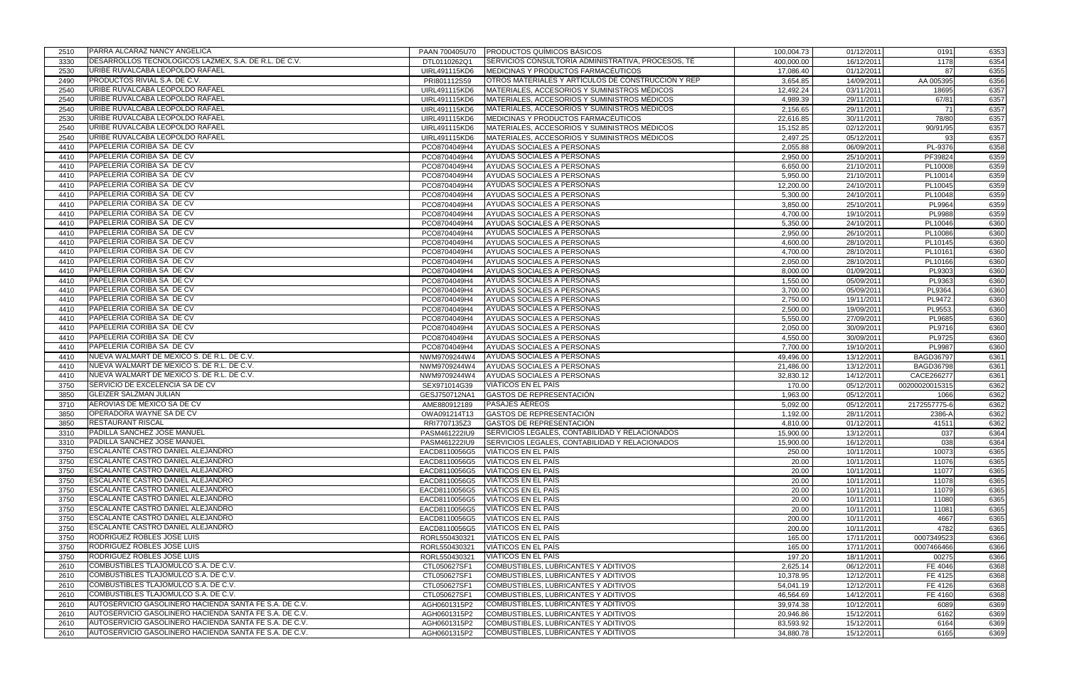| 2510 | PARRA ALCARAZ NANCY ANGELICA                           | PAAN 700405U70 | <b>PRODUCTOS QUÍMICOS BÁSICOS</b>                   | 100,004.73 | 01/12/2011 | 0191             | 6353 |
|------|--------------------------------------------------------|----------------|-----------------------------------------------------|------------|------------|------------------|------|
| 3330 | DESARROLLOS TECNOLOGICOS LAZMEX, S.A. DE R.L. DE C.V.  | DTL0110262Q1   | ISERVICIOS CONSULTORÍA ADMINISTRATIVA. PROCESOS. TÉ | 400,000.00 | 16/12/2011 | 1178             | 6354 |
| 2530 | URIBE RUVALCABA LEOPOLDO RAFAEL                        | UIRL491115KD6  | MEDICINAS Y PRODUCTOS FARMACÉUTICOS                 | 17,086.40  | 01/12/2011 | 87               | 6355 |
| 2490 | PRODUCTOS RIVIAL S.A. DE C.V.                          | PRI801112S59   | OTROS MATERIALES Y ARTÍCULOS DE CONSTRUCCIÓN Y REP  | 3,654.85   | 14/09/2011 | AA 005395        | 6356 |
| 2540 | URIBE RUVALCABA LEOPOLDO RAFAEL                        | UIRL491115KD6  | MATERIALES, ACCESORIOS Y SUMINISTROS MÉDICOS        | 12,492.24  | 03/11/2011 | 18695            | 6357 |
| 2540 | URIBE RUVALCABA LEOPOLDO RAFAEL                        | UIRL491115KD6  | MATERIALES, ACCESORIOS Y SUMINISTROS MÉDICOS        | 4,989.39   | 29/11/2011 | 67/81            | 6357 |
| 2540 | URIBE RUVALCABA LEOPOLDO RAFAEL                        | UIRL491115KD6  | MATERIALES, ACCESORIOS Y SUMINISTROS MÉDICOS        | 2,156.65   | 29/11/2011 | 71               | 6357 |
| 2530 | URIBE RUVALCABA LEOPOLDO RAFAEL                        | UIRL491115KD6  | MEDICINAS Y PRODUCTOS FARMACÉUTICOS                 | 22,616.85  | 30/11/2011 | 78/80            | 6357 |
| 2540 | URIBE RUVALCABA LEOPOLDO RAFAEL                        | UIRL491115KD6  | MATERIALES, ACCESORIOS Y SUMINISTROS MÉDICOS        | 15,152.85  | 02/12/2011 | 90/91/95         | 6357 |
| 2540 | URIBE RUVALCABA LEOPOLDO RAFAEL                        | UIRL491115KD6  | MATERIALES, ACCESORIOS Y SUMINISTROS MÉDICOS        | 2,497.25   | 05/12/2011 | 93               | 6357 |
| 4410 | PAPELERIA CORIBA SA DE CV                              | PCO8704049H4   | AYUDAS SOCIALES A PERSONAS                          | 2,055.88   | 06/09/2011 | PL-9376          | 6358 |
| 4410 | PAPELERIA CORIBA SA DE CV                              | PCO8704049H4   | AYUDAS SOCIALES A PERSONAS                          | 2,950.00   | 25/10/2011 | PF39824          | 6359 |
| 4410 | PAPELERIA CORIBA SA DE CV                              | PCO8704049H4   | AYUDAS SOCIALES A PERSONAS                          | 6,650.00   | 21/10/2011 | PL10008          | 6359 |
| 4410 | PAPELERIA CORIBA SA DE CV                              | PCO8704049H4   | AYUDAS SOCIALES A PERSONAS                          | 5,950.00   | 21/10/2011 | PL10014          | 6359 |
| 4410 | PAPELERIA CORIBA SA DE CV                              | PCO8704049H4   | AYUDAS SOCIALES A PERSONAS                          | 12,200.00  | 24/10/2011 | PL10045          | 6359 |
| 4410 | PAPELERIA CORIBA SA DE CV                              | PCO8704049H4   | AYUDAS SOCIALES A PERSONAS                          | 5,300.00   | 24/10/2011 | PL10048          | 6359 |
| 4410 | PAPELERIA CORIBA SA DE CV                              | PCO8704049H4   | AYUDAS SOCIALES A PERSONAS                          | 3,850.00   | 25/10/2011 | PL9964           | 6359 |
| 4410 | PAPELERIA CORIBA SA DE CV                              | PCO8704049H4   | AYUDAS SOCIALES A PERSONAS                          | 4,700.00   | 19/10/2011 | PL9988           | 6359 |
| 4410 | PAPELERIA CORIBA SA DE CV                              | PCO8704049H4   | AYUDAS SOCIALES A PERSONAS                          | 5,350.00   | 24/10/2011 | PL10046          | 6360 |
| 4410 | PAPELERIA CORIBA SA DE CV                              | PCO8704049H4   | AYUDAS SOCIALES A PERSONAS                          | 2,950.00   | 26/10/2011 | PL10086          | 6360 |
| 4410 | PAPELERIA CORIBA SA DE CV                              | PCO8704049H4   | AYUDAS SOCIALES A PERSONAS                          | 4,600.00   | 28/10/2011 | PL10145          | 6360 |
| 4410 | PAPELERIA CORIBA SA DE CV                              | PCO8704049H4   | AYUDAS SOCIALES A PERSONAS                          | 4,700.00   | 28/10/2011 | PL10161          | 6360 |
| 4410 | PAPELERIA CORIBA SA DE CV                              |                | AYUDAS SOCIALES A PERSONAS                          |            | 28/10/2011 | PL10166          | 6360 |
|      | PAPELERIA CORIBA SA DE CV                              | PCO8704049H4   |                                                     | 2,050.00   |            |                  |      |
| 4410 |                                                        | PCO8704049H4   | AYUDAS SOCIALES A PERSONAS                          | 8,000.00   | 01/09/2011 | PL9303           | 6360 |
| 4410 | PAPELERIA CORIBA SA DE CV                              | PCO8704049H4   | AYUDAS SOCIALES A PERSONAS                          | 1,550.00   | 05/09/2011 | PL9363           | 6360 |
| 4410 | PAPELERIA CORIBA SA DE CV                              | PCO8704049H4   | AYUDAS SOCIALES A PERSONAS                          | 3,700.00   | 05/09/2011 | PL9364           | 6360 |
| 4410 | PAPELERIA CORIBA SA DE CV                              | PCO8704049H4   | AYUDAS SOCIALES A PERSONAS                          | 2,750.00   | 19/11/2011 | PL9472           | 6360 |
| 4410 | PAPELERIA CORIBA SA DE CV                              | PCO8704049H4   | AYUDAS SOCIALES A PERSONAS                          | 2,500.00   | 19/09/2011 | PL9553           | 6360 |
| 4410 | PAPELERIA CORIBA SA DE CV                              | PCO8704049H4   | AYUDAS SOCIALES A PERSONAS                          | 5,550.00   | 27/09/2011 | PL9685           | 6360 |
| 4410 | PAPELERIA CORIBA SA DE CV                              | PCO8704049H4   | AYUDAS SOCIALES A PERSONAS                          | 2,050.00   | 30/09/2011 | PL9716           | 6360 |
| 4410 | PAPELERIA CORIBA SA DE CV                              | PCO8704049H4   | AYUDAS SOCIALES A PERSONAS                          | 4,550.00   | 30/09/2011 | PL9725           | 6360 |
| 4410 | PAPELERIA CORIBA SA DE CV                              | PCO8704049H4   | AYUDAS SOCIALES A PERSONAS                          | 7,700.00   | 19/10/2011 | PL9987           | 6360 |
| 4410 | NUEVA WALMART DE MEXICO S. DE R.L. DE C.V.             | NWM9709244W4   | AYUDAS SOCIALES A PERSONAS                          | 49,496.00  | 13/12/2011 | <b>BAGD36797</b> | 6361 |
| 4410 | NUEVA WALMART DE MEXICO S. DE R.L. DE C.V.             | NWM9709244W4   | AYUDAS SOCIALES A PERSONAS                          | 21,486.00  | 13/12/2011 | <b>BAGD36798</b> | 6361 |
| 4410 | NUEVA WALMART DE MEXICO S. DE R.L. DE C.V.             | NWM9709244W4   | AYUDAS SOCIALES A PERSONAS                          | 32,830.12  | 14/12/2011 | CACE266277       | 6361 |
| 3750 | SERVICIO DE EXCELENCIA SA DE CV                        | SEX971014G39   | VIÁTICOS EN EL PAÍS                                 | 170.00     | 05/12/2011 | 00200020015315   | 6362 |
| 3850 | <b>GLEIZER SALZMAN JULIAN</b>                          | GESJ750712NA1  | GASTOS DE REPRESENTACIÓN                            | 1,963.00   | 05/12/2011 | 1066             | 6362 |
| 3710 | AEROVIAS DE MEXICO SA DE CV                            | AME880912189   | <b>PASAJES AÉREOS</b>                               | 5,092.00   | 05/12/2011 | 2172557775-6     | 6362 |
| 3850 | OPERADORA WAYNE SA DE CV                               | OWA091214T13   | GASTOS DE REPRESENTACIÓN                            | 1,192.00   | 28/11/2011 | 2386-A           | 6362 |
| 3850 | <b>RESTAURANT RISCAL</b>                               | RRI7707135Z3   | GASTOS DE REPRESENTACIÓN                            | 4,810.00   | 01/12/2011 | 41511            | 6362 |
| 3310 | PADILLA SANCHEZ JOSE MANUEL                            | PASM461222IU9  | SERVICIOS LEGALES, CONTABILIDAD Y RELACIONADOS      | 15,900.00  | 13/12/2011 | 037              | 6364 |
| 3310 | <b>PADILLA SANCHEZ JOSE MANUEL</b>                     | PASM461222IU9  | SERVICIOS LEGALES, CONTABILIDAD Y RELACIONADOS      | 15,900.00  | 16/12/2011 | 038              | 6364 |
| 3750 | <b>ESCALANTE CASTRO DANIEL ALEJANDRO</b>               | EACD8110056G5  | <b>VIATICOS EN EL PAIS</b>                          | 250.00     | 10/11/2011 | 10073            | 6365 |
| 3750 | <b>ESCALANTE CASTRO DANIEL ALEJANDRO</b>               | EACD8110056G5  | VIÁTICOS EN EL PAÍS                                 | 20.00      | 10/11/2011 | 11076            | 6365 |
| 3750 | ESCALANTE CASTRO DANIEL ALEJANDRO                      | EACD8110056G5  | VIÁTICOS EN EL PAÍS                                 | 20.00      | 10/11/2011 | 11077            | 6365 |
| 3750 | ESCALANTE CASTRO DANIEL ALEJANDRO                      | EACD8110056G5  | VIÁTICOS EN EL PAÍS                                 | 20.00      | 10/11/2011 | 11078            | 6365 |
| 3750 | <b>ESCALANTE CASTRO DANIEL ALEJANDRO</b>               | EACD8110056G5  | VIÁTICOS EN EL PAÍS                                 | 20.00      | 10/11/2011 | 11079            | 6365 |
| 3750 | <b>ESCALANTE CASTRO DANIEL ALEJANDRO</b>               | EACD8110056G5  | VIÁTICOS EN EL PAÍS                                 | 20.00      | 10/11/2011 | 11080            | 6365 |
| 3750 | ESCALANTE CASTRO DANIEL ALEJANDRO                      | EACD8110056G5  | VIÁTICOS EN EL PAÍS                                 | 20.00      | 10/11/2011 | 11081            | 6365 |
| 3750 | <b>ESCALANTE CASTRO DANIEL ALEJANDRO</b>               | EACD8110056G5  | VIÁTICOS EN EL PAÍS                                 | 200.00     | 10/11/2011 | 4667             | 6365 |
| 3750 | <b>ESCALANTE CASTRO DANIEL ALEJANDRO</b>               | EACD8110056G5  | VIÁTICOS EN EL PAÍS                                 | 200.00     | 10/11/2011 | 4782             | 6365 |
| 3750 | <b>RODRIGUEZ ROBLES JOSE LUIS</b>                      | RORL550430321  | VIÁTICOS EN EL PAÍS                                 | 165.00     | 17/11/2011 | 0007349523       | 6366 |
| 3750 | RODRIGUEZ ROBLES JOSE LUIS                             | RORL550430321  | VIÁTICOS EN EL PAÍS                                 | 165.00     | 17/11/2011 | 0007466466       | 6366 |
| 3750 | RODRIGUEZ ROBLES JOSE LUIS                             | RORL550430321  | VIÁTICOS EN EL PAÍS                                 | 197.20     | 18/11/2011 | 00275            | 6366 |
| 2610 | COMBUSTIBLES TLAJOMULCO S.A. DE C.V.                   | CTL050627SF1   | COMBUSTIBLES, LUBRICANTES Y ADITIVOS                | 2,625.14   | 06/12/2011 | FE 4046          | 6368 |
| 2610 | COMBUSTIBLES TLAJOMULCO S.A. DE C.V.                   | CTL050627SF1   | COMBUSTIBLES, LUBRICANTES Y ADITIVOS                | 10,378.95  | 12/12/2011 | FE 4125          | 6368 |
| 2610 | COMBUSTIBLES TLAJOMULCO S.A. DE C.V.                   | CTL050627SF1   | COMBUSTIBLES, LUBRICANTES Y ADITIVOS                | 54,041.19  | 12/12/2011 | FE 4126          | 6368 |
| 2610 | COMBUSTIBLES TLAJOMULCO S.A. DE C.V.                   | CTL050627SF1   | COMBUSTIBLES, LUBRICANTES Y ADITIVOS                | 46,564.69  | 14/12/2011 | FE 4160          | 6368 |
| 2610 | AUTOSERVICIO GASOLINERO HACIENDA SANTA FE S.A. DE C.V. | AGH0601315P2   | COMBUSTIBLES, LUBRICANTES Y ADITIVOS                | 39,974.38  | 10/12/2011 | 6089             | 6369 |
| 2610 | AUTOSERVICIO GASOLINERO HACIENDA SANTA FE S.A. DE C.V. | AGH0601315P2   | COMBUSTIBLES, LUBRICANTES Y ADITIVOS                | 20,946.86  | 15/12/2011 | 6162             | 6369 |
| 2610 | AUTOSERVICIO GASOLINERO HACIENDA SANTA FE S.A. DE C.V. | AGH0601315P2   | COMBUSTIBLES, LUBRICANTES Y ADITIVOS                | 83,593.92  | 15/12/2011 | 6164             | 6369 |
| 2610 | AUTOSERVICIO GASOLINERO HACIENDA SANTA FE S.A. DE C.V. | AGH0601315P2   | COMBUSTIBLES, LUBRICANTES Y ADITIVOS                | 34,880.78  | 15/12/2011 | 6165             | 6369 |
|      |                                                        |                |                                                     |            |            |                  |      |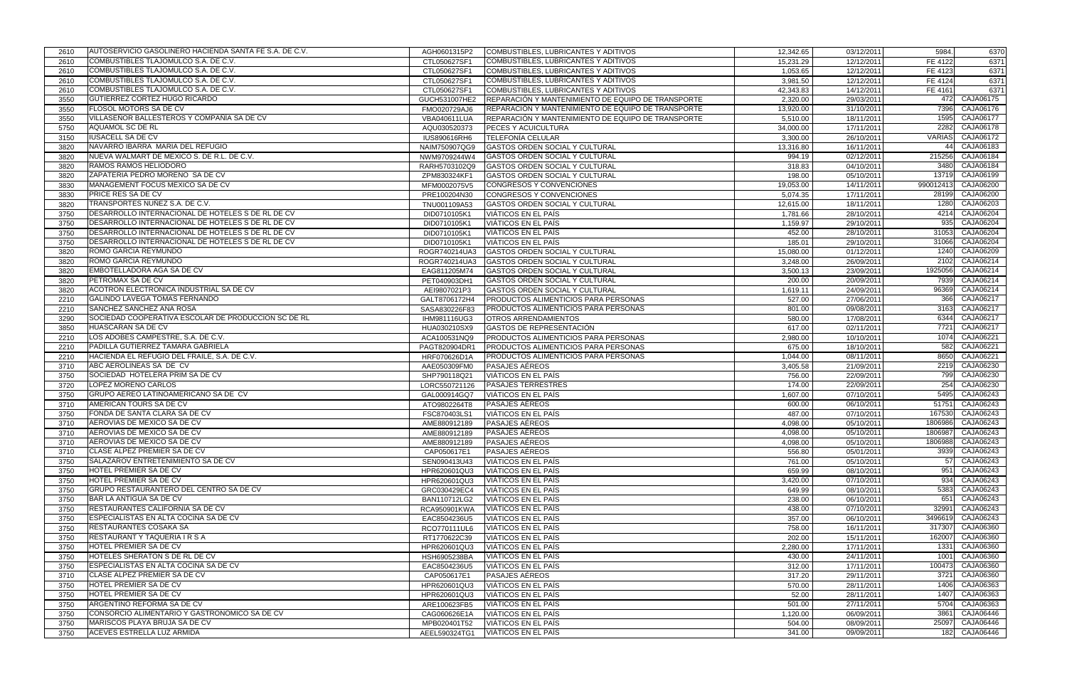| 2610 | AUTOSERVICIO GASOLINERO HACIENDA SANTA FE S.A. DE C.V.                                                 | AGH0601315P2  | COMBUSTIBLES, LUBRICANTES Y ADITIVOS               | 12,342.65 | 03/12/2011 | 5984.     | 6370              |
|------|--------------------------------------------------------------------------------------------------------|---------------|----------------------------------------------------|-----------|------------|-----------|-------------------|
| 2610 | <b>ICOMBUSTIBLES TLAJOMULCO S.A. DE C.V.</b>                                                           | CTL050627SF1  | COMBUSTIBLES, LUBRICANTES Y ADITIVOS               | 15,231.29 | 12/12/2011 | FE 4122   | 6371              |
| 2610 | COMBUSTIBLES TLAJOMULCO S.A. DE C.V.                                                                   | CTL050627SF1  | COMBUSTIBLES, LUBRICANTES Y ADITIVOS               | 1,053.65  | 12/12/2011 | FE 4123   | 6371              |
| 2610 | COMBUSTIBLES TLAJOMULCO S.A. DE C.V.                                                                   | CTL050627SF1  | COMBUSTIBLES, LUBRICANTES Y ADITIVOS               | 3,981.50  | 12/12/2011 | FE 4124   | 6371              |
| 2610 | COMBUSTIBLES TLAJOMULCO S.A. DE C.V.                                                                   | CTL050627SF1  | COMBUSTIBLES, LUBRICANTES Y ADITIVOS               | 42,343.83 | 14/12/2011 | FE 4161   | 6371              |
| 3550 | GUTIERREZ CORTEZ HUGO RICARDO                                                                          | GUCH531007HE2 | REPARACIÓN Y MANTENIMIENTO DE EQUIPO DE TRANSPORTE | 2,320.00  | 29/03/2011 | 472       | CAJA06175         |
| 3550 | <b>FLOSOL MOTORS SA DE CV</b>                                                                          | FMO020729AJ6  | REPARACIÓN Y MANTENIMIENTO DE EQUIPO DE TRANSPORTE | 13,920.00 | 31/10/2011 | 7396      | CAJA06176         |
| 3550 | VILLASEÑOR BALLESTEROS Y COMPAÑÍA SA DE CV                                                             | VBA040611LUA  | REPARACIÓN Y MANTENIMIENTO DE EQUIPO DE TRANSPORTE | 5,510.00  | 18/11/2011 | 1595      | CAJA06177         |
| 5750 | <b>AQUAMOL SC DE RL</b>                                                                                | AQU030520373  | PECES Y ACUICULTURA                                | 34,000.00 | 17/11/2011 | 2282      | CAJA06178         |
| 3150 | <b>IUSACELL SA DE CV</b>                                                                               | IUS890616RH6  | <b>TELEFONÍA CELULAR</b>                           | 3,300.00  | 26/10/2011 | VARIAS    | CAJA06172         |
| 3820 | NAVARRO IBARRA MARIA DEL REFUGIO                                                                       | NAIM750907QG9 | GASTOS ORDEN SOCIAL Y CULTURAL                     | 13,316.80 | 16/11/2011 |           | CAJA06183         |
| 3820 | NUEVA WALMART DE MEXICO S. DE R.L. DE C.V.                                                             | NWM9709244W4  | GASTOS ORDEN SOCIAL Y CULTURAL                     | 994.19    | 02/12/2011 | 215256    | CAJA06184         |
| 3820 | RAMOS RAMOS HELIODORO                                                                                  | RARH5703102Q9 | GASTOS ORDEN SOCIAL Y CULTURAL                     | 318.83    | 04/10/2011 | 3480      | CAJA06184         |
| 3820 | ZAPATERIA PEDRO MORENO SA DE CV                                                                        | ZPM830324KF1  | GASTOS ORDEN SOCIAL Y CULTURAL                     | 198.00    | 05/10/2011 | 13719     | CAJA06199         |
| 3830 | MANAGEMENT FOCUS MEXICO SA DE CV                                                                       |               | CONGRESOS Y CONVENCIONES                           |           | 14/11/2011 | 990012413 | CAJA06200         |
|      | PRICE RES SA DE CV                                                                                     | MFM0002075V5  |                                                    | 19,053.00 |            | 28199     | CAJA06200         |
| 3830 | TRANSPORTES NUÑEZ S.A. DE C.V.                                                                         | PRE100204N30  | CONGRESOS Y CONVENCIONES                           | 5,074.35  | 17/11/2011 | 1280      | CAJA06203         |
| 3820 |                                                                                                        | TNU001109A53  | GASTOS ORDEN SOCIAL Y CULTURAL                     | 12,615.00 | 18/11/2011 |           |                   |
| 3750 | DESARROLLO INTERNACIONAL DE HOTELES S DE RL DE CV<br>DESARROLLO INTERNACIONAL DE HOTELES S DE RL DE CV | DID0710105K1  | <b>VIÁTICOS EN EL PAÍS</b>                         | 1,781.66  | 28/10/2011 | 4214      | CAJA06204         |
| 3750 |                                                                                                        | DID0710105K1  | VIÁTICOS EN EL PAÍS                                | 1,159.97  | 29/10/2011 | 935       | CAJA06204         |
| 3750 | DESARROLLO INTERNACIONAL DE HOTELES S DE RL DE CV                                                      | DID0710105K1  | VIÁTICOS EN EL PAÍS                                | 452.00    | 28/10/2011 | 31053     | CAJA06204         |
| 3750 | DESARROLLO INTERNACIONAL DE HOTELES S DE RL DE CV                                                      | DID0710105K1  | VIÁTICOS EN EL PAÍS                                | 185.01    | 29/10/2011 | 31066     | CAJA06204         |
| 3820 | ROMO GARCIA REYMUNDO                                                                                   | ROGR740214UA3 | GASTOS ORDEN SOCIAL Y CULTURAL                     | 15,080.00 | 01/12/2011 | 1240      | CAJA06209         |
| 3820 | ROMO GARCIA REYMUNDO                                                                                   | ROGR740214UA3 | GASTOS ORDEN SOCIAL Y CULTURAL                     | 3,248.00  | 26/09/2011 | 2102      | CAJA06214         |
| 3820 | <b>EMBOTELLADORA AGA SA DE CV</b>                                                                      | EAG811205M74  | GASTOS ORDEN SOCIAL Y CULTURAL                     | 3,500.13  | 23/09/2011 | 1925056   | CAJA06214         |
| 3820 | <b>PETROMAX SA DE CV</b>                                                                               | PET040903DH1  | GASTOS ORDEN SOCIAL Y CULTURAL                     | 200.00    | 20/09/2011 | 7939      | CAJA06214         |
| 3820 | ACOTRON ELECTRONICA INDUSTRIAL SA DE CV                                                                | AEI9807021P3  | <b>GASTOS ORDEN SOCIAL Y CULTURAL</b>              | 1,619.11  | 24/09/2011 | 96369     | CAJA06214         |
| 2210 | GALINDO LAVEGA TOMAS FERNANDO                                                                          | GALT8706172H4 | PRODUCTOS ALIMENTICIOS PARA PERSONAS               | 527.00    | 27/06/2011 | 366       | CAJA06217         |
| 2210 | SANCHEZ SANCHEZ ANA ROSA                                                                               | SASA830226F83 | PRODUCTOS ALIMENTICIOS PARA PERSONAS               | 801.00    | 09/08/2011 | 3163      | CAJA06217         |
| 3290 | SOCIEDAD COOPERATIVA ESCOLAR DE PRODUCCION SC DE RL                                                    | IHM981116UG3  | <b>OTROS ARRENDAMIENTOS</b>                        | 580.00    | 17/08/2011 | 6344      | CAJA06217         |
| 3850 | <b>HUASCARAN SA DE CV</b>                                                                              | HUA030210SX9  | GASTOS DE REPRESENTACIÓN                           | 617.00    | 02/11/2011 | 7721      | CAJA06217         |
| 2210 | LOS ADOBES CAMPESTRE, S.A. DE C.V.                                                                     | ACA100531NQ9  | PRODUCTOS ALIMENTICIOS PARA PERSONAS               | 2,980.00  | 10/10/2011 | 1074      | CAJA06221         |
| 2210 | PADILLA GUTIERREZ TAMARA GABRIELA                                                                      | PAGT820904DR1 | PRODUCTOS ALIMENTICIOS PARA PERSONAS               | 675.00    | 18/10/2011 | 582       | CAJA06221         |
| 2210 | HACIENDA EL REFUGIO DEL FRAILE, S.A. DE C.V.                                                           | HRF070626D1A  | PRODUCTOS ALIMENTICIOS PARA PERSONAS               | 1,044.00  | 08/11/2011 | 8650      | CAJA06221         |
| 3710 | ABC AEROLINEAS SA DE CV                                                                                | AAE050309FM0  | PASAJES AÉREOS                                     | 3,405.58  | 21/09/2011 | 2219      | CAJA06230         |
| 3750 | SOCIEDAD HOTELERA PRIM SA DE CV                                                                        | SHP790118Q21  | VIÁTICOS EN EL PAÍS                                | 756.00    | 22/09/2011 | 799       | CAJA06230         |
| 3720 | <b>LOPEZ MORENO CARLOS</b>                                                                             | LORC550721126 | <b>PASAJES TERRESTRES</b>                          | 174.00    | 22/09/2011 | 254       | CAJA06230         |
| 3750 | GRUPO AEREO LATINOAMERICANO SA DE CV                                                                   | GAL000914GQ7  | VIÁTICOS EN EL PAÍS                                | 1,607.00  | 07/10/2011 | 5495      | CAJA06243         |
| 3710 | AMERICAN TOURS SA DE CV                                                                                | ATO9802264T8  | <b>PASAJES AÉREOS</b>                              | 600.00    | 06/10/2011 | 51751     | CAJA06243         |
| 3750 | FONDA DE SANTA CLARA SA DE CV                                                                          | FSC870403LS1  | VIÁTICOS EN EL PAÍS                                | 487.00    | 07/10/2011 | 167530    | CAJA06243         |
| 3710 | AEROVIAS DE MEXICO SA DE CV                                                                            | AME880912189  | <b>PASAJES AÉREOS</b>                              | 4,098.00  | 05/10/2011 | 1806986   | CAJA06243         |
| 3710 | AEROVIAS DE MEXICO SA DE CV                                                                            | AME880912189  | <b>PASAJES AÉREOS</b>                              | 4,098.00  | 05/10/2011 | 1806987   | CAJA06243         |
| 3710 | AEROVIAS DE MEXICO SA DE CV                                                                            | AME880912189  | <b>PASAJES AEREOS</b>                              | 4,098.00  | 05/10/2011 |           | 1806988 CAJA06243 |
| 3710 | <b>CLASE ALPEZ PREMIER SA DE CV</b>                                                                    | CAP050617E1   | <b>PASAJES AÉREOS</b>                              | 556.80    | 05/01/2011 | 3939      | CAJA06243         |
| 3750 | SALAZAROV ENTRETENIMIENTO SA DE CV                                                                     | SEN090413U43  | VIÁTICOS EN EL PAÍS                                | 761.00    | 05/10/2011 | -57I      | CAJA06243         |
| 3750 | <b>HOTEL PREMIER SA DE CV</b>                                                                          | HPR620601QU3  | VIÁTICOS EN EL PAÍS                                | 659.99    | 08/10/2011 | 951       | CAJA06243         |
| 3750 | HOTEL PREMIER SA DE CV                                                                                 | HPR620601QU3  | VIÁTICOS EN EL PAÍS                                | 3,420.00  | 07/10/2011 | 934       | CAJA06243         |
| 3750 | GRUPO RESTAURANTERO DEL CENTRO SA DE CV                                                                | GRC030429EC4  | VIÁTICOS EN EL PAÍS                                | 649.99    | 08/10/2011 | 5383      | CAJA06243         |
| 3750 | <b>BAR LA ANTIGUA SA DE CV</b>                                                                         | BAN110712LG2  | VIÁTICOS EN EL PAÍS                                | 238.00    | 06/10/2011 | 651       | CAJA06243         |
| 3750 | <b>RESTAURANTES CALIFORNIA SA DE CV</b>                                                                | RCA950901KWA  | VIÁTICOS EN EL PAÍS                                | 438.00    | 07/10/2011 | 32991     | CAJA06243         |
| 3750 | <b>IESPECIALISTAS EN ALTA COCINA SA DE CV</b>                                                          | EAC8504236U5  | VIÁTICOS EN EL PAÍS                                | 357.00    | 06/10/2011 | 3496619   | CAJA06243         |
| 3750 | <b>RESTAURANTES COSAKA SA</b>                                                                          | RCO770111UL6  | VIÁTICOS EN EL PAÍS                                | 758.00    | 16/11/2011 | 317307    | CAJA06360         |
| 3750 | RESTAURANT Y TAQUERIA I R S A                                                                          | RT1770622C39  | VIÁTICOS EN EL PAÍS                                | 202.00    | 15/11/2011 | 162007    | CAJA06360         |
| 3750 | HOTEL PREMIER SA DE CV                                                                                 | HPR620601QU3  | VIÁTICOS EN EL PAÍS                                | 2,280.00  | 17/11/2011 | 1331      | CAJA06360         |
| 3750 | HOTELES SHERATON S DE RL DE CV                                                                         | HSH6905238BA  | VIÁTICOS EN EL PAÍS                                | 430.00    | 24/11/2011 | 1001      | <b>CAJA06360</b>  |
| 3750 | ESPECIALISTAS EN ALTA COCINA SA DE CV                                                                  | EAC8504236U5  | VIÁTICOS EN EL PAÍS                                | 312.00    | 17/11/2011 | 100473    | CAJA06360         |
| 3710 | CLASE ALPEZ PREMIER SA DE CV                                                                           | CAP050617E1   | PASAJES AÉREOS                                     | 317.20    | 29/11/2011 | 3721      | CAJA06360         |
| 3750 | HOTEL PREMIER SA DE CV                                                                                 | HPR620601QU3  | VIATICOS EN EL PAÍS                                | 570.00    | 28/11/2011 | 1406      | CAJA06363         |
| 3750 | <b>HOTEL PREMIER SA DE CV</b>                                                                          | HPR620601QU3  | VIÁTICOS EN EL PAÍS                                | 52.00     | 28/11/2011 | 1407      | CAJA06363         |
| 3750 | <b>ARGENTINO REFORMA SA DE CV</b>                                                                      | ARE100623FB5  | VIÁTICOS EN EL PAÍS                                | 501.00    | 27/11/2011 |           | 5704 CAJA06363    |
| 3750 | CONSORCIO ALIMENTARIO Y GASTRONOMICO SA DE CV                                                          | CAG060626E1A  | VIÁTICOS EN EL PAÍS                                | 1,120.00  | 06/09/2011 | 3861      | CAJA06446         |
| 3750 | MARISCOS PLAYA BRUJA SA DE CV                                                                          | MPB020401T52  | VIÁTICOS EN EL PAÍS                                | 504.00    | 08/09/2011 | 25097     | CAJA06446         |
| 3750 | ACEVES ESTRELLA LUZ ARMIDA                                                                             | AEEL590324TG1 | VIÁTICOS EN EL PAÍS                                | 341.00    | 09/09/2011 |           | 182 CAJA06446     |
|      |                                                                                                        |               |                                                    |           |            |           |                   |